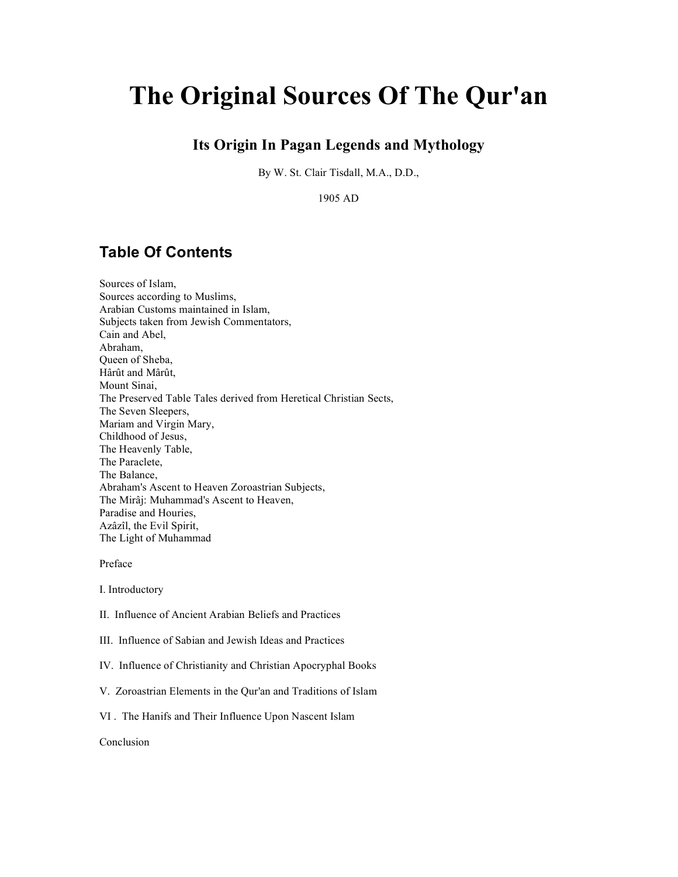#### **Its Origin In Pagan Legends and Mythology**

By W. St. Clair Tisdall, M.A., D.D.,

1905 AD

# **Table Of Contents**

Sources of Islam, Sources according to Muslims, Arabian Customs maintained in Islam, Subjects taken from Jewish Commentators, Cain and Abel, Abraham, Queen of Sheba, Hârût and Mârût, Mount Sinai, The Preserved Table Tales derived from Heretical Christian Sects, The Seven Sleepers, Mariam and Virgin Mary, Childhood of Jesus, The Heavenly Table, The Paraclete, The Balance, Abraham's Ascent to Heaven Zoroastrian Subjects, The Mirâj: Muhammad's Ascent to Heaven, Paradise and Houries, Azâzîl, the Evil Spirit, The Light of Muhammad

Preface

I. Introductory

- II. Influence of Ancient Arabian Beliefs and Practices
- III. Influence of Sabian and Jewish Ideas and Practices
- IV. Influence of Christianity and Christian Apocryphal Books
- V. Zoroastrian Elements in the Qur'an and Traditions of Islam
- VI . The Hanifs and Their Influence Upon Nascent Islam

Conclusion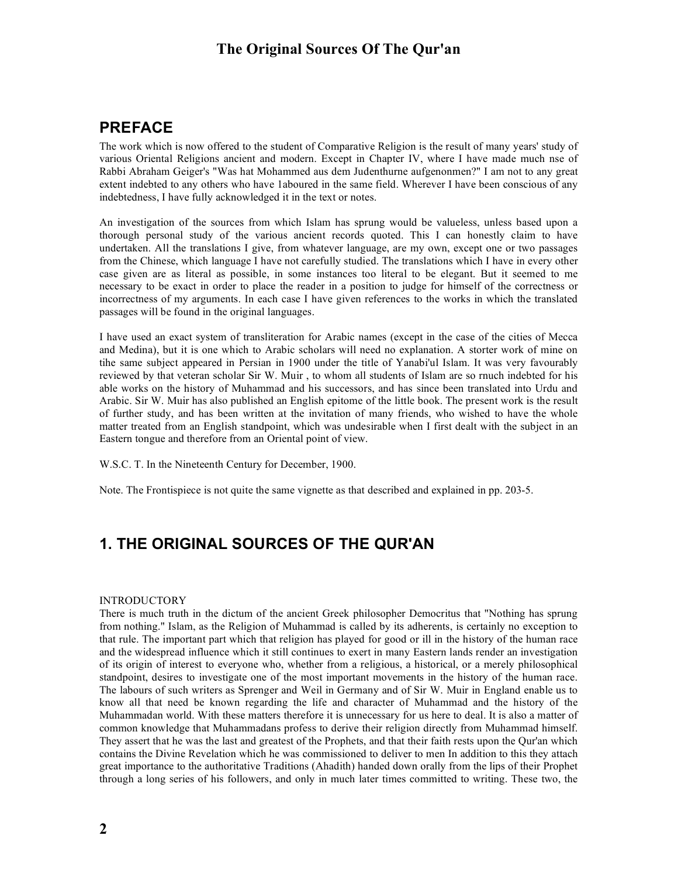## **PREFACE**

The work which is now offered to the student of Comparative Religion is the result of many years' study of various Oriental Religions ancient and modern. Except in Chapter IV, where I have made much nse of Rabbi Abraham Geiger's "Was hat Mohammed aus dem Judenthurne aufgenonmen?" I am not to any great extent indebted to any others who have 1aboured in the same field. Wherever I have been conscious of any indebtedness, I have fully acknowledged it in the text or notes.

An investigation of the sources from which Islam has sprung would be valueless, unless based upon a thorough personal study of the various ancient records quoted. This I can honestly claim to have undertaken. All the translations I give, from whatever language, are my own, except one or two passages from the Chinese, which language I have not carefully studied. The translations which I have in every other case given are as literal as possible, in some instances too literal to be elegant. But it seemed to me necessary to be exact in order to place the reader in a position to judge for himself of the correctness or incorrectness of my arguments. In each case I have given references to the works in which the translated passages will be found in the original languages.

I have used an exact system of transliteration for Arabic names (except in the case of the cities of Mecca and Medina), but it is one which to Arabic scholars will need no explanation. A storter work of mine on tihe same subject appeared in Persian in 1900 under the title of Yanabi'ul Islam. It was very favourably reviewed by that veteran scholar Sir W. Muir , to whom all students of Islam are so rnuch indebted for his able works on the history of Muhammad and his successors, and has since been translated into Urdu and Arabic. Sir W. Muir has also published an English epitome of the little book. The present work is the result of further study, and has been written at the invitation of many friends, who wished to have the whole matter treated from an English standpoint, which was undesirable when I first dealt with the subject in an Eastern tongue and therefore from an Oriental point of view.

W.S.C. T. In the Nineteenth Century for December, 1900.

Note. The Frontispiece is not quite the same vignette as that described and explained in pp. 203-5.

# **1. THE ORIGINAL SOURCES OF THE QUR'AN**

#### INTRODUCTORY

There is much truth in the dictum of the ancient Greek philosopher Democritus that "Nothing has sprung from nothing." Islam, as the Religion of Muhammad is called by its adherents, is certainly no exception to that rule. The important part which that religion has played for good or ill in the history of the human race and the widespread influence which it still continues to exert in many Eastern lands render an investigation of its origin of interest to everyone who, whether from a religious, a historical, or a merely philosophical standpoint, desires to investigate one of the most important movements in the history of the human race. The labours of such writers as Sprenger and Weil in Germany and of Sir W. Muir in England enable us to know all that need be known regarding the life and character of Muhammad and the history of the Muhammadan world. With these matters therefore it is unnecessary for us here to deal. It is also a matter of common knowledge that Muhammadans profess to derive their religion directly from Muhammad himself. They assert that he was the last and greatest of the Prophets, and that their faith rests upon the Qur'an which contains the Divine Revelation which he was commissioned to deliver to men In addition to this they attach great importance to the authoritative Traditions (Ahadith) handed down orally from the lips of their Prophet through a long series of his followers, and only in much later times committed to writing. These two, the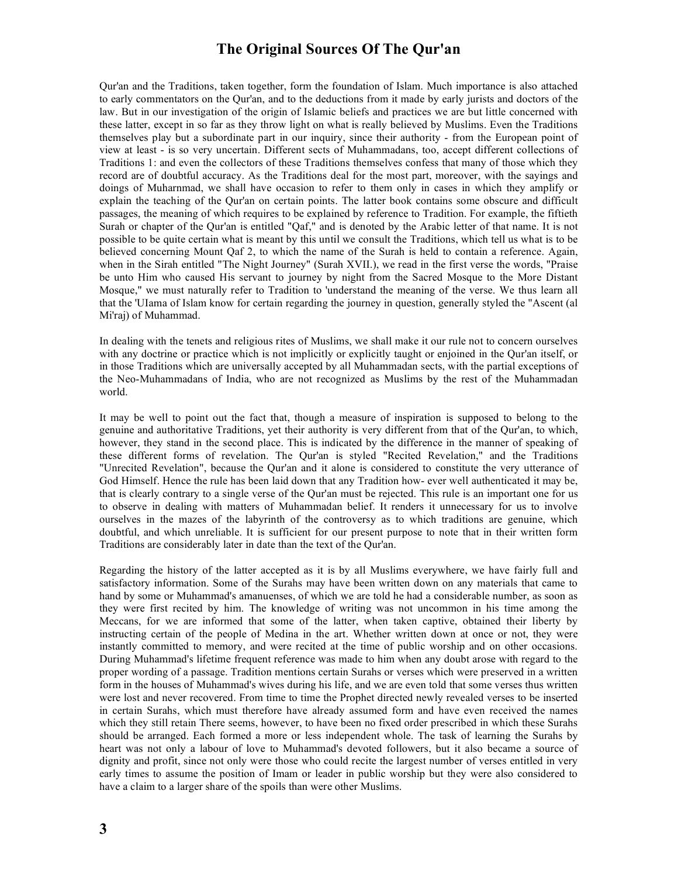Qur'an and the Traditions, taken together, form the foundation of Islam. Much importance is also attached to early commentators on the Qur'an, and to the deductions from it made by early jurists and doctors of the law. But in our investigation of the origin of Islamic beliefs and practices we are but little concerned with these latter, except in so far as they throw light on what is really believed by Muslims. Even the Traditions themselves play but a subordinate part in our inquiry, since their authority - from the European point of view at least - is so very uncertain. Different sects of Muhammadans, too, accept different collections of Traditions 1: and even the collectors of these Traditions themselves confess that many of those which they record are of doubtful accuracy. As the Traditions deal for the most part, moreover, with the sayings and doings of Muharnmad, we shall have occasion to refer to them only in cases in which they amplify or explain the teaching of the Qur'an on certain points. The latter book contains some obscure and difficult passages, the meaning of which requires to be explained by reference to Tradition. For example, the fiftieth Surah or chapter of the Qur'an is entitled "Qaf," and is denoted by the Arabic letter of that name. It is not possible to be quite certain what is meant by this until we consult the Traditions, which tell us what is to be believed concerning Mount Qaf 2, to which the name of the Surah is held to contain a reference. Again, when in the Sirah entitled "The Night Journey" (Surah XVII.), we read in the first verse the words, "Praise be unto Him who caused His servant to journey by night from the Sacred Mosque to the More Distant Mosque," we must naturally refer to Tradition to 'understand the meaning of the verse. We thus learn all that the 'UIama of Islam know for certain regarding the journey in question, generally styled the "Ascent (al Mi'raj) of Muhammad.

In dealing with the tenets and religious rites of Muslims, we shall make it our rule not to concern ourselves with any doctrine or practice which is not implicitly or explicitly taught or enjoined in the Qur'an itself, or in those Traditions which are universally accepted by all Muhammadan sects, with the partial exceptions of the Neo-Muhammadans of India, who are not recognized as Muslims by the rest of the Muhammadan world.

It may be well to point out the fact that, though a measure of inspiration is supposed to belong to the genuine and authoritative Traditions, yet their authority is very different from that of the Qur'an, to which, however, they stand in the second place. This is indicated by the difference in the manner of speaking of these different forms of revelation. The Qur'an is styled "Recited Revelation," and the Traditions "Unrecited Revelation", because the Qur'an and it alone is considered to constitute the very utterance of God Himself. Hence the rule has been laid down that any Tradition how- ever well authenticated it may be, that is clearly contrary to a single verse of the Qur'an must be rejected. This rule is an important one for us to observe in dealing with matters of Muhammadan belief. It renders it unnecessary for us to involve ourselves in the mazes of the labyrinth of the controversy as to which traditions are genuine, which doubtful, and which unreliable. It is sufficient for our present purpose to note that in their written form Traditions are considerably later in date than the text of the Qur'an.

Regarding the history of the latter accepted as it is by all Muslims everywhere, we have fairly full and satisfactory information. Some of the Surahs may have been written down on any materials that came to hand by some or Muhammad's amanuenses, of which we are told he had a considerable number, as soon as they were first recited by him. The knowledge of writing was not uncommon in his time among the Meccans, for we are informed that some of the latter, when taken captive, obtained their liberty by instructing certain of the people of Medina in the art. Whether written down at once or not, they were instantly committed to memory, and were recited at the time of public worship and on other occasions. During Muhammad's lifetime frequent reference was made to him when any doubt arose with regard to the proper wording of a passage. Tradition mentions certain Surahs or verses which were preserved in a written form in the houses of Muhammad's wives during his life, and we are even told that some verses thus written were lost and never recovered. From time to time the Prophet directed newly revealed verses to be inserted in certain Surahs, which must therefore have already assumed form and have even received the names which they still retain There seems, however, to have been no fixed order prescribed in which these Surahs should be arranged. Each formed a more or less independent whole. The task of learning the Surahs by heart was not only a labour of love to Muhammad's devoted followers, but it also became a source of dignity and profit, since not only were those who could recite the largest number of verses entitled in very early times to assume the position of Imam or leader in public worship but they were also considered to have a claim to a larger share of the spoils than were other Muslims.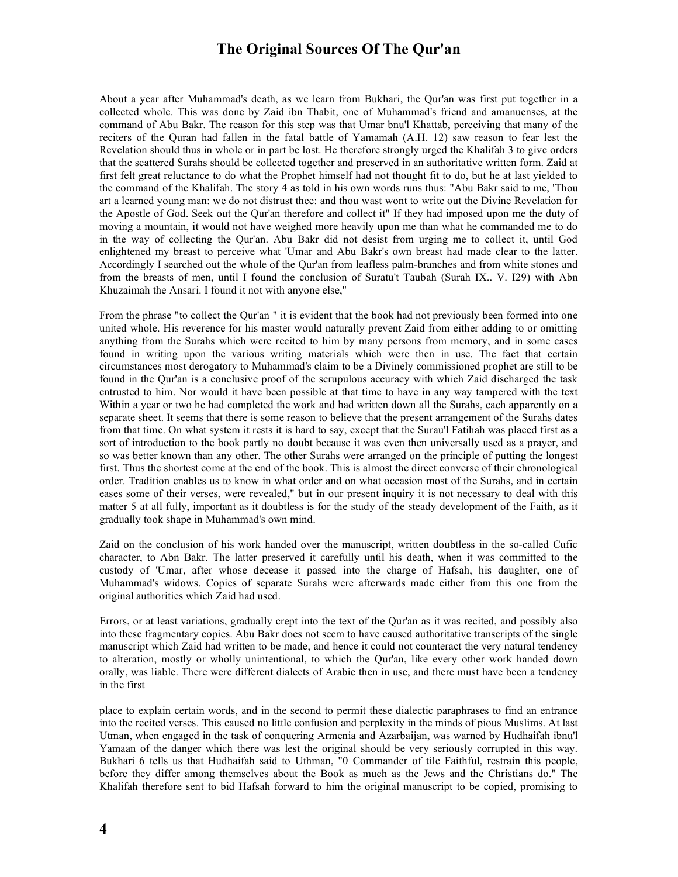About a year after Muhammad's death, as we learn from Bukhari, the Qur'an was first put together in a collected whole. This was done by Zaid ibn Thabit, one of Muhammad's friend and amanuenses, at the command of Abu Bakr. The reason for this step was that Umar bnu'l Khattab, perceiving that many of the reciters of the Quran had fallen in the fatal battle of Yamamah (A.H. 12) saw reason to fear lest the Revelation should thus in whole or in part be lost. He therefore strongly urged the Khalifah 3 to give orders that the scattered Surahs should be collected together and preserved in an authoritative written form. Zaid at first felt great reluctance to do what the Prophet himself had not thought fit to do, but he at last yielded to the command of the Khalifah. The story 4 as told in his own words runs thus: "Abu Bakr said to me, 'Thou art a learned young man: we do not distrust thee: and thou wast wont to write out the Divine Revelation for the Apostle of God. Seek out the Qur'an therefore and collect it" If they had imposed upon me the duty of moving a mountain, it would not have weighed more heavily upon me than what he commanded me to do in the way of collecting the Qur'an. Abu Bakr did not desist from urging me to collect it, until God enlightened my breast to perceive what 'Umar and Abu Bakr's own breast had made clear to the latter. Accordingly I searched out the whole of the Qur'an from leafless palm-branches and from white stones and from the breasts of men, until I found the conclusion of Suratu't Taubah (Surah IX.. V. I29) with Abn Khuzaimah the Ansari. I found it not with anyone else,"

From the phrase "to collect the Qur'an " it is evident that the book had not previously been formed into one united whole. His reverence for his master would naturally prevent Zaid from either adding to or omitting anything from the Surahs which were recited to him by many persons from memory, and in some cases found in writing upon the various writing materials which were then in use. The fact that certain circumstances most derogatory to Muhammad's claim to be a Divinely commissioned prophet are still to be found in the Qur'an is a conclusive proof of the scrupulous accuracy with which Zaid discharged the task entrusted to him. Nor would it have been possible at that time to have in any way tampered with the text Within a year or two he had completed the work and had written down all the Surahs, each apparently on a separate sheet. It seems that there is some reason to believe that the present arrangement of the Surahs dates from that time. On what system it rests it is hard to say, except that the Surau'l Fatihah was placed first as a sort of introduction to the book partly no doubt because it was even then universally used as a prayer, and so was better known than any other. The other Surahs were arranged on the principle of putting the longest first. Thus the shortest come at the end of the book. This is almost the direct converse of their chronological order. Tradition enables us to know in what order and on what occasion most of the Surahs, and in certain eases some of their verses, were revealed," but in our present inquiry it is not necessary to deal with this matter 5 at all fully, important as it doubtless is for the study of the steady development of the Faith, as it gradually took shape in Muhammad's own mind.

Zaid on the conclusion of his work handed over the manuscript, written doubtless in the so-called Cufic character, to Abn Bakr. The latter preserved it carefully until his death, when it was committed to the custody of 'Umar, after whose decease it passed into the charge of Hafsah, his daughter, one of Muhammad's widows. Copies of separate Surahs were afterwards made either from this one from the original authorities which Zaid had used.

Errors, or at least variations, gradually crept into the text of the Qur'an as it was recited, and possibly also into these fragmentary copies. Abu Bakr does not seem to have caused authoritative transcripts of the single manuscript which Zaid had written to be made, and hence it could not counteract the very natural tendency to alteration, mostly or wholly unintentional, to which the Qur'an, like every other work handed down orally, was liable. There were different dialects of Arabic then in use, and there must have been a tendency in the first

place to explain certain words, and in the second to permit these dialectic paraphrases to find an entrance into the recited verses. This caused no little confusion and perplexity in the minds of pious Muslims. At last Utman, when engaged in the task of conquering Armenia and Azarbaijan, was warned by Hudhaifah ibnu'l Yamaan of the danger which there was lest the original should be very seriously corrupted in this way. Bukhari 6 tells us that Hudhaifah said to Uthman, "0 Commander of tile Faithful, restrain this people, before they differ among themselves about the Book as much as the Jews and the Christians do." The Khalifah therefore sent to bid Hafsah forward to him the original manuscript to be copied, promising to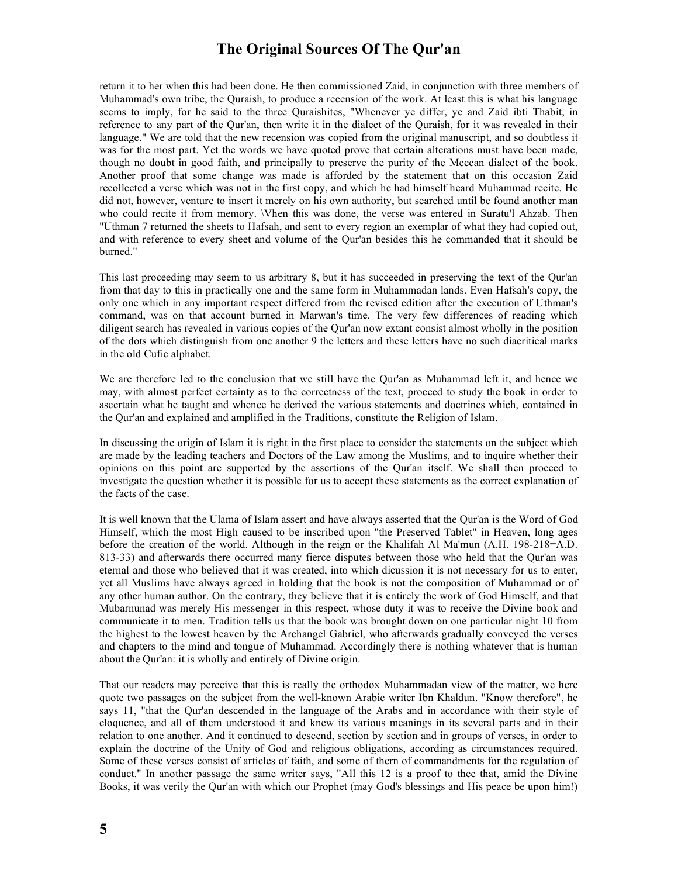return it to her when this had been done. He then commissioned Zaid, in conjunction with three members of Muhammad's own tribe, the Quraish, to produce a recension of the work. At least this is what his language seems to imply, for he said to the three Quraishites, "Whenever ye differ, ye and Zaid ibti Thabit, in reference to any part of the Qur'an, then write it in the dialect of the Quraish, for it was revealed in their language." We are told that the new recension was copied from the original manuscript, and so doubtless it was for the most part. Yet the words we have quoted prove that certain alterations must have been made, though no doubt in good faith, and principally to preserve the purity of the Meccan dialect of the book. Another proof that some change was made is afforded by the statement that on this occasion Zaid recollected a verse which was not in the first copy, and which he had himself heard Muhammad recite. He did not, however, venture to insert it merely on his own authority, but searched until be found another man who could recite it from memory. \Vhen this was done, the verse was entered in Suratu'l Ahzab. Then "Uthman 7 returned the sheets to Hafsah, and sent to every region an exemplar of what they had copied out, and with reference to every sheet and volume of the Qur'an besides this he commanded that it should be burned."

This last proceeding may seem to us arbitrary 8, but it has succeeded in preserving the text of the Qur'an from that day to this in practically one and the same form in Muhammadan lands. Even Hafsah's copy, the only one which in any important respect differed from the revised edition after the execution of Uthman's command, was on that account burned in Marwan's time. The very few differences of reading which diligent search has revealed in various copies of the Qur'an now extant consist almost wholly in the position of the dots which distinguish from one another 9 the letters and these letters have no such diacritical marks in the old Cufic alphabet.

We are therefore led to the conclusion that we still have the Qur'an as Muhammad left it, and hence we may, with almost perfect certainty as to the correctness of the text, proceed to study the book in order to ascertain what he taught and whence he derived the various statements and doctrines which, contained in the Qur'an and explained and amplified in the Traditions, constitute the Religion of Islam.

In discussing the origin of Islam it is right in the first place to consider the statements on the subject which are made by the leading teachers and Doctors of the Law among the Muslims, and to inquire whether their opinions on this point are supported by the assertions of the Qur'an itself. We shall then proceed to investigate the question whether it is possible for us to accept these statements as the correct explanation of the facts of the case.

It is well known that the Ulama of Islam assert and have always asserted that the Qur'an is the Word of God Himself, which the most High caused to be inscribed upon "the Preserved Tablet" in Heaven, long ages before the creation of the world. Although in the reign or the Khalifah Al Ma'mun (A.H. 198-218=A.D. 813-33) and afterwards there occurred many fierce disputes between those who held that the Qur'an was eternal and those who believed that it was created, into which dicussion it is not necessary for us to enter, yet all Muslims have always agreed in holding that the book is not the composition of Muhammad or of any other human author. On the contrary, they believe that it is entirely the work of God Himself, and that Mubarnunad was merely His messenger in this respect, whose duty it was to receive the Divine book and communicate it to men. Tradition tells us that the book was brought down on one particular night 10 from the highest to the lowest heaven by the Archangel Gabriel, who afterwards gradually conveyed the verses and chapters to the mind and tongue of Muhammad. Accordingly there is nothing whatever that is human about the Qur'an: it is wholly and entirely of Divine origin.

That our readers may perceive that this is really the orthodox Muhammadan view of the matter, we here quote two passages on the subject from the well-known Arabic writer Ibn Khaldun. "Know therefore", he says 11, "that the Qur'an descended in the language of the Arabs and in accordance with their style of eloquence, and all of them understood it and knew its various meanings in its several parts and in their relation to one another. And it continued to descend, section by section and in groups of verses, in order to explain the doctrine of the Unity of God and religious obligations, according as circumstances required. Some of these verses consist of articles of faith, and some of thern of commandments for the regulation of conduct." In another passage the same writer says, "All this 12 is a proof to thee that, amid the Divine Books, it was verily the Qur'an with which our Prophet (may God's blessings and His peace be upon him!)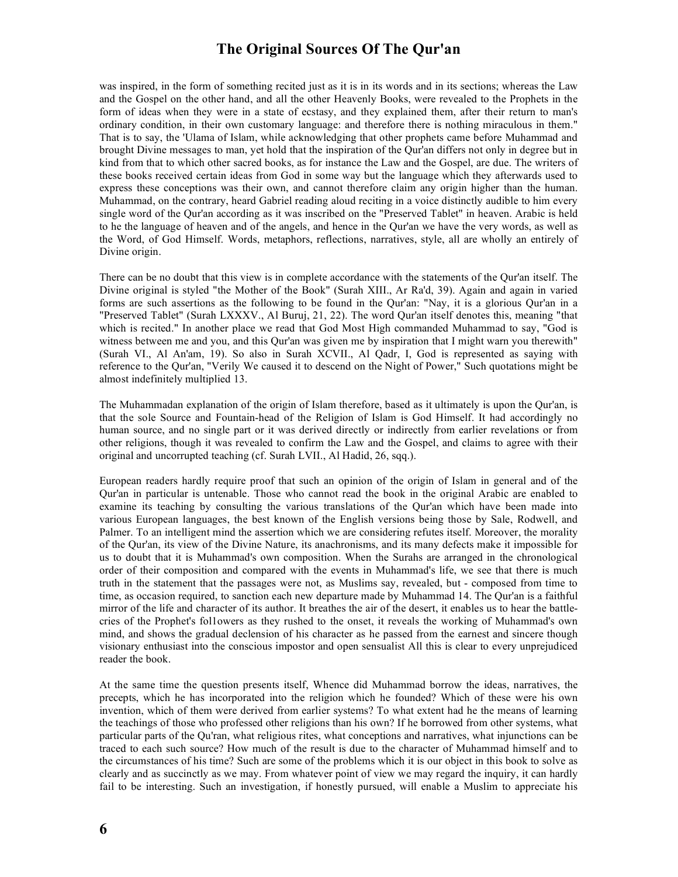was inspired, in the form of something recited just as it is in its words and in its sections; whereas the Law and the Gospel on the other hand, and all the other Heavenly Books, were revealed to the Prophets in the form of ideas when they were in a state of ecstasy, and they explained them, after their return to man's ordinary condition, in their own customary language: and therefore there is nothing miraculous in them." That is to say, the 'Ulama of Islam, while acknowledging that other prophets came before Muhammad and brought Divine messages to man, yet hold that the inspiration of the Qur'an differs not only in degree but in kind from that to which other sacred books, as for instance the Law and the Gospel, are due. The writers of these books received certain ideas from God in some way but the language which they afterwards used to express these conceptions was their own, and cannot therefore claim any origin higher than the human. Muhammad, on the contrary, heard Gabriel reading aloud reciting in a voice distinctly audible to him every single word of the Qur'an according as it was inscribed on the "Preserved Tablet" in heaven. Arabic is held to he the language of heaven and of the angels, and hence in the Qur'an we have the very words, as well as the Word, of God Himself. Words, metaphors, reflections, narratives, style, all are wholly an entirely of Divine origin.

There can be no doubt that this view is in complete accordance with the statements of the Qur'an itself. The Divine original is styled "the Mother of the Book" (Surah XIII., Ar Ra'd, 39). Again and again in varied forms are such assertions as the following to be found in the Qur'an: "Nay, it is a glorious Qur'an in a "Preserved Tablet" (Surah LXXXV., Al Buruj, 21, 22). The word Qur'an itself denotes this, meaning "that which is recited." In another place we read that God Most High commanded Muhammad to say, "God is witness between me and you, and this Qur'an was given me by inspiration that I might warn you therewith" (Surah VI., Al An'am, 19). So also in Surah XCVII., Al Qadr, I, God is represented as saying with reference to the Qur'an, "Verily We caused it to descend on the Night of Power," Such quotations might be almost indefinitely multiplied 13.

The Muhammadan explanation of the origin of Islam therefore, based as it ultimately is upon the Qur'an, is that the sole Source and Fountain-head of the Religion of Islam is God Himself. It had accordingly no human source, and no single part or it was derived directly or indirectly from earlier revelations or from other religions, though it was revealed to confirm the Law and the Gospel, and claims to agree with their original and uncorrupted teaching (cf. Surah LVII., Al Hadid, 26, sqq.).

European readers hardly require proof that such an opinion of the origin of Islam in general and of the Qur'an in particular is untenable. Those who cannot read the book in the original Arabic are enabled to examine its teaching by consulting the various translations of the Qur'an which have been made into various European languages, the best known of the English versions being those by Sale, Rodwell, and Palmer. To an intelligent mind the assertion which we are considering refutes itself. Moreover, the morality of the Qur'an, its view of the Divine Nature, its anachronisms, and its many defects make it impossible for us to doubt that it is Muhammad's own composition. When the Surahs are arranged in the chronological order of their composition and compared with the events in Muhammad's life, we see that there is much truth in the statement that the passages were not, as Muslims say, revealed, but - composed from time to time, as occasion required, to sanction each new departure made by Muhammad 14. The Qur'an is a faithful mirror of the life and character of its author. It breathes the air of the desert, it enables us to hear the battlecries of the Prophet's fol1owers as they rushed to the onset, it reveals the working of Muhammad's own mind, and shows the gradual declension of his character as he passed from the earnest and sincere though visionary enthusiast into the conscious impostor and open sensualist All this is clear to every unprejudiced reader the book.

At the same time the question presents itself, Whence did Muhammad borrow the ideas, narratives, the precepts, which he has incorporated into the religion which he founded? Which of these were his own invention, which of them were derived from earlier systems? To what extent had he the means of learning the teachings of those who professed other religions than his own? If he borrowed from other systems, what particular parts of the Qu'ran, what religious rites, what conceptions and narratives, what injunctions can be traced to each such source? How much of the result is due to the character of Muhammad himself and to the circumstances of his time? Such are some of the problems which it is our object in this book to solve as clearly and as succinctly as we may. From whatever point of view we may regard the inquiry, it can hardly fail to be interesting. Such an investigation, if honestly pursued, will enable a Muslim to appreciate his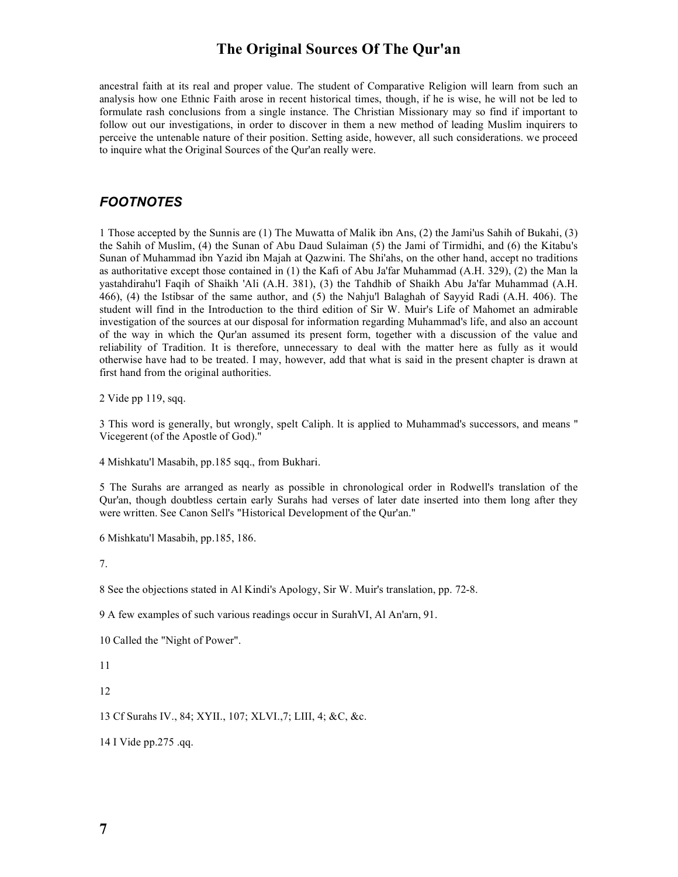ancestral faith at its real and proper value. The student of Comparative Religion will learn from such an analysis how one Ethnic Faith arose in recent historical times, though, if he is wise, he will not be led to formulate rash conclusions from a single instance. The Christian Missionary may so find if important to follow out our investigations, in order to discover in them a new method of leading Muslim inquirers to perceive the untenable nature of their position. Setting aside, however, all such considerations. we proceed to inquire what the Original Sources of the Qur'an really were.

#### *FOOTNOTES*

1 Those accepted by the Sunnis are (1) The Muwatta of Malik ibn Ans, (2) the Jami'us Sahih of Bukahi, (3) the Sahih of Muslim, (4) the Sunan of Abu Daud Sulaiman (5) the Jami of Tirmidhi, and (6) the Kitabu's Sunan of Muhammad ibn Yazid ibn Majah at Qazwini. The Shi'ahs, on the other hand, accept no traditions as authoritative except those contained in (1) the Kafi of Abu Ja'far Muhammad (A.H. 329), (2) the Man la yastahdirahu'l Faqih of Shaikh 'Ali (A.H. 381), (3) the Tahdhib of Shaikh Abu Ja'far Muhammad (A.H. 466), (4) the Istibsar of the same author, and (5) the Nahju'l Balaghah of Sayyid Radi (A.H. 406). The student will find in the Introduction to the third edition of Sir W. Muir's Life of Mahomet an admirable investigation of the sources at our disposal for information regarding Muhammad's life, and also an account of the way in which the Qur'an assumed its present form, together with a discussion of the value and reliability of Tradition. It is therefore, unnecessary to deal with the matter here as fully as it would otherwise have had to be treated. I may, however, add that what is said in the present chapter is drawn at first hand from the original authorities.

2 Vide pp 119, sqq.

3 This word is generally, but wrongly, spelt Caliph. lt is applied to Muhammad's successors, and means '' Vicegerent (of the Apostle of God)."

4 Mishkatu'l Masabih, pp.185 sqq., from Bukhari.

5 The Surahs are arranged as nearly as possible in chronological order in Rodwell's translation of the Qur'an, though doubtless certain early Surahs had verses of later date inserted into them long after they were written. See Canon Sell's "Historical Development of the Qur'an."

6 Mishkatu'l Masabih, pp.185, 186.

7.

8 See the objections stated in Al Kindi's Apology, Sir W. Muir's translation, pp. 72-8.

9 A few examples of such various readings occur in SurahVI, Al An'arn, 91.

10 Called the "Night of Power".

11

12

13 Cf Surahs IV., 84; XYII., 107; XLVI.,7; LIII, 4; &C, &c.

14 I Vide pp.275 .qq.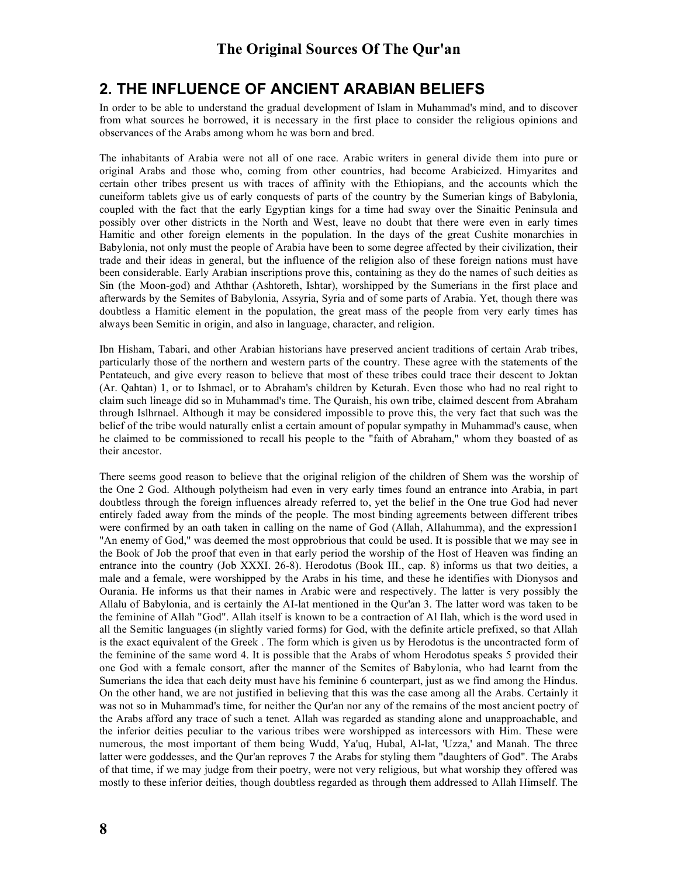# **2. THE INFLUENCE OF ANCIENT ARABIAN BELIEFS**

In order to be able to understand the gradual development of Islam in Muhammad's mind, and to discover from what sources he borrowed, it is necessary in the first place to consider the religious opinions and observances of the Arabs among whom he was born and bred.

The inhabitants of Arabia were not all of one race. Arabic writers in general divide them into pure or original Arabs and those who, coming from other countries, had become Arabicized. Himyarites and certain other tribes present us with traces of affinity with the Ethiopians, and the accounts which the cuneiform tablets give us of early conquests of parts of the country by the Sumerian kings of Babylonia, coupled with the fact that the early Egyptian kings for a time had sway over the Sinaitic Peninsula and possibly over other districts in the North and West, leave no doubt that there were even in early times Hamitic and other foreign elements in the population. In the days of the great Cushite monarchies in Babylonia, not only must the people of Arabia have been to some degree affected by their civilization, their trade and their ideas in general, but the influence of the religion also of these foreign nations must have been considerable. Early Arabian inscriptions prove this, containing as they do the names of such deities as Sin (the Moon-god) and Aththar (Ashtoreth, Ishtar), worshipped by the Sumerians in the first place and afterwards by the Semites of Babylonia, Assyria, Syria and of some parts of Arabia. Yet, though there was doubtless a Hamitic element in the population, the great mass of the people from very early times has always been Semitic in origin, and also in language, character, and religion.

Ibn Hisham, Tabari, and other Arabian historians have preserved ancient traditions of certain Arab tribes, particularly those of the northern and western parts of the country. These agree with the statements of the Pentateuch, and give every reason to believe that most of these tribes could trace their descent to Joktan (Ar. Qahtan) 1, or to Ishmael, or to Abraham's children by Keturah. Even those who had no real right to claim such lineage did so in Muhammad's time. The Quraish, his own tribe, claimed descent from Abraham through Islhrnael. Although it may be considered impossible to prove this, the very fact that such was the belief of the tribe would naturally enlist a certain amount of popular sympathy in Muhammad's cause, when he claimed to be commissioned to recall his people to the "faith of Abraham," whom they boasted of as their ancestor.

There seems good reason to believe that the original religion of the children of Shem was the worship of the One 2 God. Although polytheism had even in very early times found an entrance into Arabia, in part doubtless through the foreign influences already referred to, yet the belief in the One true God had never entirely faded away from the minds of the people. The most binding agreements between different tribes were confirmed by an oath taken in calling on the name of God (Allah, Allahumma), and the expression1 "An enemy of God," was deemed the most opprobrious that could be used. It is possible that we may see in the Book of Job the proof that even in that early period the worship of the Host of Heaven was finding an entrance into the country (Job XXXI. 26-8). Herodotus (Book III., cap. 8) informs us that two deities, a male and a female, were worshipped by the Arabs in his time, and these he identifies with Dionysos and Ourania. He informs us that their names in Arabic were and respectively. The latter is very possibly the Allalu of Babylonia, and is certainly the AI-lat mentioned in the Qur'an 3. The latter word was taken to be the feminine of Allah "God". Allah itself is known to be a contraction of Al Ilah, which is the word used in all the Semitic languages (in slightly varied forms) for God, with the definite article prefixed, so that Allah is the exact equivalent of the Greek . The form which is given us by Herodotus is the uncontracted form of the feminine of the same word 4. It is possible that the Arabs of whom Herodotus speaks 5 provided their one God with a female consort, after the manner of the Semites of Babylonia, who had learnt from the Sumerians the idea that each deity must have his feminine 6 counterpart, just as we find among the Hindus. On the other hand, we are not justified in believing that this was the case among all the Arabs. Certainly it was not so in Muhammad's time, for neither the Qur'an nor any of the remains of the most ancient poetry of the Arabs afford any trace of such a tenet. Allah was regarded as standing alone and unapproachable, and the inferior deities peculiar to the various tribes were worshipped as intercessors with Him. These were numerous, the most important of them being Wudd, Ya'uq, Hubal, Al-lat, 'Uzza,' and Manah. The three latter were goddesses, and the Qur'an reproves 7 the Arabs for styling them "daughters of God". The Arabs of that time, if we may judge from their poetry, were not very religious, but what worship they offered was mostly to these inferior deities, though doubtless regarded as through them addressed to Allah Himself. The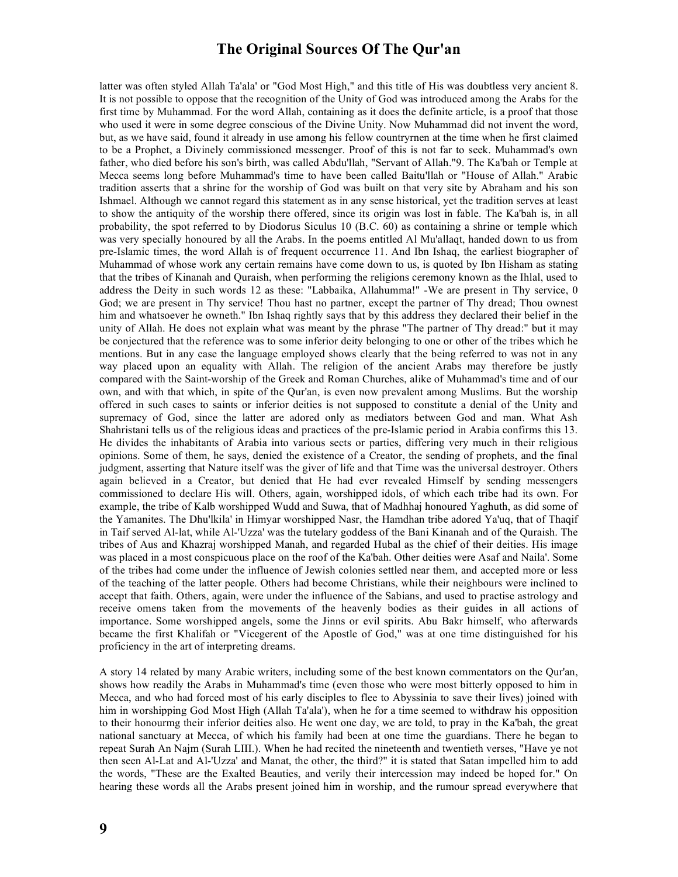latter was often styled Allah Ta'ala' or "God Most High," and this title of His was doubtless very ancient 8. It is not possible to oppose that the recognition of the Unity of God was introduced among the Arabs for the first time by Muhammad. For the word Allah, containing as it does the definite article, is a proof that those who used it were in some degree conscious of the Divine Unity. Now Muhammad did not invent the word, but, as we have said, found it already in use among his fellow countryrnen at the time when he first claimed to be a Prophet, a Divinely commissioned messenger. Proof of this is not far to seek. Muhammad's own father, who died before his son's birth, was called Abdu'llah, "Servant of Allah."9. The Ka'bah or Temple at Mecca seems long before Muhammad's time to have been called Baitu'llah or "House of Allah." Arabic tradition asserts that a shrine for the worship of God was built on that very site by Abraham and his son Ishmael. Although we cannot regard this statement as in any sense historical, yet the tradition serves at least to show the antiquity of the worship there offered, since its origin was lost in fable. The Ka'bah is, in all probability, the spot referred to by Diodorus Siculus 10 (B.C. 60) as containing a shrine or temple which was very specially honoured by all the Arabs. In the poems entitled Al Mu'allaqt, handed down to us from pre-Islamic times, the word Allah is of frequent occurrence 11. And Ibn Ishaq, the earliest biographer of Muhammad of whose work any certain remains have come down to us, is quoted by Ibn Hisham as stating that the tribes of Kinanah and Quraish, when performing the religions ceremony known as the Ihlal, used to address the Deity in such words 12 as these: "Labbaika, Allahumma!" -We are present in Thy service, 0 God; we are present in Thy service! Thou hast no partner, except the partner of Thy dread; Thou ownest him and whatsoever he owneth." Ibn Ishaq rightly says that by this address they declared their belief in the unity of Allah. He does not explain what was meant by the phrase "The partner of Thy dread:" but it may be conjectured that the reference was to some inferior deity belonging to one or other of the tribes which he mentions. But in any case the language employed shows clearly that the being referred to was not in any way placed upon an equality with Allah. The religion of the ancient Arabs may therefore be justly compared with the Saint-worship of the Greek and Roman Churches, alike of Muhammad's time and of our own, and with that which, in spite of the Qur'an, is even now prevalent among Muslims. But the worship offered in such cases to saints or inferior deities is not supposed to constitute a denial of the Unity and supremacy of God, since the latter are adored only as mediators between God and man. What Ash Shahristani tells us of the religious ideas and practices of the pre-Islamic period in Arabia confirms this 13. He divides the inhabitants of Arabia into various sects or parties, differing very much in their religious opinions. Some of them, he says, denied the existence of a Creator, the sending of prophets, and the final judgment, asserting that Nature itself was the giver of life and that Time was the universal destroyer. Others again believed in a Creator, but denied that He had ever revealed Himself by sending messengers commissioned to declare His will. Others, again, worshipped idols, of which each tribe had its own. For example, the tribe of Kalb worshipped Wudd and Suwa, that of Madhhaj honoured Yaghuth, as did some of the Yamanites. The Dhu'lkila' in Himyar worshipped Nasr, the Hamdhan tribe adored Ya'uq, that of Thaqif in Taif served Al-lat, while Al-'Uzza' was the tutelary goddess of the Bani Kinanah and of the Quraish. The tribes of Aus and Khazraj worshipped Manah, and regarded Hubal as the chief of their deities. His image was placed in a most conspicuous place on the roof of the Ka'bah. Other deities were Asaf and Naila'. Some of the tribes had come under the influence of Jewish colonies settled near them, and accepted more or less of the teaching of the latter people. Others had become Christians, while their neighbours were inclined to accept that faith. Others, again, were under the influence of the Sabians, and used to practise astrology and receive omens taken from the movements of the heavenly bodies as their guides in all actions of importance. Some worshipped angels, some the Jinns or evil spirits. Abu Bakr himself, who afterwards became the first Khalifah or "Vicegerent of the Apostle of God," was at one time distinguished for his proficiency in the art of interpreting dreams.

A story 14 related by many Arabic writers, including some of the best known commentators on the Qur'an, shows how readily the Arabs in Muhammad's time (even those who were most bitterly opposed to him in Mecca, and who had forced most of his early disciples to flee to Abyssinia to save their lives) joined with him in worshipping God Most High (Allah Ta'ala'), when he for a time seemed to withdraw his opposition to their honourmg their inferior deities also. He went one day, we are told, to pray in the Ka'bah, the great national sanctuary at Mecca, of which his family had been at one time the guardians. There he began to repeat Surah An Najm (Surah LIII.). When he had recited the nineteenth and twentieth verses, "Have ye not then seen Al-Lat and Al-'Uzza' and Manat, the other, the third?" it is stated that Satan impelled him to add the words, "These are the Exalted Beauties, and verily their intercession may indeed be hoped for." On hearing these words all the Arabs present joined him in worship, and the rumour spread everywhere that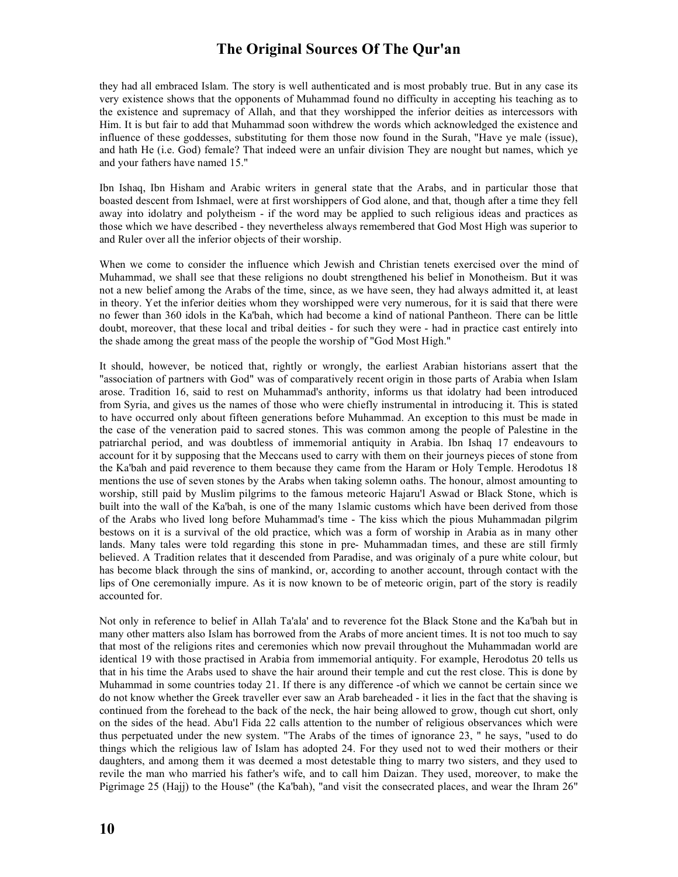they had all embraced Islam. The story is well authenticated and is most probably true. But in any case its very existence shows that the opponents of Muhammad found no difficulty in accepting his teaching as to the existence and supremacy of Allah, and that they worshipped the inferior deities as intercessors with Him. It is but fair to add that Muhammad soon withdrew the words which acknowledged the existence and influence of these goddesses, substituting for them those now found in the Surah, "Have ye male (issue), and hath He (i.e. God) female? That indeed were an unfair division They are nought but names, which ye and your fathers have named 15."

Ibn Ishaq, Ibn Hisham and Arabic writers in general state that the Arabs, and in particular those that boasted descent from Ishmael, were at first worshippers of God alone, and that, though after a time they fell away into idolatry and polytheism - if the word may be applied to such religious ideas and practices as those which we have described - they nevertheless always remembered that God Most High was superior to and Ruler over all the inferior objects of their worship.

When we come to consider the influence which Jewish and Christian tenets exercised over the mind of Muhammad, we shall see that these religions no doubt strengthened his belief in Monotheism. But it was not a new belief among the Arabs of the time, since, as we have seen, they had always admitted it, at least in theory. Yet the inferior deities whom they worshipped were very numerous, for it is said that there were no fewer than 360 idols in the Ka'bah, which had become a kind of national Pantheon. There can be little doubt, moreover, that these local and tribal deities - for such they were - had in practice cast entirely into the shade among the great mass of the people the worship of "God Most High."

It should, however, be noticed that, rightly or wrongly, the earliest Arabian historians assert that the "association of partners with God" was of comparatively recent origin in those parts of Arabia when Islam arose. Tradition 16, said to rest on Muhammad's anthority, informs us that idolatry had been introduced from Syria, and gives us the names of those who were chiefly instrumental in introducing it. This is stated to have occurred only about fifteen generations before Muhammad. An exception to this must be made in the case of the veneration paid to sacred stones. This was common among the people of Palestine in the patriarchal period, and was doubtless of immemorial antiquity in Arabia. Ibn Ishaq 17 endeavours to account for it by supposing that the Meccans used to carry with them on their journeys pieces of stone from the Ka'bah and paid reverence to them because they came from the Haram or Holy Temple. Herodotus 18 mentions the use of seven stones by the Arabs when taking solemn oaths. The honour, almost amounting to worship, still paid by Muslim pilgrims to the famous meteoric Hajaru'l Aswad or Black Stone, which is built into the wall of the Ka'bah, is one of the many 1slamic customs which have been derived from those of the Arabs who lived long before Muhammad's time - The kiss which the pious Muhammadan pilgrim bestows on it is a survival of the old practice, which was a form of worship in Arabia as in many other lands. Many tales were told regarding this stone in pre- Muhammadan times, and these are still firmly believed. A Tradition relates that it descended from Paradise, and was originaly of a pure white colour, but has become black through the sins of mankind, or, according to another account, through contact with the lips of One ceremonially impure. As it is now known to be of meteoric origin, part of the story is readily accounted for.

Not only in reference to belief in Allah Ta'ala' and to reverence fot the Black Stone and the Ka'bah but in many other matters also Islam has borrowed from the Arabs of more ancient times. It is not too much to say that most of the religions rites and ceremonies which now prevail throughout the Muhammadan world are identical 19 with those practised in Arabia from immemorial antiquity. For example, Herodotus 20 tells us that in his time the Arabs used to shave the hair around their temple and cut the rest close. This is done by Muhammad in some countries today 21. If there is any difference -of which we cannot be certain since we do not know whether the Greek traveller ever saw an Arab bareheaded - it lies in the fact that the shaving is continued from the forehead to the back of the neck, the hair being allowed to grow, though cut short, only on the sides of the head. Abu'l Fida 22 calls attention to the number of religious observances which were thus perpetuated under the new system. "The Arabs of the times of ignorance 23, " he says, "used to do things which the religious law of Islam has adopted 24. For they used not to wed their mothers or their daughters, and among them it was deemed a most detestable thing to marry two sisters, and they used to revile the man who married his father's wife, and to call him Daizan. They used, moreover, to make the Pigrimage 25 (Hajj) to the House" (the Ka'bah), "and visit the consecrated places, and wear the Ihram 26"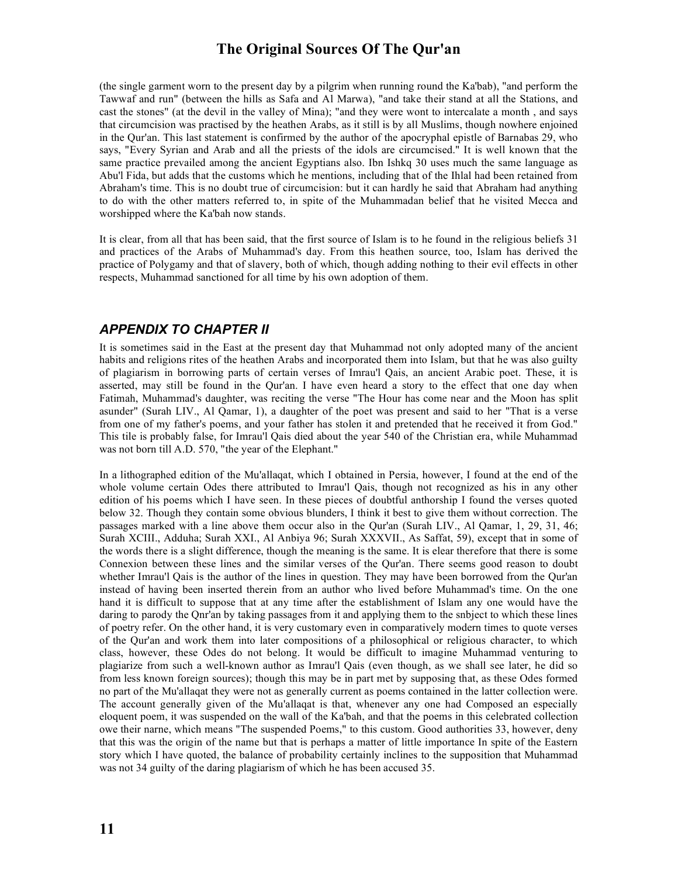(the single garment worn to the present day by a pilgrim when running round the Ka'bab), "and perform the Tawwaf and run" (between the hills as Safa and Al Marwa), "and take their stand at all the Stations, and cast the stones" (at the devil in the valley of Mina); "and they were wont to intercalate a month , and says that circumcision was practised by the heathen Arabs, as it still is by all Muslims, though nowhere enjoined in the Qur'an. This last statement is confirmed by the author of the apocryphal epistle of Barnabas 29, who says, "Every Syrian and Arab and all the priests of the idols are circumcised." It is well known that the same practice prevailed among the ancient Egyptians also. Ibn Ishkq 30 uses much the same language as Abu'l Fida, but adds that the customs which he mentions, including that of the Ihlal had been retained from Abraham's time. This is no doubt true of circumcision: but it can hardly he said that Abraham had anything to do with the other matters referred to, in spite of the Muhammadan belief that he visited Mecca and worshipped where the Ka'bah now stands.

It is clear, from all that has been said, that the first source of Islam is to he found in the religious beliefs 31 and practices of the Arabs of Muhammad's day. From this heathen source, too, Islam has derived the practice of Polygamy and that of slavery, both of which, though adding nothing to their evil effects in other respects, Muhammad sanctioned for all time by his own adoption of them.

#### *APPENDIX TO CHAPTER II*

It is sometimes said in the East at the present day that Muhammad not only adopted many of the ancient habits and religions rites of the heathen Arabs and incorporated them into Islam, but that he was also guilty of plagiarism in borrowing parts of certain verses of Imrau'l Qais, an ancient Arabic poet. These, it is asserted, may still be found in the Qur'an. I have even heard a story to the effect that one day when Fatimah, Muhammad's daughter, was reciting the verse "The Hour has come near and the Moon has split asunder" (Surah LIV., Al Qamar, 1), a daughter of the poet was present and said to her "That is a verse from one of my father's poems, and your father has stolen it and pretended that he received it from God." This tile is probably false, for Imrau'l Qais died about the year 540 of the Christian era, while Muhammad was not born till A.D. 570, "the year of the Elephant."

In a lithographed edition of the Mu'allaqat, which I obtained in Persia, however, I found at the end of the whole volume certain Odes there attributed to Imrau'l Qais, though not recognized as his in any other edition of his poems which I have seen. In these pieces of doubtful anthorship I found the verses quoted below 32. Though they contain some obvious blunders, I think it best to give them without correction. The passages marked with a line above them occur also in the Qur'an (Surah LIV., Al Qamar, 1, 29, 31, 46; Surah XCIII., Adduha; Surah XXI., Al Anbiya 96; Surah XXXVII., As Saffat, 59), except that in some of the words there is a slight difference, though the meaning is the same. It is elear therefore that there is some Connexion between these lines and the similar verses of the Qur'an. There seems good reason to doubt whether Imrau'l Qais is the author of the lines in question. They may have been borrowed from the Qur'an instead of having been inserted therein from an author who lived before Muhammad's time. On the one hand it is difficult to suppose that at any time after the establishment of Islam any one would have the daring to parody the Qnr'an by taking passages from it and applying them to the snbject to which these lines of poetry refer. On the other hand, it is very customary even in comparatively modern times to quote verses of the Qur'an and work them into later compositions of a philosophical or religious character, to which class, however, these Odes do not belong. It would be difficult to imagine Muhammad venturing to plagiarize from such a well-known author as Imrau'l Qais (even though, as we shall see later, he did so from less known foreign sources); though this may be in part met by supposing that, as these Odes formed no part of the Mu'allaqat they were not as generally current as poems contained in the latter collection were. The account generally given of the Mu'allaqat is that, whenever any one had Composed an especially eloquent poem, it was suspended on the wall of the Ka'bah, and that the poems in this celebrated collection owe their narne, which means "The suspended Poems," to this custom. Good authorities 33, however, deny that this was the origin of the name but that is perhaps a matter of little importance In spite of the Eastern story which I have quoted, the balance of probability certainly inclines to the supposition that Muhammad was not 34 guilty of the daring plagiarism of which he has been accused 35.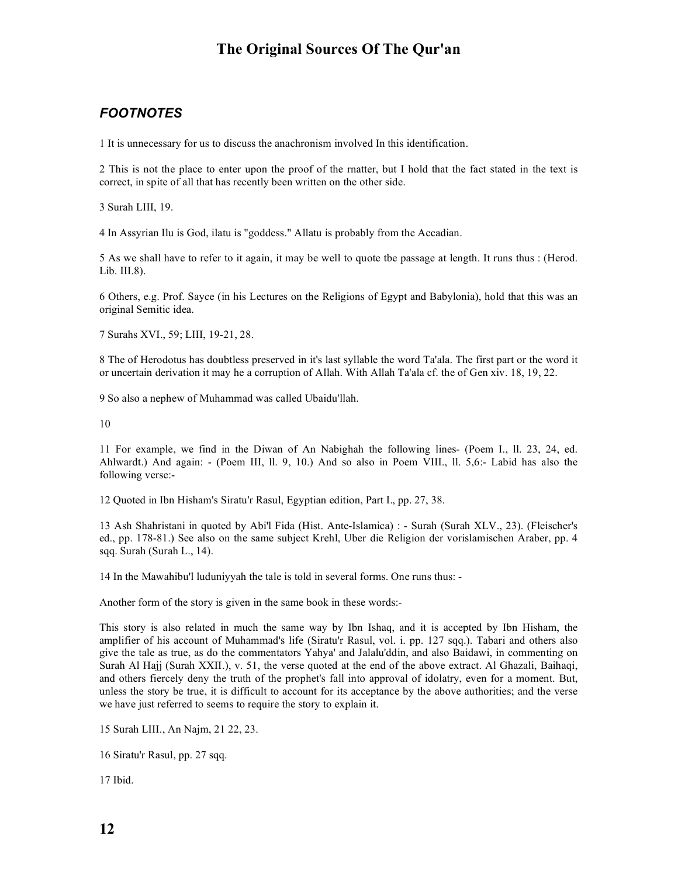#### *FOOTNOTES*

1 It is unnecessary for us to discuss the anachronism involved In this identification.

2 This is not the place to enter upon the proof of the rnatter, but I hold that the fact stated in the text is correct, in spite of all that has recently been written on the other side.

3 Surah LIII, 19.

4 In Assyrian Ilu is God, ilatu is "goddess." Allatu is probably from the Accadian.

5 As we shall have to refer to it again, it may be well to quote tbe passage at length. It runs thus : (Herod. Lib. III.8).

6 Others, e.g. Prof. Sayce (in his Lectures on the Religions of Egypt and Babylonia), hold that this was an original Semitic idea.

7 Surahs XVI., 59; LIII, 19-21, 28.

8 The of Herodotus has doubtless preserved in it's last syllable the word Ta'ala. The first part or the word it or uncertain derivation it may he a corruption of Allah. With Allah Ta'ala cf. the of Gen xiv. 18, 19, 22.

9 So also a nephew of Muhammad was called Ubaidu'llah.

10

11 For example, we find in the Diwan of An Nabighah the following lines- (Poem I., ll. 23, 24, ed. Ahlwardt.) And again: - (Poem III, ll. 9, 10.) And so also in Poem VIII., ll. 5,6:- Labid has also the following verse:-

12 Quoted in Ibn Hisham's Siratu'r Rasul, Egyptian edition, Part I., pp. 27, 38.

13 Ash Shahristani in quoted by Abi'l Fida (Hist. Ante-Islamica) : - Surah (Surah XLV., 23). (Fleischer's ed., pp. 178-81.) See also on the same subject Krehl, Uber die Religion der vorislamischen Araber, pp. 4 sqq. Surah (Surah L., 14).

14 In the Mawahibu'l luduniyyah the tale is told in several forms. One runs thus: -

Another form of the story is given in the same book in these words:-

This story is also related in much the same way by Ibn Ishaq, and it is accepted by Ibn Hisham, the amplifier of his account of Muhammad's life (Siratu'r Rasul, vol. i. pp. 127 sqq.). Tabari and others also give the tale as true, as do the commentators Yahya' and Jalalu'ddin, and also Baidawi, in commenting on Surah Al Hajj (Surah XXII.), v. 51, the verse quoted at the end of the above extract. Al Ghazali, Baihaqi, and others fiercely deny the truth of the prophet's fall into approval of idolatry, even for a moment. But, unless the story be true, it is difficult to account for its acceptance by the above authorities; and the verse we have just referred to seems to require the story to explain it.

15 Surah LIII., An Najm, 21 22, 23.

16 Siratu'r Rasul, pp. 27 sqq.

17 Ibid.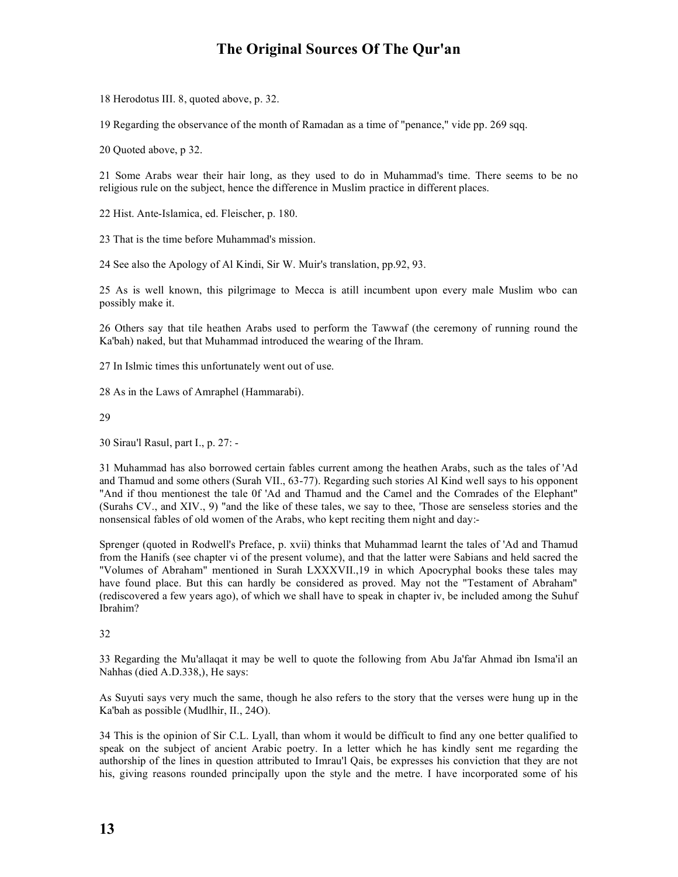18 Herodotus III. 8, quoted above, p. 32.

19 Regarding the observance of the month of Ramadan as a time of "penance," vide pp. 269 sqq.

20 Quoted above, p 32.

21 Some Arabs wear their hair long, as they used to do in Muhammad's time. There seems to be no religious rule on the subject, hence the difference in Muslim practice in different places.

22 Hist. Ante-Islamica, ed. Fleischer, p. 180.

23 That is the time before Muhammad's mission.

24 See also the Apology of Al Kindi, Sir W. Muir's translation, pp.92, 93.

25 As is well known, this pilgrimage to Mecca is atill incumbent upon every male Muslim wbo can possibly make it.

26 Others say that tile heathen Arabs used to perform the Tawwaf (the ceremony of running round the Ka'bah) naked, but that Muhammad introduced the wearing of the Ihram.

27 In Islmic times this unfortunately went out of use.

28 As in the Laws of Amraphel (Hammarabi).

29

30 Sirau'l Rasul, part I., p. 27: -

31 Muhammad has also borrowed certain fables current among the heathen Arabs, such as the tales of 'Ad and Thamud and some others (Surah VII., 63-77). Regarding such stories Al Kind well says to his opponent "And if thou mentionest the tale 0f 'Ad and Thamud and the Camel and the Comrades of the Elephant" (Surahs CV., and XIV., 9) "and the like of these tales, we say to thee, 'Those are senseless stories and the nonsensical fables of old women of the Arabs, who kept reciting them night and day:-

Sprenger (quoted in Rodwell's Preface, p. xvii) thinks that Muhammad learnt the tales of 'Ad and Thamud from the Hanifs (see chapter vi of the present volume), and that the latter were Sabians and held sacred the "Volumes of Abraham" mentioned in Surah LXXXVII.,19 in which Apocryphal books these tales may have found place. But this can hardly be considered as proved. May not the "Testament of Abraham" (rediscovered a few years ago), of which we shall have to speak in chapter iv, be included among the Suhuf Ibrahim?

32

33 Regarding the Mu'allaqat it may be well to quote the following from Abu Ja'far Ahmad ibn Isma'il an Nahhas (died A.D.338,), He says:

As Suyuti says very much the same, though he also refers to the story that the verses were hung up in the Ka'bah as possible (Mudlhir, II., 24O).

34 This is the opinion of Sir C.L. Lyall, than whom it would be difficult to find any one better qualified to speak on the subject of ancient Arabic poetry. In a letter which he has kindly sent me regarding the authorship of the lines in question attributed to Imrau'l Qais, be expresses his conviction that they are not his, giving reasons rounded principally upon the style and the metre. I have incorporated some of his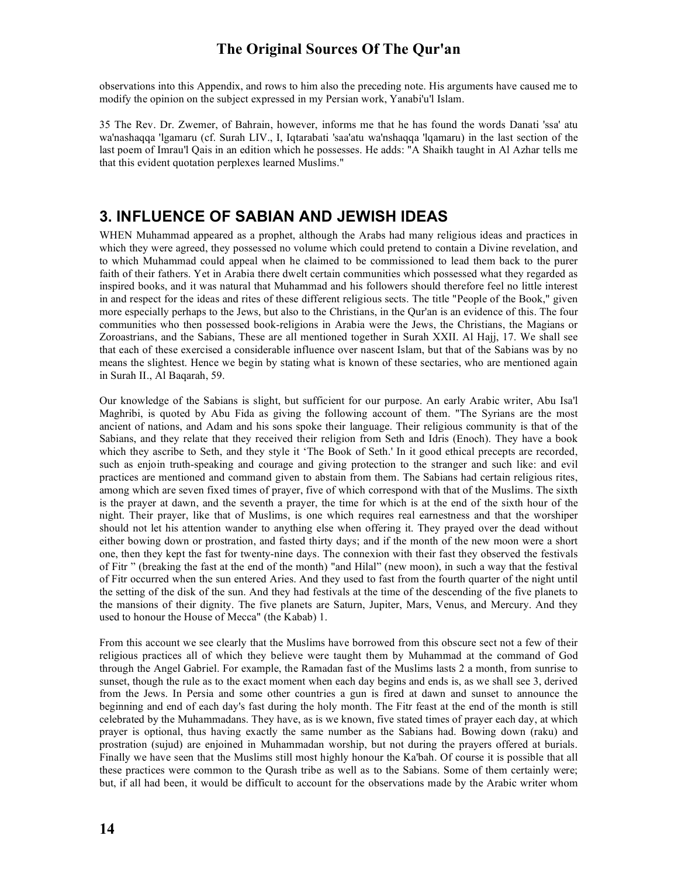observations into this Appendix, and rows to him also the preceding note. His arguments have caused me to modify the opinion on the subject expressed in my Persian work, Yanabi'u'l Islam.

35 The Rev. Dr. Zwemer, of Bahrain, however, informs me that he has found the words Danati 'ssa' atu wa'nashaqqa 'lgamaru (cf. Surah LIV., I, Iqtarabati 'saa'atu wa'nshaqqa 'lqamaru) in the last section of the last poem of Imrau'l Qais in an edition which he possesses. He adds: "A Shaikh taught in Al Azhar tells me that this evident quotation perplexes learned Muslims."

## **3. INFLUENCE OF SABIAN AND JEWISH IDEAS**

WHEN Muhammad appeared as a prophet, although the Arabs had many religious ideas and practices in which they were agreed, they possessed no volume which could pretend to contain a Divine revelation, and to which Muhammad could appeal when he claimed to be commissioned to lead them back to the purer faith of their fathers. Yet in Arabia there dwelt certain communities which possessed what they regarded as inspired books, and it was natural that Muhammad and his followers should therefore feel no little interest in and respect for the ideas and rites of these different religious sects. The title "People of the Book," given more especially perhaps to the Jews, but also to the Christians, in the Qur'an is an evidence of this. The four communities who then possessed book-religions in Arabia were the Jews, the Christians, the Magians or Zoroastrians, and the Sabians, These are all mentioned together in Surah XXII. Al Hajj, 17. We shall see that each of these exercised a considerable influence over nascent Islam, but that of the Sabians was by no means the slightest. Hence we begin by stating what is known of these sectaries, who are mentioned again in Surah II., Al Baqarah, 59.

Our knowledge of the Sabians is slight, but sufficient for our purpose. An early Arabic writer, Abu Isa'l Maghribi, is quoted by Abu Fida as giving the following account of them. "The Syrians are the most ancient of nations, and Adam and his sons spoke their language. Their religious community is that of the Sabians, and they relate that they received their religion from Seth and Idris (Enoch). They have a book which they ascribe to Seth, and they style it 'The Book of Seth.' In it good ethical precepts are recorded, such as enjoin truth-speaking and courage and giving protection to the stranger and such like: and evil practices are mentioned and command given to abstain from them. The Sabians had certain religious rites, among which are seven fixed times of prayer, five of which correspond with that of the Muslims. The sixth is the prayer at dawn, and the seventh a prayer, the time for which is at the end of the sixth hour of the night. Their prayer, like that of Muslims, is one which requires real earnestness and that the worshiper should not let his attention wander to anything else when offering it. They prayed over the dead without either bowing down or prostration, and fasted thirty days; and if the month of the new moon were a short one, then they kept the fast for twenty-nine days. The connexion with their fast they observed the festivals of Fitr " (breaking the fast at the end of the month) "and Hilal" (new moon), in such a way that the festival of Fitr occurred when the sun entered Aries. And they used to fast from the fourth quarter of the night until the setting of the disk of the sun. And they had festivals at the time of the descending of the five planets to the mansions of their dignity. The five planets are Saturn, Jupiter, Mars, Venus, and Mercury. And they used to honour the House of Mecca" (the Kabab) 1.

From this account we see clearly that the Muslims have borrowed from this obscure sect not a few of their religious practices all of which they believe were taught them by Muhammad at the command of God through the Angel Gabriel. For example, the Ramadan fast of the Muslims lasts 2 a month, from sunrise to sunset, though the rule as to the exact moment when each day begins and ends is, as we shall see 3, derived from the Jews. In Persia and some other countries a gun is fired at dawn and sunset to announce the beginning and end of each day's fast during the holy month. The Fitr feast at the end of the month is still celebrated by the Muhammadans. They have, as is we known, five stated times of prayer each day, at which prayer is optional, thus having exactly the same number as the Sabians had. Bowing down (raku) and prostration (sujud) are enjoined in Muhammadan worship, but not during the prayers offered at burials. Finally we have seen that the Muslims still most highly honour the Ka'bah. Of course it is possible that all these practices were common to the Qurash tribe as well as to the Sabians. Some of them certainly were; but, if all had been, it would be difficult to account for the observations made by the Arabic writer whom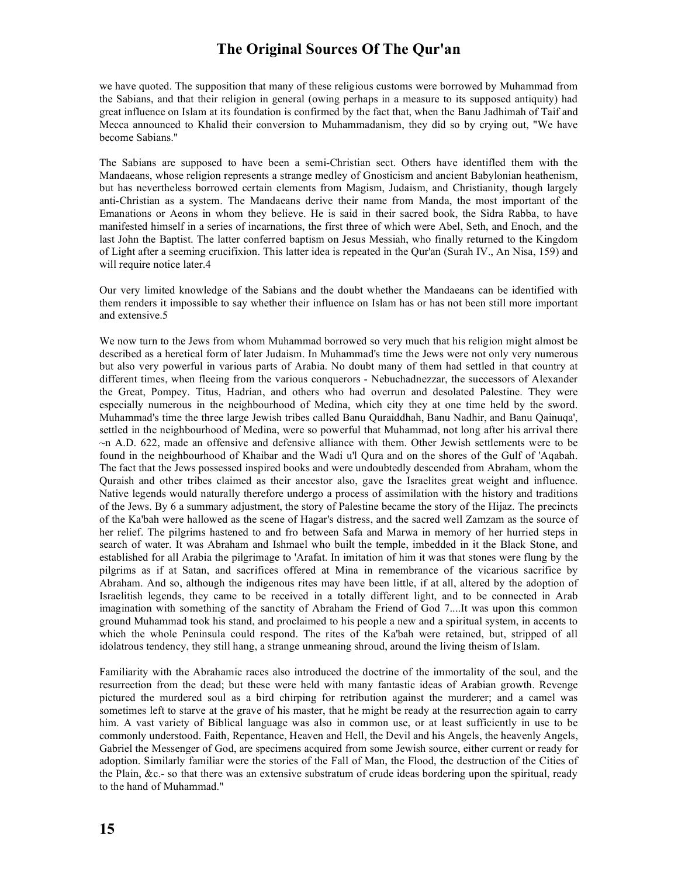we have quoted. The supposition that many of these religious customs were borrowed by Muhammad from the Sabians, and that their religion in general (owing perhaps in a measure to its supposed antiquity) had great influence on Islam at its foundation is confirmed by the fact that, when the Banu Jadhimah of Taif and Mecca announced to Khalid their conversion to Muhammadanism, they did so by crying out, "We have become Sabians."

The Sabians are supposed to have been a semi-Christian sect. Others have identifled them with the Mandaeans, whose religion represents a strange medley of Gnosticism and ancient Babylonian heathenism, but has nevertheless borrowed certain elements from Magism, Judaism, and Christianity, though largely anti-Christian as a system. The Mandaeans derive their name from Manda, the most important of the Emanations or Aeons in whom they believe. He is said in their sacred book, the Sidra Rabba, to have manifested himself in a series of incarnations, the first three of which were Abel, Seth, and Enoch, and the last John the Baptist. The latter conferred baptism on Jesus Messiah, who finally returned to the Kingdom of Light after a seeming crucifixion. This latter idea is repeated in the Qur'an (Surah IV., An Nisa, 159) and will require notice later.4

Our very limited knowledge of the Sabians and the doubt whether the Mandaeans can be identified with them renders it impossible to say whether their influence on Islam has or has not been still more important and extensive.5

We now turn to the Jews from whom Muhammad borrowed so very much that his religion might almost be described as a heretical form of later Judaism. In Muhammad's time the Jews were not only very numerous but also very powerful in various parts of Arabia. No doubt many of them had settled in that country at different times, when fleeing from the various conquerors - Nebuchadnezzar, the successors of Alexander the Great, Pompey. Titus, Hadrian, and others who had overrun and desolated Palestine. They were especially numerous in the neighbourhood of Medina, which city they at one time held by the sword. Muhammad's time the three large Jewish tribes called Banu Quraiddhah, Banu Nadhir, and Banu Qainuqa', settled in the neighbourhood of Medina, were so powerful that Muhammad, not long after his arrival there ~n A.D. 622, made an offensive and defensive alliance with them. Other Jewish settlements were to be found in the neighbourhood of Khaibar and the Wadi u'l Qura and on the shores of the Gulf of 'Aqabah. The fact that the Jews possessed inspired books and were undoubtedly descended from Abraham, whom the Quraish and other tribes claimed as their ancestor also, gave the Israelites great weight and influence. Native legends would naturally therefore undergo a process of assimilation with the history and traditions of the Jews. By 6 a summary adjustment, the story of Palestine became the story of the Hijaz. The precincts of the Ka'bah were hallowed as the scene of Hagar's distress, and the sacred well Zamzam as the source of her relief. The pilgrims hastened to and fro between Safa and Marwa in memory of her hurried steps in search of water. It was Abraham and Ishmael who built the temple, imbedded in it the Black Stone, and established for all Arabia the pilgrimage to 'Arafat. In imitation of him it was that stones were flung by the pilgrims as if at Satan, and sacrifices offered at Mina in remembrance of the vicarious sacrifice by Abraham. And so, although the indigenous rites may have been little, if at all, altered by the adoption of Israelitish legends, they came to be received in a totally different light, and to be connected in Arab imagination with something of the sanctity of Abraham the Friend of God 7....It was upon this common ground Muhammad took his stand, and proclaimed to his people a new and a spiritual system, in accents to which the whole Peninsula could respond. The rites of the Ka'bah were retained, but, stripped of all idolatrous tendency, they still hang, a strange unmeaning shroud, around the living theism of Islam.

Familiarity with the Abrahamic races also introduced the doctrine of the immortality of the soul, and the resurrection from the dead; but these were held with many fantastic ideas of Arabian growth. Revenge pictured the murdered soul as a bird chirping for retribution against the murderer; and a camel was sometimes left to starve at the grave of his master, that he might be ready at the resurrection again to carry him. A vast variety of Biblical language was also in common use, or at least sufficiently in use to be commonly understood. Faith, Repentance, Heaven and Hell, the Devil and his Angels, the heavenly Angels, Gabriel the Messenger of God, are specimens acquired from some Jewish source, either current or ready for adoption. Similarly familiar were the stories of the Fall of Man, the Flood, the destruction of the Cities of the Plain, &c.- so that there was an extensive substratum of crude ideas bordering upon the spiritual, ready to the hand of Muhammad."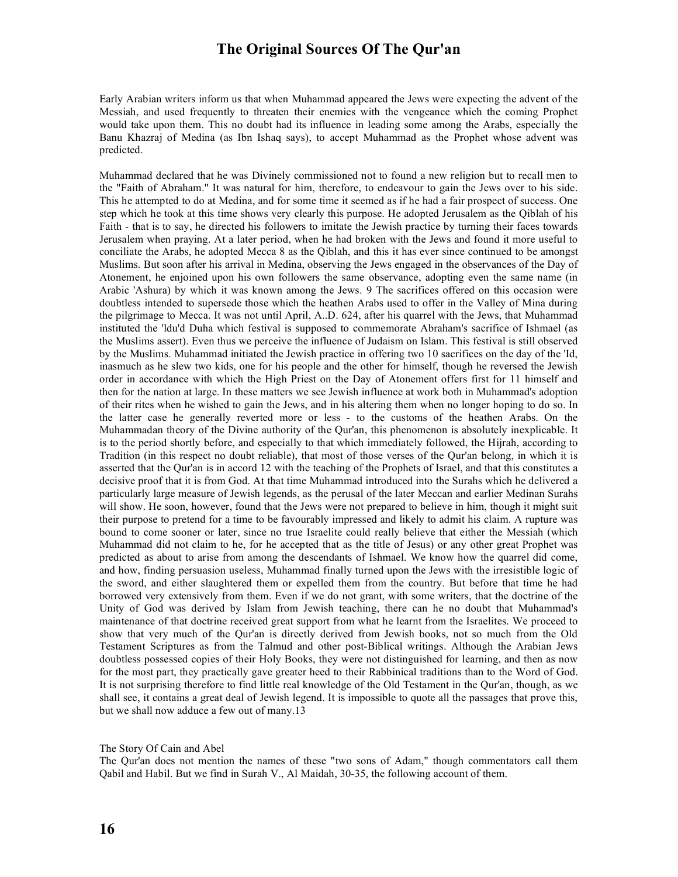Early Arabian writers inform us that when Muhammad appeared the Jews were expecting the advent of the Messiah, and used frequently to threaten their enemies with the vengeance which the coming Prophet would take upon them. This no doubt had its influence in leading some among the Arabs, especially the Banu Khazraj of Medina (as Ibn Ishaq says), to accept Muhammad as the Prophet whose advent was predicted.

Muhammad declared that he was Divinely commissioned not to found a new religion but to recall men to the "Faith of Abraham." It was natural for him, therefore, to endeavour to gain the Jews over to his side. This he attempted to do at Medina, and for some time it seemed as if he had a fair prospect of success. One step which he took at this time shows very clearly this purpose. He adopted Jerusalem as the Qiblah of his Faith - that is to say, he directed his followers to imitate the Jewish practice by turning their faces towards Jerusalem when praying. At a later period, when he had broken with the Jews and found it more useful to conciliate the Arabs, he adopted Mecca 8 as the Qiblah, and this it has ever since continued to be amongst Muslims. But soon after his arrival in Medina, observing the Jews engaged in the observances of the Day of Atonement, he enjoined upon his own followers the same observance, adopting even the same name (in Arabic 'Ashura) by which it was known among the Jews. 9 The sacrifices offered on this occasion were doubtless intended to supersede those which the heathen Arabs used to offer in the Valley of Mina during the pilgrimage to Mecca. It was not until April, A..D. 624, after his quarrel with the Jews, that Muhammad instituted the 'ldu'd Duha which festival is supposed to commemorate Abraham's sacrifice of Ishmael (as the Muslims assert). Even thus we perceive the influence of Judaism on Islam. This festival is still observed by the Muslims. Muhammad initiated the Jewish practice in offering two 10 sacrifices on the day of the 'Id, inasmuch as he slew two kids, one for his people and the other for himself, though he reversed the Jewish order in accordance with which the High Priest on the Day of Atonement offers first for 11 himself and then for the nation at large. In these matters we see Jewish influence at work both in Muhammad's adoption of their rites when he wished to gain the Jews, and in his altering them when no longer hoping to do so. In the latter case he generally reverted more or less - to the customs of the heathen Arabs. On the Muhammadan theory of the Divine authority of the Qur'an, this phenomenon is absolutely inexplicable. It is to the period shortly before, and especially to that which immediately followed, the Hijrah, according to Tradition (in this respect no doubt reliable), that most of those verses of the Qur'an belong, in which it is asserted that the Qur'an is in accord 12 with the teaching of the Prophets of Israel, and that this constitutes a decisive proof that it is from God. At that time Muhammad introduced into the Surahs which he delivered a particularly large measure of Jewish legends, as the perusal of the later Meccan and earlier Medinan Surahs will show. He soon, however, found that the Jews were not prepared to believe in him, though it might suit their purpose to pretend for a time to be favourably impressed and likely to admit his claim. A rupture was bound to come sooner or later, since no true Israelite could really believe that either the Messiah (which Muhammad did not claim to he, for he accepted that as the title of Jesus) or any other great Prophet was predicted as about to arise from among the descendants of Ishmael. We know how the quarrel did come, and how, finding persuasion useless, Muhammad finally turned upon the Jews with the irresistible logic of the sword, and either slaughtered them or expelled them from the country. But before that time he had borrowed very extensively from them. Even if we do not grant, with some writers, that the doctrine of the Unity of God was derived by Islam from Jewish teaching, there can he no doubt that Muhammad's maintenance of that doctrine received great support from what he learnt from the Israelites. We proceed to show that very much of the Qur'an is directly derived from Jewish books, not so much from the Old Testament Scriptures as from the Talmud and other post-Biblical writings. Although the Arabian Jews doubtless possessed copies of their Holy Books, they were not distinguished for learning, and then as now for the most part, they practically gave greater heed to their Rabbinical traditions than to the Word of God. It is not surprising therefore to find little real knowledge of the Old Testament in the Qur'an, though, as we shall see, it contains a great deal of Jewish legend. It is impossible to quote all the passages that prove this, but we shall now adduce a few out of many.13

#### The Story Of Cain and Abel

The Qur'an does not mention the names of these "two sons of Adam," though commentators call them Qabil and Habil. But we find in Surah V., Al Maidah, 30-35, the following account of them.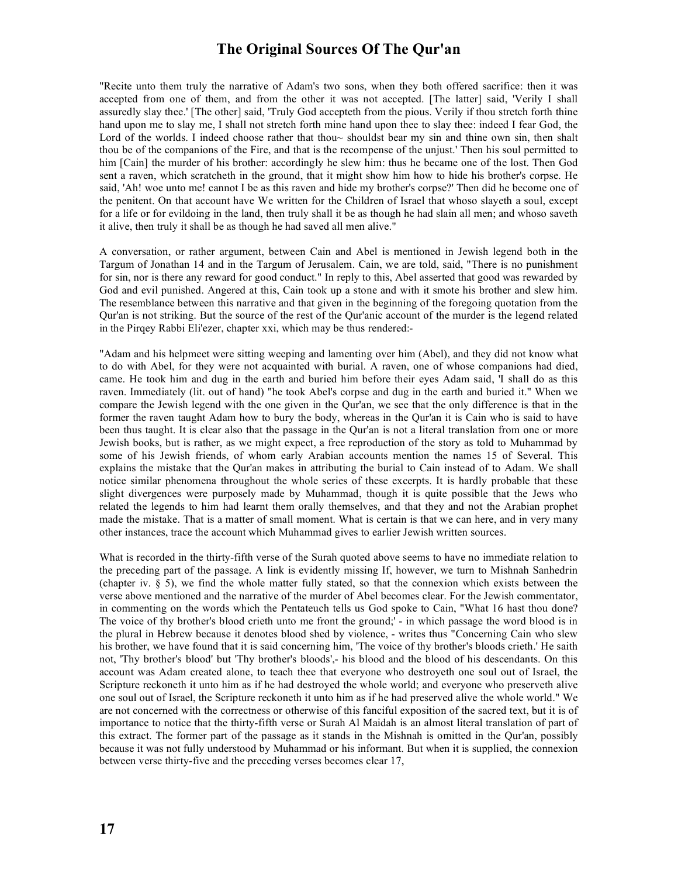"Recite unto them truly the narrative of Adam's two sons, when they both offered sacrifice: then it was accepted from one of them, and from the other it was not accepted. [The latter] said, 'Verily I shall assuredly slay thee.' [The other] said, 'Truly God accepteth from the pious. Verily if thou stretch forth thine hand upon me to slay me, I shall not stretch forth mine hand upon thee to slay thee: indeed I fear God, the Lord of the worlds. I indeed choose rather that thou $\sim$  shouldst bear my sin and thine own sin, then shalt thou be of the companions of the Fire, and that is the recompense of the unjust.' Then his soul permitted to him [Cain] the murder of his brother: accordingly he slew him: thus he became one of the lost. Then God sent a raven, which scratcheth in the ground, that it might show him how to hide his brother's corpse. He said, 'Ah! woe unto me! cannot I be as this raven and hide my brother's corpse?' Then did he become one of the penitent. On that account have We written for the Children of Israel that whoso slayeth a soul, except for a life or for evildoing in the land, then truly shall it be as though he had slain all men; and whoso saveth it alive, then truly it shall be as though he had saved all men alive."

A conversation, or rather argument, between Cain and Abel is mentioned in Jewish legend both in the Targum of Jonathan 14 and in the Targum of Jerusalem. Cain, we are told, said, "There is no punishment for sin, nor is there any reward for good conduct." In reply to this, Abel asserted that good was rewarded by God and evil punished. Angered at this, Cain took up a stone and with it smote his brother and slew him. The resemblance between this narrative and that given in the beginning of the foregoing quotation from the Qur'an is not striking. But the source of the rest of the Qur'anic account of the murder is the legend related in the Pirqey Rabbi Eli'ezer, chapter xxi, which may be thus rendered:-

"Adam and his helpmeet were sitting weeping and lamenting over him (Abel), and they did not know what to do with Abel, for they were not acquainted with burial. A raven, one of whose companions had died, came. He took him and dug in the earth and buried him before their eyes Adam said, 'I shall do as this raven. Immediately (lit. out of hand) "he took Abel's corpse and dug in the earth and buried it." When we compare the Jewish legend with the one given in the Qur'an, we see that the only difference is that in the former the raven taught Adam how to bury the body, whereas in the Qur'an it is Cain who is said to have been thus taught. It is clear also that the passage in the Qur'an is not a literal translation from one or more Jewish books, but is rather, as we might expect, a free reproduction of the story as told to Muhammad by some of his Jewish friends, of whom early Arabian accounts mention the names 15 of Several. This explains the mistake that the Qur'an makes in attributing the burial to Cain instead of to Adam. We shall notice similar phenomena throughout the whole series of these excerpts. It is hardly probable that these slight divergences were purposely made by Muhammad, though it is quite possible that the Jews who related the legends to him had learnt them orally themselves, and that they and not the Arabian prophet made the mistake. That is a matter of small moment. What is certain is that we can here, and in very many other instances, trace the account which Muhammad gives to earlier Jewish written sources.

What is recorded in the thirty-fifth verse of the Surah quoted above seems to have no immediate relation to the preceding part of the passage. A link is evidently missing If, however, we turn to Mishnah Sanhedrin (chapter iv. § 5), we find the whole matter fully stated, so that the connexion which exists between the verse above mentioned and the narrative of the murder of Abel becomes clear. For the Jewish commentator, in commenting on the words which the Pentateuch tells us God spoke to Cain, "What 16 hast thou done? The voice of thy brother's blood crieth unto me front the ground;' - in which passage the word blood is in the plural in Hebrew because it denotes blood shed by violence, - writes thus "Concerning Cain who slew his brother, we have found that it is said concerning him, 'The voice of thy brother's bloods crieth.' He saith not, 'Thy brother's blood' but 'Thy brother's bloods',- his blood and the blood of his descendants. On this account was Adam created alone, to teach thee that everyone who destroyeth one soul out of Israel, the Scripture reckoneth it unto him as if he had destroyed the whole world; and everyone who preserveth alive one soul out of Israel, the Scripture reckoneth it unto him as if he had preserved alive the whole world." We are not concerned with the correctness or otherwise of this fanciful exposition of the sacred text, but it is of importance to notice that the thirty-fifth verse or Surah Al Maidah is an almost literal translation of part of this extract. The former part of the passage as it stands in the Mishnah is omitted in the Qur'an, possibly because it was not fully understood by Muhammad or his informant. But when it is supplied, the connexion between verse thirty-five and the preceding verses becomes clear 17,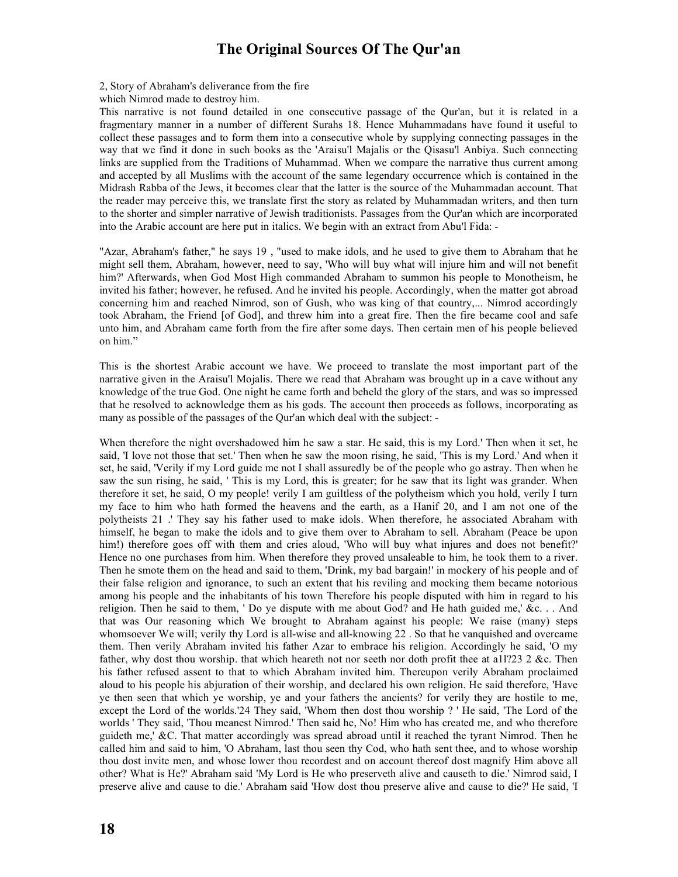2, Story of Abraham's deliverance from the fire

which Nimrod made to destroy him.

This narrative is not found detailed in one consecutive passage of the Qur'an, but it is related in a fragmentary manner in a number of different Surahs 18. Hence Muhammadans have found it useful to collect these passages and to form them into a consecutive whole by supplying connecting passages in the way that we find it done in such books as the 'Araisu'l Majalis or the Qisasu'l Anbiya. Such connecting links are supplied from the Traditions of Muhammad. When we compare the narrative thus current among and accepted by all Muslims with the account of the same legendary occurrence which is contained in the Midrash Rabba of the Jews, it becomes clear that the latter is the source of the Muhammadan account. That the reader may perceive this, we translate first the story as related by Muhammadan writers, and then turn to the shorter and simpler narrative of Jewish traditionists. Passages from the Qur'an which are incorporated into the Arabic account are here put in italics. We begin with an extract from Abu'l Fida: -

"Azar, Abraham's father," he says 19 , "used to make idols, and he used to give them to Abraham that he might sell them, Abraham, however, need to say, 'Who will buy what will injure him and will not benefit him?' Afterwards, when God Most High commanded Abraham to summon his people to Monotheism, he invited his father; however, he refused. And he invited his people. Accordingly, when the matter got abroad concerning him and reached Nimrod, son of Gush, who was king of that country,... Nimrod accordingly took Abraham, the Friend [of God], and threw him into a great fire. Then the fire became cool and safe unto him, and Abraham came forth from the fire after some days. Then certain men of his people believed on him."

This is the shortest Arabic account we have. We proceed to translate the most important part of the narrative given in the Araisu'l Mojalis. There we read that Abraham was brought up in a cave without any knowledge of the true God. One night he came forth and beheld the glory of the stars, and was so impressed that he resolved to acknowledge them as his gods. The account then proceeds as follows, incorporating as many as possible of the passages of the Qur'an which deal with the subject: -

When therefore the night overshadowed him he saw a star. He said, this is my Lord.' Then when it set, he said, 'I love not those that set.' Then when he saw the moon rising, he said, 'This is my Lord.' And when it set, he said, 'Verily if my Lord guide me not I shall assuredly be of the people who go astray. Then when he saw the sun rising, he said, ' This is my Lord, this is greater; for he saw that its light was grander. When therefore it set, he said, O my people! verily I am guiltless of the polytheism which you hold, verily I turn my face to him who hath formed the heavens and the earth, as a Hanif 20, and I am not one of the polytheists 21 .' They say his father used to make idols. When therefore, he associated Abraham with himself, he began to make the idols and to give them over to Abraham to sell. Abraham (Peace be upon him!) therefore goes off with them and cries aloud, 'Who will buy what injures and does not benefit?' Hence no one purchases from him. When therefore they proved unsaleable to him, he took them to a river. Then he smote them on the head and said to them, 'Drink, my bad bargain!' in mockery of his people and of their false religion and ignorance, to such an extent that his reviling and mocking them became notorious among his people and the inhabitants of his town Therefore his people disputed with him in regard to his religion. Then he said to them, ' Do ye dispute with me about God? and He hath guided me,' &c. . . And that was Our reasoning which We brought to Abraham against his people: We raise (many) steps whomsoever We will; verily thy Lord is all-wise and all-knowing 22 . So that he vanquished and overcame them. Then verily Abraham invited his father Azar to embrace his religion. Accordingly he said, 'O my father, why dost thou worship. that which heareth not nor seeth nor doth profit thee at a11?23 2 &c. Then his father refused assent to that to which Abraham invited him. Thereupon verily Abraham proclaimed aloud to his people his abjuration of their worship, and declared his own religion. He said therefore, 'Have ye then seen that which ye worship, ye and your fathers the ancients? for verily they are hostile to me, except the Lord of the worlds.'24 They said, 'Whom then dost thou worship ? ' He said, 'The Lord of the worlds ' They said, 'Thou meanest Nimrod.' Then said he, No! Him who has created me, and who therefore guideth me,' &C. That matter accordingly was spread abroad until it reached the tyrant Nimrod. Then he called him and said to him, 'O Abraham, last thou seen thy Cod, who hath sent thee, and to whose worship thou dost invite men, and whose lower thou recordest and on account thereof dost magnify Him above all other? What is He?' Abraham said 'My Lord is He who preserveth alive and causeth to die.' Nimrod said, I preserve alive and cause to die.' Abraham said 'How dost thou preserve alive and cause to die?' He said, 'I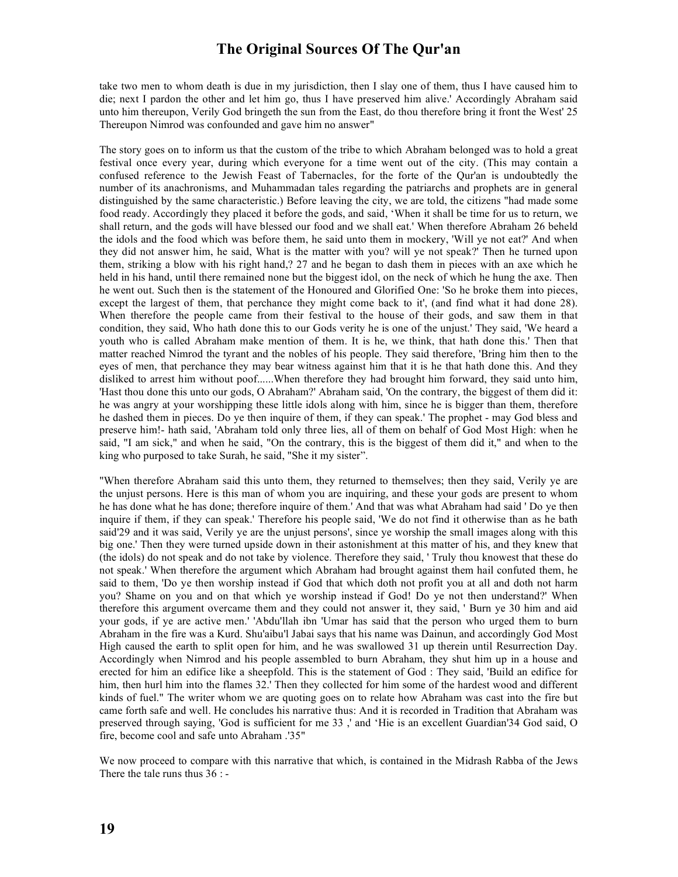take two men to whom death is due in my jurisdiction, then I slay one of them, thus I have caused him to die; next I pardon the other and let him go, thus I have preserved him alive.' Accordingly Abraham said unto him thereupon, Verily God bringeth the sun from the East, do thou therefore bring it front the West' 25 Thereupon Nimrod was confounded and gave him no answer"

The story goes on to inform us that the custom of the tribe to which Abraham belonged was to hold a great festival once every year, during which everyone for a time went out of the city. (This may contain a confused reference to the Jewish Feast of Tabernacles, for the forte of the Qur'an is undoubtedly the number of its anachronisms, and Muhammadan tales regarding the patriarchs and prophets are in general distinguished by the same characteristic.) Before leaving the city, we are told, the citizens "had made some food ready. Accordingly they placed it before the gods, and said, 'When it shall be time for us to return, we shall return, and the gods will have blessed our food and we shall eat.' When therefore Abraham 26 beheld the idols and the food which was before them, he said unto them in mockery, 'Will ye not eat?' And when they did not answer him, he said, What is the matter with you? will ye not speak?' Then he turned upon them, striking a blow with his right hand,? 27 and he began to dash them in pieces with an axe which he held in his hand, until there remained none but the biggest idol, on the neck of which he hung the axe. Then he went out. Such then is the statement of the Honoured and Glorified One: 'So he broke them into pieces, except the largest of them, that perchance they might come back to it', (and find what it had done 28). When therefore the people came from their festival to the house of their gods, and saw them in that condition, they said, Who hath done this to our Gods verity he is one of the unjust.' They said, 'We heard a youth who is called Abraham make mention of them. It is he, we think, that hath done this.' Then that matter reached Nimrod the tyrant and the nobles of his people. They said therefore, 'Bring him then to the eyes of men, that perchance they may bear witness against him that it is he that hath done this. And they disliked to arrest him without poof......When therefore they had brought him forward, they said unto him, 'Hast thou done this unto our gods, O Abraham?' Abraham said, 'On the contrary, the biggest of them did it: he was angry at your worshipping these little idols along with him, since he is bigger than them, therefore he dashed them in pieces. Do ye then inquire of them, if they can speak.' The prophet - may God bless and preserve him!- hath said, 'Abraham told only three lies, all of them on behalf of God Most High: when he said, "I am sick," and when he said, "On the contrary, this is the biggest of them did it," and when to the king who purposed to take Surah, he said, "She it my sister".

"When therefore Abraham said this unto them, they returned to themselves; then they said, Verily ye are the unjust persons. Here is this man of whom you are inquiring, and these your gods are present to whom he has done what he has done; therefore inquire of them.' And that was what Abraham had said ' Do ye then inquire if them, if they can speak.' Therefore his people said, 'We do not find it otherwise than as he bath said'29 and it was said, Verily ye are the unjust persons', since ye worship the small images along with this big one.' Then they were turned upside down in their astonishment at this matter of his, and they knew that (the idols) do not speak and do not take by violence. Therefore they said, ' Truly thou knowest that these do not speak.' When therefore the argument which Abraham had brought against them hail confuted them, he said to them, 'Do ye then worship instead if God that which doth not profit you at all and doth not harm you? Shame on you and on that which ye worship instead if God! Do ye not then understand?' When therefore this argument overcame them and they could not answer it, they said, ' Burn ye 30 him and aid your gods, if ye are active men.' 'Abdu'llah ibn 'Umar has said that the person who urged them to burn Abraham in the fire was a Kurd. Shu'aibu'l Jabai says that his name was Dainun, and accordingly God Most High caused the earth to split open for him, and he was swallowed 31 up therein until Resurrection Day. Accordingly when Nimrod and his people assembled to burn Abraham, they shut him up in a house and erected for him an edifice like a sheepfold. This is the statement of God : They said, 'Build an edifice for him, then hurl him into the flames 32.' Then they collected for him some of the hardest wood and different kinds of fuel." The writer whom we are quoting goes on to relate how Abraham was cast into the fire but came forth safe and well. He concludes his narrative thus: And it is recorded in Tradition that Abraham was preserved through saying, 'God is sufficient for me 33 ,' and 'Hie is an excellent Guardian'34 God said, O fire, become cool and safe unto Abraham .'35"

We now proceed to compare with this narrative that which, is contained in the Midrash Rabba of the Jews There the tale runs thus  $36$  : -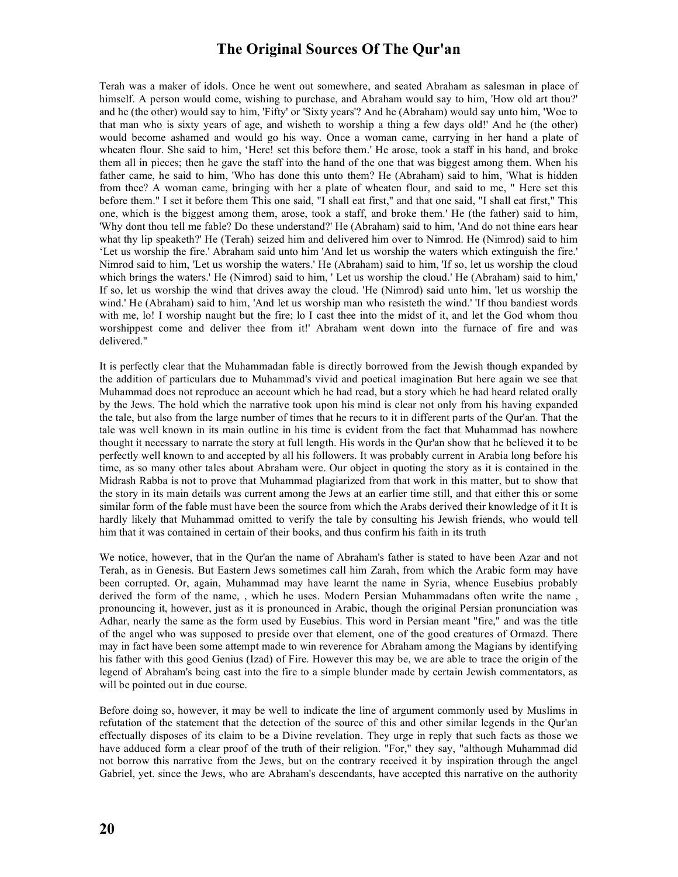Terah was a maker of idols. Once he went out somewhere, and seated Abraham as salesman in place of himself. A person would come, wishing to purchase, and Abraham would say to him, 'How old art thou?' and he (the other) would say to him, 'Fifty' or 'Sixty years'? And he (Abraham) would say unto him, 'Woe to that man who is sixty years of age, and wisheth to worship a thing a few days old!' And he (the other) would become ashamed and would go his way. Once a woman came, carrying in her hand a plate of wheaten flour. She said to him, 'Here! set this before them.' He arose, took a staff in his hand, and broke them all in pieces; then he gave the staff into the hand of the one that was biggest among them. When his father came, he said to him, 'Who has done this unto them? He (Abraham) said to him, 'What is hidden from thee? A woman came, bringing with her a plate of wheaten flour, and said to me, " Here set this before them." I set it before them This one said, "I shall eat first," and that one said, "I shall eat first," This one, which is the biggest among them, arose, took a staff, and broke them.' He (the father) said to him, 'Why dont thou tell me fable? Do these understand?' He (Abraham) said to him, 'And do not thine ears hear what thy lip speaketh?' He (Terah) seized him and delivered him over to Nimrod. He (Nimrod) said to him 'Let us worship the fire.' Abraham said unto him 'And let us worship the waters which extinguish the fire.' Nimrod said to him, 'Let us worship the waters.' He (Abraham) said to him, 'If so, let us worship the cloud which brings the waters.' He (Nimrod) said to him, ' Let us worship the cloud.' He (Abraham) said to him,' If so, let us worship the wind that drives away the cloud. 'He (Nimrod) said unto him, 'let us worship the wind.' He (Abraham) said to him, 'And let us worship man who resisteth the wind.' 'If thou bandiest words with me, lo! I worship naught but the fire; lo I cast thee into the midst of it, and let the God whom thou worshippest come and deliver thee from it!' Abraham went down into the furnace of fire and was delivered."

It is perfectly clear that the Muhammadan fable is directly borrowed from the Jewish though expanded by the addition of particulars due to Muhammad's vivid and poetical imagination But here again we see that Muhammad does not reproduce an account which he had read, but a story which he had heard related orally by the Jews. The hold which the narrative took upon his mind is clear not only from his having expanded the tale, but also from the large number of times that he recurs to it in different parts of the Qur'an. That the tale was well known in its main outline in his time is evident from the fact that Muhammad has nowhere thought it necessary to narrate the story at full length. His words in the Qur'an show that he believed it to be perfectly well known to and accepted by all his followers. It was probably current in Arabia long before his time, as so many other tales about Abraham were. Our object in quoting the story as it is contained in the Midrash Rabba is not to prove that Muhammad plagiarized from that work in this matter, but to show that the story in its main details was current among the Jews at an earlier time still, and that either this or some similar form of the fable must have been the source from which the Arabs derived their knowledge of it It is hardly likely that Muhammad omitted to verify the tale by consulting his Jewish friends, who would tell him that it was contained in certain of their books, and thus confirm his faith in its truth

We notice, however, that in the Qur'an the name of Abraham's father is stated to have been Azar and not Terah, as in Genesis. But Eastern Jews sometimes call him Zarah, from which the Arabic form may have been corrupted. Or, again, Muhammad may have learnt the name in Syria, whence Eusebius probably derived the form of the name, , which he uses. Modern Persian Muhammadans often write the name , pronouncing it, however, just as it is pronounced in Arabic, though the original Persian pronunciation was Adhar, nearly the same as the form used by Eusebius. This word in Persian meant "fire," and was the title of the angel who was supposed to preside over that element, one of the good creatures of Ormazd. There may in fact have been some attempt made to win reverence for Abraham among the Magians by identifying his father with this good Genius (Izad) of Fire. However this may be, we are able to trace the origin of the legend of Abraham's being cast into the fire to a simple blunder made by certain Jewish commentators, as will be pointed out in due course.

Before doing so, however, it may be well to indicate the line of argument commonly used by Muslims in refutation of the statement that the detection of the source of this and other similar legends in the Qur'an effectually disposes of its claim to be a Divine revelation. They urge in reply that such facts as those we have adduced form a clear proof of the truth of their religion. "For," they say, "although Muhammad did not borrow this narrative from the Jews, but on the contrary received it by inspiration through the angel Gabriel, yet. since the Jews, who are Abraham's descendants, have accepted this narrative on the authority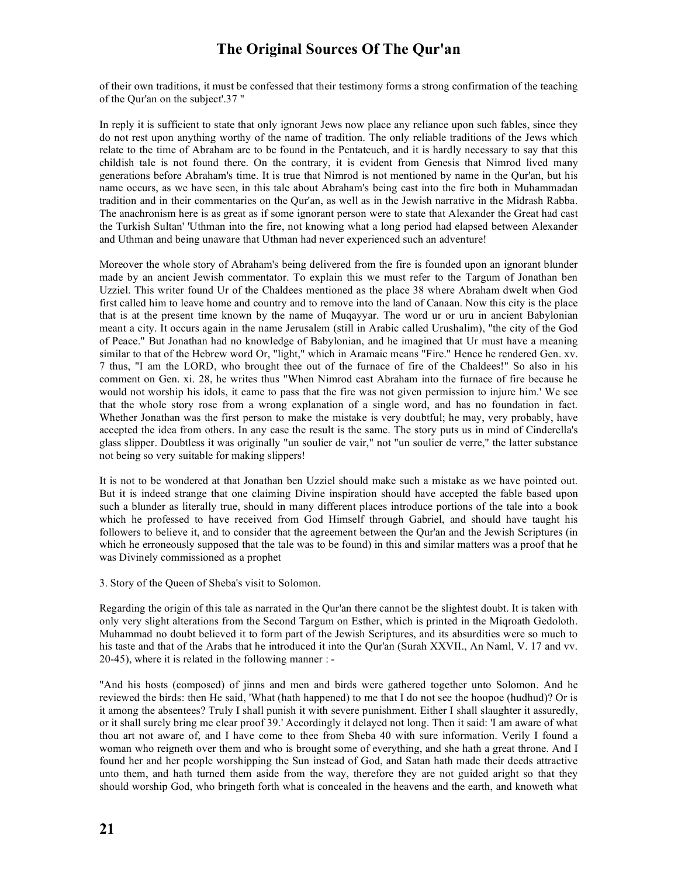of their own traditions, it must be confessed that their testimony forms a strong confirmation of the teaching of the Qur'an on the subject'.37 "

In reply it is sufficient to state that only ignorant Jews now place any reliance upon such fables, since they do not rest upon anything worthy of the name of tradition. The only reliable traditions of the Jews which relate to the time of Abraham are to be found in the Pentateuch, and it is hardly necessary to say that this childish tale is not found there. On the contrary, it is evident from Genesis that Nimrod lived many generations before Abraham's time. It is true that Nimrod is not mentioned by name in the Qur'an, but his name occurs, as we have seen, in this tale about Abraham's being cast into the fire both in Muhammadan tradition and in their commentaries on the Qur'an, as well as in the Jewish narrative in the Midrash Rabba. The anachronism here is as great as if some ignorant person were to state that Alexander the Great had cast the Turkish Sultan' 'Uthman into the fire, not knowing what a long period had elapsed between Alexander and Uthman and being unaware that Uthman had never experienced such an adventure!

Moreover the whole story of Abraham's being delivered from the fire is founded upon an ignorant blunder made by an ancient Jewish commentator. To explain this we must refer to the Targum of Jonathan ben Uzziel. This writer found Ur of the Chaldees mentioned as the place 38 where Abraham dwelt when God first called him to leave home and country and to remove into the land of Canaan. Now this city is the place that is at the present time known by the name of Muqayyar. The word ur or uru in ancient Babylonian meant a city. It occurs again in the name Jerusalem (still in Arabic called Urushalim), "the city of the God of Peace." But Jonathan had no knowledge of Babylonian, and he imagined that Ur must have a meaning similar to that of the Hebrew word Or, "light," which in Aramaic means "Fire." Hence he rendered Gen. xv. 7 thus, "I am the LORD, who brought thee out of the furnace of fire of the Chaldees!" So also in his comment on Gen. xi. 28, he writes thus "When Nimrod cast Abraham into the furnace of fire because he would not worship his idols, it came to pass that the fire was not given permission to injure him.' We see that the whole story rose from a wrong explanation of a single word, and has no foundation in fact. Whether Jonathan was the first person to make the mistake is very doubtful; he may, very probably, have accepted the idea from others. In any case the result is the same. The story puts us in mind of Cinderella's glass slipper. Doubtless it was originally "un soulier de vair," not "un soulier de verre," the latter substance not being so very suitable for making slippers!

It is not to be wondered at that Jonathan ben Uzziel should make such a mistake as we have pointed out. But it is indeed strange that one claiming Divine inspiration should have accepted the fable based upon such a blunder as literally true, should in many different places introduce portions of the tale into a book which he professed to have received from God Himself through Gabriel, and should have taught his followers to believe it, and to consider that the agreement between the Qur'an and the Jewish Scriptures (in which he erroneously supposed that the tale was to be found) in this and similar matters was a proof that he was Divinely commissioned as a prophet

3. Story of the Queen of Sheba's visit to Solomon.

Regarding the origin of this tale as narrated in the Qur'an there cannot be the slightest doubt. It is taken with only very slight alterations from the Second Targum on Esther, which is printed in the Miqroath Gedoloth. Muhammad no doubt believed it to form part of the Jewish Scriptures, and its absurdities were so much to his taste and that of the Arabs that he introduced it into the Qur'an (Surah XXVII., An Naml, V. 17 and vv. 20-45), where it is related in the following manner : -

"And his hosts (composed) of jinns and men and birds were gathered together unto Solomon. And he reviewed the birds: then He said, 'What (hath happened) to me that I do not see the hoopoe (hudhud)? Or is it among the absentees? Truly I shall punish it with severe punishment. Either I shall slaughter it assuredly, or it shall surely bring me clear proof 39.' Accordingly it delayed not long. Then it said: 'I am aware of what thou art not aware of, and I have come to thee from Sheba 40 with sure information. Verily I found a woman who reigneth over them and who is brought some of everything, and she hath a great throne. And I found her and her people worshipping the Sun instead of God, and Satan hath made their deeds attractive unto them, and hath turned them aside from the way, therefore they are not guided aright so that they should worship God, who bringeth forth what is concealed in the heavens and the earth, and knoweth what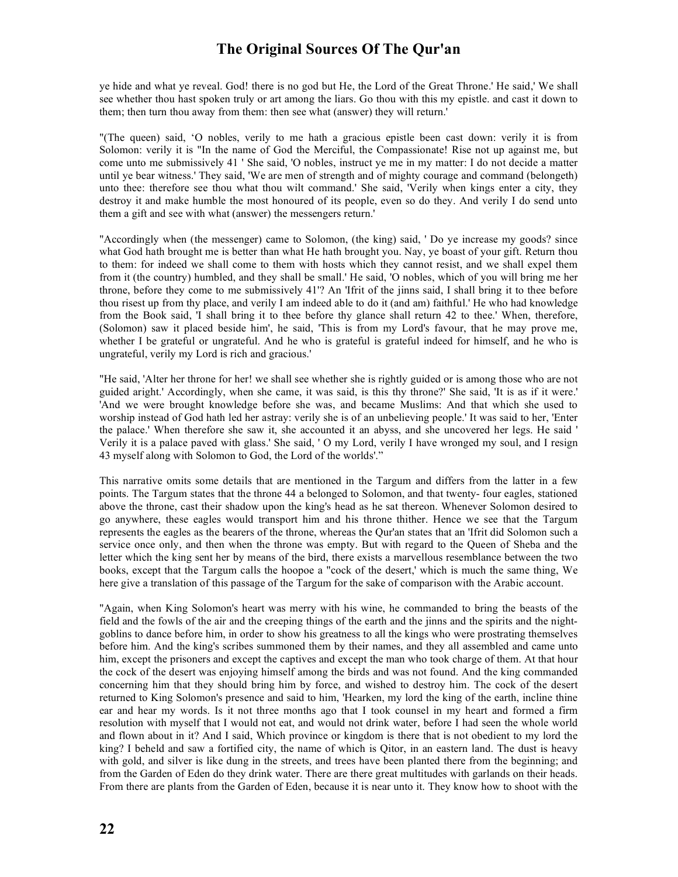ye hide and what ye reveal. God! there is no god but He, the Lord of the Great Throne.' He said,' We shall see whether thou hast spoken truly or art among the liars. Go thou with this my epistle. and cast it down to them; then turn thou away from them: then see what (answer) they will return.'

"(The queen) said, 'O nobles, verily to me hath a gracious epistle been cast down: verily it is from Solomon: verily it is "In the name of God the Merciful, the Compassionate! Rise not up against me, but come unto me submissively 41 ' She said, 'O nobles, instruct ye me in my matter: I do not decide a matter until ye bear witness.' They said, 'We are men of strength and of mighty courage and command (belongeth) unto thee: therefore see thou what thou wilt command.' She said, 'Verily when kings enter a city, they destroy it and make humble the most honoured of its people, even so do they. And verily I do send unto them a gift and see with what (answer) the messengers return.'

"Accordingly when (the messenger) came to Solomon, (the king) said, ' Do ye increase my goods? since what God hath brought me is better than what He hath brought you. Nay, ye boast of your gift. Return thou to them: for indeed we shall come to them with hosts which they cannot resist, and we shall expel them from it (the country) humbled, and they shall be small.' He said, 'O nobles, which of you will bring me her throne, before they come to me submissively 41'? An 'Ifrit of the jinns said, I shall bring it to thee before thou risest up from thy place, and verily I am indeed able to do it (and am) faithful.' He who had knowledge from the Book said, 'I shall bring it to thee before thy glance shall return 42 to thee.' When, therefore, (Solomon) saw it placed beside him', he said, 'This is from my Lord's favour, that he may prove me, whether I be grateful or ungrateful. And he who is grateful is grateful indeed for himself, and he who is ungrateful, verily my Lord is rich and gracious.'

"He said, 'Alter her throne for her! we shall see whether she is rightly guided or is among those who are not guided aright.' Accordingly, when she came, it was said, is this thy throne?' She said, 'It is as if it were.' 'And we were brought knowledge before she was, and became Muslims: And that which she used to worship instead of God hath led her astray: verily she is of an unbelieving people.' It was said to her, 'Enter the palace.' When therefore she saw it, she accounted it an abyss, and she uncovered her legs. He said ' Verily it is a palace paved with glass.' She said, ' O my Lord, verily I have wronged my soul, and I resign 43 myself along with Solomon to God, the Lord of the worlds'."

This narrative omits some details that are mentioned in the Targum and differs from the latter in a few points. The Targum states that the throne 44 a belonged to Solomon, and that twenty- four eagles, stationed above the throne, cast their shadow upon the king's head as he sat thereon. Whenever Solomon desired to go anywhere, these eagles would transport him and his throne thither. Hence we see that the Targum represents the eagles as the bearers of the throne, whereas the Qur'an states that an 'Ifrit did Solomon such a service once only, and then when the throne was empty. But with regard to the Queen of Sheba and the letter which the king sent her by means of the bird, there exists a marvellous resemblance between the two books, except that the Targum calls the hoopoe a "cock of the desert,' which is much the same thing, We here give a translation of this passage of the Targum for the sake of comparison with the Arabic account.

"Again, when King Solomon's heart was merry with his wine, he commanded to bring the beasts of the field and the fowls of the air and the creeping things of the earth and the jinns and the spirits and the nightgoblins to dance before him, in order to show his greatness to all the kings who were prostrating themselves before him. And the king's scribes summoned them by their names, and they all assembled and came unto him, except the prisoners and except the captives and except the man who took charge of them. At that hour the cock of the desert was enjoying himself among the birds and was not found. And the king commanded concerning him that they should bring him by force, and wished to destroy him. The cock of the desert returned to King Solomon's presence and said to him, 'Hearken, my lord the king of the earth, incline thine ear and hear my words. Is it not three months ago that I took counsel in my heart and formed a firm resolution with myself that I would not eat, and would not drink water, before I had seen the whole world and flown about in it? And I said, Which province or kingdom is there that is not obedient to my lord the king? I beheld and saw a fortified city, the name of which is Qitor, in an eastern land. The dust is heavy with gold, and silver is like dung in the streets, and trees have been planted there from the beginning; and from the Garden of Eden do they drink water. There are there great multitudes with garlands on their heads. From there are plants from the Garden of Eden, because it is near unto it. They know how to shoot with the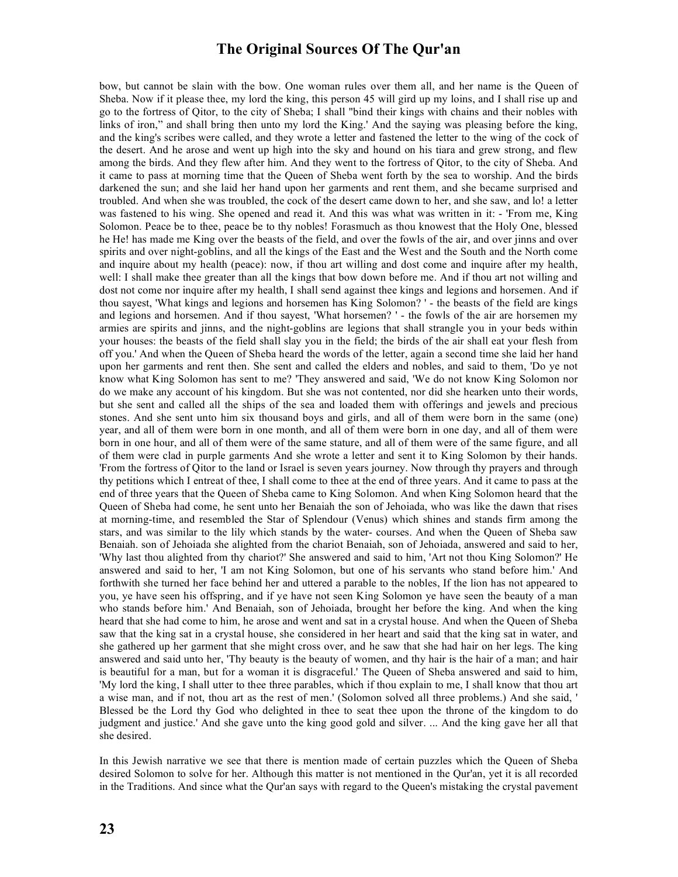bow, but cannot be slain with the bow. One woman rules over them all, and her name is the Queen of Sheba. Now if it please thee, my lord the king, this person 45 will gird up my loins, and I shall rise up and go to the fortress of Qitor, to the city of Sheba; I shall "bind their kings with chains and their nobles with links of iron," and shall bring then unto my lord the King.' And the saying was pleasing before the king, and the king's scribes were called, and they wrote a letter and fastened the letter to the wing of the cock of the desert. And he arose and went up high into the sky and hound on his tiara and grew strong, and flew among the birds. And they flew after him. And they went to the fortress of Qitor, to the city of Sheba. And it came to pass at morning time that the Queen of Sheba went forth by the sea to worship. And the birds darkened the sun; and she laid her hand upon her garments and rent them, and she became surprised and troubled. And when she was troubled, the cock of the desert came down to her, and she saw, and lo! a letter was fastened to his wing. She opened and read it. And this was what was written in it: - 'From me, King Solomon. Peace be to thee, peace be to thy nobles! Forasmuch as thou knowest that the Holy One, blessed he He! has made me King over the beasts of the field, and over the fowls of the air, and over jinns and over spirits and over night-goblins, and all the kings of the East and the West and the South and the North come and inquire about my health (peace): now, if thou art willing and dost come and inquire after my health, well: I shall make thee greater than all the kings that bow down before me. And if thou art not willing and dost not come nor inquire after my health, I shall send against thee kings and legions and horsemen. And if thou sayest, 'What kings and legions and horsemen has King Solomon? ' - the beasts of the field are kings and legions and horsemen. And if thou sayest, 'What horsemen? ' - the fowls of the air are horsemen my armies are spirits and jinns, and the night-goblins are legions that shall strangle you in your beds within your houses: the beasts of the field shall slay you in the field; the birds of the air shall eat your flesh from off you.' And when the Queen of Sheba heard the words of the letter, again a second time she laid her hand upon her garments and rent then. She sent and called the elders and nobles, and said to them, 'Do ye not know what King Solomon has sent to me? 'They answered and said, 'We do not know King Solomon nor do we make any account of his kingdom. But she was not contented, nor did she hearken unto their words, but she sent and called all the ships of the sea and loaded them with offerings and jewels and precious stones. And she sent unto him six thousand boys and girls, and all of them were born in the same (one) year, and all of them were born in one month, and all of them were born in one day, and all of them were born in one hour, and all of them were of the same stature, and all of them were of the same figure, and all of them were clad in purple garments And she wrote a letter and sent it to King Solomon by their hands. 'From the fortress of Qitor to the land or Israel is seven years journey. Now through thy prayers and through thy petitions which I entreat of thee, I shall come to thee at the end of three years. And it came to pass at the end of three years that the Queen of Sheba came to King Solomon. And when King Solomon heard that the Queen of Sheba had come, he sent unto her Benaiah the son of Jehoiada, who was like the dawn that rises at morning-time, and resembled the Star of Splendour (Venus) which shines and stands firm among the stars, and was similar to the lily which stands by the water- courses. And when the Queen of Sheba saw Benaiah. son of Jehoiada she alighted from the chariot Benaiah, son of Jehoiada, answered and said to her, 'Why last thou alighted from thy chariot?' She answered and said to him, 'Art not thou King Solomon?' He answered and said to her, 'I am not King Solomon, but one of his servants who stand before him.' And forthwith she turned her face behind her and uttered a parable to the nobles, If the lion has not appeared to you, ye have seen his offspring, and if ye have not seen King Solomon ye have seen the beauty of a man who stands before him.' And Benaiah, son of Jehoiada, brought her before the king. And when the king heard that she had come to him, he arose and went and sat in a crystal house. And when the Queen of Sheba saw that the king sat in a crystal house, she considered in her heart and said that the king sat in water, and she gathered up her garment that she might cross over, and he saw that she had hair on her legs. The king answered and said unto her, 'Thy beauty is the beauty of women, and thy hair is the hair of a man; and hair is beautiful for a man, but for a woman it is disgraceful.' The Queen of Sheba answered and said to him, 'My lord the king, I shall utter to thee three parables, which if thou explain to me, I shall know that thou art a wise man, and if not, thou art as the rest of men.' (Solomon solved all three problems.) And she said, ' Blessed be the Lord thy God who delighted in thee to seat thee upon the throne of the kingdom to do judgment and justice.' And she gave unto the king good gold and silver. ... And the king gave her all that she desired.

In this Jewish narrative we see that there is mention made of certain puzzles which the Queen of Sheba desired Solomon to solve for her. Although this matter is not mentioned in the Qur'an, yet it is all recorded in the Traditions. And since what the Qur'an says with regard to the Queen's mistaking the crystal pavement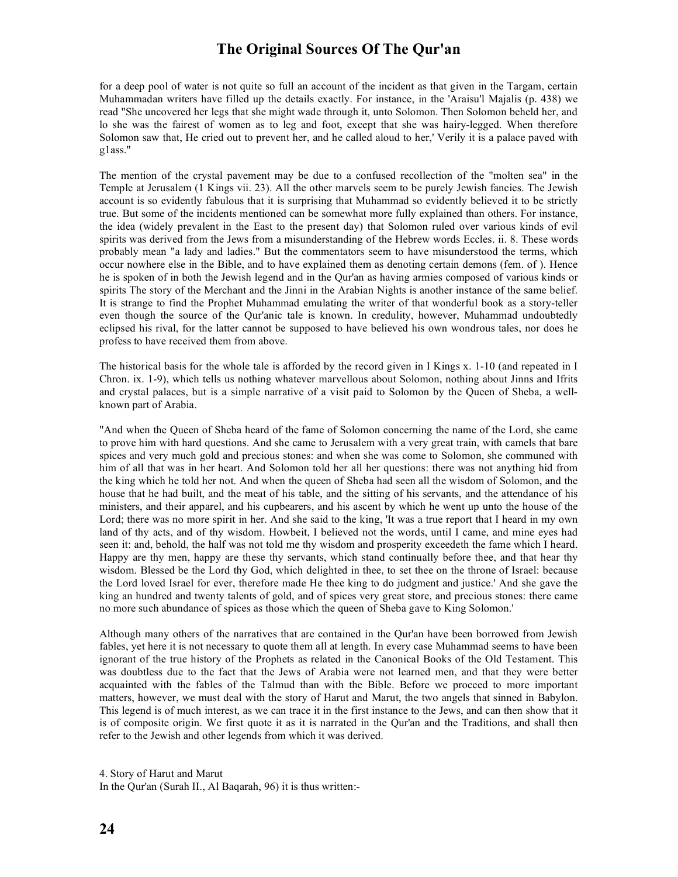for a deep pool of water is not quite so full an account of the incident as that given in the Targam, certain Muhammadan writers have filled up the details exactly. For instance, in the 'Araisu'l Majalis (p. 438) we read "She uncovered her legs that she might wade through it, unto Solomon. Then Solomon beheld her, and lo she was the fairest of women as to leg and foot, except that she was hairy-legged. When therefore Solomon saw that, He cried out to prevent her, and he called aloud to her,' Verily it is a palace paved with g1ass.''

The mention of the crystal pavement may be due to a confused recollection of the "molten sea" in the Temple at Jerusalem (1 Kings vii. 23). All the other marvels seem to be purely Jewish fancies. The Jewish account is so evidently fabulous that it is surprising that Muhammad so evidently believed it to be strictly true. But some of the incidents mentioned can be somewhat more fully explained than others. For instance, the idea (widely prevalent in the East to the present day) that Solomon ruled over various kinds of evil spirits was derived from the Jews from a misunderstanding of the Hebrew words Eccles. ii. 8. These words probably mean "a lady and ladies." But the commentators seem to have misunderstood the terms, which occur nowhere else in the Bible, and to have explained them as denoting certain demons (fem. of ). Hence he is spoken of in both the Jewish legend and in the Qur'an as having armies composed of various kinds or spirits The story of the Merchant and the Jinni in the Arabian Nights is another instance of the same belief. It is strange to find the Prophet Muhammad emulating the writer of that wonderful book as a story-teller even though the source of the Qur'anic tale is known. In credulity, however, Muhammad undoubtedly eclipsed his rival, for the latter cannot be supposed to have believed his own wondrous tales, nor does he profess to have received them from above.

The historical basis for the whole tale is afforded by the record given in I Kings x. 1-10 (and repeated in I Chron. ix. 1-9), which tells us nothing whatever marvellous about Solomon, nothing about Jinns and Ifrits and crystal palaces, but is a simple narrative of a visit paid to Solomon by the Queen of Sheba, a wellknown part of Arabia.

"And when the Queen of Sheba heard of the fame of Solomon concerning the name of the Lord, she came to prove him with hard questions. And she came to Jerusalem with a very great train, with camels that bare spices and very much gold and precious stones: and when she was come to Solomon, she communed with him of all that was in her heart. And Solomon told her all her questions: there was not anything hid from the king which he told her not. And when the queen of Sheba had seen all the wisdom of Solomon, and the house that he had built, and the meat of his table, and the sitting of his servants, and the attendance of his ministers, and their apparel, and his cupbearers, and his ascent by which he went up unto the house of the Lord; there was no more spirit in her. And she said to the king, 'It was a true report that I heard in my own land of thy acts, and of thy wisdom. Howbeit, I believed not the words, until I came, and mine eyes had seen it: and, behold, the half was not told me thy wisdom and prosperity exceedeth the fame which I heard. Happy are thy men, happy are these thy servants, which stand continually before thee, and that hear thy wisdom. Blessed be the Lord thy God, which delighted in thee, to set thee on the throne of Israel: because the Lord loved Israel for ever, therefore made He thee king to do judgment and justice.' And she gave the king an hundred and twenty talents of gold, and of spices very great store, and precious stones: there came no more such abundance of spices as those which the queen of Sheba gave to King Solomon.'

Although many others of the narratives that are contained in the Qur'an have been borrowed from Jewish fables, yet here it is not necessary to quote them all at length. In every case Muhammad seems to have been ignorant of the true history of the Prophets as related in the Canonical Books of the Old Testament. This was doubtless due to the fact that the Jews of Arabia were not learned men, and that they were better acquainted with the fables of the Talmud than with the Bible. Before we proceed to more important matters, however, we must deal with the story of Harut and Marut, the two angels that sinned in Babylon. This legend is of much interest, as we can trace it in the first instance to the Jews, and can then show that it is of composite origin. We first quote it as it is narrated in the Qur'an and the Traditions, and shall then refer to the Jewish and other legends from which it was derived.

4. Story of Harut and Marut

In the Qur'an (Surah II., Al Baqarah, 96) it is thus written:-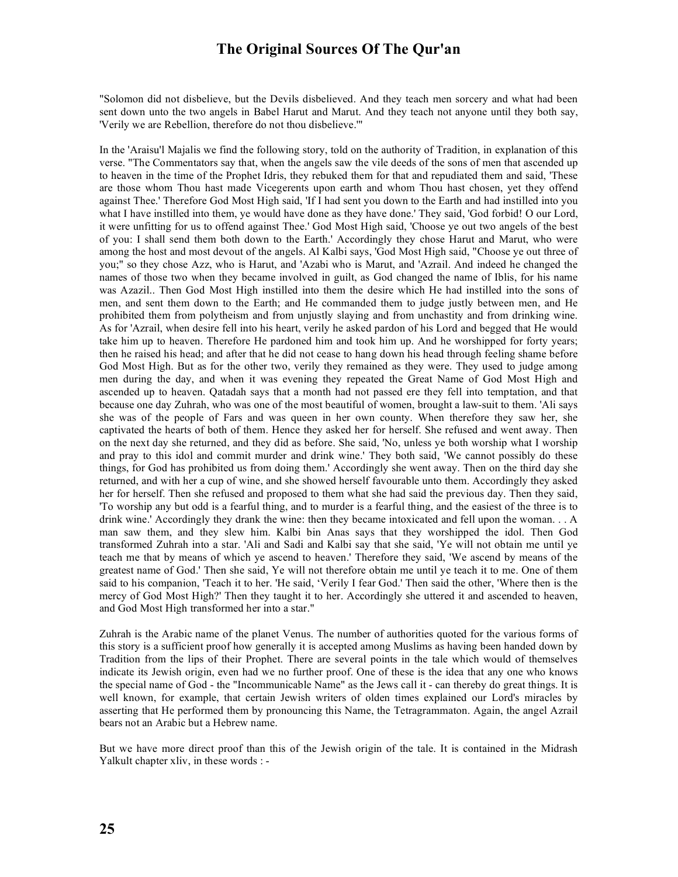"Solomon did not disbelieve, but the Devils disbelieved. And they teach men sorcery and what had been sent down unto the two angels in Babel Harut and Marut. And they teach not anyone until they both say, 'Verily we are Rebellion, therefore do not thou disbelieve.'"

In the 'Araisu'l Majalis we find the following story, told on the authority of Tradition, in explanation of this verse. "The Commentators say that, when the angels saw the vile deeds of the sons of men that ascended up to heaven in the time of the Prophet Idris, they rebuked them for that and repudiated them and said, 'These are those whom Thou hast made Vicegerents upon earth and whom Thou hast chosen, yet they offend against Thee.' Therefore God Most High said, 'If I had sent you down to the Earth and had instilled into you what I have instilled into them, ye would have done as they have done.' They said, 'God forbid! O our Lord, it were unfitting for us to offend against Thee.' God Most High said, 'Choose ye out two angels of the best of you: I shall send them both down to the Earth.' Accordingly they chose Harut and Marut, who were among the host and most devout of the angels. Al Kalbi says, 'God Most High said, "Choose ye out three of you;" so they chose Azz, who is Harut, and 'Azabi who is Marut, and 'Azrail. And indeed he changed the names of those two when they became involved in guilt, as God changed the name of Iblis, for his name was Azazil.. Then God Most High instilled into them the desire which He had instilled into the sons of men, and sent them down to the Earth; and He commanded them to judge justly between men, and He prohibited them from polytheism and from unjustly slaying and from unchastity and from drinking wine. As for 'Azrail, when desire fell into his heart, verily he asked pardon of his Lord and begged that He would take him up to heaven. Therefore He pardoned him and took him up. And he worshipped for forty years; then he raised his head; and after that he did not cease to hang down his head through feeling shame before God Most High. But as for the other two, verily they remained as they were. They used to judge among men during the day, and when it was evening they repeated the Great Name of God Most High and ascended up to heaven. Qatadah says that a month had not passed ere they fell into temptation, and that because one day Zuhrah, who was one of the most beautiful of women, brought a law-suit to them. 'Ali says she was of the people of Fars and was queen in her own county. When therefore they saw her, she captivated the hearts of both of them. Hence they asked her for herself. She refused and went away. Then on the next day she returned, and they did as before. She said, 'No, unless ye both worship what I worship and pray to this idol and commit murder and drink wine.' They both said, 'We cannot possibly do these things, for God has prohibited us from doing them.' Accordingly she went away. Then on the third day she returned, and with her a cup of wine, and she showed herself favourable unto them. Accordingly they asked her for herself. Then she refused and proposed to them what she had said the previous day. Then they said, 'To worship any but odd is a fearful thing, and to murder is a fearful thing, and the easiest of the three is to drink wine.' Accordingly they drank the wine: then they became intoxicated and fell upon the woman. . . A man saw them, and they slew him. Kalbi bin Anas says that they worshipped the idol. Then God transformed Zuhrah into a star. 'Ali and Sadi and Kalbi say that she said, 'Ye will not obtain me until ye teach me that by means of which ye ascend to heaven.' Therefore they said, 'We ascend by means of the greatest name of God.' Then she said, Ye will not therefore obtain me until ye teach it to me. One of them said to his companion, 'Teach it to her. 'He said, 'Verily I fear God.' Then said the other, 'Where then is the mercy of God Most High?' Then they taught it to her. Accordingly she uttered it and ascended to heaven, and God Most High transformed her into a star."

Zuhrah is the Arabic name of the planet Venus. The number of authorities quoted for the various forms of this story is a sufficient proof how generally it is accepted among Muslims as having been handed down by Tradition from the lips of their Prophet. There are several points in the tale which would of themselves indicate its Jewish origin, even had we no further proof. One of these is the idea that any one who knows the special name of God - the "Incommunicable Name" as the Jews call it - can thereby do great things. It is well known, for example, that certain Jewish writers of olden times explained our Lord's miracles by asserting that He performed them by pronouncing this Name, the Tetragrammaton. Again, the angel Azrail bears not an Arabic but a Hebrew name.

But we have more direct proof than this of the Jewish origin of the tale. It is contained in the Midrash Yalkult chapter xliv, in these words : -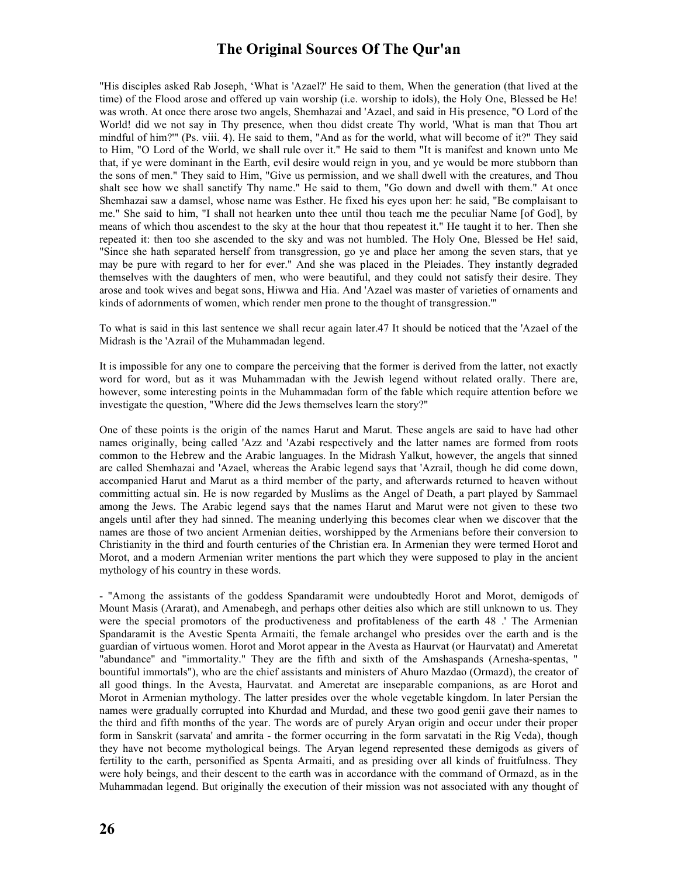"His disciples asked Rab Joseph, 'What is 'Azael?' He said to them, When the generation (that lived at the time) of the Flood arose and offered up vain worship (i.e. worship to idols), the Holy One, Blessed be He! was wroth. At once there arose two angels, Shemhazai and 'Azael, and said in His presence, "O Lord of the World! did we not say in Thy presence, when thou didst create Thy world, 'What is man that Thou art mindful of him?'" (Ps. viii. 4). He said to them, "And as for the world, what will become of it?" They said to Him, "O Lord of the World, we shall rule over it." He said to them "It is manifest and known unto Me that, if ye were dominant in the Earth, evil desire would reign in you, and ye would be more stubborn than the sons of men." They said to Him, "Give us permission, and we shall dwell with the creatures, and Thou shalt see how we shall sanctify Thy name." He said to them, "Go down and dwell with them." At once Shemhazai saw a damsel, whose name was Esther. He fixed his eyes upon her: he said, "Be complaisant to me." She said to him, "I shall not hearken unto thee until thou teach me the peculiar Name [of God], by means of which thou ascendest to the sky at the hour that thou repeatest it." He taught it to her. Then she repeated it: then too she ascended to the sky and was not humbled. The Holy One, Blessed be He! said, "Since she hath separated herself from transgression, go ye and place her among the seven stars, that ye may be pure with regard to her for ever." And she was placed in the Pleiades. They instantly degraded themselves with the daughters of men, who were beautiful, and they could not satisfy their desire. They arose and took wives and begat sons, Hiwwa and Hia. And 'Azael was master of varieties of ornaments and kinds of adornments of women, which render men prone to the thought of transgression.'"

To what is said in this last sentence we shall recur again later.47 It should be noticed that the 'Azael of the Midrash is the 'Azrail of the Muhammadan legend.

It is impossible for any one to compare the perceiving that the former is derived from the latter, not exactly word for word, but as it was Muhammadan with the Jewish legend without related orally. There are, however, some interesting points in the Muhammadan form of the fable which require attention before we investigate the question, "Where did the Jews themselves learn the story?"

One of these points is the origin of the names Harut and Marut. These angels are said to have had other names originally, being called 'Azz and 'Azabi respectively and the latter names are formed from roots common to the Hebrew and the Arabic languages. In the Midrash Yalkut, however, the angels that sinned are called Shemhazai and 'Azael, whereas the Arabic legend says that 'Azrail, though he did come down, accompanied Harut and Marut as a third member of the party, and afterwards returned to heaven without committing actual sin. He is now regarded by Muslims as the Angel of Death, a part played by Sammael among the Jews. The Arabic legend says that the names Harut and Marut were not given to these two angels until after they had sinned. The meaning underlying this becomes clear when we discover that the names are those of two ancient Armenian deities, worshipped by the Armenians before their conversion to Christianity in the third and fourth centuries of the Christian era. In Armenian they were termed Horot and Morot, and a modern Armenian writer mentions the part which they were supposed to play in the ancient mythology of his country in these words.

- "Among the assistants of the goddess Spandaramit were undoubtedly Horot and Morot, demigods of Mount Masis (Ararat), and Amenabegh, and perhaps other deities also which are still unknown to us. They were the special promotors of the productiveness and profitableness of the earth 48 .' The Armenian Spandaramit is the Avestic Spenta Armaiti, the female archangel who presides over the earth and is the guardian of virtuous women. Horot and Morot appear in the Avesta as Haurvat (or Haurvatat) and Ameretat "abundance" and "immortality." They are the fifth and sixth of the Amshaspands (Arnesha-spentas, " bountiful immortals"), who are the chief assistants and ministers of Ahuro Mazdao (Ormazd), the creator of all good things. In the Avesta, Haurvatat. and Ameretat are inseparable companions, as are Horot and Morot in Armenian mythology. The latter presides over the whole vegetable kingdom. In later Persian the names were gradually corrupted into Khurdad and Murdad, and these two good genii gave their names to the third and fifth months of the year. The words are of purely Aryan origin and occur under their proper form in Sanskrit (sarvata' and amrita - the former occurring in the form sarvatati in the Rig Veda), though they have not become mythological beings. The Aryan legend represented these demigods as givers of fertility to the earth, personified as Spenta Armaiti, and as presiding over all kinds of fruitfulness. They were holy beings, and their descent to the earth was in accordance with the command of Ormazd, as in the Muhammadan legend. But originally the execution of their mission was not associated with any thought of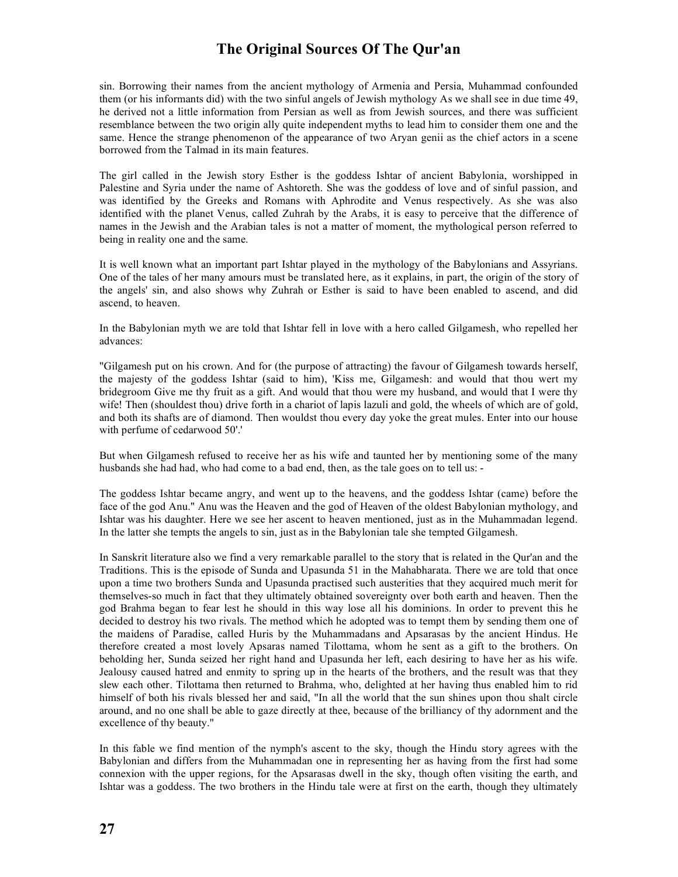sin. Borrowing their names from the ancient mythology of Armenia and Persia, Muhammad confounded them (or his informants did) with the two sinful angels of Jewish mythology As we shall see in due time 49, he derived not a little information from Persian as well as from Jewish sources, and there was sufficient resemblance between the two origin ally quite independent myths to lead him to consider them one and the same. Hence the strange phenomenon of the appearance of two Aryan genii as the chief actors in a scene borrowed from the Talmad in its main features.

The girl called in the Jewish story Esther is the goddess Ishtar of ancient Babylonia, worshipped in Palestine and Syria under the name of Ashtoreth. She was the goddess of love and of sinful passion, and was identified by the Greeks and Romans with Aphrodite and Venus respectively. As she was also identified with the planet Venus, called Zuhrah by the Arabs, it is easy to perceive that the difference of names in the Jewish and the Arabian tales is not a matter of moment, the mythological person referred to being in reality one and the same.

It is well known what an important part Ishtar played in the mythology of the Babylonians and Assyrians. One of the tales of her many amours must be translated here, as it explains, in part, the origin of the story of the angels' sin, and also shows why Zuhrah or Esther is said to have been enabled to ascend, and did ascend, to heaven.

In the Babylonian myth we are told that Ishtar fell in love with a hero called Gilgamesh, who repelled her advances:

"Gilgamesh put on his crown. And for (the purpose of attracting) the favour of Gilgamesh towards herself, the majesty of the goddess Ishtar (said to him), 'Kiss me, Gilgamesh: and would that thou wert my bridegroom Give me thy fruit as a gift. And would that thou were my husband, and would that I were thy wife! Then (shouldest thou) drive forth in a chariot of lapis lazuli and gold, the wheels of which are of gold, and both its shafts are of diamond. Then wouldst thou every day yoke the great mules. Enter into our house with perfume of cedarwood 50'.'

But when Gilgamesh refused to receive her as his wife and taunted her by mentioning some of the many husbands she had had, who had come to a bad end, then, as the tale goes on to tell us: -

The goddess Ishtar became angry, and went up to the heavens, and the goddess Ishtar (came) before the face of the god Anu." Anu was the Heaven and the god of Heaven of the oldest Babylonian mythology, and Ishtar was his daughter. Here we see her ascent to heaven mentioned, just as in the Muhammadan legend. In the latter she tempts the angels to sin, just as in the Babylonian tale she tempted Gilgamesh.

In Sanskrit literature also we find a very remarkable parallel to the story that is related in the Qur'an and the Traditions. This is the episode of Sunda and Upasunda 51 in the Mahabharata. There we are told that once upon a time two brothers Sunda and Upasunda practised such austerities that they acquired much merit for themselves-so much in fact that they ultimately obtained sovereignty over both earth and heaven. Then the god Brahma began to fear lest he should in this way lose all his dominions. In order to prevent this he decided to destroy his two rivals. The method which he adopted was to tempt them by sending them one of the maidens of Paradise, called Huris by the Muhammadans and Apsarasas by the ancient Hindus. He therefore created a most lovely Apsaras named Tilottama, whom he sent as a gift to the brothers. On beholding her, Sunda seized her right hand and Upasunda her left, each desiring to have her as his wife. Jealousy caused hatred and enmity to spring up in the hearts of the brothers, and the result was that they slew each other. Tilottama then returned to Brahma, who, delighted at her having thus enabled him to rid himself of both his rivals blessed her and said, "In all the world that the sun shines upon thou shalt circle around, and no one shall be able to gaze directly at thee, because of the brilliancy of thy adornment and the excellence of thy beauty."

In this fable we find mention of the nymph's ascent to the sky, though the Hindu story agrees with the Babylonian and differs from the Muhammadan one in representing her as having from the first had some connexion with the upper regions, for the Apsarasas dwell in the sky, though often visiting the earth, and Ishtar was a goddess. The two brothers in the Hindu tale were at first on the earth, though they ultimately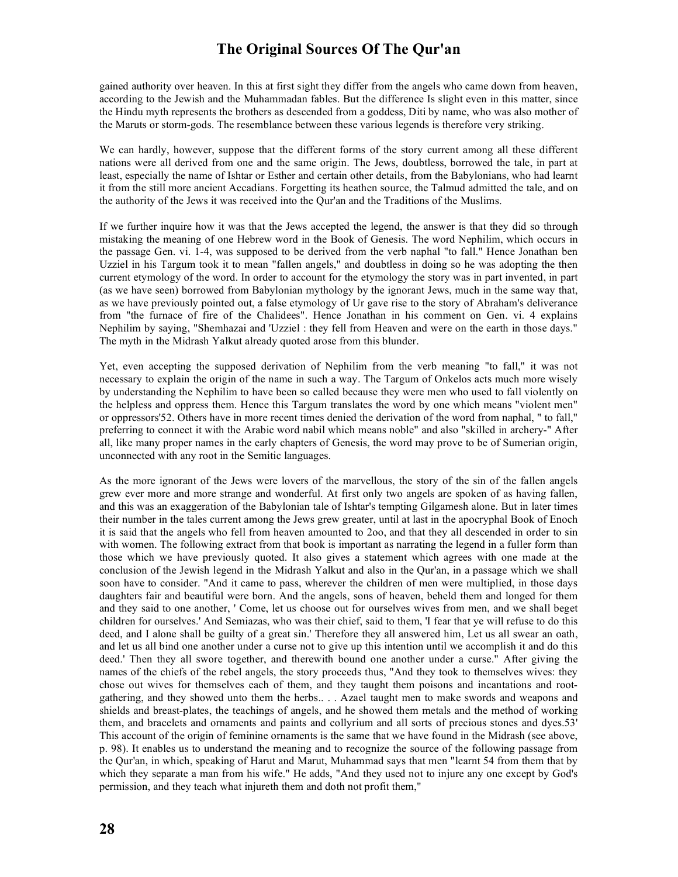gained authority over heaven. In this at first sight they differ from the angels who came down from heaven, according to the Jewish and the Muhammadan fables. But the difference Is slight even in this matter, since the Hindu myth represents the brothers as descended from a goddess, Diti by name, who was also mother of the Maruts or storm-gods. The resemblance between these various legends is therefore very striking.

We can hardly, however, suppose that the different forms of the story current among all these different nations were all derived from one and the same origin. The Jews, doubtless, borrowed the tale, in part at least, especially the name of Ishtar or Esther and certain other details, from the Babylonians, who had learnt it from the still more ancient Accadians. Forgetting its heathen source, the Talmud admitted the tale, and on the authority of the Jews it was received into the Qur'an and the Traditions of the Muslims.

If we further inquire how it was that the Jews accepted the legend, the answer is that they did so through mistaking the meaning of one Hebrew word in the Book of Genesis. The word Nephilim, which occurs in the passage Gen. vi. 1-4, was supposed to be derived from the verb naphal "to fall." Hence Jonathan ben Uzziel in his Targum took it to mean "fallen angels," and doubtless in doing so he was adopting the then current etymology of the word. In order to account for the etymology the story was in part invented, in part (as we have seen) borrowed from Babylonian mythology by the ignorant Jews, much in the same way that, as we have previously pointed out, a false etymology of Ur gave rise to the story of Abraham's deliverance from "the furnace of fire of the Chalidees". Hence Jonathan in his comment on Gen. vi. 4 explains Nephilim by saying, "Shemhazai and 'Uzziel : they fell from Heaven and were on the earth in those days." The myth in the Midrash Yalkut already quoted arose from this blunder.

Yet, even accepting the supposed derivation of Nephilim from the verb meaning "to fall," it was not necessary to explain the origin of the name in such a way. The Targum of Onkelos acts much more wisely by understanding the Nephilim to have been so called because they were men who used to fall violently on the helpless and oppress them. Hence this Targum translates the word by one which means "violent men" or oppressors'52. Others have in more recent times denied the derivation of the word from naphal, " to fall," preferring to connect it with the Arabic word nabil which means noble" and also "skilled in archery-" After all, like many proper names in the early chapters of Genesis, the word may prove to be of Sumerian origin, unconnected with any root in the Semitic languages.

As the more ignorant of the Jews were lovers of the marvellous, the story of the sin of the fallen angels grew ever more and more strange and wonderful. At first only two angels are spoken of as having fallen, and this was an exaggeration of the Babylonian tale of Ishtar's tempting Gilgamesh alone. But in later times their number in the tales current among the Jews grew greater, until at last in the apocryphal Book of Enoch it is said that the angels who fell from heaven amounted to 2oo, and that they all descended in order to sin with women. The following extract from that book is important as narrating the legend in a fuller form than those which we have previously quoted. It also gives a statement which agrees with one made at the conclusion of the Jewish legend in the Midrash Yalkut and also in the Qur'an, in a passage which we shall soon have to consider. "And it came to pass, wherever the children of men were multiplied, in those days daughters fair and beautiful were born. And the angels, sons of heaven, beheld them and longed for them and they said to one another, ' Come, let us choose out for ourselves wives from men, and we shall beget children for ourselves.' And Semiazas, who was their chief, said to them, 'I fear that ye will refuse to do this deed, and I alone shall be guilty of a great sin.' Therefore they all answered him, Let us all swear an oath, and let us all bind one another under a curse not to give up this intention until we accomplish it and do this deed.' Then they all swore together, and therewith bound one another under a curse." After giving the names of the chiefs of the rebel angels, the story proceeds thus, "And they took to themselves wives: they chose out wives for themselves each of them, and they taught them poisons and incantations and rootgathering, and they showed unto them the herbs.. . . Azael taught men to make swords and weapons and shields and breast-plates, the teachings of angels, and he showed them metals and the method of working them, and bracelets and ornaments and paints and collyrium and all sorts of precious stones and dyes.53' This account of the origin of feminine ornaments is the same that we have found in the Midrash (see above, p. 98). It enables us to understand the meaning and to recognize the source of the following passage from the Qur'an, in which, speaking of Harut and Marut, Muhammad says that men "learnt 54 from them that by which they separate a man from his wife." He adds, "And they used not to injure any one except by God's permission, and they teach what injureth them and doth not profit them,"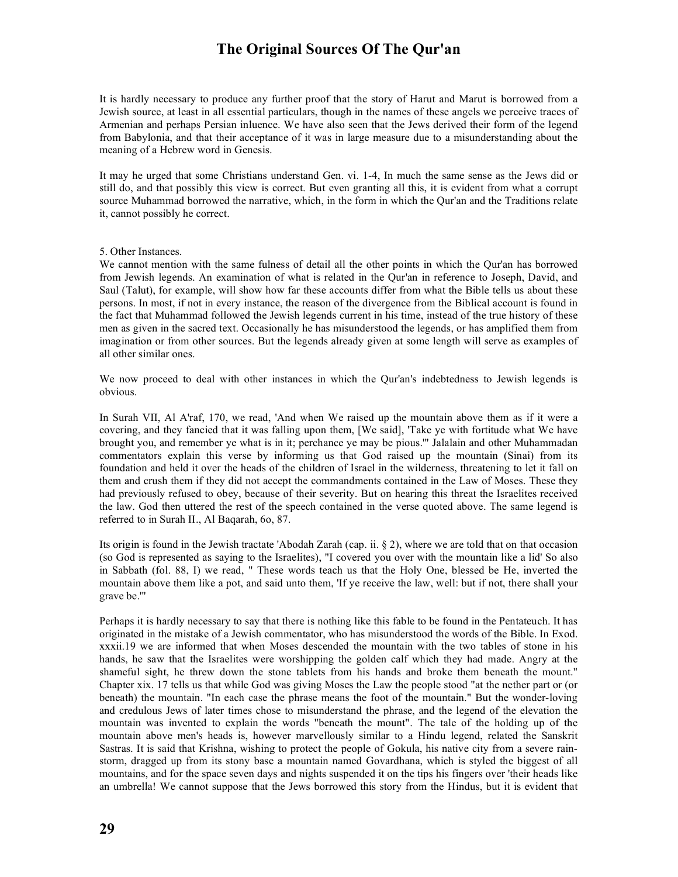It is hardly necessary to produce any further proof that the story of Harut and Marut is borrowed from a Jewish source, at least in all essential particulars, though in the names of these angels we perceive traces of Armenian and perhaps Persian inluence. We have also seen that the Jews derived their form of the legend from Babylonia, and that their acceptance of it was in large measure due to a misunderstanding about the meaning of a Hebrew word in Genesis.

It may he urged that some Christians understand Gen. vi. 1-4, In much the same sense as the Jews did or still do, and that possibly this view is correct. But even granting all this, it is evident from what a corrupt source Muhammad borrowed the narrative, which, in the form in which the Qur'an and the Traditions relate it, cannot possibly he correct.

#### 5. Other Instances.

We cannot mention with the same fulness of detail all the other points in which the Qur'an has borrowed from Jewish legends. An examination of what is related in the Qur'an in reference to Joseph, David, and Saul (Talut), for example, will show how far these accounts differ from what the Bible tells us about these persons. In most, if not in every instance, the reason of the divergence from the Biblical account is found in the fact that Muhammad followed the Jewish legends current in his time, instead of the true history of these men as given in the sacred text. Occasionally he has misunderstood the legends, or has amplified them from imagination or from other sources. But the legends already given at some length will serve as examples of all other similar ones.

We now proceed to deal with other instances in which the Qur'an's indebtedness to Jewish legends is obvious.

In Surah VII, Al A'raf, 170, we read, 'And when We raised up the mountain above them as if it were a covering, and they fancied that it was falling upon them, [We said], 'Take ye with fortitude what We have brought you, and remember ye what is in it; perchance ye may be pious.'" Jalalain and other Muhammadan commentators explain this verse by informing us that God raised up the mountain (Sinai) from its foundation and held it over the heads of the children of Israel in the wilderness, threatening to let it fall on them and crush them if they did not accept the commandments contained in the Law of Moses. These they had previously refused to obey, because of their severity. But on hearing this threat the Israelites received the law. God then uttered the rest of the speech contained in the verse quoted above. The same legend is referred to in Surah II., Al Baqarah, 6o, 87.

Its origin is found in the Jewish tractate 'Abodah Zarah (cap. ii. § 2), where we are told that on that occasion (so God is represented as saying to the Israelites), "I covered you over with the mountain like a lid' So also in Sabbath (fol. 88, I) we read, " These words teach us that the Holy One, blessed be He, inverted the mountain above them like a pot, and said unto them, 'If ye receive the law, well: but if not, there shall your grave be.'"

Perhaps it is hardly necessary to say that there is nothing like this fable to be found in the Pentateuch. It has originated in the mistake of a Jewish commentator, who has misunderstood the words of the Bible. In Exod. xxxii.19 we are informed that when Moses descended the mountain with the two tables of stone in his hands, he saw that the Israelites were worshipping the golden calf which they had made. Angry at the shameful sight, he threw down the stone tablets from his hands and broke them beneath the mount." Chapter xix. 17 tells us that while God was giving Moses the Law the people stood "at the nether part or (or beneath) the mountain. "In each case the phrase means the foot of the mountain." But the wonder-loving and credulous Jews of later times chose to misunderstand the phrase, and the legend of the elevation the mountain was invented to explain the words "beneath the mount". The tale of the holding up of the mountain above men's heads is, however marvellously similar to a Hindu legend, related the Sanskrit Sastras. It is said that Krishna, wishing to protect the people of Gokula, his native city from a severe rainstorm, dragged up from its stony base a mountain named Govardhana, which is styled the biggest of all mountains, and for the space seven days and nights suspended it on the tips his fingers over 'their heads like an umbrella! We cannot suppose that the Jews borrowed this story from the Hindus, but it is evident that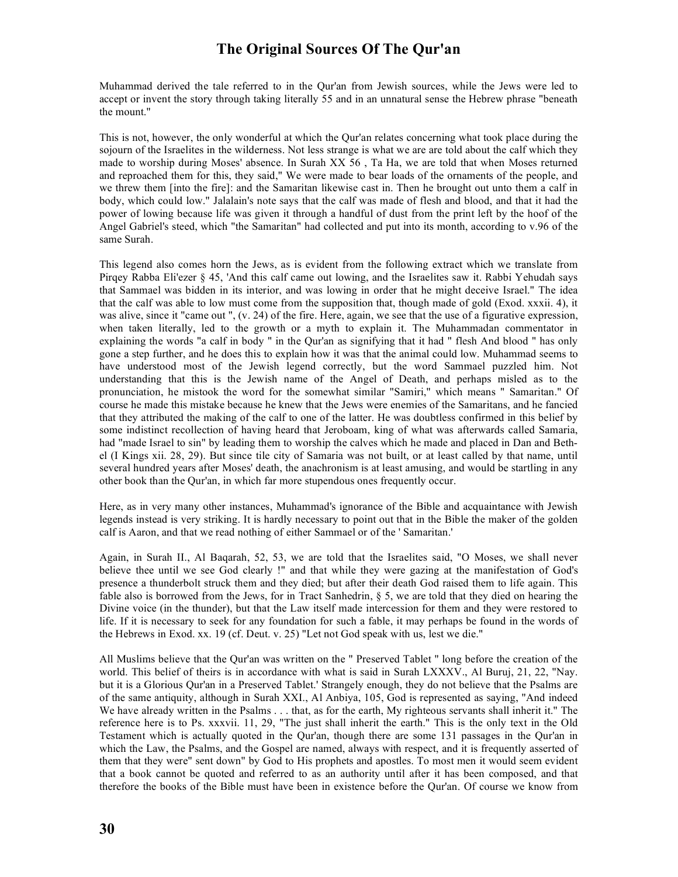Muhammad derived the tale referred to in the Qur'an from Jewish sources, while the Jews were led to accept or invent the story through taking literally 55 and in an unnatural sense the Hebrew phrase "beneath the mount."

This is not, however, the only wonderful at which the Qur'an relates concerning what took place during the sojourn of the Israelites in the wilderness. Not less strange is what we are are told about the calf which they made to worship during Moses' absence. In Surah XX 56 , Ta Ha, we are told that when Moses returned and reproached them for this, they said," We were made to bear loads of the ornaments of the people, and we threw them [into the fire]: and the Samaritan likewise cast in. Then he brought out unto them a calf in body, which could low." Jalalain's note says that the calf was made of flesh and blood, and that it had the power of lowing because life was given it through a handful of dust from the print left by the hoof of the Angel Gabriel's steed, which "the Samaritan" had collected and put into its month, according to v.96 of the same Surah.

This legend also comes horn the Jews, as is evident from the following extract which we translate from Pirqey Rabba Eli'ezer § 45, 'And this calf came out lowing, and the Israelites saw it. Rabbi Yehudah says that Sammael was bidden in its interior, and was lowing in order that he might deceive Israel." The idea that the calf was able to low must come from the supposition that, though made of gold (Exod. xxxii. 4), it was alive, since it "came out ", (v. 24) of the fire. Here, again, we see that the use of a figurative expression, when taken literally, led to the growth or a myth to explain it. The Muhammadan commentator in explaining the words "a calf in body " in the Qur'an as signifying that it had " flesh And blood " has only gone a step further, and he does this to explain how it was that the animal could low. Muhammad seems to have understood most of the Jewish legend correctly, but the word Sammael puzzled him. Not understanding that this is the Jewish name of the Angel of Death, and perhaps misled as to the pronunciation, he mistook the word for the somewhat similar "Samiri," which means " Samaritan." Of course he made this mistake because he knew that the Jews were enemies of the Samaritans, and he fancied that they attributed the making of the calf to one of the latter. He was doubtless confirmed in this belief by some indistinct recollection of having heard that Jeroboam, king of what was afterwards called Samaria, had "made Israel to sin" by leading them to worship the calves which he made and placed in Dan and Bethel (I Kings xii. 28, 29). But since tile city of Samaria was not built, or at least called by that name, until several hundred years after Moses' death, the anachronism is at least amusing, and would be startling in any other book than the Qur'an, in which far more stupendous ones frequently occur.

Here, as in very many other instances, Muhammad's ignorance of the Bible and acquaintance with Jewish legends instead is very striking. It is hardly necessary to point out that in the Bible the maker of the golden calf is Aaron, and that we read nothing of either Sammael or of the ' Samaritan.'

Again, in Surah II., Al Baqarah, 52, 53, we are told that the Israelites said, "O Moses, we shall never believe thee until we see God clearly !" and that while they were gazing at the manifestation of God's presence a thunderbolt struck them and they died; but after their death God raised them to life again. This fable also is borrowed from the Jews, for in Tract Sanhedrin, § 5, we are told that they died on hearing the Divine voice (in the thunder), but that the Law itself made intercession for them and they were restored to life. If it is necessary to seek for any foundation for such a fable, it may perhaps be found in the words of the Hebrews in Exod. xx. 19 (cf. Deut. v. 25) "Let not God speak with us, lest we die."

All Muslims believe that the Qur'an was written on the " Preserved Tablet " long before the creation of the world. This belief of theirs is in accordance with what is said in Surah LXXXV., Al Buruj, 21, 22, "Nay. but it is a Glorious Qur'an in a Preserved Tablet.' Strangely enough, they do not believe that the Psalms are of the same antiquity, although in Surah XXI., Al Anbiya, 105, God is represented as saying, "And indeed We have already written in the Psalms . . . that, as for the earth, My righteous servants shall inherit it." The reference here is to Ps. xxxvii. 11, 29, "The just shall inherit the earth." This is the only text in the Old Testament which is actually quoted in the Qur'an, though there are some 131 passages in the Qur'an in which the Law, the Psalms, and the Gospel are named, always with respect, and it is frequently asserted of them that they were" sent down" by God to His prophets and apostles. To most men it would seem evident that a book cannot be quoted and referred to as an authority until after it has been composed, and that therefore the books of the Bible must have been in existence before the Qur'an. Of course we know from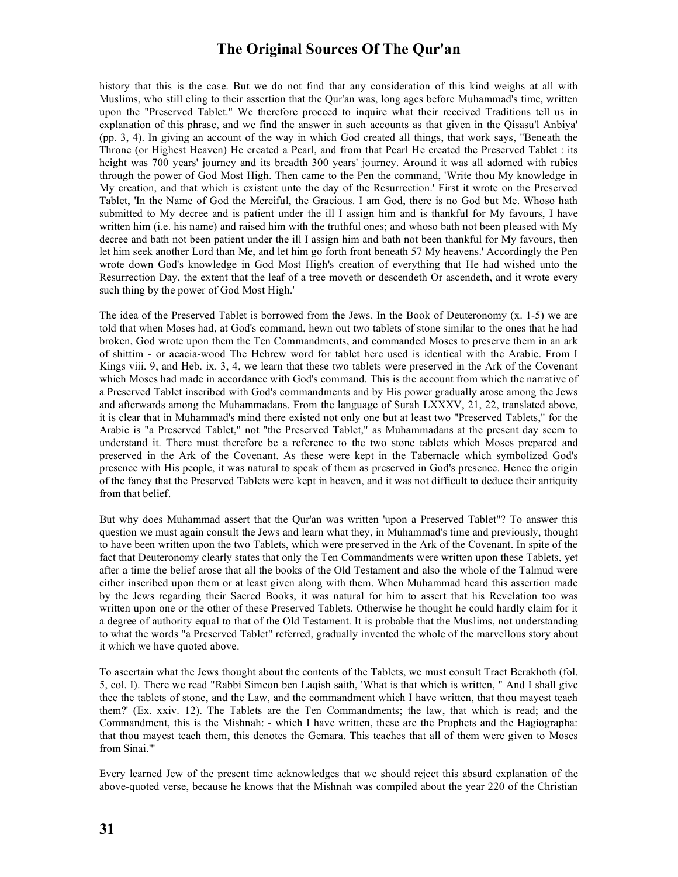history that this is the case. But we do not find that any consideration of this kind weighs at all with Muslims, who still cling to their assertion that the Qur'an was, long ages before Muhammad's time, written upon the "Preserved Tablet." We therefore proceed to inquire what their received Traditions tell us in explanation of this phrase, and we find the answer in such accounts as that given in the Qisasu'l Anbiya' (pp. 3, 4). In giving an account of the way in which God created all things, that work says, "Beneath the Throne (or Highest Heaven) He created a Pearl, and from that Pearl He created the Preserved Tablet : its height was 700 years' journey and its breadth 300 years' journey. Around it was all adorned with rubies through the power of God Most High. Then came to the Pen the command, 'Write thou My knowledge in My creation, and that which is existent unto the day of the Resurrection.' First it wrote on the Preserved Tablet, 'In the Name of God the Merciful, the Gracious. I am God, there is no God but Me. Whoso hath submitted to My decree and is patient under the ill I assign him and is thankful for My favours, I have written him (i.e. his name) and raised him with the truthful ones; and whoso bath not been pleased with My decree and bath not been patient under the ill I assign him and bath not been thankful for My favours, then let him seek another Lord than Me, and let him go forth front beneath 57 My heavens.' Accordingly the Pen wrote down God's knowledge in God Most High's creation of everything that He had wished unto the Resurrection Day, the extent that the leaf of a tree moveth or descendeth Or ascendeth, and it wrote every such thing by the power of God Most High.'

The idea of the Preserved Tablet is borrowed from the Jews. In the Book of Deuteronomy (x. 1-5) we are told that when Moses had, at God's command, hewn out two tablets of stone similar to the ones that he had broken, God wrote upon them the Ten Commandments, and commanded Moses to preserve them in an ark of shittim - or acacia-wood The Hebrew word for tablet here used is identical with the Arabic. From I Kings viii. 9, and Heb. ix. 3, 4, we learn that these two tablets were preserved in the Ark of the Covenant which Moses had made in accordance with God's command. This is the account from which the narrative of a Preserved Tablet inscribed with God's commandments and by His power gradually arose among the Jews and afterwards among the Muhammadans. From the language of Surah LXXXV, 21, 22, translated above, it is clear that in Muhammad's mind there existed not only one but at least two "Preserved Tablets," for the Arabic is "a Preserved Tablet," not "the Preserved Tablet," as Muhammadans at the present day seem to understand it. There must therefore be a reference to the two stone tablets which Moses prepared and preserved in the Ark of the Covenant. As these were kept in the Tabernacle which symbolized God's presence with His people, it was natural to speak of them as preserved in God's presence. Hence the origin of the fancy that the Preserved Tablets were kept in heaven, and it was not difficult to deduce their antiquity from that belief.

But why does Muhammad assert that the Qur'an was written 'upon a Preserved Tablet"? To answer this question we must again consult the Jews and learn what they, in Muhammad's time and previously, thought to have been written upon the two Tablets, which were preserved in the Ark of the Covenant. In spite of the fact that Deuteronomy clearly states that only the Ten Commandments were written upon these Tablets, yet after a time the belief arose that all the books of the Old Testament and also the whole of the Talmud were either inscribed upon them or at least given along with them. When Muhammad heard this assertion made by the Jews regarding their Sacred Books, it was natural for him to assert that his Revelation too was written upon one or the other of these Preserved Tablets. Otherwise he thought he could hardly claim for it a degree of authority equal to that of the Old Testament. It is probable that the Muslims, not understanding to what the words "a Preserved Tablet" referred, gradually invented the whole of the marvellous story about it which we have quoted above.

To ascertain what the Jews thought about the contents of the Tablets, we must consult Tract Berakhoth (fol. 5, col. I). There we read "Rabbi Simeon ben Laqish saith, 'What is that which is written, " And I shall give thee the tablets of stone, and the Law, and the commandment which I have written, that thou mayest teach them?' (Ex. xxiv. 12). The Tablets are the Ten Commandments; the law, that which is read; and the Commandment, this is the Mishnah: - which I have written, these are the Prophets and the Hagiographa: that thou mayest teach them, this denotes the Gemara. This teaches that all of them were given to Moses from Sinai.'"

Every learned Jew of the present time acknowledges that we should reject this absurd explanation of the above-quoted verse, because he knows that the Mishnah was compiled about the year 220 of the Christian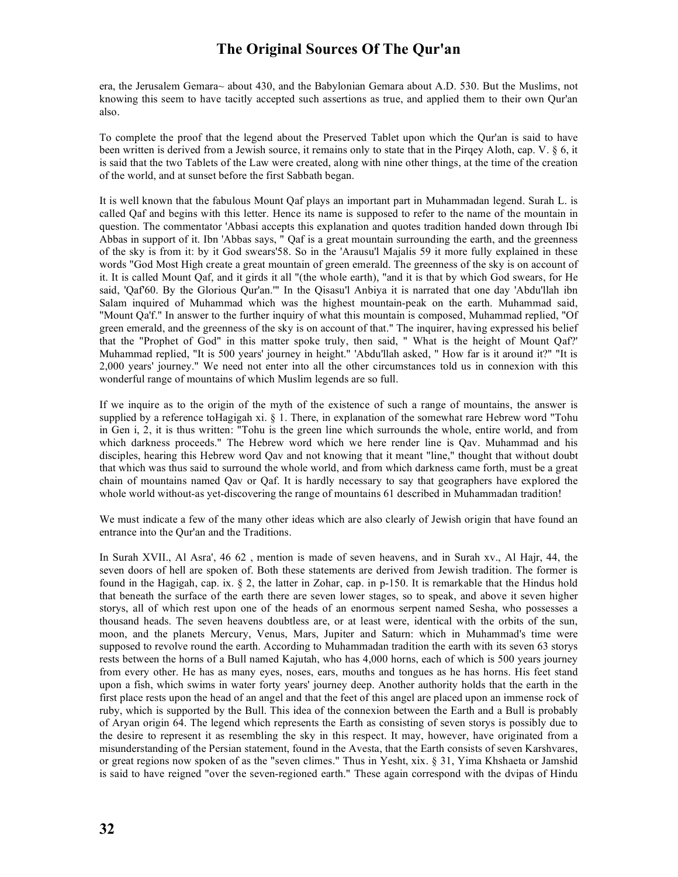era, the Jerusalem Gemara~ about 430, and the Babylonian Gemara about A.D. 530. But the Muslims, not knowing this seem to have tacitly accepted such assertions as true, and applied them to their own Qur'an also.

To complete the proof that the legend about the Preserved Tablet upon which the Qur'an is said to have been written is derived from a Jewish source, it remains only to state that in the Pirqey Aloth, cap. V. § 6, it is said that the two Tablets of the Law were created, along with nine other things, at the time of the creation of the world, and at sunset before the first Sabbath began.

It is well known that the fabulous Mount Qaf plays an important part in Muhammadan legend. Surah L. is called Qaf and begins with this letter. Hence its name is supposed to refer to the name of the mountain in question. The commentator 'Abbasi accepts this explanation and quotes tradition handed down through Ibi Abbas in support of it. Ibn 'Abbas says, " Qaf is a great mountain surrounding the earth, and the greenness of the sky is from it: by it God swears'58. So in the 'Arausu'l Majalis 59 it more fully explained in these words "God Most High create a great mountain of green emerald. The greenness of the sky is on account of it. It is called Mount Qaf, and it girds it all "(the whole earth), "and it is that by which God swears, for He said, 'Qaf'60. By the Glorious Qur'an.'" In the Qisasu'l Anbiya it is narrated that one day 'Abdu'llah ibn Salam inquired of Muhammad which was the highest mountain-peak on the earth. Muhammad said, "Mount Qa'f." In answer to the further inquiry of what this mountain is composed, Muhammad replied, "Of green emerald, and the greenness of the sky is on account of that." The inquirer, having expressed his belief that the "Prophet of God" in this matter spoke truly, then said, " What is the height of Mount Qaf?' Muhammad replied, "It is 500 years' journey in height." 'Abdu'llah asked, " How far is it around it?" "It is 2,000 years' journey." We need not enter into all the other circumstances told us in connexion with this wonderful range of mountains of which Muslim legends are so full.

If we inquire as to the origin of the myth of the existence of such a range of mountains, the answer is supplied by a reference toHagigah xi. § 1. There, in explanation of the somewhat rare Hebrew word "Tohu in Gen i, 2, it is thus written: "Tohu is the green line which surrounds the whole, entire world, and from which darkness proceeds." The Hebrew word which we here render line is Qav. Muhammad and his disciples, hearing this Hebrew word Qav and not knowing that it meant "line," thought that without doubt that which was thus said to surround the whole world, and from which darkness came forth, must be a great chain of mountains named Qav or Qaf. It is hardly necessary to say that geographers have explored the whole world without-as yet-discovering the range of mountains 61 described in Muhammadan tradition!

We must indicate a few of the many other ideas which are also clearly of Jewish origin that have found an entrance into the Qur'an and the Traditions.

In Surah XVII., Al Asra', 46 62 , mention is made of seven heavens, and in Surah xv., Al Hajr, 44, the seven doors of hell are spoken of. Both these statements are derived from Jewish tradition. The former is found in the Hagigah, cap. ix. § 2, the latter in Zohar, cap. in p-150. It is remarkable that the Hindus hold that beneath the surface of the earth there are seven lower stages, so to speak, and above it seven higher storys, all of which rest upon one of the heads of an enormous serpent named Sesha, who possesses a thousand heads. The seven heavens doubtless are, or at least were, identical with the orbits of the sun, moon, and the planets Mercury, Venus, Mars, Jupiter and Saturn: which in Muhammad's time were supposed to revolve round the earth. According to Muhammadan tradition the earth with its seven 63 storys rests between the horns of a Bull named Kajutah, who has 4,000 horns, each of which is 500 years journey from every other. He has as many eyes, noses, ears, mouths and tongues as he has horns. His feet stand upon a fish, which swims in water forty years' journey deep. Another authority holds that the earth in the first place rests upon the head of an angel and that the feet of this angel are placed upon an immense rock of ruby, which is supported by the Bull. This idea of the connexion between the Earth and a Bull is probably of Aryan origin 64. The legend which represents the Earth as consisting of seven storys is possibly due to the desire to represent it as resembling the sky in this respect. It may, however, have originated from a misunderstanding of the Persian statement, found in the Avesta, that the Earth consists of seven Karshvares, or great regions now spoken of as the "seven climes." Thus in Yesht, xix. § 31, Yima Khshaeta or Jamshid is said to have reigned "over the seven-regioned earth." These again correspond with the dvipas of Hindu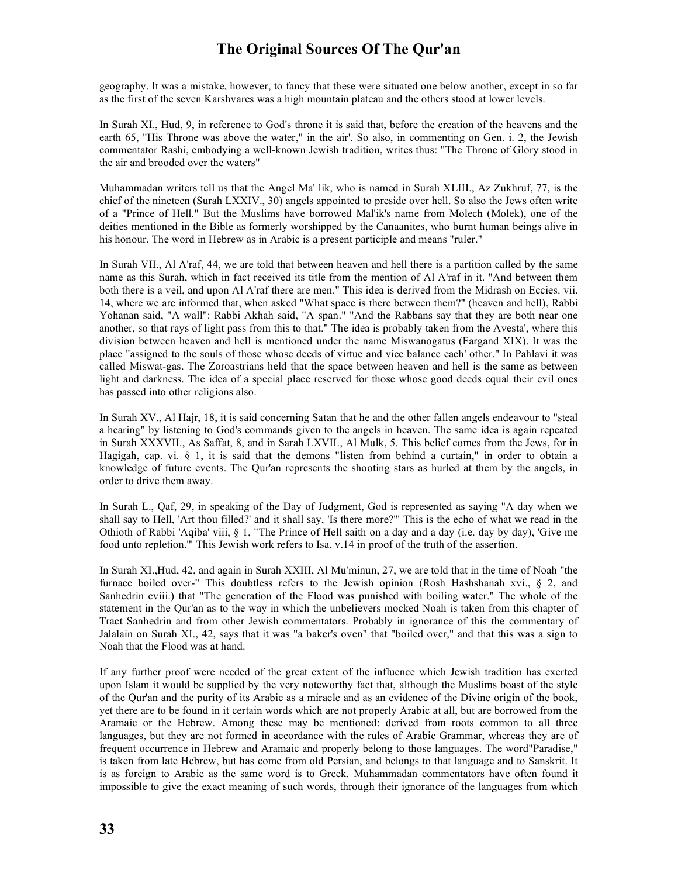geography. It was a mistake, however, to fancy that these were situated one below another, except in so far as the first of the seven Karshvares was a high mountain plateau and the others stood at lower levels.

In Surah XI., Hud, 9, in reference to God's throne it is said that, before the creation of the heavens and the earth 65, "His Throne was above the water," in the air'. So also, in commenting on Gen. i. 2, the Jewish commentator Rashi, embodying a well-known Jewish tradition, writes thus: "The Throne of Glory stood in the air and brooded over the waters"

Muhammadan writers tell us that the Angel Ma' lik, who is named in Surah XLIII., Az Zukhruf, 77, is the chief of the nineteen (Surah LXXIV., 30) angels appointed to preside over hell. So also the Jews often write of a "Prince of Hell." But the Muslims have borrowed Mal'ik's name from Molech (Molek), one of the deities mentioned in the Bible as formerly worshipped by the Canaanites, who burnt human beings alive in his honour. The word in Hebrew as in Arabic is a present participle and means "ruler."

In Surah VII., Al A'raf, 44, we are told that between heaven and hell there is a partition called by the same name as this Surah, which in fact received its title from the mention of Al A'raf in it. "And between them both there is a veil, and upon Al A'raf there are men." This idea is derived from the Midrash on Eccies. vii. 14, where we are informed that, when asked "What space is there between them?" (heaven and hell), Rabbi Yohanan said, "A wall": Rabbi Akhah said, "A span." "And the Rabbans say that they are both near one another, so that rays of light pass from this to that." The idea is probably taken from the Avesta', where this division between heaven and hell is mentioned under the name Miswanogatus (Fargand XIX). It was the place "assigned to the souls of those whose deeds of virtue and vice balance each' other." In Pahlavi it was called Miswat-gas. The Zoroastrians held that the space between heaven and hell is the same as between light and darkness. The idea of a special place reserved for those whose good deeds equal their evil ones has passed into other religions also.

In Surah XV., Al Hajr, 18, it is said concerning Satan that he and the other fallen angels endeavour to "steal a hearing" by listening to God's commands given to the angels in heaven. The same idea is again repeated in Surah XXXVII., As Saffat, 8, and in Sarah LXVII., Al Mulk, 5. This belief comes from the Jews, for in Hagigah, cap. vi. § 1, it is said that the demons "listen from behind a curtain," in order to obtain a knowledge of future events. The Qur'an represents the shooting stars as hurled at them by the angels, in order to drive them away.

In Surah L., Qaf, 29, in speaking of the Day of Judgment, God is represented as saying "A day when we shall say to Hell, 'Art thou filled?' and it shall say, 'Is there more?'" This is the echo of what we read in the Othioth of Rabbi 'Aqiba' viii, § 1, "The Prince of Hell saith on a day and a day (i.e. day by day), 'Give me food unto repletion.'" This Jewish work refers to Isa. v.14 in proof of the truth of the assertion.

In Surah XI.,Hud, 42, and again in Surah XXIII, Al Mu'minun, 27, we are told that in the time of Noah "the furnace boiled over-" This doubtless refers to the Jewish opinion (Rosh Hashshanah xvi., § 2, and Sanhedrin cviii.) that "The generation of the Flood was punished with boiling water." The whole of the statement in the Qur'an as to the way in which the unbelievers mocked Noah is taken from this chapter of Tract Sanhedrin and from other Jewish commentators. Probably in ignorance of this the commentary of Jalalain on Surah XI., 42, says that it was "a baker's oven" that "boiled over," and that this was a sign to Noah that the Flood was at hand.

If any further proof were needed of the great extent of the influence which Jewish tradition has exerted upon Islam it would be supplied by the very noteworthy fact that, although the Muslims boast of the style of the Qur'an and the purity of its Arabic as a miracle and as an evidence of the Divine origin of the book, yet there are to be found in it certain words which are not properly Arabic at all, but are borrowed from the Aramaic or the Hebrew. Among these may be mentioned: derived from roots common to all three languages, but they are not formed in accordance with the rules of Arabic Grammar, whereas they are of frequent occurrence in Hebrew and Aramaic and properly belong to those languages. The word"Paradise," is taken from late Hebrew, but has come from old Persian, and belongs to that language and to Sanskrit. It is as foreign to Arabic as the same word is to Greek. Muhammadan commentators have often found it impossible to give the exact meaning of such words, through their ignorance of the languages from which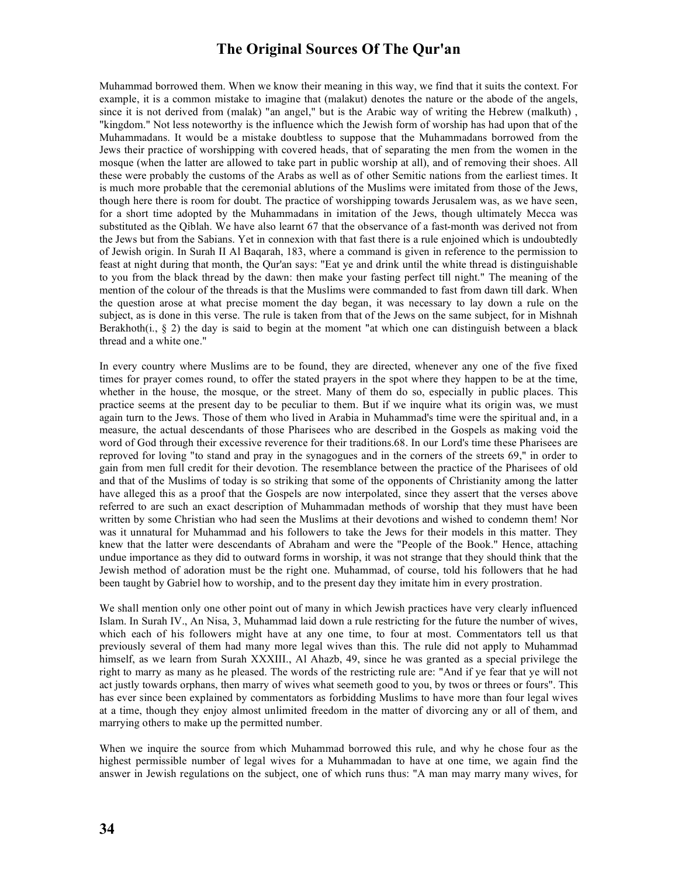Muhammad borrowed them. When we know their meaning in this way, we find that it suits the context. For example, it is a common mistake to imagine that (malakut) denotes the nature or the abode of the angels, since it is not derived from (malak) "an angel," but is the Arabic way of writing the Hebrew (malkuth) , "kingdom." Not less noteworthy is the influence which the Jewish form of worship has had upon that of the Muhammadans. It would be a mistake doubtless to suppose that the Muhammadans borrowed from the Jews their practice of worshipping with covered heads, that of separating the men from the women in the mosque (when the latter are allowed to take part in public worship at all), and of removing their shoes. All these were probably the customs of the Arabs as well as of other Semitic nations from the earliest times. It is much more probable that the ceremonial ablutions of the Muslims were imitated from those of the Jews, though here there is room for doubt. The practice of worshipping towards Jerusalem was, as we have seen, for a short time adopted by the Muhammadans in imitation of the Jews, though ultimately Mecca was substituted as the Qiblah. We have also learnt 67 that the observance of a fast-month was derived not from the Jews but from the Sabians. Yet in connexion with that fast there is a rule enjoined which is undoubtedly of Jewish origin. In Surah II Al Baqarah, 183, where a command is given in reference to the permission to feast at night during that month, the Qur'an says: "Eat ye and drink until the white thread is distinguishable to you from the black thread by the dawn: then make your fasting perfect till night." The meaning of the mention of the colour of the threads is that the Muslims were commanded to fast from dawn till dark. When the question arose at what precise moment the day began, it was necessary to lay down a rule on the subject, as is done in this verse. The rule is taken from that of the Jews on the same subject, for in Mishnah Berakhoth(i.,  $\S$  2) the day is said to begin at the moment "at which one can distinguish between a black thread and a white one."

In every country where Muslims are to be found, they are directed, whenever any one of the five fixed times for prayer comes round, to offer the stated prayers in the spot where they happen to be at the time, whether in the house, the mosque, or the street. Many of them do so, especially in public places. This practice seems at the present day to be peculiar to them. But if we inquire what its origin was, we must again turn to the Jews. Those of them who lived in Arabia in Muhammad's time were the spiritual and, in a measure, the actual descendants of those Pharisees who are described in the Gospels as making void the word of God through their excessive reverence for their traditions.68. In our Lord's time these Pharisees are reproved for loving "to stand and pray in the synagogues and in the corners of the streets 69," in order to gain from men full credit for their devotion. The resemblance between the practice of the Pharisees of old and that of the Muslims of today is so striking that some of the opponents of Christianity among the latter have alleged this as a proof that the Gospels are now interpolated, since they assert that the verses above referred to are such an exact description of Muhammadan methods of worship that they must have been written by some Christian who had seen the Muslims at their devotions and wished to condemn them! Nor was it unnatural for Muhammad and his followers to take the Jews for their models in this matter. They knew that the latter were descendants of Abraham and were the "People of the Book." Hence, attaching undue importance as they did to outward forms in worship, it was not strange that they should think that the Jewish method of adoration must be the right one. Muhammad, of course, told his followers that he had been taught by Gabriel how to worship, and to the present day they imitate him in every prostration.

We shall mention only one other point out of many in which Jewish practices have very clearly influenced Islam. In Surah IV., An Nisa, 3, Muhammad laid down a rule restricting for the future the number of wives, which each of his followers might have at any one time, to four at most. Commentators tell us that previously several of them had many more legal wives than this. The rule did not apply to Muhammad himself, as we learn from Surah XXXIII., Al Ahazb, 49, since he was granted as a special privilege the right to marry as many as he pleased. The words of the restricting rule are: "And if ye fear that ye will not act justly towards orphans, then marry of wives what seemeth good to you, by twos or threes or fours". This has ever since been explained by commentators as forbidding Muslims to have more than four legal wives at a time, though they enjoy almost unlimited freedom in the matter of divorcing any or all of them, and marrying others to make up the permitted number.

When we inquire the source from which Muhammad borrowed this rule, and why he chose four as the highest permissible number of legal wives for a Muhammadan to have at one time, we again find the answer in Jewish regulations on the subject, one of which runs thus: "A man may marry many wives, for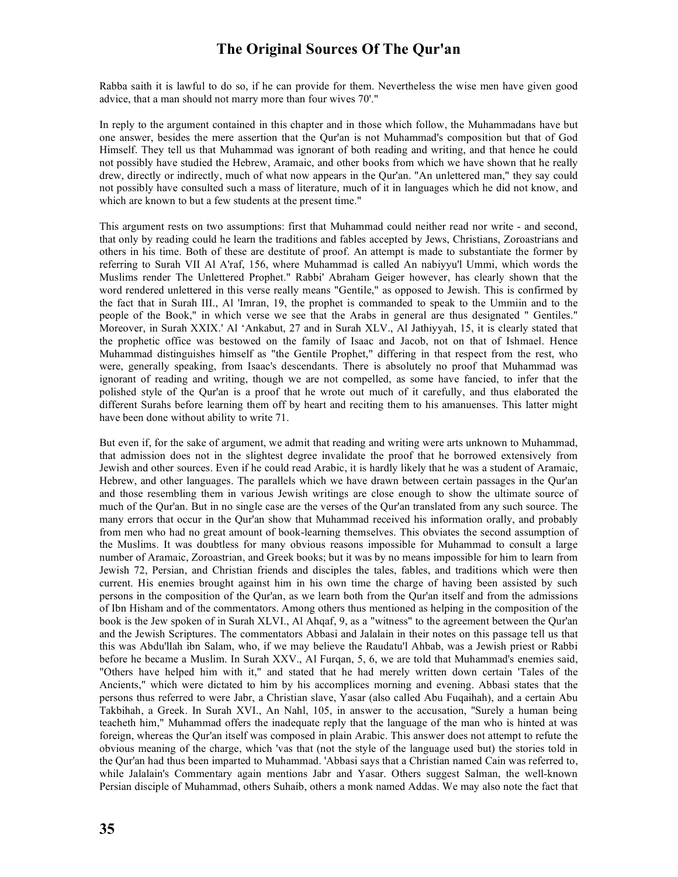Rabba saith it is lawful to do so, if he can provide for them. Nevertheless the wise men have given good advice, that a man should not marry more than four wives 70'."

In reply to the argument contained in this chapter and in those which follow, the Muhammadans have but one answer, besides the mere assertion that the Qur'an is not Muhammad's composition but that of God Himself. They tell us that Muhammad was ignorant of both reading and writing, and that hence he could not possibly have studied the Hebrew, Aramaic, and other books from which we have shown that he really drew, directly or indirectly, much of what now appears in the Qur'an. "An unlettered man," they say could not possibly have consulted such a mass of literature, much of it in languages which he did not know, and which are known to but a few students at the present time."

This argument rests on two assumptions: first that Muhammad could neither read nor write - and second, that only by reading could he learn the traditions and fables accepted by Jews, Christians, Zoroastrians and others in his time. Both of these are destitute of proof. An attempt is made to substantiate the former by referring to Surah VII Al A'raf, 156, where Muhammad is called An nabiyyu'l Ummi, which words the Muslims render The Unlettered Prophet." Rabbi' Abraham Geiger however, has clearly shown that the word rendered unlettered in this verse really means "Gentile," as opposed to Jewish. This is confirmed by the fact that in Surah III., Al 'Imran, 19, the prophet is commanded to speak to the Ummiin and to the people of the Book," in which verse we see that the Arabs in general are thus designated " Gentiles." Moreover, in Surah XXIX.' Al 'Ankabut, 27 and in Surah XLV., Al Jathiyyah, 15, it is clearly stated that the prophetic office was bestowed on the family of Isaac and Jacob, not on that of Ishmael. Hence Muhammad distinguishes himself as "the Gentile Prophet," differing in that respect from the rest, who were, generally speaking, from Isaac's descendants. There is absolutely no proof that Muhammad was ignorant of reading and writing, though we are not compelled, as some have fancied, to infer that the polished style of the Qur'an is a proof that he wrote out much of it carefully, and thus elaborated the different Surahs before learning them off by heart and reciting them to his amanuenses. This latter might have been done without ability to write 71.

But even if, for the sake of argument, we admit that reading and writing were arts unknown to Muhammad, that admission does not in the slightest degree invalidate the proof that he borrowed extensively from Jewish and other sources. Even if he could read Arabic, it is hardly likely that he was a student of Aramaic, Hebrew, and other languages. The parallels which we have drawn between certain passages in the Qur'an and those resembling them in various Jewish writings are close enough to show the ultimate source of much of the Qur'an. But in no single case are the verses of the Qur'an translated from any such source. The many errors that occur in the Qur'an show that Muhammad received his information orally, and probably from men who had no great amount of book-learning themselves. This obviates the second assumption of the Muslims. It was doubtless for many obvious reasons impossible for Muhammad to consult a large number of Aramaic, Zoroastrian, and Greek books; but it was by no means impossible for him to learn from Jewish 72, Persian, and Christian friends and disciples the tales, fables, and traditions which were then current. His enemies brought against him in his own time the charge of having been assisted by such persons in the composition of the Qur'an, as we learn both from the Qur'an itself and from the admissions of Ibn Hisham and of the commentators. Among others thus mentioned as helping in the composition of the book is the Jew spoken of in Surah XLVI., Al Ahqaf, 9, as a "witness" to the agreement between the Qur'an and the Jewish Scriptures. The commentators Abbasi and Jalalain in their notes on this passage tell us that this was Abdu'llah ibn Salam, who, if we may believe the Raudatu'l Ahbab, was a Jewish priest or Rabbi before he became a Muslim. In Surah XXV., Al Furqan, 5, 6, we are told that Muhammad's enemies said, "Others have helped him with it," and stated that he had merely written down certain 'Tales of the Ancients," which were dictated to him by his accomplices morning and evening. Abbasi states that the persons thus referred to were Jabr, a Christian slave, Yasar (also called Abu Fuqaihah), and a certain Abu Takbihah, a Greek. In Surah XVI., An Nahl, 105, in answer to the accusation, "Surely a human being teacheth him," Muhammad offers the inadequate reply that the language of the man who is hinted at was foreign, whereas the Qur'an itself was composed in plain Arabic. This answer does not attempt to refute the obvious meaning of the charge, which 'vas that (not the style of the language used but) the stories told in the Qur'an had thus been imparted to Muhammad. 'Abbasi says that a Christian named Cain was referred to, while Jalalain's Commentary again mentions Jabr and Yasar. Others suggest Salman, the well-known Persian disciple of Muhammad, others Suhaib, others a monk named Addas. We may also note the fact that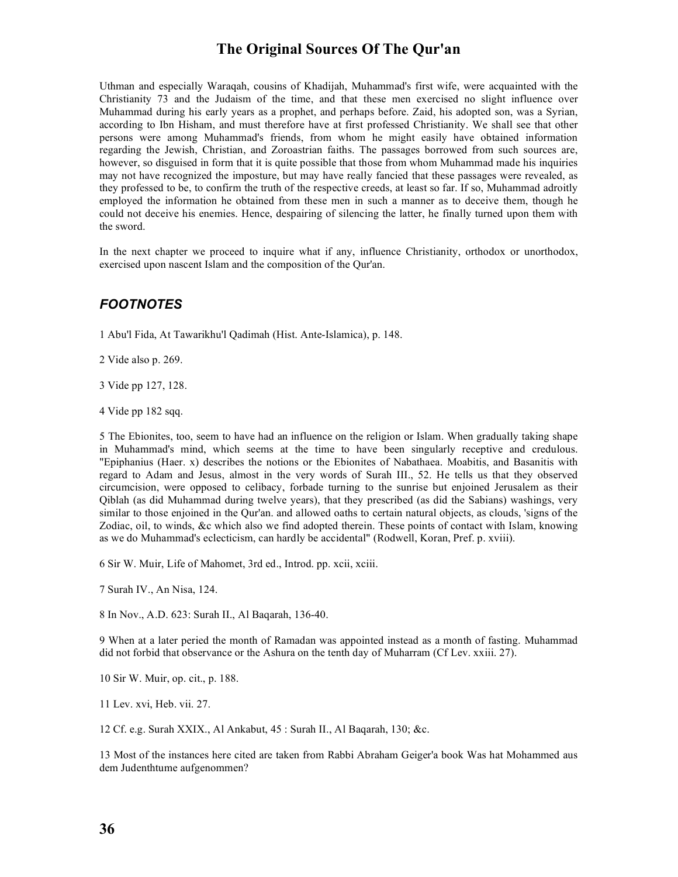Uthman and especially Waraqah, cousins of Khadijah, Muhammad's first wife, were acquainted with the Christianity 73 and the Judaism of the time, and that these men exercised no slight influence over Muhammad during his early years as a prophet, and perhaps before. Zaid, his adopted son, was a Syrian, according to Ibn Hisham, and must therefore have at first professed Christianity. We shall see that other persons were among Muhammad's friends, from whom he might easily have obtained information regarding the Jewish, Christian, and Zoroastrian faiths. The passages borrowed from such sources are, however, so disguised in form that it is quite possible that those from whom Muhammad made his inquiries may not have recognized the imposture, but may have really fancied that these passages were revealed, as they professed to be, to confirm the truth of the respective creeds, at least so far. If so, Muhammad adroitly employed the information he obtained from these men in such a manner as to deceive them, though he could not deceive his enemies. Hence, despairing of silencing the latter, he finally turned upon them with the sword.

In the next chapter we proceed to inquire what if any, influence Christianity, orthodox or unorthodox, exercised upon nascent Islam and the composition of the Qur'an.

#### *FOOTNOTES*

1 Abu'l Fida, At Tawarikhu'l Qadimah (Hist. Ante-Islamica), p. 148.

2 Vide also p. 269.

3 Vide pp 127, 128.

4 Vide pp 182 sqq.

5 The Ebionites, too, seem to have had an influence on the religion or Islam. When gradually taking shape in Muhammad's mind, which seems at the time to have been singularly receptive and credulous. "Epiphanius (Haer. x) describes the notions or the Ebionites of Nabathaea. Moabitis, and Basanitis with regard to Adam and Jesus, almost in the very words of Surah III., 52. He tells us that they observed circumcision, were opposed to celibacy, forbade turning to the sunrise but enjoined Jerusalem as their Qiblah (as did Muhammad during twelve years), that they prescribed (as did the Sabians) washings, very similar to those enjoined in the Qur'an. and allowed oaths to certain natural objects, as clouds, 'signs of the Zodiac, oil, to winds, &c which also we find adopted therein. These points of contact with Islam, knowing as we do Muhammad's eclecticism, can hardly be accidental" (Rodwell, Koran, Pref. p. xviii).

6 Sir W. Muir, Life of Mahomet, 3rd ed., Introd. pp. xcii, xciii.

7 Surah IV., An Nisa, 124.

8 In Nov., A.D. 623: Surah II., Al Baqarah, 136-40.

9 When at a later peried the month of Ramadan was appointed instead as a month of fasting. Muhammad did not forbid that observance or the Ashura on the tenth day of Muharram (Cf Lev. xxiii. 27).

10 Sir W. Muir, op. cit., p. 188.

11 Lev. xvi, Heb. vii. 27.

12 Cf. e.g. Surah XXIX., Al Ankabut, 45 : Surah II., Al Baqarah, 130; &c.

13 Most of the instances here cited are taken from Rabbi Abraham Geiger'a book Was hat Mohammed aus dem Judenthtume aufgenommen?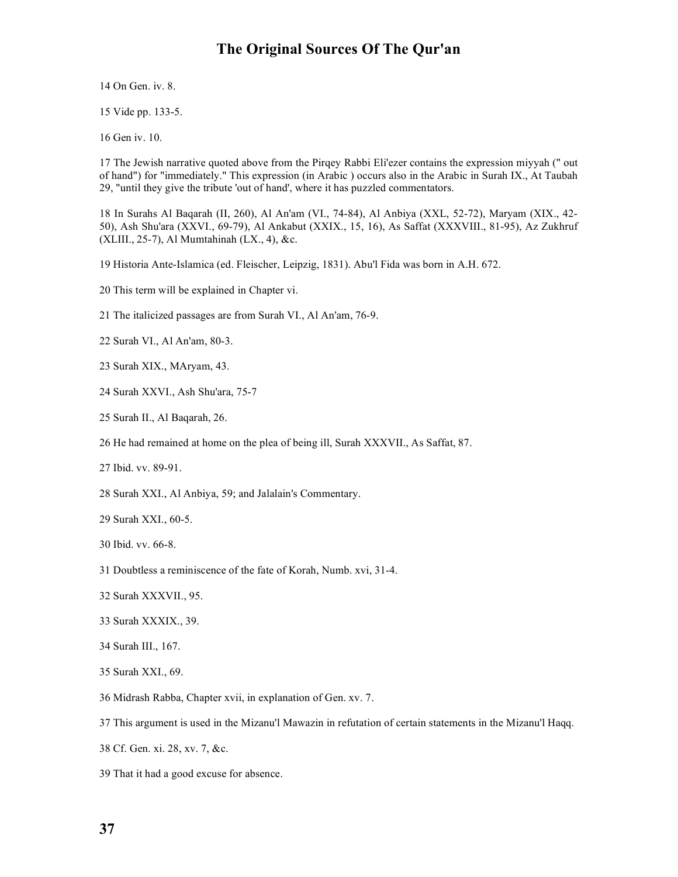14 On Gen. iv. 8.

15 Vide pp. 133-5.

16 Gen iv. 10.

17 The Jewish narrative quoted above from the Pirqey Rabbi Eli'ezer contains the expression miyyah (" out of hand") for "immediately." This expression (in Arabic ) occurs also in the Arabic in Surah IX., At Taubah 29, "until they give the tribute 'out of hand', where it has puzzled commentators.

18 In Surahs Al Baqarah (II, 260), Al An'am (VI., 74-84), Al Anbiya (XXL, 52-72), Maryam (XIX., 42- 50), Ash Shu'ara (XXVI., 69-79), Al Ankabut (XXIX., 15, 16), As Saffat (XXXVIII., 81-95), Az Zukhruf (XLIII., 25-7), Al Mumtahinah (LX., 4), &c.

19 Historia Ante-Islamica (ed. Fleischer, Leipzig, 1831). Abu'l Fida was born in A.H. 672.

20 This term will be explained in Chapter vi.

21 The italicized passages are from Surah VI., Al An'am, 76-9.

22 Surah VI., Al An'am, 80-3.

23 Surah XIX., MAryam, 43.

24 Surah XXVI., Ash Shu'ara, 75-7

25 Surah II., Al Baqarah, 26.

26 He had remained at home on the plea of being ill, Surah XXXVII., As Saffat, 87.

27 Ibid. vv. 89-91.

28 Surah XXI., Al Anbiya, 59; and Jalalain's Commentary.

29 Surah XXI., 60-5.

30 Ibid. vv. 66-8.

31 Doubtless a reminiscence of the fate of Korah, Numb. xvi, 31-4.

32 Surah XXXVII., 95.

33 Surah XXXIX., 39.

34 Surah III., 167.

35 Surah XXI., 69.

36 Midrash Rabba, Chapter xvii, in explanation of Gen. xv. 7.

37 This argument is used in the Mizanu'l Mawazin in refutation of certain statements in the Mizanu'l Haqq.

38 Cf. Gen. xi. 28, xv. 7, &c.

39 That it had a good excuse for absence.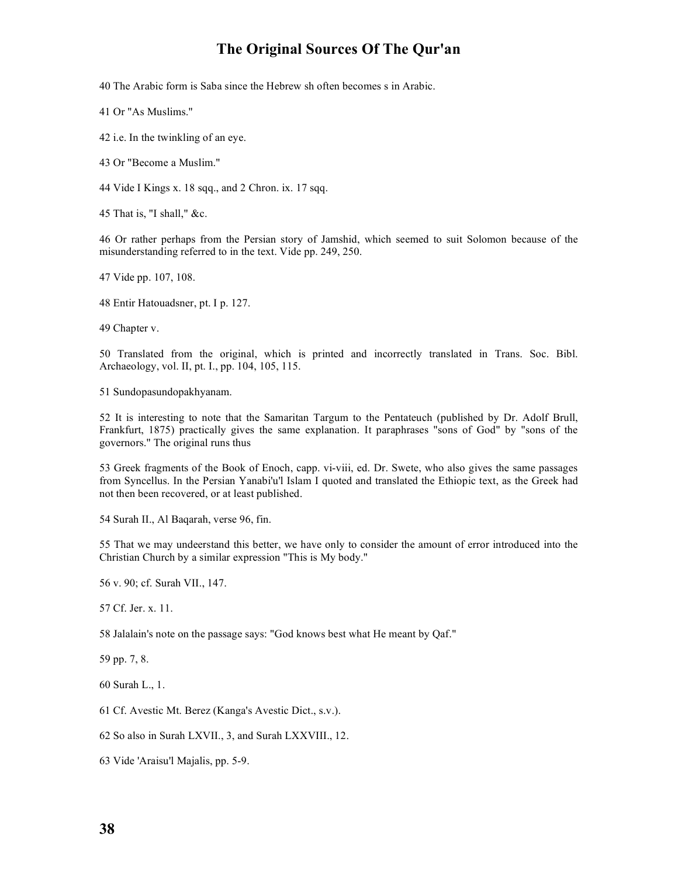40 The Arabic form is Saba since the Hebrew sh often becomes s in Arabic.

41 Or "As Muslims."

42 i.e. In the twinkling of an eye.

43 Or "Become a Muslim."

44 Vide I Kings x. 18 sqq., and 2 Chron. ix. 17 sqq.

45 That is, "I shall," &c.

46 Or rather perhaps from the Persian story of Jamshid, which seemed to suit Solomon because of the misunderstanding referred to in the text. Vide pp. 249, 250.

47 Vide pp. 107, 108.

48 Entir Hatouadsner, pt. I p. 127.

49 Chapter v.

50 Translated from the original, which is printed and incorrectly translated in Trans. Soc. Bibl. Archaeology, vol. II, pt. I., pp. 104, 105, 115.

51 Sundopasundopakhyanam.

52 It is interesting to note that the Samaritan Targum to the Pentateuch (published by Dr. Adolf Brull, Frankfurt, 1875) practically gives the same explanation. It paraphrases "sons of God" by "sons of the governors." The original runs thus

53 Greek fragments of the Book of Enoch, capp. vi-viii, ed. Dr. Swete, who also gives the same passages from Syncellus. In the Persian Yanabi'u'l Islam I quoted and translated the Ethiopic text, as the Greek had not then been recovered, or at least published.

54 Surah II., Al Baqarah, verse 96, fin.

55 That we may undeerstand this better, we have only to consider the amount of error introduced into the Christian Church by a similar expression "This is My body."

56 v. 90; cf. Surah VII., 147.

57 Cf. Jer. x. 11.

58 Jalalain's note on the passage says: "God knows best what He meant by Qaf."

59 pp. 7, 8.

60 Surah L., 1.

61 Cf. Avestic Mt. Berez (Kanga's Avestic Dict., s.v.).

62 So also in Surah LXVII., 3, and Surah LXXVIII., 12.

63 Vide 'Araisu'l Majalis, pp. 5-9.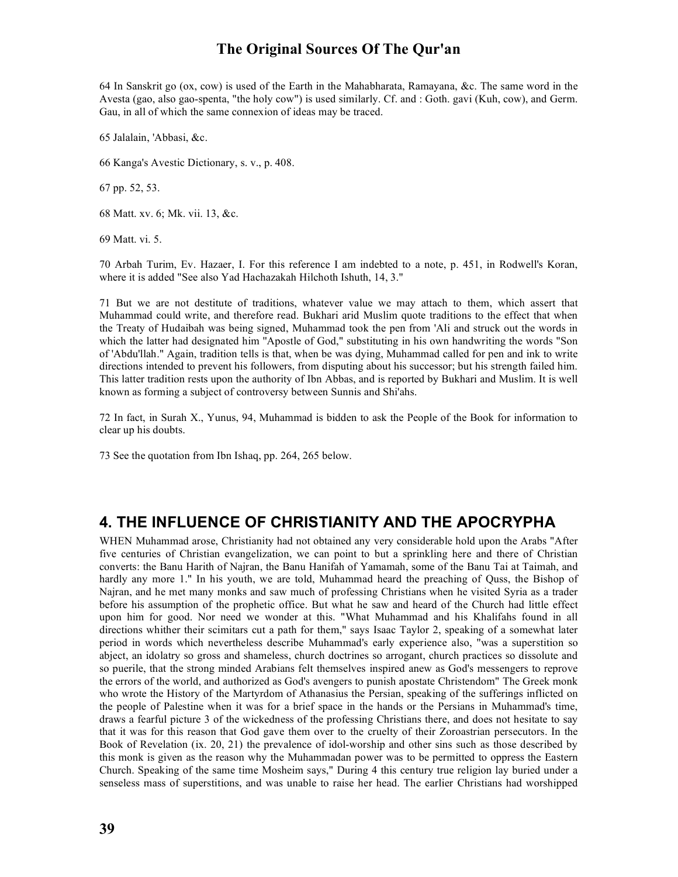64 In Sanskrit go (ox, cow) is used of the Earth in the Mahabharata, Ramayana, &c. The same word in the Avesta (gao, also gao-spenta, "the holy cow") is used similarly. Cf. and : Goth. gavi (Kuh, cow), and Germ. Gau, in all of which the same connexion of ideas may be traced.

65 Jalalain, 'Abbasi, &c.

66 Kanga's Avestic Dictionary, s. v., p. 408.

67 pp. 52, 53.

68 Matt. xv. 6; Mk. vii. 13, &c.

69 Matt. vi. 5.

70 Arbah Turim, Ev. Hazaer, I. For this reference I am indebted to a note, p. 451, in Rodwell's Koran, where it is added "See also Yad Hachazakah Hilchoth Ishuth, 14, 3."

71 But we are not destitute of traditions, whatever value we may attach to them, which assert that Muhammad could write, and therefore read. Bukhari arid Muslim quote traditions to the effect that when the Treaty of Hudaibah was being signed, Muhammad took the pen from 'Ali and struck out the words in which the latter had designated him "Apostle of God," substituting in his own handwriting the words "Son of 'Abdu'llah." Again, tradition tells is that, when be was dying, Muhammad called for pen and ink to write directions intended to prevent his followers, from disputing about his successor; but his strength failed him. This latter tradition rests upon the authority of Ibn Abbas, and is reported by Bukhari and Muslim. It is well known as forming a subject of controversy between Sunnis and Shi'ahs.

72 In fact, in Surah X., Yunus, 94, Muhammad is bidden to ask the People of the Book for information to clear up his doubts.

73 See the quotation from Ibn Ishaq, pp. 264, 265 below.

## **4. THE INFLUENCE OF CHRISTIANITY AND THE APOCRYPHA**

WHEN Muhammad arose, Christianity had not obtained any very considerable hold upon the Arabs "After five centuries of Christian evangelization, we can point to but a sprinkling here and there of Christian converts: the Banu Harith of Najran, the Banu Hanifah of Yamamah, some of the Banu Tai at Taimah, and hardly any more 1." In his youth, we are told, Muhammad heard the preaching of Quss, the Bishop of Najran, and he met many monks and saw much of professing Christians when he visited Syria as a trader before his assumption of the prophetic office. But what he saw and heard of the Church had little effect upon him for good. Nor need we wonder at this. "What Muhammad and his Khalifahs found in all directions whither their scimitars cut a path for them," says Isaac Taylor 2, speaking of a somewhat later period in words which nevertheless describe Muhammad's early experience also, "was a superstition so abject, an idolatry so gross and shameless, church doctrines so arrogant, church practices so dissolute and so puerile, that the strong minded Arabians felt themselves inspired anew as God's messengers to reprove the errors of the world, and authorized as God's avengers to punish apostate Christendom" The Greek monk who wrote the History of the Martyrdom of Athanasius the Persian, speaking of the sufferings inflicted on the people of Palestine when it was for a brief space in the hands or the Persians in Muhammad's time, draws a fearful picture 3 of the wickedness of the professing Christians there, and does not hesitate to say that it was for this reason that God gave them over to the cruelty of their Zoroastrian persecutors. In the Book of Revelation (ix. 20, 21) the prevalence of idol-worship and other sins such as those described by this monk is given as the reason why the Muhammadan power was to be permitted to oppress the Eastern Church. Speaking of the same time Mosheim says," During 4 this century true religion lay buried under a senseless mass of superstitions, and was unable to raise her head. The earlier Christians had worshipped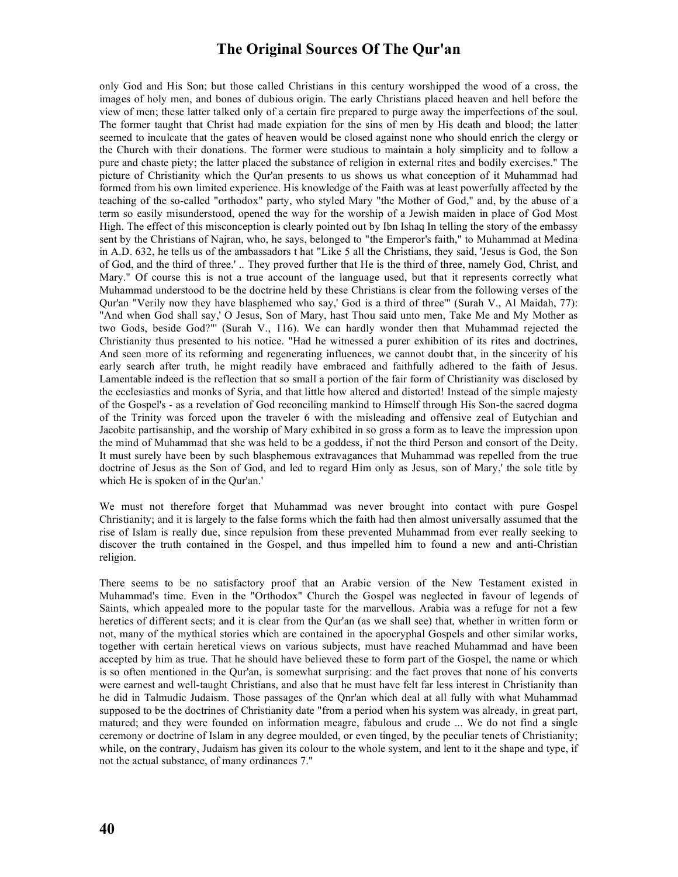only God and His Son; but those called Christians in this century worshipped the wood of a cross, the images of holy men, and bones of dubious origin. The early Christians placed heaven and hell before the view of men; these latter talked only of a certain fire prepared to purge away the imperfections of the soul. The former taught that Christ had made expiation for the sins of men by His death and blood; the latter seemed to inculcate that the gates of heaven would be closed against none who should enrich the clergy or the Church with their donations. The former were studious to maintain a holy simplicity and to follow a pure and chaste piety; the latter placed the substance of religion in external rites and bodily exercises." The picture of Christianity which the Qur'an presents to us shows us what conception of it Muhammad had formed from his own limited experience. His knowledge of the Faith was at least powerfully affected by the teaching of the so-called "orthodox" party, who styled Mary "the Mother of God," and, by the abuse of a term so easily misunderstood, opened the way for the worship of a Jewish maiden in place of God Most High. The effect of this misconception is clearly pointed out by Ibn Ishaq In telling the story of the embassy sent by the Christians of Najran, who, he says, belonged to "the Emperor's faith," to Muhammad at Medina in A.D. 632, he tells us of the ambassadors t hat "Like 5 all the Christians, they said, 'Jesus is God, the Son of God, and the third of three.' .. They proved further that He is the third of three, namely God, Christ, and Mary." Of course this is not a true account of the language used, but that it represents correctly what Muhammad understood to be the doctrine held by these Christians is clear from the following verses of the Qur'an "Verily now they have blasphemed who say,' God is a third of three'" (Surah V., Al Maidah, 77): "And when God shall say,' O Jesus, Son of Mary, hast Thou said unto men, Take Me and My Mother as two Gods, beside God?"' (Surah V., 116). We can hardly wonder then that Muhammad rejected the Christianity thus presented to his notice. "Had he witnessed a purer exhibition of its rites and doctrines, And seen more of its reforming and regenerating influences, we cannot doubt that, in the sincerity of his early search after truth, he might readily have embraced and faithfully adhered to the faith of Jesus. Lamentable indeed is the reflection that so small a portion of the fair form of Christianity was disclosed by the ecclesiastics and monks of Syria, and that little how altered and distorted! Instead of the simple majesty of the Gospel's - as a revelation of God reconciling mankind to Himself through His Son-the sacred dogma of the Trinity was forced upon the traveler 6 with the misleading and offensive zeal of Eutychian and Jacobite partisanship, and the worship of Mary exhibited in so gross a form as to leave the impression upon the mind of Muhammad that she was held to be a goddess, if not the third Person and consort of the Deity. It must surely have been by such blasphemous extravagances that Muhammad was repelled from the true doctrine of Jesus as the Son of God, and led to regard Him only as Jesus, son of Mary,' the sole title by which He is spoken of in the Qur'an.'

We must not therefore forget that Muhammad was never brought into contact with pure Gospel Christianity; and it is largely to the false forms which the faith had then almost universally assumed that the rise of Islam is really due, since repulsion from these prevented Muhammad from ever really seeking to discover the truth contained in the Gospel, and thus impelled him to found a new and anti-Christian religion.

There seems to be no satisfactory proof that an Arabic version of the New Testament existed in Muhammad's time. Even in the "Orthodox" Church the Gospel was neglected in favour of legends of Saints, which appealed more to the popular taste for the marvellous. Arabia was a refuge for not a few heretics of different sects; and it is clear from the Qur'an (as we shall see) that, whether in written form or not, many of the mythical stories which are contained in the apocryphal Gospels and other similar works, together with certain heretical views on various subjects, must have reached Muhammad and have been accepted by him as true. That he should have believed these to form part of the Gospel, the name or which is so often mentioned in the Qur'an, is somewhat surprising: and the fact proves that none of his converts were earnest and well-taught Christians, and also that he must have felt far less interest in Christianity than he did in Talmudic Judaism. Those passages of the Qnr'an which deal at all fully with what Muhammad supposed to be the doctrines of Christianity date "from a period when his system was already, in great part, matured; and they were founded on information meagre, fabulous and crude ... We do not find a single ceremony or doctrine of Islam in any degree moulded, or even tinged, by the peculiar tenets of Christianity; while, on the contrary, Judaism has given its colour to the whole system, and lent to it the shape and type, if not the actual substance, of many ordinances 7."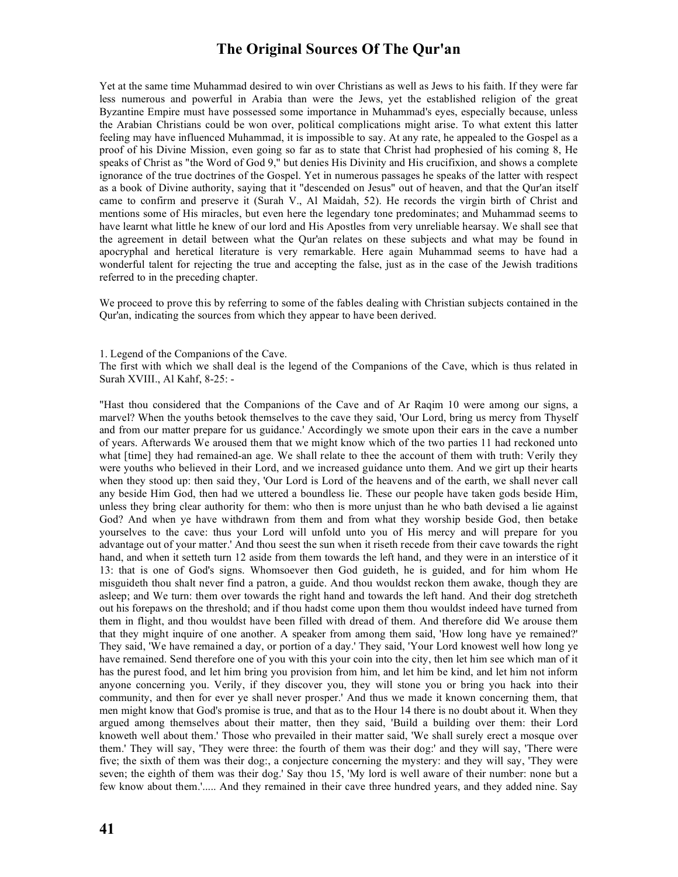Yet at the same time Muhammad desired to win over Christians as well as Jews to his faith. If they were far less numerous and powerful in Arabia than were the Jews, yet the established religion of the great Byzantine Empire must have possessed some importance in Muhammad's eyes, especially because, unless the Arabian Christians could be won over, political complications might arise. To what extent this latter feeling may have influenced Muhammad, it is impossible to say. At any rate, he appealed to the Gospel as a proof of his Divine Mission, even going so far as to state that Christ had prophesied of his coming 8, He speaks of Christ as "the Word of God 9," but denies His Divinity and His crucifixion, and shows a complete ignorance of the true doctrines of the Gospel. Yet in numerous passages he speaks of the latter with respect as a book of Divine authority, saying that it "descended on Jesus" out of heaven, and that the Qur'an itself came to confirm and preserve it (Surah V., Al Maidah, 52). He records the virgin birth of Christ and mentions some of His miracles, but even here the legendary tone predominates; and Muhammad seems to have learnt what little he knew of our lord and His Apostles from very unreliable hearsay. We shall see that the agreement in detail between what the Qur'an relates on these subjects and what may be found in apocryphal and heretical literature is very remarkable. Here again Muhammad seems to have had a wonderful talent for rejecting the true and accepting the false, just as in the case of the Jewish traditions referred to in the preceding chapter.

We proceed to prove this by referring to some of the fables dealing with Christian subjects contained in the Qur'an, indicating the sources from which they appear to have been derived.

1. Legend of the Companions of the Cave.

The first with which we shall deal is the legend of the Companions of the Cave, which is thus related in Surah XVIII., Al Kahf, 8-25: -

"Hast thou considered that the Companions of the Cave and of Ar Raqim 10 were among our signs, a marvel? When the youths betook themselves to the cave they said, 'Our Lord, bring us mercy from Thyself and from our matter prepare for us guidance.' Accordingly we smote upon their ears in the cave a number of years. Afterwards We aroused them that we might know which of the two parties 11 had reckoned unto what [time] they had remained-an age. We shall relate to thee the account of them with truth: Verily they were youths who believed in their Lord, and we increased guidance unto them. And we girt up their hearts when they stood up: then said they, 'Our Lord is Lord of the heavens and of the earth, we shall never call any beside Him God, then had we uttered a boundless lie. These our people have taken gods beside Him, unless they bring clear authority for them: who then is more unjust than he who bath devised a lie against God? And when ye have withdrawn from them and from what they worship beside God, then betake yourselves to the cave: thus your Lord will unfold unto you of His mercy and will prepare for you advantage out of your matter.' And thou seest the sun when it riseth recede from their cave towards the right hand, and when it setteth turn 12 aside from them towards the left hand, and they were in an interstice of it 13: that is one of God's signs. Whomsoever then God guideth, he is guided, and for him whom He misguideth thou shalt never find a patron, a guide. And thou wouldst reckon them awake, though they are asleep; and We turn: them over towards the right hand and towards the left hand. And their dog stretcheth out his forepaws on the threshold; and if thou hadst come upon them thou wouldst indeed have turned from them in flight, and thou wouldst have been filled with dread of them. And therefore did We arouse them that they might inquire of one another. A speaker from among them said, 'How long have ye remained?' They said, 'We have remained a day, or portion of a day.' They said, 'Your Lord knowest well how long ye have remained. Send therefore one of you with this your coin into the city, then let him see which man of it has the purest food, and let him bring you provision from him, and let him be kind, and let him not inform anyone concerning you. Verily, if they discover you, they will stone you or bring you hack into their community, and then for ever ye shall never prosper.' And thus we made it known concerning them, that men might know that God's promise is true, and that as to the Hour 14 there is no doubt about it. When they argued among themselves about their matter, then they said, 'Build a building over them: their Lord knoweth well about them.' Those who prevailed in their matter said, 'We shall surely erect a mosque over them.' They will say, 'They were three: the fourth of them was their dog:' and they will say, 'There were five; the sixth of them was their dog:, a conjecture concerning the mystery: and they will say, 'They were seven; the eighth of them was their dog.' Say thou 15, 'My lord is well aware of their number: none but a few know about them.'..... And they remained in their cave three hundred years, and they added nine. Say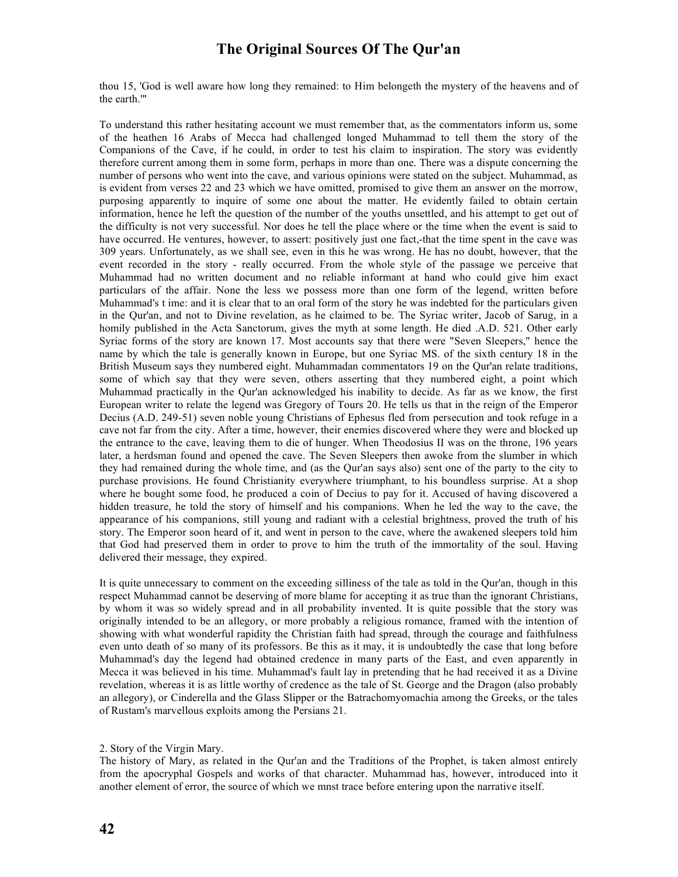thou 15, 'God is well aware how long they remained: to Him belongeth the mystery of the heavens and of the earth.'"

To understand this rather hesitating account we must remember that, as the commentators inform us, some of the heathen 16 Arabs of Mecca had challenged longed Muhammad to tell them the story of the Companions of the Cave, if he could, in order to test his claim to inspiration. The story was evidently therefore current among them in some form, perhaps in more than one. There was a dispute concerning the number of persons who went into the cave, and various opinions were stated on the subject. Muhammad, as is evident from verses 22 and 23 which we have omitted, promised to give them an answer on the morrow, purposing apparently to inquire of some one about the matter. He evidently failed to obtain certain information, hence he left the question of the number of the youths unsettled, and his attempt to get out of the difficulty is not very successful. Nor does he tell the place where or the time when the event is said to have occurred. He ventures, however, to assert: positively just one fact,-that the time spent in the cave was 309 years. Unfortunately, as we shall see, even in this he was wrong. He has no doubt, however, that the event recorded in the story - really occurred. From the whole style of the passage we perceive that Muhammad had no written document and no reliable informant at hand who could give him exact particulars of the affair. None the less we possess more than one form of the legend, written before Muhammad's t ime: and it is clear that to an oral form of the story he was indebted for the particulars given in the Qur'an, and not to Divine revelation, as he claimed to be. The Syriac writer, Jacob of Sarug, in a homily published in the Acta Sanctorum, gives the myth at some length. He died .A.D. 521. Other early Syriac forms of the story are known 17. Most accounts say that there were "Seven Sleepers," hence the name by which the tale is generally known in Europe, but one Syriac MS. of the sixth century 18 in the British Museum says they numbered eight. Muhammadan commentators 19 on the Qur'an relate traditions, some of which say that they were seven, others asserting that they numbered eight, a point which Muhammad practically in the Qur'an acknowledged his inability to decide. As far as we know, the first European writer to relate the legend was Gregory of Tours 20. He tells us that in the reign of the Emperor Decius (A.D. 249-51) seven noble young Christians of Ephesus fled from persecution and took refuge in a cave not far from the city. After a time, however, their enemies discovered where they were and blocked up the entrance to the cave, leaving them to die of hunger. When Theodosius II was on the throne, 196 years later, a herdsman found and opened the cave. The Seven Sleepers then awoke from the slumber in which they had remained during the whole time, and (as the Qur'an says also) sent one of the party to the city to purchase provisions. He found Christianity everywhere triumphant, to his boundless surprise. At a shop where he bought some food, he produced a coin of Decius to pay for it. Accused of having discovered a hidden treasure, he told the story of himself and his companions. When he led the way to the cave, the appearance of his companions, still young and radiant with a celestial brightness, proved the truth of his story. The Emperor soon heard of it, and went in person to the cave, where the awakened sleepers told him that God had preserved them in order to prove to him the truth of the immortality of the soul. Having delivered their message, they expired.

It is quite unnecessary to comment on the exceeding silliness of the tale as told in the Qur'an, though in this respect Muhammad cannot be deserving of more blame for accepting it as true than the ignorant Christians, by whom it was so widely spread and in all probability invented. It is quite possible that the story was originally intended to be an allegory, or more probably a religious romance, framed with the intention of showing with what wonderful rapidity the Christian faith had spread, through the courage and faithfulness even unto death of so many of its professors. Be this as it may, it is undoubtedly the case that long before Muhammad's day the legend had obtained credence in many parts of the East, and even apparently in Mecca it was believed in his time. Muhammad's fault lay in pretending that he had received it as a Divine revelation, whereas it is as little worthy of credence as the tale of St. George and the Dragon (also probably an allegory), or Cinderella and the Glass Slipper or the Batrachomyomachia among the Greeks, or the tales of Rustam's marvellous exploits among the Persians 21.

#### 2. Story of the Virgin Mary.

The history of Mary, as related in the Qur'an and the Traditions of the Prophet, is taken almost entirely from the apocryphal Gospels and works of that character. Muhammad has, however, introduced into it another element of error, the source of which we mnst trace before entering upon the narrative itself.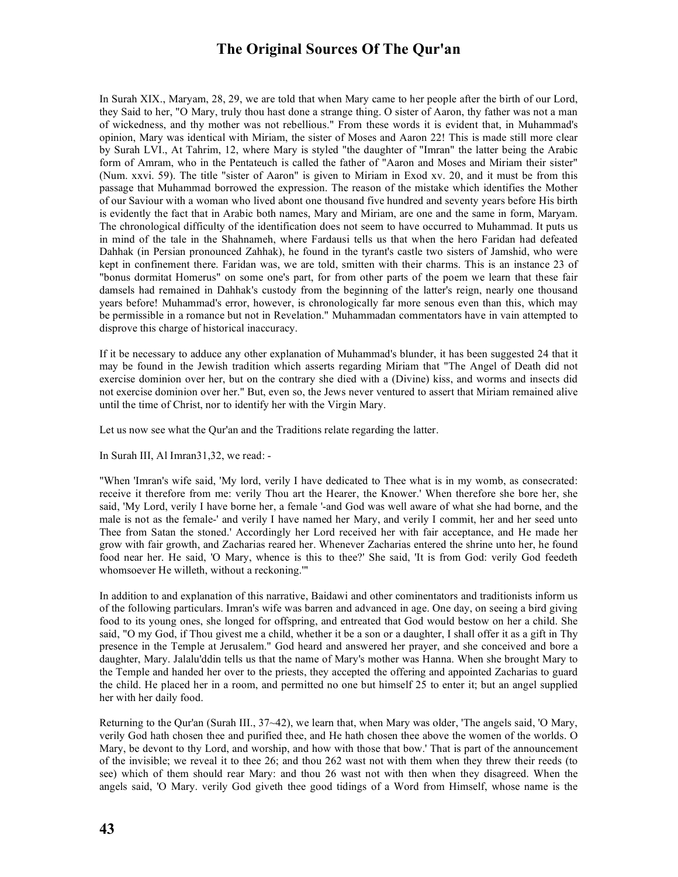In Surah XIX., Maryam, 28, 29, we are told that when Mary came to her people after the birth of our Lord, they Said to her, "O Mary, truly thou hast done a strange thing. O sister of Aaron, thy father was not a man of wickedness, and thy mother was not rebellious." From these words it is evident that, in Muhammad's opinion, Mary was identical with Miriam, the sister of Moses and Aaron 22! This is made still more clear by Surah LVI., At Tahrim, 12, where Mary is styled "the daughter of "Imran" the latter being the Arabic form of Amram, who in the Pentateuch is called the father of "Aaron and Moses and Miriam their sister" (Num. xxvi. 59). The title "sister of Aaron" is given to Miriam in Exod xv. 20, and it must be from this passage that Muhammad borrowed the expression. The reason of the mistake which identifies the Mother of our Saviour with a woman who lived abont one thousand five hundred and seventy years before His birth is evidently the fact that in Arabic both names, Mary and Miriam, are one and the same in form, Maryam. The chronological difficulty of the identification does not seem to have occurred to Muhammad. It puts us in mind of the tale in the Shahnameh, where Fardausi tells us that when the hero Faridan had defeated Dahhak (in Persian pronounced Zahhak), he found in the tyrant's castle two sisters of Jamshid, who were kept in confinement there. Faridan was, we are told, smitten with their charms. This is an instance 23 of "bonus dormitat Homerus" on some one's part, for from other parts of the poem we learn that these fair damsels had remained in Dahhak's custody from the beginning of the latter's reign, nearly one thousand years before! Muhammad's error, however, is chronologically far more senous even than this, which may be permissible in a romance but not in Revelation." Muhammadan commentators have in vain attempted to disprove this charge of historical inaccuracy.

If it be necessary to adduce any other explanation of Muhammad's blunder, it has been suggested 24 that it may be found in the Jewish tradition which asserts regarding Miriam that "The Angel of Death did not exercise dominion over her, but on the contrary she died with a (Divine) kiss, and worms and insects did not exercise dominion over her." But, even so, the Jews never ventured to assert that Miriam remained alive until the time of Christ, nor to identify her with the Virgin Mary.

Let us now see what the Qur'an and the Traditions relate regarding the latter.

In Surah III, Al Imran31,32, we read: -

"When 'Imran's wife said, 'My lord, verily I have dedicated to Thee what is in my womb, as consecrated: receive it therefore from me: verily Thou art the Hearer, the Knower.' When therefore she bore her, she said, 'My Lord, verily I have borne her, a female '-and God was well aware of what she had borne, and the male is not as the female-' and verily I have named her Mary, and verily I commit, her and her seed unto Thee from Satan the stoned.' Accordingly her Lord received her with fair acceptance, and He made her grow with fair growth, and Zacharias reared her. Whenever Zacharias entered the shrine unto her, he found food near her. He said, 'O Mary, whence is this to thee?' She said, 'It is from God: verily God feedeth whomsoever He willeth, without a reckoning.'"

In addition to and explanation of this narrative, Baidawi and other cominentators and traditionists inform us of the following particulars. Imran's wife was barren and advanced in age. One day, on seeing a bird giving food to its young ones, she longed for offspring, and entreated that God would bestow on her a child. She said, "O my God, if Thou givest me a child, whether it be a son or a daughter, I shall offer it as a gift in Thy presence in the Temple at Jerusalem." God heard and answered her prayer, and she conceived and bore a daughter, Mary. Jalalu'ddin tells us that the name of Mary's mother was Hanna. When she brought Mary to the Temple and handed her over to the priests, they accepted the offering and appointed Zacharias to guard the child. He placed her in a room, and permitted no one but himself 25 to enter it; but an angel supplied her with her daily food.

Returning to the Qur'an (Surah III., 37~42), we learn that, when Mary was older, 'The angels said, 'O Mary, verily God hath chosen thee and purified thee, and He hath chosen thee above the women of the worlds. O Mary, be devont to thy Lord, and worship, and how with those that bow.' That is part of the announcement of the invisible; we reveal it to thee 26; and thou 262 wast not with them when they threw their reeds (to see) which of them should rear Mary: and thou 26 wast not with then when they disagreed. When the angels said, 'O Mary. verily God giveth thee good tidings of a Word from Himself, whose name is the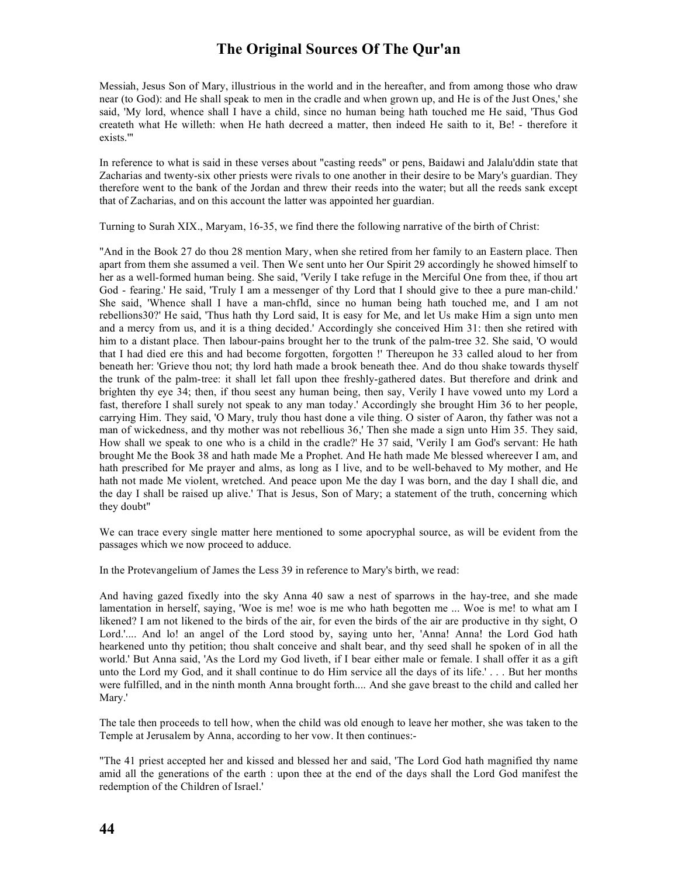Messiah, Jesus Son of Mary, illustrious in the world and in the hereafter, and from among those who draw near (to God): and He shall speak to men in the cradle and when grown up, and He is of the Just Ones,' she said, 'My lord, whence shall I have a child, since no human being hath touched me He said, 'Thus God createth what He willeth: when He hath decreed a matter, then indeed He saith to it, Be! - therefore it exists.'"

In reference to what is said in these verses about "casting reeds" or pens, Baidawi and Jalalu'ddin state that Zacharias and twenty-six other priests were rivals to one another in their desire to be Mary's guardian. They therefore went to the bank of the Jordan and threw their reeds into the water; but all the reeds sank except that of Zacharias, and on this account the latter was appointed her guardian.

Turning to Surah XIX., Maryam, 16-35, we find there the following narrative of the birth of Christ:

"And in the Book 27 do thou 28 mention Mary, when she retired from her family to an Eastern place. Then apart from them she assumed a veil. Then We sent unto her Our Spirit 29 accordingly he showed himself to her as a well-formed human being. She said, 'Verily I take refuge in the Merciful One from thee, if thou art God - fearing.' He said, 'Truly I am a messenger of thy Lord that I should give to thee a pure man-child.' She said, 'Whence shall I have a man-chfld, since no human being hath touched me, and I am not rebellions30?' He said, 'Thus hath thy Lord said, It is easy for Me, and let Us make Him a sign unto men and a mercy from us, and it is a thing decided.' Accordingly she conceived Him 31: then she retired with him to a distant place. Then labour-pains brought her to the trunk of the palm-tree 32. She said, 'O would that I had died ere this and had become forgotten, forgotten !' Thereupon he 33 called aloud to her from beneath her: 'Grieve thou not; thy lord hath made a brook beneath thee. And do thou shake towards thyself the trunk of the palm-tree: it shall let fall upon thee freshly-gathered dates. But therefore and drink and brighten thy eye 34; then, if thou seest any human being, then say, Verily I have vowed unto my Lord a fast, therefore I shall surely not speak to any man today.' Accordingly she brought Him 36 to her people, carrying Him. They said, 'O Mary, truly thou hast done a vile thing. O sister of Aaron, thy father was not a man of wickedness, and thy mother was not rebellious 36,' Then she made a sign unto Him 35. They said, How shall we speak to one who is a child in the cradle?' He 37 said, 'Verily I am God's servant: He hath brought Me the Book 38 and hath made Me a Prophet. And He hath made Me blessed whereever I am, and hath prescribed for Me prayer and alms, as long as I live, and to be well-behaved to My mother, and He hath not made Me violent, wretched. And peace upon Me the day I was born, and the day I shall die, and the day I shall be raised up alive.' That is Jesus, Son of Mary; a statement of the truth, concerning which they doubt"

We can trace every single matter here mentioned to some apocryphal source, as will be evident from the passages which we now proceed to adduce.

In the Protevangelium of James the Less 39 in reference to Mary's birth, we read:

And having gazed fixedly into the sky Anna 40 saw a nest of sparrows in the hay-tree, and she made lamentation in herself, saying, 'Woe is me! woe is me who hath begotten me ... Woe is me! to what am I likened? I am not likened to the birds of the air, for even the birds of the air are productive in thy sight, O Lord.'.... And lo! an angel of the Lord stood by, saying unto her, 'Anna! Anna! the Lord God hath hearkened unto thy petition; thou shalt conceive and shalt bear, and thy seed shall he spoken of in all the world.' But Anna said, 'As the Lord my God liveth, if I bear either male or female. I shall offer it as a gift unto the Lord my God, and it shall continue to do Him service all the days of its life.' . . . But her months were fulfilled, and in the ninth month Anna brought forth.... And she gave breast to the child and called her Mary.'

The tale then proceeds to tell how, when the child was old enough to leave her mother, she was taken to the Temple at Jerusalem by Anna, according to her vow. It then continues:-

"The 41 priest accepted her and kissed and blessed her and said, 'The Lord God hath magnified thy name amid all the generations of the earth : upon thee at the end of the days shall the Lord God manifest the redemption of the Children of Israel.'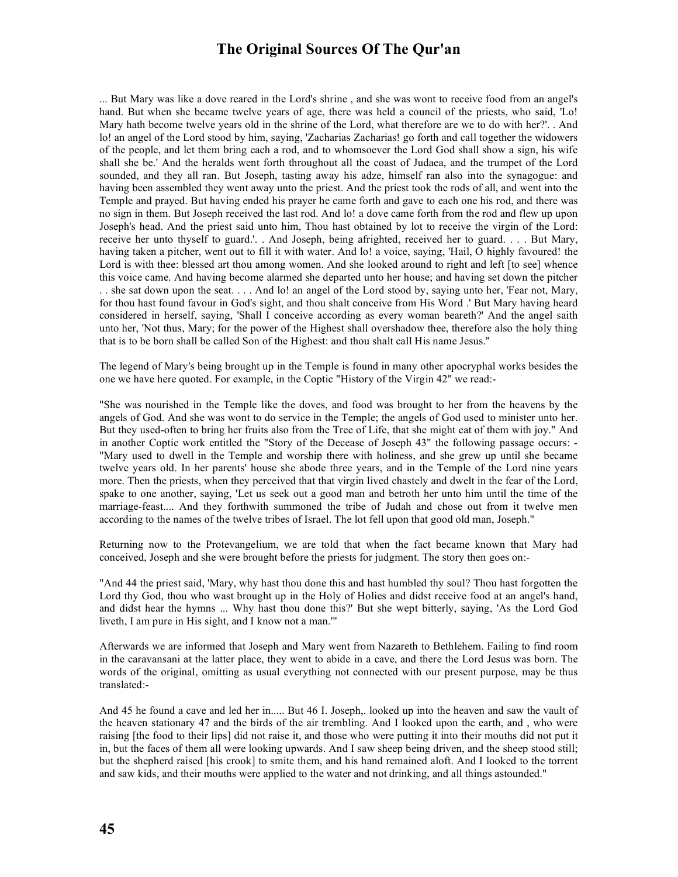... But Mary was like a dove reared in the Lord's shrine , and she was wont to receive food from an angel's hand. But when she became twelve years of age, there was held a council of the priests, who said, 'Lo! Mary hath become twelve years old in the shrine of the Lord, what therefore are we to do with her?'. . And lo! an angel of the Lord stood by him, saying, 'Zacharias Zacharias! go forth and call together the widowers of the people, and let them bring each a rod, and to whomsoever the Lord God shall show a sign, his wife shall she be.' And the heralds went forth throughout all the coast of Judaea, and the trumpet of the Lord sounded, and they all ran. But Joseph, tasting away his adze, himself ran also into the synagogue: and having been assembled they went away unto the priest. And the priest took the rods of all, and went into the Temple and prayed. But having ended his prayer he came forth and gave to each one his rod, and there was no sign in them. But Joseph received the last rod. And lo! a dove came forth from the rod and flew up upon Joseph's head. And the priest said unto him, Thou hast obtained by lot to receive the virgin of the Lord: receive her unto thyself to guard.'. . And Joseph, being afrighted, received her to guard. . . . But Mary, having taken a pitcher, went out to fill it with water. And lo! a voice, saying, 'Hail, O highly favoured! the Lord is with thee: blessed art thou among women. And she looked around to right and left [to see] whence this voice came. And having become alarmed she departed unto her house; and having set down the pitcher . . she sat down upon the seat. . . . And lo! an angel of the Lord stood by, saying unto her, 'Fear not, Mary, for thou hast found favour in God's sight, and thou shalt conceive from His Word .' But Mary having heard considered in herself, saying, 'Shall I conceive according as every woman beareth?' And the angel saith unto her, 'Not thus, Mary; for the power of the Highest shall overshadow thee, therefore also the holy thing that is to be born shall be called Son of the Highest: and thou shalt call His name Jesus."

The legend of Mary's being brought up in the Temple is found in many other apocryphal works besides the one we have here quoted. For example, in the Coptic "History of the Virgin 42" we read:-

"She was nourished in the Temple like the doves, and food was brought to her from the heavens by the angels of God. And she was wont to do service in the Temple; the angels of God used to minister unto her. But they used-often to bring her fruits also from the Tree of Life, that she might eat of them with joy." And in another Coptic work entitled the "Story of the Decease of Joseph 43" the following passage occurs: - "Mary used to dwell in the Temple and worship there with holiness, and she grew up until she became twelve years old. In her parents' house she abode three years, and in the Temple of the Lord nine years more. Then the priests, when they perceived that that virgin lived chastely and dwelt in the fear of the Lord, spake to one another, saying, 'Let us seek out a good man and betroth her unto him until the time of the marriage-feast.... And they forthwith summoned the tribe of Judah and chose out from it twelve men according to the names of the twelve tribes of Israel. The lot fell upon that good old man, Joseph."

Returning now to the Protevangelium, we are told that when the fact became known that Mary had conceived, Joseph and she were brought before the priests for judgment. The story then goes on:-

"And 44 the priest said, 'Mary, why hast thou done this and hast humbled thy soul? Thou hast forgotten the Lord thy God, thou who wast brought up in the Holy of Holies and didst receive food at an angel's hand, and didst hear the hymns ... Why hast thou done this?' But she wept bitterly, saying, 'As the Lord God liveth, I am pure in His sight, and I know not a man.'"

Afterwards we are informed that Joseph and Mary went from Nazareth to Bethlehem. Failing to find room in the caravansani at the latter place, they went to abide in a cave, and there the Lord Jesus was born. The words of the original, omitting as usual everything not connected with our present purpose, may be thus translated:-

And 45 he found a cave and led her in..... But 46 I. Joseph,. looked up into the heaven and saw the vault of the heaven stationary 47 and the birds of the air trembling. And I looked upon the earth, and , who were raising [the food to their lips] did not raise it, and those who were putting it into their mouths did not put it in, but the faces of them all were looking upwards. And I saw sheep being driven, and the sheep stood still; but the shepherd raised [his crook] to smite them, and his hand remained aloft. And I looked to the torrent and saw kids, and their mouths were applied to the water and not drinking, and all things astounded."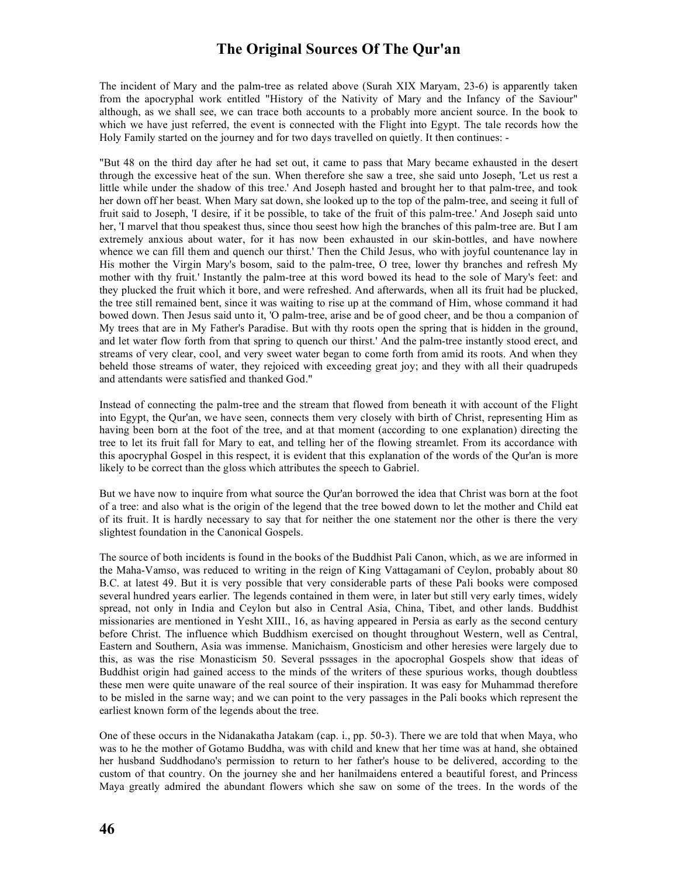The incident of Mary and the palm-tree as related above (Surah XIX Maryam, 23-6) is apparently taken from the apocryphal work entitled "History of the Nativity of Mary and the Infancy of the Saviour" although, as we shall see, we can trace both accounts to a probably more ancient source. In the book to which we have just referred, the event is connected with the Flight into Egypt. The tale records how the Holy Family started on the journey and for two days travelled on quietly. It then continues: -

"But 48 on the third day after he had set out, it came to pass that Mary became exhausted in the desert through the excessive heat of the sun. When therefore she saw a tree, she said unto Joseph, 'Let us rest a little while under the shadow of this tree.' And Joseph hasted and brought her to that palm-tree, and took her down off her beast. When Mary sat down, she looked up to the top of the palm-tree, and seeing it full of fruit said to Joseph, 'I desire, if it be possible, to take of the fruit of this palm-tree.' And Joseph said unto her, 'I marvel that thou speakest thus, since thou seest how high the branches of this palm-tree are. But I am extremely anxious about water, for it has now been exhausted in our skin-bottles, and have nowhere whence we can fill them and quench our thirst.' Then the Child Jesus, who with joyful countenance lay in His mother the Virgin Mary's bosom, said to the palm-tree, O tree, lower thy branches and refresh My mother with thy fruit.' Instantly the palm-tree at this word bowed its head to the sole of Mary's feet: and they plucked the fruit which it bore, and were refreshed. And afterwards, when all its fruit had be plucked, the tree still remained bent, since it was waiting to rise up at the command of Him, whose command it had bowed down. Then Jesus said unto it, 'O palm-tree, arise and be of good cheer, and be thou a companion of My trees that are in My Father's Paradise. But with thy roots open the spring that is hidden in the ground, and let water flow forth from that spring to quench our thirst.' And the palm-tree instantly stood erect, and streams of very clear, cool, and very sweet water began to come forth from amid its roots. And when they beheld those streams of water, they rejoiced with exceeding great joy; and they with all their quadrupeds and attendants were satisfied and thanked God."

Instead of connecting the palm-tree and the stream that flowed from beneath it with account of the Flight into Egypt, the Qur'an, we have seen, connects them very closely with birth of Christ, representing Him as having been born at the foot of the tree, and at that moment (according to one explanation) directing the tree to let its fruit fall for Mary to eat, and telling her of the flowing streamlet. From its accordance with this apocryphal Gospel in this respect, it is evident that this explanation of the words of the Qur'an is more likely to be correct than the gloss which attributes the speech to Gabriel.

But we have now to inquire from what source the Qur'an borrowed the idea that Christ was born at the foot of a tree: and also what is the origin of the legend that the tree bowed down to let the mother and Child eat of its fruit. It is hardly necessary to say that for neither the one statement nor the other is there the very slightest foundation in the Canonical Gospels.

The source of both incidents is found in the books of the Buddhist Pali Canon, which, as we are informed in the Maha-Vamso, was reduced to writing in the reign of King Vattagamani of Ceylon, probably about 80 B.C. at latest 49. But it is very possible that very considerable parts of these Pali books were composed several hundred years earlier. The legends contained in them were, in later but still very early times, widely spread, not only in India and Ceylon but also in Central Asia, China, Tibet, and other lands. Buddhist missionaries are mentioned in Yesht XIII., 16, as having appeared in Persia as early as the second century before Christ. The influence which Buddhism exercised on thought throughout Western, well as Central, Eastern and Southern, Asia was immense. Manichaism, Gnosticism and other heresies were largely due to this, as was the rise Monasticism 50. Several psssages in the apocrophal Gospels show that ideas of Buddhist origin had gained access to the minds of the writers of these spurious works, though doubtless these men were quite unaware of the real source of their inspiration. It was easy for Muhammad therefore to be misled in the sarne way; and we can point to the very passages in the Pali books which represent the earliest known form of the legends about the tree.

One of these occurs in the Nidanakatha Jatakam (cap. i., pp. 50-3). There we are told that when Maya, who was to he the mother of Gotamo Buddha, was with child and knew that her time was at hand, she obtained her husband Suddhodano's permission to return to her father's house to be delivered, according to the custom of that country. On the journey she and her hanilmaidens entered a beautiful forest, and Princess Maya greatly admired the abundant flowers which she saw on some of the trees. In the words of the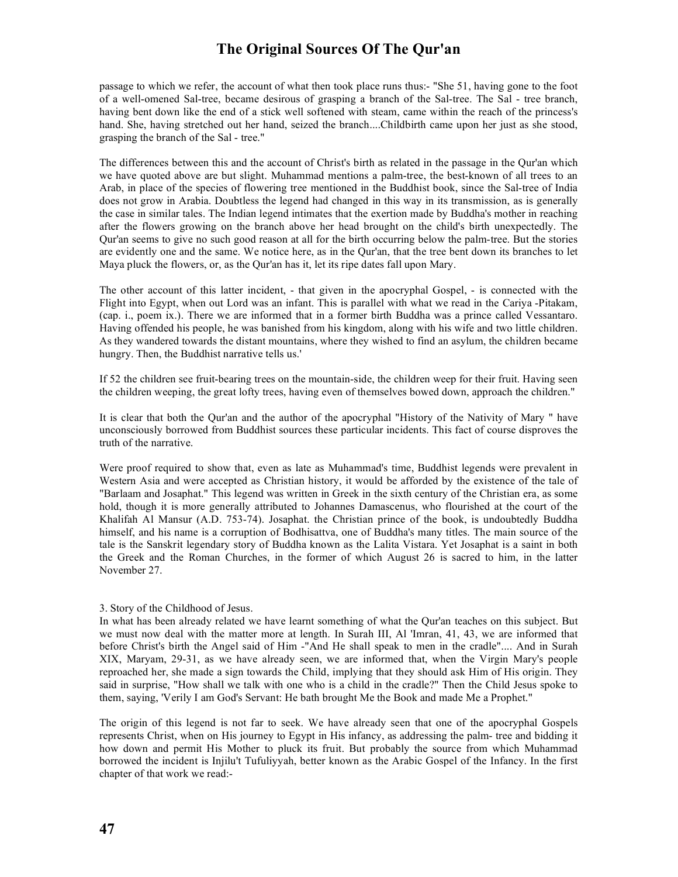passage to which we refer, the account of what then took place runs thus:- "She 51, having gone to the foot of a well-omened Sal-tree, became desirous of grasping a branch of the Sal-tree. The Sal - tree branch, having bent down like the end of a stick well softened with steam, came within the reach of the princess's hand. She, having stretched out her hand, seized the branch....Childbirth came upon her just as she stood, grasping the branch of the Sal - tree."

The differences between this and the account of Christ's birth as related in the passage in the Qur'an which we have quoted above are but slight. Muhammad mentions a palm-tree, the best-known of all trees to an Arab, in place of the species of flowering tree mentioned in the Buddhist book, since the Sal-tree of India does not grow in Arabia. Doubtless the legend had changed in this way in its transmission, as is generally the case in similar tales. The Indian legend intimates that the exertion made by Buddha's mother in reaching after the flowers growing on the branch above her head brought on the child's birth unexpectedly. The Qur'an seems to give no such good reason at all for the birth occurring below the palm-tree. But the stories are evidently one and the same. We notice here, as in the Qur'an, that the tree bent down its branches to let Maya pluck the flowers, or, as the Qur'an has it, let its ripe dates fall upon Mary.

The other account of this latter incident, - that given in the apocryphal Gospel, - is connected with the Flight into Egypt, when out Lord was an infant. This is parallel with what we read in the Cariya -Pitakam, (cap. i., poem ix.). There we are informed that in a former birth Buddha was a prince called Vessantaro. Having offended his people, he was banished from his kingdom, along with his wife and two little children. As they wandered towards the distant mountains, where they wished to find an asylum, the children became hungry. Then, the Buddhist narrative tells us.'

If 52 the children see fruit-bearing trees on the mountain-side, the children weep for their fruit. Having seen the children weeping, the great lofty trees, having even of themselves bowed down, approach the children."

It is clear that both the Qur'an and the author of the apocryphal "History of the Nativity of Mary " have unconsciously borrowed from Buddhist sources these particular incidents. This fact of course disproves the truth of the narrative.

Were proof required to show that, even as late as Muhammad's time, Buddhist legends were prevalent in Western Asia and were accepted as Christian history, it would be afforded by the existence of the tale of "Barlaam and Josaphat." This legend was written in Greek in the sixth century of the Christian era, as some hold, though it is more generally attributed to Johannes Damascenus, who flourished at the court of the Khalifah Al Mansur (A.D. 753-74). Josaphat. the Christian prince of the book, is undoubtedly Buddha himself, and his name is a corruption of Bodhisattva, one of Buddha's many titles. The main source of the tale is the Sanskrit legendary story of Buddha known as the Lalita Vistara. Yet Josaphat is a saint in both the Greek and the Roman Churches, in the former of which August 26 is sacred to him, in the latter November 27.

#### 3. Story of the Childhood of Jesus.

In what has been already related we have learnt something of what the Qur'an teaches on this subject. But we must now deal with the matter more at length. In Surah III, Al 'Imran, 41, 43, we are informed that before Christ's birth the Angel said of Him -"And He shall speak to men in the cradle".... And in Surah XIX, Maryam, 29-31, as we have already seen, we are informed that, when the Virgin Mary's people reproached her, she made a sign towards the Child, implying that they should ask Him of His origin. They said in surprise, "How shall we talk with one who is a child in the cradle?" Then the Child Jesus spoke to them, saying, 'Verily I am God's Servant: He bath brought Me the Book and made Me a Prophet."

The origin of this legend is not far to seek. We have already seen that one of the apocryphal Gospels represents Christ, when on His journey to Egypt in His infancy, as addressing the palm- tree and bidding it how down and permit His Mother to pluck its fruit. But probably the source from which Muhammad borrowed the incident is Injilu't Tufuliyyah, better known as the Arabic Gospel of the Infancy. In the first chapter of that work we read:-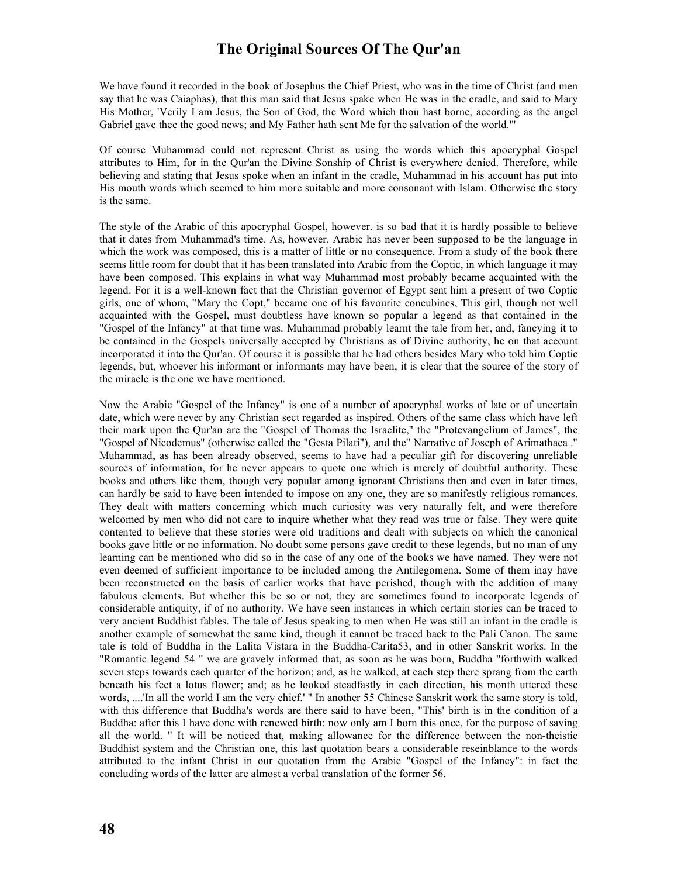We have found it recorded in the book of Josephus the Chief Priest, who was in the time of Christ (and men say that he was Caiaphas), that this man said that Jesus spake when He was in the cradle, and said to Mary His Mother, 'Verily I am Jesus, the Son of God, the Word which thou hast borne, according as the angel Gabriel gave thee the good news; and My Father hath sent Me for the salvation of the world.'"

Of course Muhammad could not represent Christ as using the words which this apocryphal Gospel attributes to Him, for in the Qur'an the Divine Sonship of Christ is everywhere denied. Therefore, while believing and stating that Jesus spoke when an infant in the cradle, Muhammad in his account has put into His mouth words which seemed to him more suitable and more consonant with Islam. Otherwise the story is the same.

The style of the Arabic of this apocryphal Gospel, however. is so bad that it is hardly possible to believe that it dates from Muhammad's time. As, however. Arabic has never been supposed to be the language in which the work was composed, this is a matter of little or no consequence. From a study of the book there seems little room for doubt that it has been translated into Arabic from the Coptic, in which language it may have been composed. This explains in what way Muhammad most probably became acquainted with the legend. For it is a well-known fact that the Christian governor of Egypt sent him a present of two Coptic girls, one of whom, "Mary the Copt," became one of his favourite concubines, This girl, though not well acquainted with the Gospel, must doubtless have known so popular a legend as that contained in the "Gospel of the Infancy" at that time was. Muhammad probably learnt the tale from her, and, fancying it to be contained in the Gospels universally accepted by Christians as of Divine authority, he on that account incorporated it into the Qur'an. Of course it is possible that he had others besides Mary who told him Coptic legends, but, whoever his informant or informants may have been, it is clear that the source of the story of the miracle is the one we have mentioned.

Now the Arabic "Gospel of the Infancy" is one of a number of apocryphal works of late or of uncertain date, which were never by any Christian sect regarded as inspired. Others of the same class which have left their mark upon the Qur'an are the "Gospel of Thomas the Israelite," the "Protevangelium of James", the "Gospel of Nicodemus" (otherwise called the "Gesta Pilati"), and the" Narrative of Joseph of Arimathaea ." Muhammad, as has been already observed, seems to have had a peculiar gift for discovering unreliable sources of information, for he never appears to quote one which is merely of doubtful authority. These books and others like them, though very popular among ignorant Christians then and even in later times, can hardly be said to have been intended to impose on any one, they are so manifestly religious romances. They dealt with matters concerning which much curiosity was very naturally felt, and were therefore welcomed by men who did not care to inquire whether what they read was true or false. They were quite contented to believe that these stories were old traditions and dealt with subjects on which the canonical books gave little or no information. No doubt some persons gave credit to these legends, but no man of any learning can be mentioned who did so in the case of any one of the books we have named. They were not even deemed of sufficient importance to be included among the Antilegomena. Some of them inay have been reconstructed on the basis of earlier works that have perished, though with the addition of many fabulous elements. But whether this be so or not, they are sometimes found to incorporate legends of considerable antiquity, if of no authority. We have seen instances in which certain stories can be traced to very ancient Buddhist fables. The tale of Jesus speaking to men when He was still an infant in the cradle is another example of somewhat the same kind, though it cannot be traced back to the Pali Canon. The same tale is told of Buddha in the Lalita Vistara in the Buddha-Carita53, and in other Sanskrit works. In the "Romantic legend 54 " we are gravely informed that, as soon as he was born, Buddha "forthwith walked seven steps towards each quarter of the horizon; and, as he walked, at each step there sprang from the earth beneath his feet a lotus flower; and; as he looked steadfastly in each direction, his month uttered these words, ....'In all the world I am the very chief.' " In another 55 Chinese Sanskrit work the same story is told, with this difference that Buddha's words are there said to have been, "This' birth is in the condition of a Buddha: after this I have done with renewed birth: now only am I born this once, for the purpose of saving all the world. '' It will be noticed that, making allowance for the difference between the non-theistic Buddhist system and the Christian one, this last quotation bears a considerable reseinblance to the words attributed to the infant Christ in our quotation from the Arabic "Gospel of the Infancy": in fact the concluding words of the latter are almost a verbal translation of the former 56.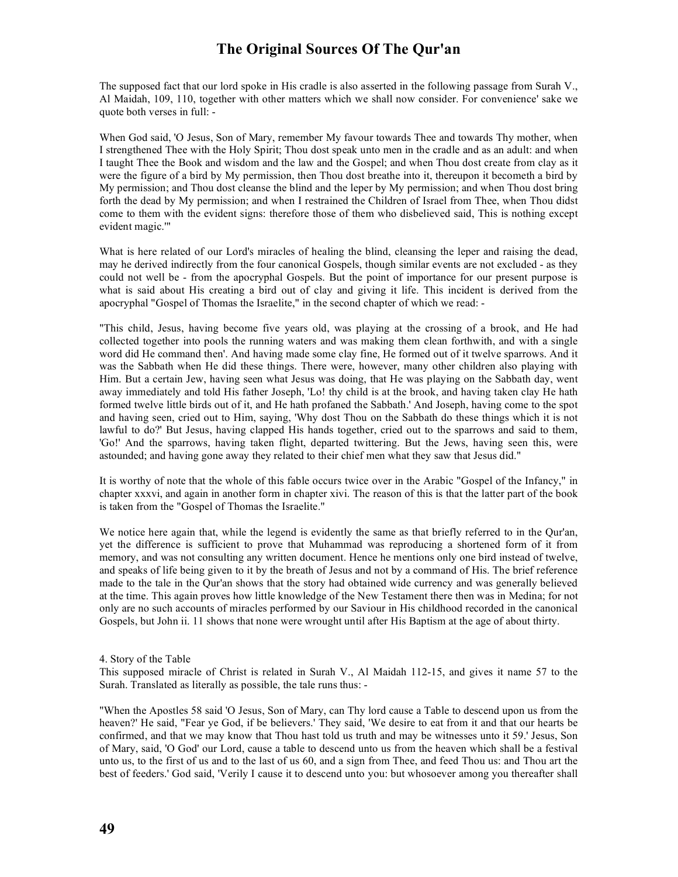The supposed fact that our lord spoke in His cradle is also asserted in the following passage from Surah V., Al Maidah, 109, 110, together with other matters which we shall now consider. For convenience' sake we quote both verses in full: -

When God said, 'O Jesus, Son of Mary, remember My favour towards Thee and towards Thy mother, when I strengthened Thee with the Holy Spirit; Thou dost speak unto men in the cradle and as an adult: and when I taught Thee the Book and wisdom and the law and the Gospel; and when Thou dost create from clay as it were the figure of a bird by My permission, then Thou dost breathe into it, thereupon it becometh a bird by My permission; and Thou dost cleanse the blind and the leper by My permission; and when Thou dost bring forth the dead by My permission; and when I restrained the Children of Israel from Thee, when Thou didst come to them with the evident signs: therefore those of them who disbelieved said, This is nothing except evident magic.'"

What is here related of our Lord's miracles of healing the blind, cleansing the leper and raising the dead, may he derived indirectly from the four canonical Gospels, though similar events are not excluded - as they could not well be - from the apocryphal Gospels. But the point of importance for our present purpose is what is said about His creating a bird out of clay and giving it life. This incident is derived from the apocryphal "Gospel of Thomas the Israelite," in the second chapter of which we read: -

"This child, Jesus, having become five years old, was playing at the crossing of a brook, and He had collected together into pools the running waters and was making them clean forthwith, and with a single word did He command then'. And having made some clay fine, He formed out of it twelve sparrows. And it was the Sabbath when He did these things. There were, however, many other children also playing with Him. But a certain Jew, having seen what Jesus was doing, that He was playing on the Sabbath day, went away immediately and told His father Joseph, 'Lo! thy child is at the brook, and having taken clay He hath formed twelve little birds out of it, and He hath profaned the Sabbath.' And Joseph, having come to the spot and having seen, cried out to Him, saying, 'Why dost Thou on the Sabbath do these things which it is not lawful to do?' But Jesus, having clapped His hands together, cried out to the sparrows and said to them, 'Go!' And the sparrows, having taken flight, departed twittering. But the Jews, having seen this, were astounded; and having gone away they related to their chief men what they saw that Jesus did."

It is worthy of note that the whole of this fable occurs twice over in the Arabic "Gospel of the Infancy," in chapter xxxvi, and again in another form in chapter xivi. The reason of this is that the latter part of the book is taken from the "Gospel of Thomas the Israelite."

We notice here again that, while the legend is evidently the same as that briefly referred to in the Qur'an, yet the difference is sufficient to prove that Muhammad was reproducing a shortened form of it from memory, and was not consulting any written document. Hence he mentions only one bird instead of twelve, and speaks of life being given to it by the breath of Jesus and not by a command of His. The brief reference made to the tale in the Qur'an shows that the story had obtained wide currency and was generally believed at the time. This again proves how little knowledge of the New Testament there then was in Medina; for not only are no such accounts of miracles performed by our Saviour in His childhood recorded in the canonical Gospels, but John ii. 11 shows that none were wrought until after His Baptism at the age of about thirty.

#### 4. Story of the Table

This supposed miracle of Christ is related in Surah V., Al Maidah 112-15, and gives it name 57 to the Surah. Translated as literally as possible, the tale runs thus: -

"When the Apostles 58 said 'O Jesus, Son of Mary, can Thy lord cause a Table to descend upon us from the heaven?' He said, "Fear ye God, if be believers.' They said, 'We desire to eat from it and that our hearts be confirmed, and that we may know that Thou hast told us truth and may be witnesses unto it 59.' Jesus, Son of Mary, said, 'O God' our Lord, cause a table to descend unto us from the heaven which shall be a festival unto us, to the first of us and to the last of us 60, and a sign from Thee, and feed Thou us: and Thou art the best of feeders.' God said, 'Verily I cause it to descend unto you: but whosoever among you thereafter shall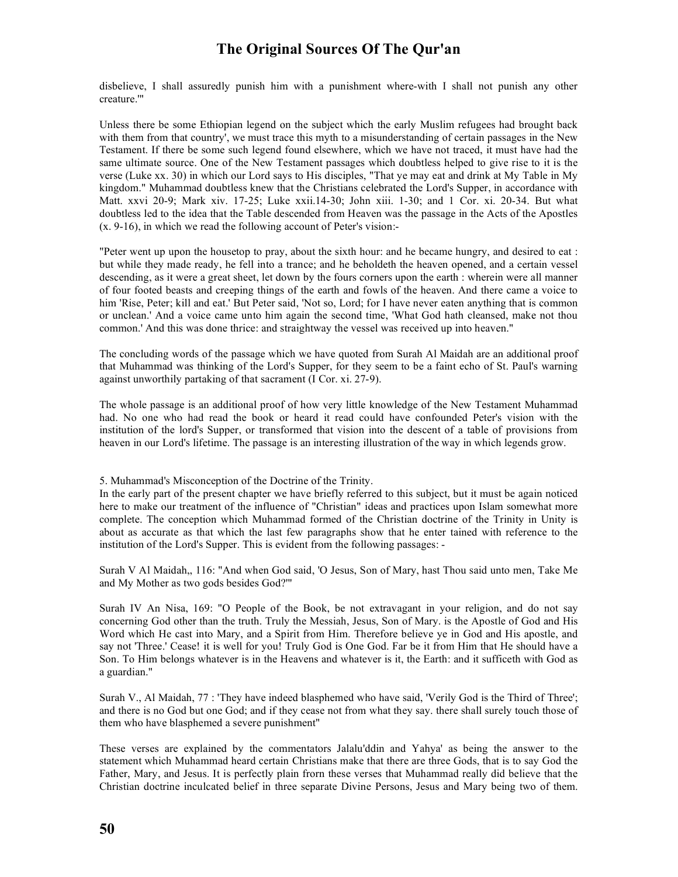disbelieve, I shall assuredly punish him with a punishment where-with I shall not punish any other creature.'"

Unless there be some Ethiopian legend on the subject which the early Muslim refugees had brought back with them from that country', we must trace this myth to a misunderstanding of certain passages in the New Testament. If there be some such legend found elsewhere, which we have not traced, it must have had the same ultimate source. One of the New Testament passages which doubtless helped to give rise to it is the verse (Luke xx. 30) in which our Lord says to His disciples, "That ye may eat and drink at My Table in My kingdom." Muhammad doubtless knew that the Christians celebrated the Lord's Supper, in accordance with Matt. xxvi 20-9; Mark xiv. 17-25; Luke xxii.14-30; John xiii. 1-30; and 1 Cor. xi. 20-34. But what doubtless led to the idea that the Table descended from Heaven was the passage in the Acts of the Apostles (x. 9-16), in which we read the following account of Peter's vision:-

"Peter went up upon the housetop to pray, about the sixth hour: and he became hungry, and desired to eat : but while they made ready, he fell into a trance; and he beholdeth the heaven opened, and a certain vessel descending, as it were a great sheet, let down by the fours corners upon the earth : wherein were all manner of four footed beasts and creeping things of the earth and fowls of the heaven. And there came a voice to him 'Rise, Peter; kill and eat.' But Peter said, 'Not so, Lord; for I have never eaten anything that is common or unclean.' And a voice came unto him again the second time, 'What God hath cleansed, make not thou common.' And this was done thrice: and straightway the vessel was received up into heaven."

The concluding words of the passage which we have quoted from Surah Al Maidah are an additional proof that Muhammad was thinking of the Lord's Supper, for they seem to be a faint echo of St. Paul's warning against unworthily partaking of that sacrament (I Cor. xi. 27-9).

The whole passage is an additional proof of how very little knowledge of the New Testament Muhammad had. No one who had read the book or heard it read could have confounded Peter's vision with the institution of the lord's Supper, or transformed that vision into the descent of a table of provisions from heaven in our Lord's lifetime. The passage is an interesting illustration of the way in which legends grow.

5. Muhammad's Misconception of the Doctrine of the Trinity.

In the early part of the present chapter we have briefly referred to this subject, but it must be again noticed here to make our treatment of the influence of "Christian" ideas and practices upon Islam somewhat more complete. The conception which Muhammad formed of the Christian doctrine of the Trinity in Unity is about as accurate as that which the last few paragraphs show that he enter tained with reference to the institution of the Lord's Supper. This is evident from the following passages: -

Surah V Al Maidah,, 116: "And when God said, 'O Jesus, Son of Mary, hast Thou said unto men, Take Me and My Mother as two gods besides God?'"

Surah IV An Nisa, 169: "O People of the Book, be not extravagant in your religion, and do not say concerning God other than the truth. Truly the Messiah, Jesus, Son of Mary. is the Apostle of God and His Word which He cast into Mary, and a Spirit from Him. Therefore believe ye in God and His apostle, and say not 'Three.' Cease! it is well for you! Truly God is One God. Far be it from Him that He should have a Son. To Him belongs whatever is in the Heavens and whatever is it, the Earth: and it sufficeth with God as a guardian."

Surah V., Al Maidah, 77 : 'They have indeed blasphemed who have said, 'Verily God is the Third of Three'; and there is no God but one God; and if they cease not from what they say. there shall surely touch those of them who have blasphemed a severe punishment"

These verses are explained by the commentators Jalalu'ddin and Yahya' as being the answer to the statement which Muhammad heard certain Christians make that there are three Gods, that is to say God the Father, Mary, and Jesus. It is perfectly plain frorn these verses that Muhammad really did believe that the Christian doctrine inculcated belief in three separate Divine Persons, Jesus and Mary being two of them.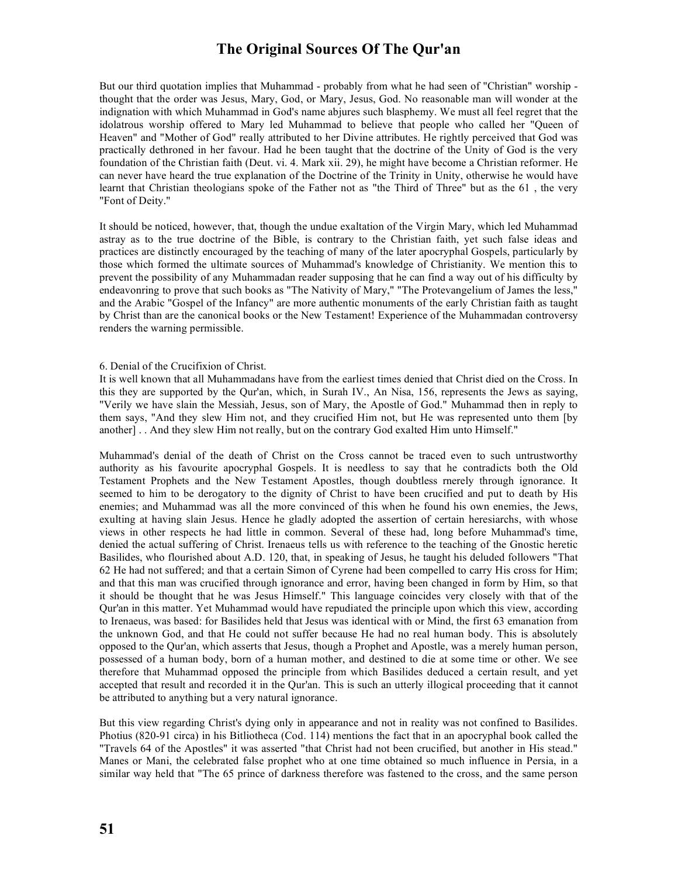But our third quotation implies that Muhammad - probably from what he had seen of "Christian" worship thought that the order was Jesus, Mary, God, or Mary, Jesus, God. No reasonable man will wonder at the indignation with which Muhammad in God's name abjures such blasphemy. We must all feel regret that the idolatrous worship offered to Mary led Muhammad to believe that people who called her "Queen of Heaven" and "Mother of God" really attributed to her Divine attributes. He rightly perceived that God was practically dethroned in her favour. Had he been taught that the doctrine of the Unity of God is the very foundation of the Christian faith (Deut. vi. 4. Mark xii. 29), he might have become a Christian reformer. He can never have heard the true explanation of the Doctrine of the Trinity in Unity, otherwise he would have learnt that Christian theologians spoke of the Father not as "the Third of Three" but as the 61 , the very "Font of Deity."

It should be noticed, however, that, though the undue exaltation of the Virgin Mary, which led Muhammad astray as to the true doctrine of the Bible, is contrary to the Christian faith, yet such false ideas and practices are distinctly encouraged by the teaching of many of the later apocryphal Gospels, particularly by those which formed the ultimate sources of Muhammad's knowledge of Christianity. We mention this to prevent the possibility of any Muhammadan reader supposing that he can find a way out of his difficulty by endeavonring to prove that such books as "The Nativity of Mary," "The Protevangelium of James the less," and the Arabic "Gospel of the Infancy" are more authentic monuments of the early Christian faith as taught by Christ than are the canonical books or the New Testament! Experience of the Muhammadan controversy renders the warning permissible.

#### 6. Denial of the Crucifixion of Christ.

It is well known that all Muhammadans have from the earliest times denied that Christ died on the Cross. In this they are supported by the Qur'an, which, in Surah IV., An Nisa, 156, represents the Jews as saying, "Verily we have slain the Messiah, Jesus, son of Mary, the Apostle of God." Muhammad then in reply to them says, "And they slew Him not, and they crucified Him not, but He was represented unto them [by another] . . And they slew Him not really, but on the contrary God exalted Him unto Himself."

Muhammad's denial of the death of Christ on the Cross cannot be traced even to such untrustworthy authority as his favourite apocryphal Gospels. It is needless to say that he contradicts both the Old Testament Prophets and the New Testament Apostles, though doubtless rnerely through ignorance. It seemed to him to be derogatory to the dignity of Christ to have been crucified and put to death by His enemies; and Muhammad was all the more convinced of this when he found his own enemies, the Jews, exulting at having slain Jesus. Hence he gladly adopted the assertion of certain heresiarchs, with whose views in other respects he had little in common. Several of these had, long before Muhammad's time, denied the actual suffering of Christ. Irenaeus tells us with reference to the teaching of the Gnostic heretic Basilides, who flourished about A.D. 120, that, in speaking of Jesus, he taught his deluded followers "That 62 He had not suffered; and that a certain Simon of Cyrene had been compelled to carry His cross for Him; and that this man was crucified through ignorance and error, having been changed in form by Him, so that it should be thought that he was Jesus Himself." This language coincides very closely with that of the Qur'an in this matter. Yet Muhammad would have repudiated the principle upon which this view, according to Irenaeus, was based: for Basilides held that Jesus was identical with or Mind, the first 63 emanation from the unknown God, and that He could not suffer because He had no real human body. This is absolutely opposed to the Qur'an, which asserts that Jesus, though a Prophet and Apostle, was a merely human person, possessed of a human body, born of a human mother, and destined to die at some time or other. We see therefore that Muhammad opposed the principle from which Basilides deduced a certain result, and yet accepted that result and recorded it in the Qur'an. This is such an utterly illogical proceeding that it cannot be attributed to anything but a very natural ignorance.

But this view regarding Christ's dying only in appearance and not in reality was not confined to Basilides. Photius (820-91 circa) in his Bitliotheca (Cod. 114) mentions the fact that in an apocryphal book called the "Travels 64 of the Apostles" it was asserted "that Christ had not been crucified, but another in His stead." Manes or Mani, the celebrated false prophet who at one time obtained so much influence in Persia, in a similar way held that "The 65 prince of darkness therefore was fastened to the cross, and the same person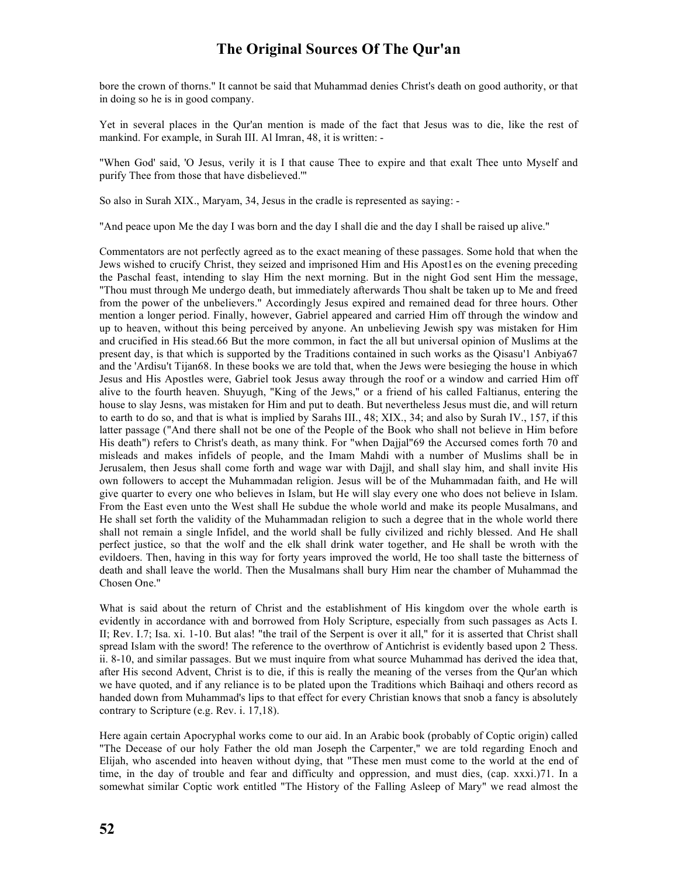bore the crown of thorns." It cannot be said that Muhammad denies Christ's death on good authority, or that in doing so he is in good company.

Yet in several places in the Qur'an mention is made of the fact that Jesus was to die, like the rest of mankind. For example, in Surah III. Al Imran, 48, it is written: -

"When God' said, 'O Jesus, verily it is I that cause Thee to expire and that exalt Thee unto Myself and purify Thee from those that have disbelieved.'"

So also in Surah XIX., Maryam, 34, Jesus in the cradle is represented as saying: -

"And peace upon Me the day I was born and the day I shall die and the day I shall be raised up alive."

Commentators are not perfectly agreed as to the exact meaning of these passages. Some hold that when the Jews wished to crucify Christ, they seized and imprisoned Him and His Apost1es on the evening preceding the Paschal feast, intending to slay Him the next morning. But in the night God sent Him the message, "Thou must through Me undergo death, but immediately afterwards Thou shalt be taken up to Me and freed from the power of the unbelievers." Accordingly Jesus expired and remained dead for three hours. Other mention a longer period. Finally, however, Gabriel appeared and carried Him off through the window and up to heaven, without this being perceived by anyone. An unbelieving Jewish spy was mistaken for Him and crucified in His stead.66 But the more common, in fact the all but universal opinion of Muslims at the present day, is that which is supported by the Traditions contained in such works as the Qisasu'1 Anbiya67 and the 'Ardisu't Tijan68. In these books we are told that, when the Jews were besieging the house in which Jesus and His Apostles were, Gabriel took Jesus away through the roof or a window and carried Him off alive to the fourth heaven. Shuyugh, "King of the Jews," or a friend of his called Faltianus, entering the house to slay Jesns, was mistaken for Him and put to death. But nevertheless Jesus must die, and will return to earth to do so, and that is what is implied by Sarahs III., 48; XIX., 34; and also by Surah IV., 157, if this latter passage ("And there shall not be one of the People of the Book who shall not believe in Him before His death") refers to Christ's death, as many think. For "when Dajjal"69 the Accursed comes forth 70 and misleads and makes infidels of people, and the Imam Mahdi with a number of Muslims shall be in Jerusalem, then Jesus shall come forth and wage war with Dajjl, and shall slay him, and shall invite His own followers to accept the Muhammadan religion. Jesus will be of the Muhammadan faith, and He will give quarter to every one who believes in Islam, but He will slay every one who does not believe in Islam. From the East even unto the West shall He subdue the whole world and make its people Musalmans, and He shall set forth the validity of the Muhammadan religion to such a degree that in the whole world there shall not remain a single Infidel, and the world shall be fully civilized and richly blessed. And He shall perfect justice, so that the wolf and the elk shall drink water together, and He shall be wroth with the evildoers. Then, having in this way for forty years improved the world, He too shall taste the bitterness of death and shall leave the world. Then the Musalmans shall bury Him near the chamber of Muhammad the Chosen One."

What is said about the return of Christ and the establishment of His kingdom over the whole earth is evidently in accordance with and borrowed from Holy Scripture, especially from such passages as Acts I. II; Rev. I.7; Isa. xi. 1-10. But alas! "the trail of the Serpent is over it all," for it is asserted that Christ shall spread Islam with the sword! The reference to the overthrow of Antichrist is evidently based upon 2 Thess. ii. 8-10, and similar passages. But we must inquire from what source Muhammad has derived the idea that, after His second Advent, Christ is to die, if this is really the meaning of the verses from the Qur'an which we have quoted, and if any reliance is to be plated upon the Traditions which Baihaqi and others record as handed down from Muhammad's lips to that effect for every Christian knows that snob a fancy is absolutely contrary to Scripture (e.g. Rev. i. 17,18).

Here again certain Apocryphal works come to our aid. In an Arabic book (probably of Coptic origin) called "The Decease of our holy Father the old man Joseph the Carpenter," we are told regarding Enoch and Elijah, who ascended into heaven without dying, that "These men must come to the world at the end of time, in the day of trouble and fear and difficulty and oppression, and must dies, (cap. xxxi.)71. In a somewhat similar Coptic work entitled "The History of the Falling Asleep of Mary" we read almost the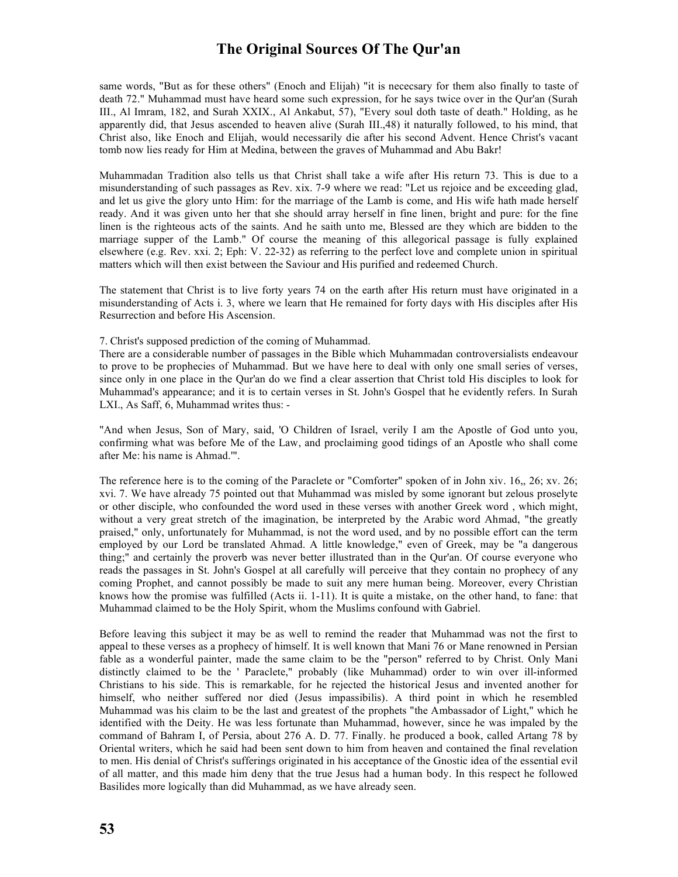same words, "But as for these others" (Enoch and Elijah) "it is necessary for them also finally to taste of death 72." Muhammad must have heard some such expression, for he says twice over in the Qur'an (Surah III., Al Imram, 182, and Surah XXIX., Al Ankabut, 57), "Every soul doth taste of death." Holding, as he apparently did, that Jesus ascended to heaven alive (Surah III.,48) it naturally followed, to his mind, that Christ also, like Enoch and Elijah, would necessarily die after his second Advent. Hence Christ's vacant tomb now lies ready for Him at Medina, between the graves of Muhammad and Abu Bakr!

Muhammadan Tradition also tells us that Christ shall take a wife after His return 73. This is due to a misunderstanding of such passages as Rev. xix. 7-9 where we read: "Let us rejoice and be exceeding glad, and let us give the glory unto Him: for the marriage of the Lamb is come, and His wife hath made herself ready. And it was given unto her that she should array herself in fine linen, bright and pure: for the fine linen is the righteous acts of the saints. And he saith unto me, Blessed are they which are bidden to the marriage supper of the Lamb." Of course the meaning of this allegorical passage is fully explained elsewhere (e.g. Rev. xxi. 2; Eph: V. 22-32) as referring to the perfect love and complete union in spiritual matters which will then exist between the Saviour and His purified and redeemed Church.

The statement that Christ is to live forty years 74 on the earth after His return must have originated in a misunderstanding of Acts i. 3, where we learn that He remained for forty days with His disciples after His Resurrection and before His Ascension.

7. Christ's supposed prediction of the coming of Muhammad.

There are a considerable number of passages in the Bible which Muhammadan controversialists endeavour to prove to be prophecies of Muhammad. But we have here to deal with only one small series of verses, since only in one place in the Qur'an do we find a clear assertion that Christ told His disciples to look for Muhammad's appearance; and it is to certain verses in St. John's Gospel that he evidently refers. In Surah LXI., As Saff, 6, Muhammad writes thus: -

"And when Jesus, Son of Mary, said, 'O Children of Israel, verily I am the Apostle of God unto you, confirming what was before Me of the Law, and proclaiming good tidings of an Apostle who shall come after Me: his name is Ahmad.'".

The reference here is to the coming of the Paraclete or "Comforter" spoken of in John xiv. 16,, 26; xv. 26; xvi. 7. We have already 75 pointed out that Muhammad was misled by some ignorant but zelous proselyte or other disciple, who confounded the word used in these verses with another Greek word , which might, without a very great stretch of the imagination, be interpreted by the Arabic word Ahmad, "the greatly praised," only, unfortunately for Muhammad, is not the word used, and by no possible effort can the term employed by our Lord be translated Ahmad. A little knowledge," even of Greek, may be "a dangerous thing;" and certainly the proverb was never better illustrated than in the Qur'an. Of course everyone who reads the passages in St. John's Gospel at all carefully will perceive that they contain no prophecy of any coming Prophet, and cannot possibly be made to suit any mere human being. Moreover, every Christian knows how the promise was fulfilled (Acts ii. 1-11). It is quite a mistake, on the other hand, to fane: that Muhammad claimed to be the Holy Spirit, whom the Muslims confound with Gabriel.

Before leaving this subject it may be as well to remind the reader that Muhammad was not the first to appeal to these verses as a prophecy of himself. It is well known that Mani 76 or Mane renowned in Persian fable as a wonderful painter, made the same claim to be the "person" referred to by Christ. Only Mani distinctly claimed to be the ' Paraclete," probably (like Muhammad) order to win over ill-informed Christians to his side. This is remarkable, for he rejected the historical Jesus and invented another for himself, who neither suffered nor died (Jesus impassibilis). A third point in which he resembled Muhammad was his claim to be the last and greatest of the prophets "the Ambassador of Light," which he identified with the Deity. He was less fortunate than Muhammad, however, since he was impaled by the command of Bahram I, of Persia, about 276 A. D. 77. Finally. he produced a book, called Artang 78 by Oriental writers, which he said had been sent down to him from heaven and contained the final revelation to men. His denial of Christ's sufferings originated in his acceptance of the Gnostic idea of the essential evil of all matter, and this made him deny that the true Jesus had a human body. In this respect he followed Basilides more logically than did Muhammad, as we have already seen.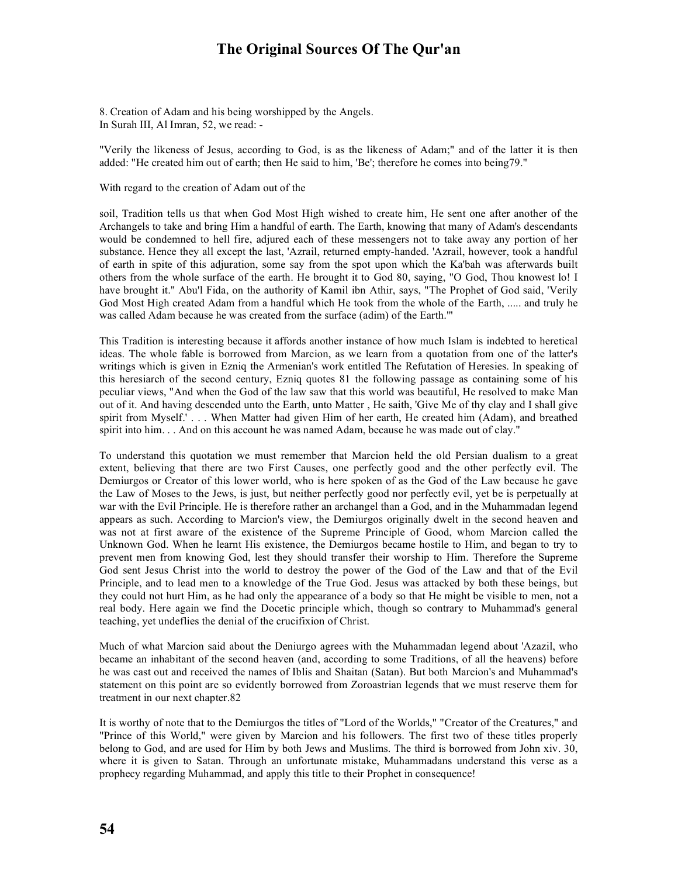8. Creation of Adam and his being worshipped by the Angels. In Surah III, Al Imran, 52, we read: -

"Verily the likeness of Jesus, according to God, is as the likeness of Adam;" and of the latter it is then added: "He created him out of earth; then He said to him, 'Be'; therefore he comes into being79."

With regard to the creation of Adam out of the

soil, Tradition tells us that when God Most High wished to create him, He sent one after another of the Archangels to take and bring Him a handful of earth. The Earth, knowing that many of Adam's descendants would be condemned to hell fire, adjured each of these messengers not to take away any portion of her substance. Hence they all except the last, 'Azrail, returned empty-handed. 'Azrail, however, took a handful of earth in spite of this adjuration, some say from the spot upon which the Ka'bah was afterwards built others from the whole surface of the earth. He brought it to God 80, saying, "O God, Thou knowest lo! I have brought it." Abu'l Fida, on the authority of Kamil ibn Athir, says, "The Prophet of God said, 'Verily God Most High created Adam from a handful which He took from the whole of the Earth, ..... and truly he was called Adam because he was created from the surface (adim) of the Earth.'"

This Tradition is interesting because it affords another instance of how much Islam is indebted to heretical ideas. The whole fable is borrowed from Marcion, as we learn from a quotation from one of the latter's writings which is given in Ezniq the Armenian's work entitled The Refutation of Heresies. In speaking of this heresiarch of the second century, Ezniq quotes 81 the following passage as containing some of his peculiar views, "And when the God of the law saw that this world was beautiful, He resolved to make Man out of it. And having descended unto the Earth, unto Matter , He saith, 'Give Me of thy clay and I shall give spirit from Myself.' . . . When Matter had given Him of her earth, He created him (Adam), and breathed spirit into him. . . And on this account he was named Adam, because he was made out of clay."

To understand this quotation we must remember that Marcion held the old Persian dualism to a great extent, believing that there are two First Causes, one perfectly good and the other perfectly evil. The Demiurgos or Creator of this lower world, who is here spoken of as the God of the Law because he gave the Law of Moses to the Jews, is just, but neither perfectly good nor perfectly evil, yet be is perpetually at war with the Evil Principle. He is therefore rather an archangel than a God, and in the Muhammadan legend appears as such. According to Marcion's view, the Demiurgos originally dwelt in the second heaven and was not at first aware of the existence of the Supreme Principle of Good, whom Marcion called the Unknown God. When he learnt His existence, the Demiurgos became hostile to Him, and began to try to prevent men from knowing God, lest they should transfer their worship to Him. Therefore the Supreme God sent Jesus Christ into the world to destroy the power of the God of the Law and that of the Evil Principle, and to lead men to a knowledge of the True God. Jesus was attacked by both these beings, but they could not hurt Him, as he had only the appearance of a body so that He might be visible to men, not a real body. Here again we find the Docetic principle which, though so contrary to Muhammad's general teaching, yet undeflies the denial of the crucifixion of Christ.

Much of what Marcion said about the Deniurgo agrees with the Muhammadan legend about 'Azazil, who became an inhabitant of the second heaven (and, according to some Traditions, of all the heavens) before he was cast out and received the names of Iblis and Shaitan (Satan). But both Marcion's and Muhammad's statement on this point are so evidently borrowed from Zoroastrian legends that we must reserve them for treatment in our next chapter.82

It is worthy of note that to the Demiurgos the titles of "Lord of the Worlds," "Creator of the Creatures," and "Prince of this World," were given by Marcion and his followers. The first two of these titles properly belong to God, and are used for Him by both Jews and Muslims. The third is borrowed from John xiv. 30, where it is given to Satan. Through an unfortunate mistake, Muhammadans understand this verse as a prophecy regarding Muhammad, and apply this title to their Prophet in consequence!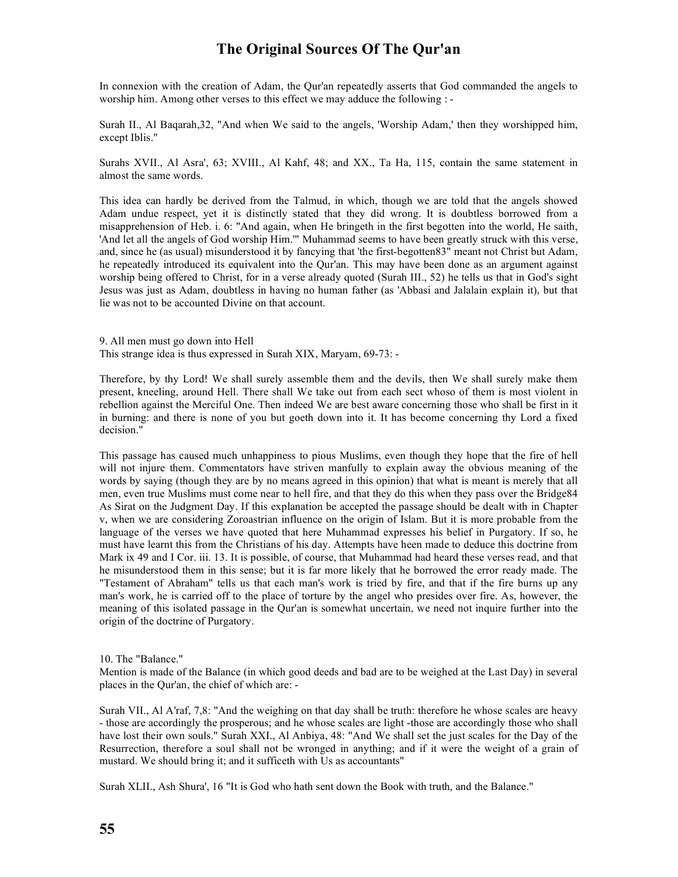In connexion with the creation of Adam, the Qur'an repeatedly asserts that God commanded the angels to worship him. Among other verses to this effect we may adduce the following : -

Surah II., Al Baqarah,32, "And when We said to the angels, 'Worship Adam,' then they worshipped him, except Iblis."

Surahs XVII., Al Asra', 63; XVIII., Al Kahf, 48; and XX., Ta Ha, 115, contain the same statement in almost the same words.

This idea can hardly be derived from the Talmud, in which, though we are told that the angels showed Adam undue respect, yet it is distinctly stated that they did wrong. It is doubtless borrowed from a misapprehension of Heb. i. 6: "And again, when He bringeth in the first begotten into the world, He saith, 'And let all the angels of God worship Him.'" Muhammad seems to have been greatly struck with this verse, and, since he (as usual) misunderstood it by fancying that 'the first-begotten83" meant not Christ but Adam, he repeatedly introduced its equivalent into the Qur'an. This may have been done as an argument against worship being offered to Christ, for in a verse already quoted (Surah III., 52) he tells us that in God's sight Jesus was just as Adam, doubtless in having no human father (as 'Abbasi and Jalalain explain it), but that lie was not to be accounted Divine on that account.

9. All men must go down into Hell

This strange idea is thus expressed in Surah XIX, Maryam, 69-73: -

Therefore, by thy Lord! We shall surely assemble them and the devils, then We shall surely make them present, kneeling, around Hell. There shall We take out from each sect whoso of them is most violent in rebellion against the Merciful One. Then indeed We are best aware concerning those who shall be first in it in burning: and there is none of you but goeth down into it. It has become concerning thy Lord a fixed decision."

This passage has caused much unhappiness to pious Muslims, even though they hope that the fire of hell will not injure them. Commentators have striven manfully to explain away the obvious meaning of the words by saying (though they are by no means agreed in this opinion) that what is meant is merely that all men, even true Muslims must come near to hell fire, and that they do this when they pass over the Bridge84 As Sirat on the Judgment Day. If this explanation be accepted the passage should be dealt with in Chapter v, when we are considering Zoroastrian influence on the origin of Islam. But it is more probable from the language of the verses we have quoted that here Muhammad expresses his belief in Purgatory. If so, he must have learnt this from the Christians of his day. Attempts have heen made to deduce this doctrine from Mark ix 49 and I Cor. iii. 13. It is possible, of course, that Muhammad had heard these verses read, and that he misunderstood them in this sense; but it is far more likely that he borrowed the error ready made. The "Testament of Abraham" tells us that each man's work is tried by fire, and that if the fire burns up any man's work, he is carried off to the place of torture by the angel who presides over fire. As, however, the meaning of this isolated passage in the Qur'an is somewhat uncertain, we need not inquire further into the origin of the doctrine of Purgatory.

#### 10. The "Balance."

Mention is made of the Balance (in which good deeds and bad are to be weighed at the Last Day) in several places in the Qur'an, the chief of which are: -

Surah VII., Al A'raf, 7,8: "And the weighing on that day shall be truth: therefore he whose scales are heavy - those are accordingly the prosperous; and he whose scales are light -those are accordingly those who shall have lost their own souls." Surah XXI., Al Anbiya, 48: "And We shall set the just scales for the Day of the Resurrection, therefore a soul shall not be wronged in anything; and if it were the weight of a grain of mustard. We should bring it; and it sufficeth with Us as accountants"

Surah XLII., Ash Shura', 16 "It is God who hath sent down the Book with truth, and the Balance."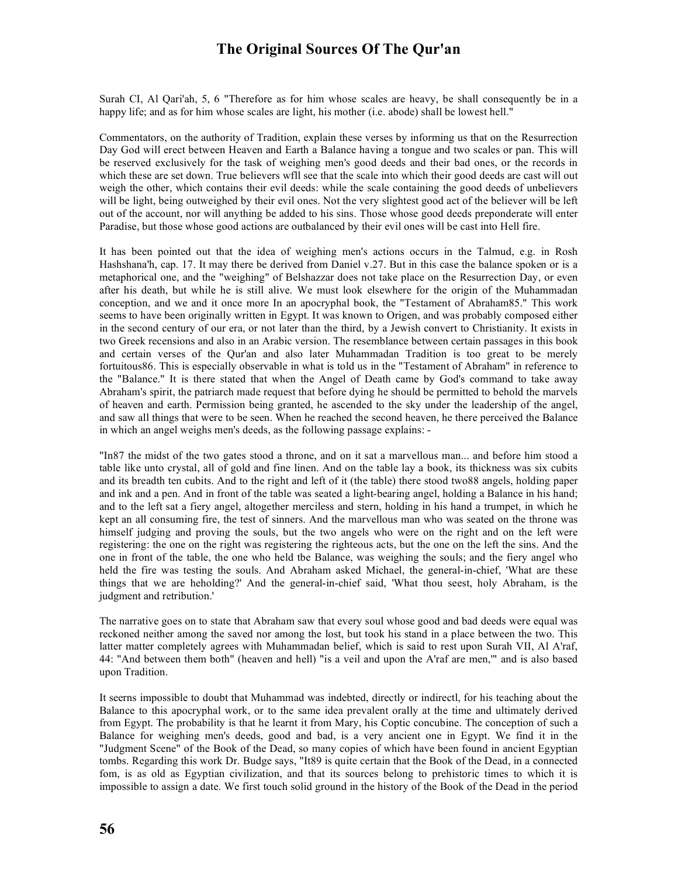Surah CI, Al Qari'ah, 5, 6 "Therefore as for him whose scales are heavy, be shall consequently be in a happy life; and as for him whose scales are light, his mother (i.e. abode) shall be lowest hell."

Commentators, on the authority of Tradition, explain these verses by informing us that on the Resurrection Day God will erect between Heaven and Earth a Balance having a tongue and two scales or pan. This will be reserved exclusively for the task of weighing men's good deeds and their bad ones, or the records in which these are set down. True believers wfll see that the scale into which their good deeds are cast will out weigh the other, which contains their evil deeds: while the scale containing the good deeds of unbelievers will be light, being outweighed by their evil ones. Not the very slightest good act of the believer will be left out of the account, nor will anything be added to his sins. Those whose good deeds preponderate will enter Paradise, but those whose good actions are outbalanced by their evil ones will be cast into Hell fire.

It has been pointed out that the idea of weighing men's actions occurs in the Talmud, e.g. in Rosh Hashshana'h, cap. 17. It may there be derived from Daniel v.27. But in this case the balance spoken or is a metaphorical one, and the "weighing" of Belshazzar does not take place on the Resurrection Day, or even after his death, but while he is still alive. We must look elsewhere for the origin of the Muhammadan conception, and we and it once more In an apocryphal book, the "Testament of Abraham85." This work seems to have been originally written in Egypt. It was known to Origen, and was probably composed either in the second century of our era, or not later than the third, by a Jewish convert to Christianity. It exists in two Greek recensions and also in an Arabic version. The resemblance between certain passages in this book and certain verses of the Qur'an and also later Muhammadan Tradition is too great to be merely fortuitous86. This is especially observable in what is told us in the "Testament of Abraham" in reference to the "Balance." It is there stated that when the Angel of Death came by God's command to take away Abraham's spirit, the patriarch made request that before dying he should be permitted to behold the marvels of heaven and earth. Permission being granted, he ascended to the sky under the leadership of the angel, and saw all things that were to be seen. When he reached the second heaven, he there perceived the Balance in which an angel weighs men's deeds, as the following passage explains: -

"In87 the midst of the two gates stood a throne, and on it sat a marvellous man... and before him stood a table like unto crystal, all of gold and fine linen. And on the table lay a book, its thickness was six cubits and its breadth ten cubits. And to the right and left of it (the table) there stood two88 angels, holding paper and ink and a pen. And in front of the table was seated a light-bearing angel, holding a Balance in his hand; and to the left sat a fiery angel, altogether merciless and stern, holding in his hand a trumpet, in which he kept an all consuming fire, the test of sinners. And the marvellous man who was seated on the throne was himself judging and proving the souls, but the two angels who were on the right and on the left were registering: the one on the right was registering the righteous acts, but the one on the left the sins. And the one in front of the table, the one who held tbe Balance, was weighing the souls; and the fiery angel who held the fire was testing the souls. And Abraham asked Michael, the general-in-chief, 'What are these things that we are heholding?' And the general-in-chief said, 'What thou seest, holy Abraham, is the judgment and retribution.'

The narrative goes on to state that Abraham saw that every soul whose good and bad deeds were equal was reckoned neither among the saved nor among the lost, but took his stand in a place between the two. This latter matter completely agrees with Muhammadan belief, which is said to rest upon Surah VII, Al A'raf, 44: "And between them both" (heaven and hell) "is a veil and upon the A'raf are men,'" and is also based upon Tradition.

It seerns impossible to doubt that Muhammad was indebted, directly or indirectl, for his teaching about the Balance to this apocryphal work, or to the same idea prevalent orally at the time and ultimately derived from Egypt. The probability is that he learnt it from Mary, his Coptic concubine. The conception of such a Balance for weighing men's deeds, good and bad, is a very ancient one in Egypt. We find it in the "Judgment Scene" of the Book of the Dead, so many copies of which have been found in ancient Egyptian tombs. Regarding this work Dr. Budge says, "It89 is quite certain that the Book of the Dead, in a connected fom, is as old as Egyptian civilization, and that its sources belong to prehistoric times to which it is impossible to assign a date. We first touch solid ground in the history of the Book of the Dead in the period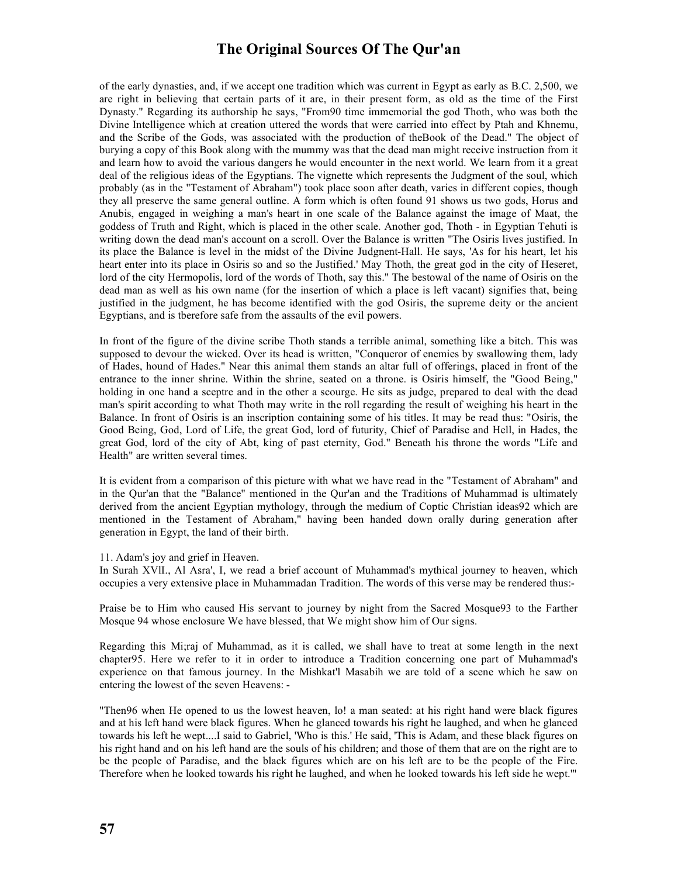of the early dynasties, and, if we accept one tradition which was current in Egypt as early as B.C. 2,500, we are right in believing that certain parts of it are, in their present form, as old as the time of the First Dynasty." Regarding its authorship he says, "From90 time immemorial the god Thoth, who was both the Divine Intelligence which at creation uttered the words that were carried into effect by Ptah and Khnemu, and the Scribe of the Gods, was associated with the production of theBook of the Dead." The object of burying a copy of this Book along with the mummy was that the dead man might receive instruction from it and learn how to avoid the various dangers he would encounter in the next world. We learn from it a great deal of the religious ideas of the Egyptians. The vignette which represents the Judgment of the soul, which probably (as in the "Testament of Abraham") took place soon after death, varies in different copies, though they all preserve the same general outline. A form which is often found 91 shows us two gods, Horus and Anubis, engaged in weighing a man's heart in one scale of the Balance against the image of Maat, the goddess of Truth and Right, which is placed in the other scale. Another god, Thoth - in Egyptian Tehuti is writing down the dead man's account on a scroll. Over the Balance is written "The Osiris lives justified. In its place the Balance is level in the midst of the Divine Judgnent-Hall. He says, 'As for his heart, let his heart enter into its place in Osiris so and so the Justified.' May Thoth, the great god in the city of Heseret, lord of the city Hermopolis, lord of the words of Thoth, say this." The bestowal of the name of Osiris on the dead man as well as his own name (for the insertion of which a place is left vacant) signifies that, being justified in the judgment, he has become identified with the god Osiris, the supreme deity or the ancient Egyptians, and is tberefore safe from the assaults of the evil powers.

In front of the figure of the divine scribe Thoth stands a terrible animal, something like a bitch. This was supposed to devour the wicked. Over its head is written, "Conqueror of enemies by swallowing them, lady of Hades, hound of Hades." Near this animal them stands an altar full of offerings, placed in front of the entrance to the inner shrine. Within the shrine, seated on a throne. is Osiris himself, the "Good Being," holding in one hand a sceptre and in the other a scourge. He sits as judge, prepared to deal with the dead man's spirit according to what Thoth may write in the roll regarding the result of weighing his heart in the Balance. In front of Osiris is an inscription containing some of his titles. It may be read thus: "Osiris, the Good Being, God, Lord of Life, the great God, lord of futurity, Chief of Paradise and Hell, in Hades, the great God, lord of the city of Abt, king of past eternity, God." Beneath his throne the words "Life and Health" are written several times.

It is evident from a comparison of this picture with what we have read in the "Testament of Abraham" and in the Qur'an that the "Balance" mentioned in the Qur'an and the Traditions of Muhammad is ultimately derived from the ancient Egyptian mythology, through the medium of Coptic Christian ideas92 which are mentioned in the Testament of Abraham," having been handed down orally during generation after generation in Egypt, the land of their birth.

11. Adam's joy and grief in Heaven.

In Surah XVlI., Al Asra', I, we read a brief account of Muhammad's mythical journey to heaven, which occupies a very extensive place in Muhammadan Tradition. The words of this verse may be rendered thus:-

Praise be to Him who caused His servant to journey by night from the Sacred Mosque93 to the Farther Mosque 94 whose enclosure We have blessed, that We might show him of Our signs.

Regarding this Mi;raj of Muhammad, as it is called, we shall have to treat at some length in the next chapter95. Here we refer to it in order to introduce a Tradition concerning one part of Muhammad's experience on that famous journey. In the Mishkat'l Masabih we are told of a scene which he saw on entering the lowest of the seven Heavens: -

"Then96 when He opened to us the lowest heaven, lo! a man seated: at his right hand were black figures and at his left hand were black figures. When he glanced towards his right he laughed, and when he glanced towards his left he wept....I said to Gabriel, 'Who is this.' He said, 'This is Adam, and these black figures on his right hand and on his left hand are the souls of his children; and those of them that are on the right are to be the people of Paradise, and the black figures which are on his left are to be the people of the Fire. Therefore when he looked towards his right he laughed, and when he looked towards his left side he wept.'"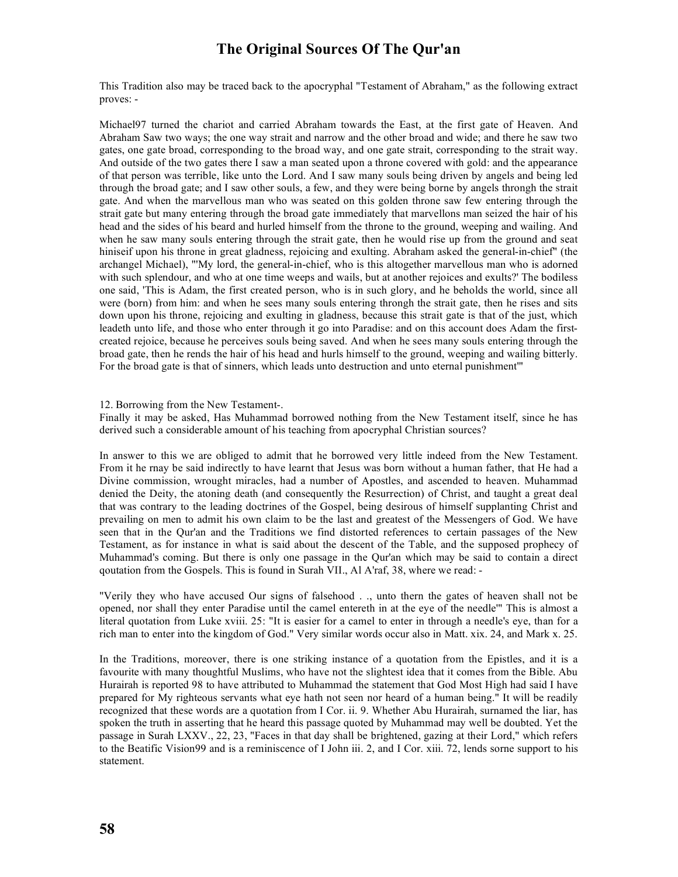This Tradition also may be traced back to the apocryphal "Testament of Abraham," as the following extract proves: -

Michael97 turned the chariot and carried Abraham towards the East, at the first gate of Heaven. And Abraham Saw two ways; the one way strait and narrow and the other broad and wide; and there he saw two gates, one gate broad, corresponding to the broad way, and one gate strait, corresponding to the strait way. And outside of the two gates there I saw a man seated upon a throne covered with gold: and the appearance of that person was terrible, like unto the Lord. And I saw many souls being driven by angels and being led through the broad gate; and I saw other souls, a few, and they were being borne by angels throngh the strait gate. And when the marvellous man who was seated on this golden throne saw few entering through the strait gate but many entering through the broad gate immediately that marvellons man seized the hair of his head and the sides of his beard and hurled himself from the throne to the ground, weeping and wailing. And when he saw many souls entering through the strait gate, then he would rise up from the ground and seat hiniseif upon his throne in great gladness, rejoicing and exulting. Abraham asked the general-in-chief" (the archangel Michael), "'My lord, the general-in-chief, who is this altogether marvellous man who is adorned with such splendour, and who at one time weeps and wails, but at another rejoices and exults?' The bodiless one said, 'This is Adam, the first created person, who is in such glory, and he beholds the world, since all were (born) from him: and when he sees many souls entering throngh the strait gate, then he rises and sits down upon his throne, rejoicing and exulting in gladness, because this strait gate is that of the just, which leadeth unto life, and those who enter through it go into Paradise: and on this account does Adam the firstcreated rejoice, because he perceives souls being saved. And when he sees many souls entering through the broad gate, then he rends the hair of his head and hurls himself to the ground, weeping and wailing bitterly. For the broad gate is that of sinners, which leads unto destruction and unto eternal punishment'"

12. Borrowing from the New Testament-.

Finally it may be asked, Has Muhammad borrowed nothing from the New Testament itself, since he has derived such a considerable amount of his teaching from apocryphal Christian sources?

In answer to this we are obliged to admit that he borrowed very little indeed from the New Testament. From it he rnay be said indirectly to have learnt that Jesus was born without a human father, that He had a Divine commission, wrought miracles, had a number of Apostles, and ascended to heaven. Muhammad denied the Deity, the atoning death (and consequently the Resurrection) of Christ, and taught a great deal that was contrary to the leading doctrines of the Gospel, being desirous of himself supplanting Christ and prevailing on men to admit his own claim to be the last and greatest of the Messengers of God. We have seen that in the Qur'an and the Traditions we find distorted references to certain passages of the New Testament, as for instance in what is said about the descent of the Table, and the supposed prophecy of Muhammad's coming. But there is only one passage in the Qur'an which may be said to contain a direct qoutation from the Gospels. This is found in Surah VII., Al A'raf, 38, where we read: -

"Verily they who have accused Our signs of falsehood . ., unto thern the gates of heaven shall not be opened, nor shall they enter Paradise until the camel entereth in at the eye of the needle'" This is almost a literal quotation from Luke xviii. 25: "It is easier for a camel to enter in through a needle's eye, than for a rich man to enter into the kingdom of God." Very similar words occur also in Matt. xix. 24, and Mark x. 25.

In the Traditions, moreover, there is one striking instance of a quotation from the Epistles, and it is a favourite with many thoughtful Muslims, who have not the slightest idea that it comes from the Bible. Abu Hurairah is reported 98 to have attributed to Muhammad the statement that God Most High had said I have prepared for My righteous servants what eye hath not seen nor heard of a human being." It will be readily recognized that these words are a quotation from I Cor. ii. 9. Whether Abu Hurairah, surnamed the liar, has spoken the truth in asserting that he heard this passage quoted by Muhammad may well be doubted. Yet the passage in Surah LXXV., 22, 23, "Faces in that day shall be brightened, gazing at their Lord," which refers to the Beatific Vision99 and is a reminiscence of I John iii. 2, and I Cor. xiii. 72, lends sorne support to his statement.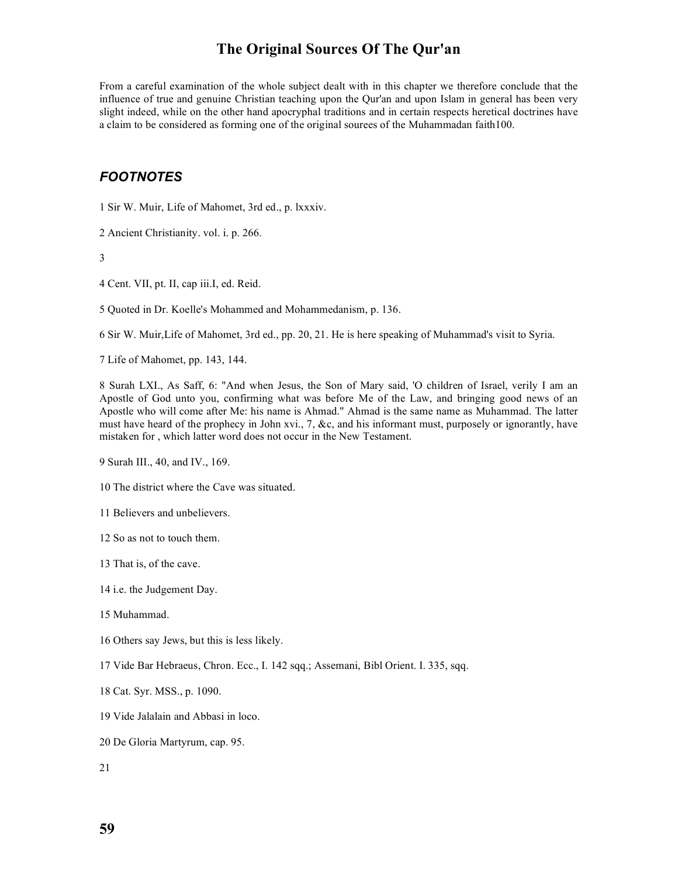From a careful examination of the whole subject dealt with in this chapter we therefore conclude that the influence of true and genuine Christian teaching upon the Qur'an and upon Islam in general has been very slight indeed, while on the other hand apocryphal traditions and in certain respects heretical doctrines have a claim to be considered as forming one of the original sourees of the Muhammadan faith100.

#### *FOOTNOTES*

1 Sir W. Muir, Life of Mahomet, 3rd ed., p. lxxxiv.

2 Ancient Christianity. vol. i. p. 266.

3

4 Cent. VII, pt. II, cap iii.I, ed. Reid.

5 Quoted in Dr. Koelle's Mohammed and Mohammedanism, p. 136.

6 Sir W. Muir,Life of Mahomet, 3rd ed., pp. 20, 21. He is here speaking of Muhammad's visit to Syria.

7 Life of Mahomet, pp. 143, 144.

8 Surah LXI., As Saff, 6: "And when Jesus, the Son of Mary said, 'O children of Israel, verily I am an Apostle of God unto you, confirming what was before Me of the Law, and bringing good news of an Apostle who will come after Me: his name is Ahmad." Ahmad is the same name as Muhammad. The latter must have heard of the prophecy in John xvi., 7, &c, and his informant must, purposely or ignorantly, have mistaken for , which latter word does not occur in the New Testament.

9 Surah III., 40, and IV., 169.

10 The district where the Cave was situated.

11 Believers and unbelievers.

12 So as not to touch them.

13 That is, of the cave.

14 i.e. the Judgement Day.

15 Muhammad.

16 Others say Jews, but this is less likely.

17 Vide Bar Hebraeus, Chron. Ecc., I. 142 sqq.; Assemani, Bibl Orient. I. 335, sqq.

18 Cat. Syr. MSS., p. 1090.

19 Vide Jalalain and Abbasi in loco.

20 De Gloria Martyrum, cap. 95.

21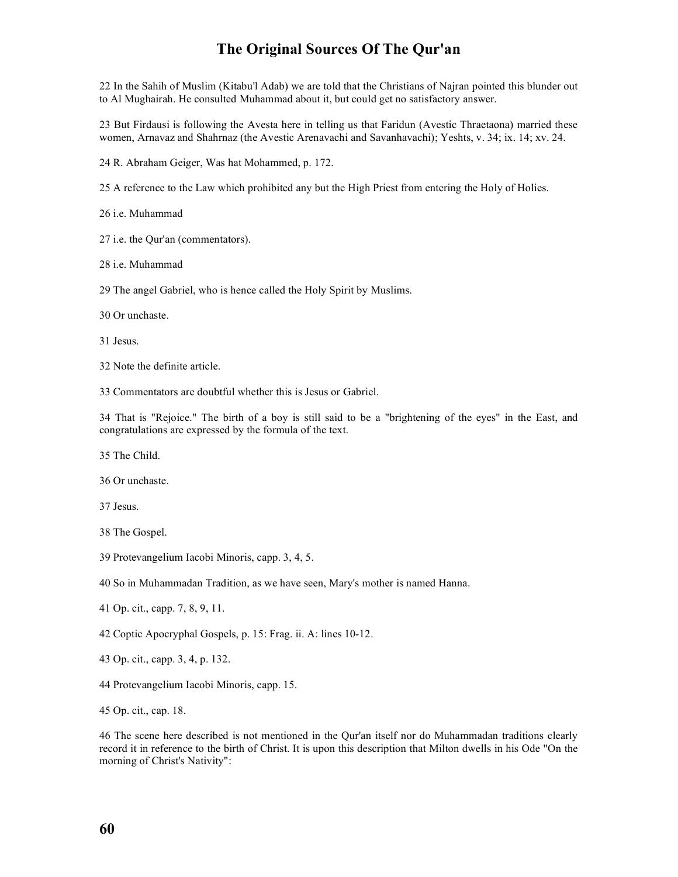22 In the Sahih of Muslim (Kitabu'l Adab) we are told that the Christians of Najran pointed this blunder out to Al Mughairah. He consulted Muhammad about it, but could get no satisfactory answer.

23 But Firdausi is following the Avesta here in telling us that Faridun (Avestic Thraetaona) married these women, Arnavaz and Shahrnaz (the Avestic Arenavachi and Savanhavachi); Yeshts, v. 34; ix. 14; xv. 24.

24 R. Abraham Geiger, Was hat Mohammed, p. 172.

25 A reference to the Law which prohibited any but the High Priest from entering the Holy of Holies.

26 i.e. Muhammad

27 i.e. the Qur'an (commentators).

28 i.e. Muhammad

29 The angel Gabriel, who is hence called the Holy Spirit by Muslims.

30 Or unchaste.

31 Jesus.

32 Note the definite article.

33 Commentators are doubtful whether this is Jesus or Gabriel.

34 That is "Rejoice." The birth of a boy is still said to be a "brightening of the eyes" in the East, and congratulations are expressed by the formula of the text.

35 The Child.

36 Or unchaste.

37 Jesus.

38 The Gospel.

39 Protevangelium Iacobi Minoris, capp. 3, 4, 5.

40 So in Muhammadan Tradition, as we have seen, Mary's mother is named Hanna.

41 Op. cit., capp. 7, 8, 9, 11.

42 Coptic Apocryphal Gospels, p. 15: Frag. ii. A: lines 10-12.

43 Op. cit., capp. 3, 4, p. 132.

44 Protevangelium Iacobi Minoris, capp. 15.

45 Op. cit., cap. 18.

46 The scene here described is not mentioned in the Qur'an itself nor do Muhammadan traditions clearly record it in reference to the birth of Christ. It is upon this description that Milton dwells in his Ode "On the morning of Christ's Nativity":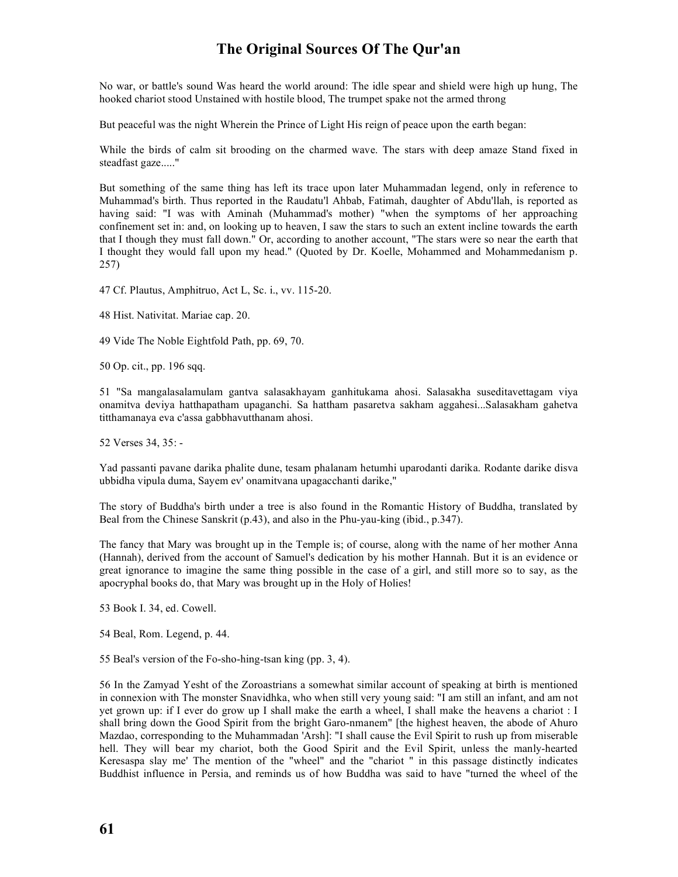No war, or battle's sound Was heard the world around: The idle spear and shield were high up hung, The hooked chariot stood Unstained with hostile blood, The trumpet spake not the armed throng

But peaceful was the night Wherein the Prince of Light His reign of peace upon the earth began:

While the birds of calm sit brooding on the charmed wave. The stars with deep amaze Stand fixed in steadfast gaze....."

But something of the same thing has left its trace upon later Muhammadan legend, only in reference to Muhammad's birth. Thus reported in the Raudatu'l Ahbab, Fatimah, daughter of Abdu'llah, is reported as having said: "I was with Aminah (Muhammad's mother) "when the symptoms of her approaching confinement set in: and, on looking up to heaven, I saw the stars to such an extent incline towards the earth that I though they must fall down." Or, according to another account, "The stars were so near the earth that I thought they would fall upon my head." (Quoted by Dr. Koelle, Mohammed and Mohammedanism p. 257)

47 Cf. Plautus, Amphitruo, Act L, Sc. i., vv. 115-20.

48 Hist. Nativitat. Mariae cap. 20.

49 Vide The Noble Eightfold Path, pp. 69, 70.

50 Op. cit., pp. 196 sqq.

51 "Sa mangalasalamulam gantva salasakhayam ganhitukama ahosi. Salasakha suseditavettagam viya onamitva deviya hatthapatham upaganchi. Sa hattham pasaretva sakham aggahesi...Salasakham gahetva titthamanaya eva c'assa gabbhavutthanam ahosi.

52 Verses 34, 35: -

Yad passanti pavane darika phalite dune, tesam phalanam hetumhi uparodanti darika. Rodante darike disva ubbidha vipula duma, Sayem ev' onamitvana upagacchanti darike,"

The story of Buddha's birth under a tree is also found in the Romantic History of Buddha, translated by Beal from the Chinese Sanskrit (p.43), and also in the Phu-yau-king (ibid., p.347).

The fancy that Mary was brought up in the Temple is; of course, along with the name of her mother Anna (Hannah), derived from the account of Samuel's dedication by his mother Hannah. But it is an evidence or great ignorance to imagine the same thing possible in the case of a girl, and still more so to say, as the apocryphal books do, that Mary was brought up in the Holy of Holies!

53 Book I. 34, ed. Cowell.

54 Beal, Rom. Legend, p. 44.

55 Beal's version of the Fo-sho-hing-tsan king (pp. 3, 4).

56 In the Zamyad Yesht of the Zoroastrians a somewhat similar account of speaking at birth is mentioned in connexion with The monster Snavidhka, who when still very young said: "I am still an infant, and am not yet grown up: if I ever do grow up I shall make the earth a wheel, I shall make the heavens a chariot : I shall bring down the Good Spirit from the bright Garo-nmanem" [the highest heaven, the abode of Ahuro Mazdao, corresponding to the Muhammadan 'Arsh]: "I shall cause the Evil Spirit to rush up from miserable hell. They will bear my chariot, both the Good Spirit and the Evil Spirit, unless the manly-hearted Keresaspa slay me' The mention of the "wheel" and the "chariot " in this passage distinctly indicates Buddhist influence in Persia, and reminds us of how Buddha was said to have "turned the wheel of the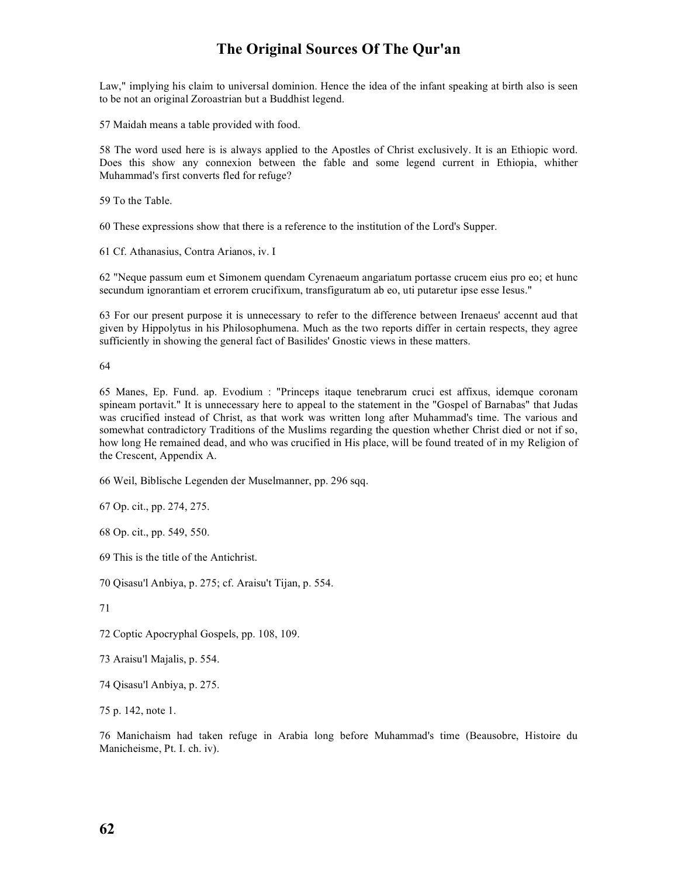Law," implying his claim to universal dominion. Hence the idea of the infant speaking at birth also is seen to be not an original Zoroastrian but a Buddhist legend.

57 Maidah means a table provided with food.

58 The word used here is is always applied to the Apostles of Christ exclusively. It is an Ethiopic word. Does this show any connexion between the fable and some legend current in Ethiopia, whither Muhammad's first converts fled for refuge?

59 To the Table.

60 These expressions show that there is a reference to the institution of the Lord's Supper.

61 Cf. Athanasius, Contra Arianos, iv. I

62 "Neque passum eum et Simonem quendam Cyrenaeum angariatum portasse crucem eius pro eo; et hunc secundum ignorantiam et errorem crucifixum, transfiguratum ab eo, uti putaretur ipse esse Iesus."

63 For our present purpose it is unnecessary to refer to the difference between Irenaeus' accennt aud that given by Hippolytus in his Philosophumena. Much as the two reports differ in certain respects, they agree sufficiently in showing the general fact of Basilides' Gnostic views in these matters.

64

65 Manes, Ep. Fund. ap. Evodium : "Princeps itaque tenebrarum cruci est affixus, idemque coronam spineam portavit." It is unnecessary here to appeal to the statement in the "Gospel of Barnabas" that Judas was crucified instead of Christ, as that work was written long after Muhammad's time. The various and somewhat contradictory Traditions of the Muslims regarding the question whether Christ died or not if so, how long He remained dead, and who was crucified in His place, will be found treated of in my Religion of the Crescent, Appendix A.

66 Weil, Biblische Legenden der Muselmanner, pp. 296 sqq.

67 Op. cit., pp. 274, 275.

68 Op. cit., pp. 549, 550.

69 This is the title of the Antichrist.

70 Qisasu'l Anbiya, p. 275; cf. Araisu't Tijan, p. 554.

71

72 Coptic Apocryphal Gospels, pp. 108, 109.

73 Araisu'l Majalis, p. 554.

74 Qisasu'l Anbiya, p. 275.

75 p. 142, note 1.

76 Manichaism had taken refuge in Arabia long before Muhammad's time (Beausobre, Histoire du Manicheisme, Pt. I. ch. iv).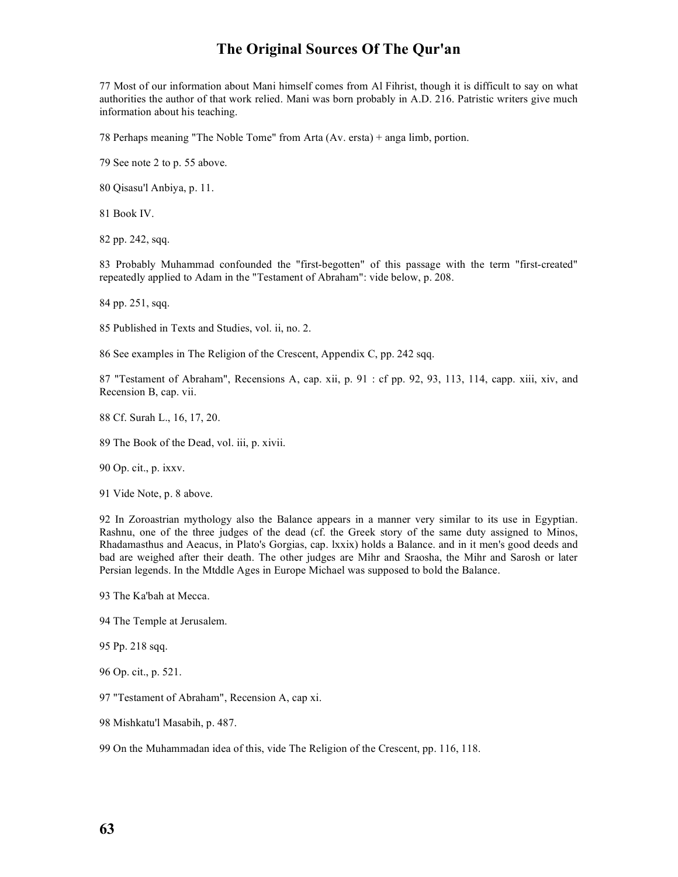77 Most of our information about Mani himself comes from Al Fihrist, though it is difficult to say on what authorities the author of that work relied. Mani was born probably in A.D. 216. Patristic writers give much information about his teaching.

78 Perhaps meaning "The Noble Tome" from Arta (Av. ersta) + anga limb, portion.

79 See note 2 to p. 55 above.

80 Qisasu'l Anbiya, p. 11.

81 Book IV.

82 pp. 242, sqq.

83 Probably Muhammad confounded the "first-begotten" of this passage with the term "first-created" repeatedly applied to Adam in the "Testament of Abraham": vide below, p. 208.

84 pp. 251, sqq.

85 Published in Texts and Studies, vol. ii, no. 2.

86 See examples in The Religion of the Crescent, Appendix C, pp. 242 sqq.

87 "Testament of Abraham", Recensions A, cap. xii, p. 91 : cf pp. 92, 93, 113, 114, capp. xiii, xiv, and Recension B, cap. vii.

88 Cf. Surah L., 16, 17, 20.

89 The Book of the Dead, vol. iii, p. xivii.

90 Op. cit., p. ixxv.

91 Vide Note, p. 8 above.

92 In Zoroastrian mythology also the Balance appears in a manner very similar to its use in Egyptian. Rashnu, one of the three judges of the dead (cf. the Greek story of the same duty assigned to Minos, Rhadamasthus and Aeacus, in Plato's Gorgias, cap. lxxix) holds a Balance. and in it men's good deeds and bad are weighed after their death. The other judges are Mihr and Sraosha, the Mihr and Sarosh or later Persian legends. In the Mtddle Ages in Europe Michael was supposed to bold the Balance.

93 The Ka'bah at Mecca.

94 The Temple at Jerusalem.

95 Pp. 218 sqq.

96 Op. cit., p. 521.

97 "Testament of Abraham", Recension A, cap xi.

98 Mishkatu'l Masabih, p. 487.

99 On the Muhammadan idea of this, vide The Religion of the Crescent, pp. 116, 118.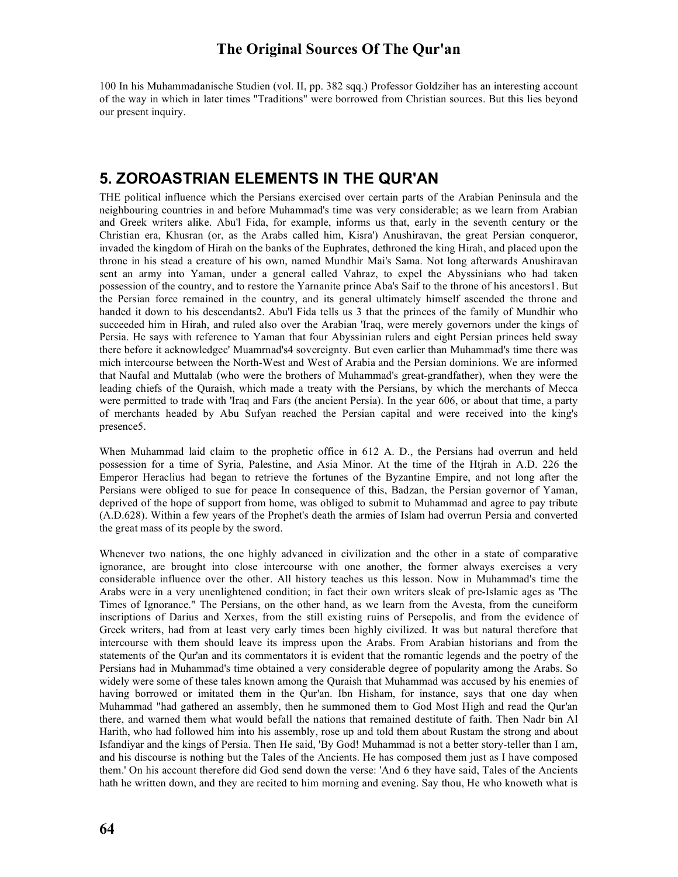100 In his Muhammadanische Studien (vol. II, pp. 382 sqq.) Professor Goldziher has an interesting account of the way in which in later times "Traditions" were borrowed from Christian sources. But this lies beyond our present inquiry.

# **5. ZOROASTRIAN ELEMENTS IN THE QUR'AN**

THE political influence which the Persians exercised over certain parts of the Arabian Peninsula and the neighbouring countries in and before Muhammad's time was very considerable; as we learn from Arabian and Greek writers alike. Abu'l Fida, for example, informs us that, early in the seventh century or the Christian era, Khusran (or, as the Arabs called him, Kisra') Anushiravan, the great Persian conqueror, invaded the kingdom of Hirah on the banks of the Euphrates, dethroned the king Hirah, and placed upon the throne in his stead a creature of his own, named Mundhir Mai's Sama. Not long afterwards Anushiravan sent an army into Yaman, under a general called Vahraz, to expel the Abyssinians who had taken possession of the country, and to restore the Yarnanite prince Aba's Saif to the throne of his ancestors1. But the Persian force remained in the country, and its general ultimately himself ascended the throne and handed it down to his descendants2. Abu'l Fida tells us 3 that the princes of the family of Mundhir who succeeded him in Hirah, and ruled also over the Arabian 'Iraq, were merely governors under the kings of Persia. He says with reference to Yaman that four Abyssinian rulers and eight Persian princes held sway there before it acknowledgec' Muamrnad's4 sovereignty. But even earlier than Muhammad's time there was mich intercourse between the North-West and West of Arabia and the Persian dominions. We are informed that Naufal and Muttalab (who were the brothers of Muhammad's great-grandfather), when they were the leading chiefs of the Quraish, which made a treaty with the Persians, by which the merchants of Mecca were permitted to trade with 'Iraq and Fars (the ancient Persia). In the year 606, or about that time, a party of merchants headed by Abu Sufyan reached the Persian capital and were received into the king's presence5.

When Muhammad laid claim to the prophetic office in 612 A. D., the Persians had overrun and held possession for a time of Syria, Palestine, and Asia Minor. At the time of the Htjrah in A.D. 226 the Emperor Heraclius had began to retrieve the fortunes of the Byzantine Empire, and not long after the Persians were obliged to sue for peace In consequence of this, Badzan, the Persian governor of Yaman, deprived of the hope of support from home, was obliged to submit to Muhammad and agree to pay tribute (A.D.628). Within a few years of the Prophet's death the armies of Islam had overrun Persia and converted the great mass of its people by the sword.

Whenever two nations, the one highly advanced in civilization and the other in a state of comparative ignorance, are brought into close intercourse with one another, the former always exercises a very considerable influence over the other. All history teaches us this lesson. Now in Muhammad's time the Arabs were in a very unenlightened condition; in fact their own writers sleak of pre-Islamic ages as 'The Times of Ignorance." The Persians, on the other hand, as we learn from the Avesta, from the cuneiform inscriptions of Darius and Xerxes, from the still existing ruins of Persepolis, and from the evidence of Greek writers, had from at least very early times been highly civilized. It was but natural therefore that intercourse with them should leave its impress upon the Arabs. From Arabian historians and from the statements of the Qur'an and its commentators it is evident that the romantic legends and the poetry of the Persians had in Muhammad's time obtained a very considerable degree of popularity among the Arabs. So widely were some of these tales known among the Quraish that Muhammad was accused by his enemies of having borrowed or imitated them in the Qur'an. Ibn Hisham, for instance, says that one day when Muhammad "had gathered an assembly, then he summoned them to God Most High and read the Qur'an there, and warned them what would befall the nations that remained destitute of faith. Then Nadr bin Al Harith, who had followed him into his assembly, rose up and told them about Rustam the strong and about Isfandiyar and the kings of Persia. Then He said, 'By God! Muhammad is not a better story-teller than I am, and his discourse is nothing but the Tales of the Ancients. He has composed them just as I have composed them.' On his account therefore did God send down the verse: 'And 6 they have said, Tales of the Ancients hath he written down, and they are recited to him morning and evening. Say thou, He who knoweth what is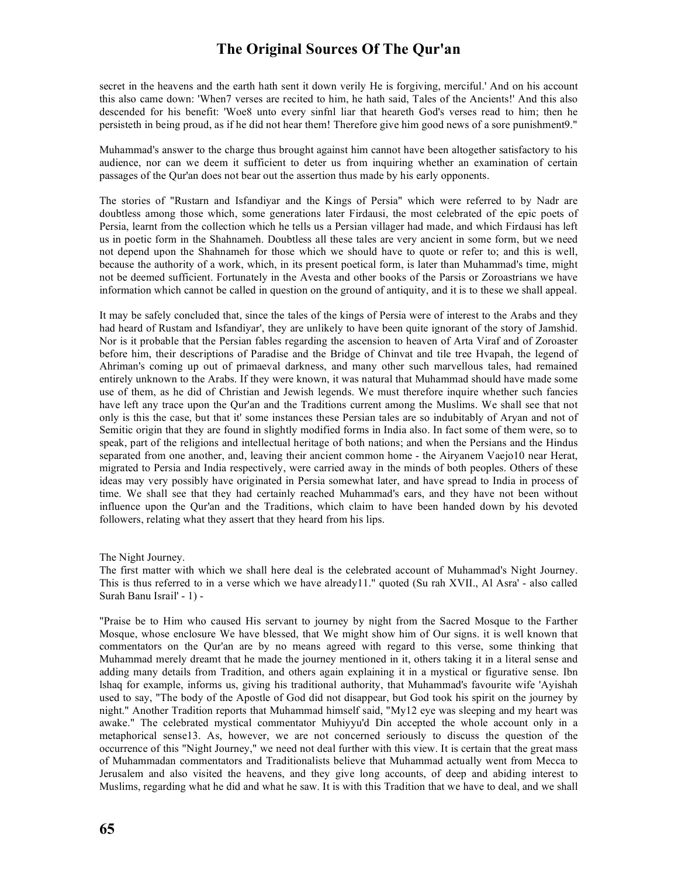secret in the heavens and the earth hath sent it down verily He is forgiving, merciful.' And on his account this also came down: 'When7 verses are recited to him, he hath said, Tales of the Ancients!' And this also descended for his benefit: 'Woe8 unto every sinfnl liar that heareth God's verses read to him; then he persisteth in being proud, as if he did not hear them! Therefore give him good news of a sore punishment9."

Muhammad's answer to the charge thus brought against him cannot have been altogether satisfactory to his audience, nor can we deem it sufficient to deter us from inquiring whether an examination of certain passages of the Qur'an does not bear out the assertion thus made by his early opponents.

The stories of "Rustarn and Isfandiyar and the Kings of Persia" which were referred to by Nadr are doubtless among those which, some generations later Firdausi, the most celebrated of the epic poets of Persia, learnt from the collection which he tells us a Persian villager had made, and which Firdausi has left us in poetic form in the Shahnameh. Doubtless all these tales are very ancient in some form, but we need not depend upon the Shahnameh for those which we should have to quote or refer to; and this is well, because the authority of a work, which, in its present poetical form, is later than Muhammad's time, might not be deemed sufficient. Fortunately in the Avesta and other books of the Parsis or Zoroastrians we have information which cannot be called in question on the ground of antiquity, and it is to these we shall appeal.

It may be safely concluded that, since the tales of the kings of Persia were of interest to the Arabs and they had heard of Rustam and Isfandiyar', they are unlikely to have been quite ignorant of the story of Jamshid. Nor is it probable that the Persian fables regarding the ascension to heaven of Arta Viraf and of Zoroaster before him, their descriptions of Paradise and the Bridge of Chinvat and tile tree Hvapah, the legend of Ahriman's coming up out of primaeval darkness, and many other such marvellous tales, had remained entirely unknown to the Arabs. If they were known, it was natural that Muhammad should have made some use of them, as he did of Christian and Jewish legends. We must therefore inquire whether such fancies have left any trace upon the Qur'an and the Traditions current among the Muslims. We shall see that not only is this the case, but that it' some instances these Persian tales are so indubitably of Aryan and not of Semitic origin that they are found in slightly modified forms in India also. In fact some of them were, so to speak, part of the religions and intellectual heritage of both nations; and when the Persians and the Hindus separated from one another, and, leaving their ancient common home - the Airyanem Vaejo10 near Herat, migrated to Persia and India respectively, were carried away in the minds of both peoples. Others of these ideas may very possibly have originated in Persia somewhat later, and have spread to India in process of time. We shall see that they had certainly reached Muhammad's ears, and they have not been without influence upon the Qur'an and the Traditions, which claim to have been handed down by his devoted followers, relating what they assert that they heard from his lips.

#### The Night Journey.

The first matter with which we shall here deal is the celebrated account of Muhammad's Night Journey. This is thus referred to in a verse which we have already11." quoted (Su rah XVII., Al Asra' - also called Surah Banu Israil' - 1) -

"Praise be to Him who caused His servant to journey by night from the Sacred Mosque to the Farther Mosque, whose enclosure We have blessed, that We might show him of Our signs. it is well known that commentators on the Qur'an are by no means agreed with regard to this verse, some thinking that Muhammad merely dreamt that he made the journey mentioned in it, others taking it in a literal sense and adding many details from Tradition, and others again explaining it in a mystical or figurative sense. Ibn lshaq for example, informs us, giving his traditional authority, that Muhammad's favourite wife 'Ayishah used to say, "The body of the Apostle of God did not disappear, but God took his spirit on the journey by night." Another Tradition reports that Muhammad himself said, "My12 eye was sleeping and my heart was awake." The celebrated mystical commentator Muhiyyu'd Din accepted the whole account only in a metaphorical sense13. As, however, we are not concerned seriously to discuss the question of the occurrence of this "Night Journey," we need not deal further with this view. It is certain that the great mass of Muhammadan commentators and Traditionalists believe that Muhammad actually went from Mecca to Jerusalem and also visited the heavens, and they give long accounts, of deep and abiding interest to Muslims, regarding what he did and what he saw. It is with this Tradition that we have to deal, and we shall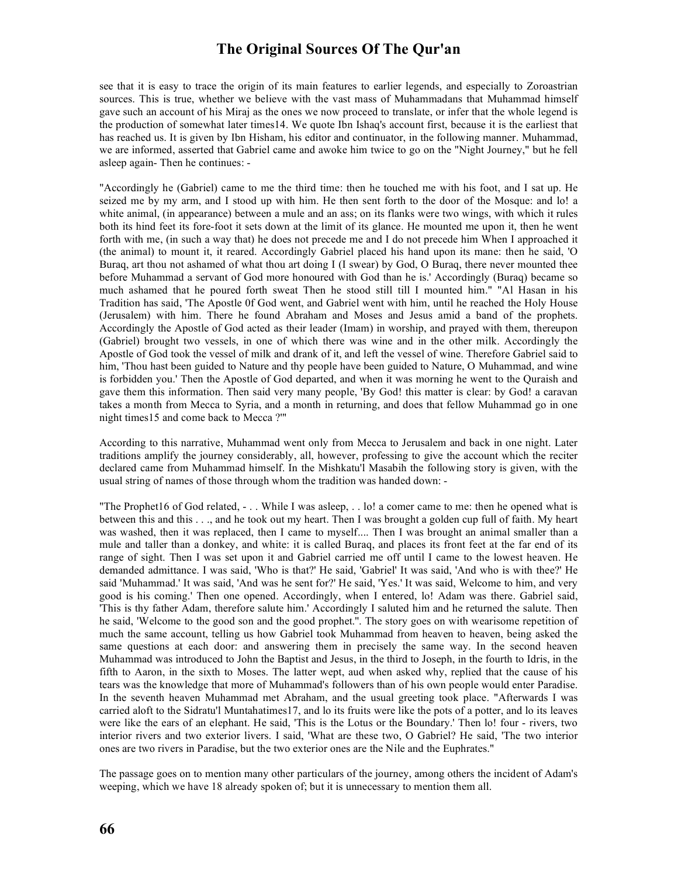see that it is easy to trace the origin of its main features to earlier legends, and especially to Zoroastrian sources. This is true, whether we believe with the vast mass of Muhammadans that Muhammad himself gave such an account of his Miraj as the ones we now proceed to translate, or infer that the whole legend is the production of somewhat later times14. We quote Ibn Ishaq's account first, because it is the earliest that has reached us. It is given by Ibn Hisham, his editor and continuator, in the following manner. Muhammad, we are informed, asserted that Gabriel came and awoke him twice to go on the "Night Journey," but he fell asleep again- Then he continues: -

"Accordingly he (Gabriel) came to me the third time: then he touched me with his foot, and I sat up. He seized me by my arm, and I stood up with him. He then sent forth to the door of the Mosque: and lo! a white animal, (in appearance) between a mule and an ass; on its flanks were two wings, with which it rules both its hind feet its fore-foot it sets down at the limit of its glance. He mounted me upon it, then he went forth with me, (in such a way that) he does not precede me and I do not precede him When I approached it (the animal) to mount it, it reared. Accordingly Gabriel placed his hand upon its mane: then he said, 'O Buraq, art thou not ashamed of what thou art doing I (I swear) by God, O Buraq, there never mounted thee before Muhammad a servant of God more honoured with God than he is.' Accordingly (Buraq) became so much ashamed that he poured forth sweat Then he stood still till I mounted him." "Al Hasan in his Tradition has said, 'The Apostle 0f God went, and Gabriel went with him, until he reached the Holy House (Jerusalem) with him. There he found Abraham and Moses and Jesus amid a band of the prophets. Accordingly the Apostle of God acted as their leader (Imam) in worship, and prayed with them, thereupon (Gabriel) brought two vessels, in one of which there was wine and in the other milk. Accordingly the Apostle of God took the vessel of milk and drank of it, and left the vessel of wine. Therefore Gabriel said to him, 'Thou hast been guided to Nature and thy people have been guided to Nature, O Muhammad, and wine is forbidden you.' Then the Apostle of God departed, and when it was morning he went to the Quraish and gave them this information. Then said very many people, 'By God! this matter is clear: by God! a caravan takes a month from Mecca to Syria, and a month in returning, and does that fellow Muhammad go in one night times15 and come back to Mecca ?'"

According to this narrative, Muhammad went only from Mecca to Jerusalem and back in one night. Later traditions amplify the journey considerably, all, however, professing to give the account which the reciter declared came from Muhammad himself. In the Mishkatu'l Masabih the following story is given, with the usual string of names of those through whom the tradition was handed down: -

"The Prophet16 of God related, - . . While I was asleep, . . lo! a comer came to me: then he opened what is between this and this . . ., and he took out my heart. Then I was brought a golden cup full of faith. My heart was washed, then it was replaced, then I came to myself.... Then I was brought an animal smaller than a mule and taller than a donkey, and white: it is called Buraq, and places its front feet at the far end of its range of sight. Then I was set upon it and Gabriel carried me off until I came to the lowest heaven. He demanded admittance. I was said, 'Who is that?' He said, 'Gabriel' It was said, 'And who is with thee?' He said 'Muhammad.' It was said, 'And was he sent for?' He said, 'Yes.' It was said, Welcome to him, and very good is his coming.' Then one opened. Accordingly, when I entered, lo! Adam was there. Gabriel said, 'This is thy father Adam, therefore salute him.' Accordingly I saluted him and he returned the salute. Then he said, 'Welcome to the good son and the good prophet.''. The story goes on with wearisome repetition of much the same account, telling us how Gabriel took Muhammad from heaven to heaven, being asked the same questions at each door: and answering them in precisely the same way. In the second heaven Muhammad was introduced to John the Baptist and Jesus, in the third to Joseph, in the fourth to Idris, in the fifth to Aaron, in the sixth to Moses. The latter wept, aud when asked why, replied that the cause of his tears was the knowledge that more of Muhammad's followers than of his own people would enter Paradise. In the seventh heaven Muhammad met Abraham, and the usual greeting took place. "Afterwards I was carried aloft to the Sidratu'l Muntahatimes17, and lo its fruits were like the pots of a potter, and lo its leaves were like the ears of an elephant. He said, 'This is the Lotus or the Boundary.' Then lo! four - rivers, two interior rivers and two exterior livers. I said, 'What are these two, O Gabriel? He said, 'The two interior ones are two rivers in Paradise, but the two exterior ones are the Nile and the Euphrates."

The passage goes on to mention many other particulars of the journey, among others the incident of Adam's weeping, which we have 18 already spoken of; but it is unnecessary to mention them all.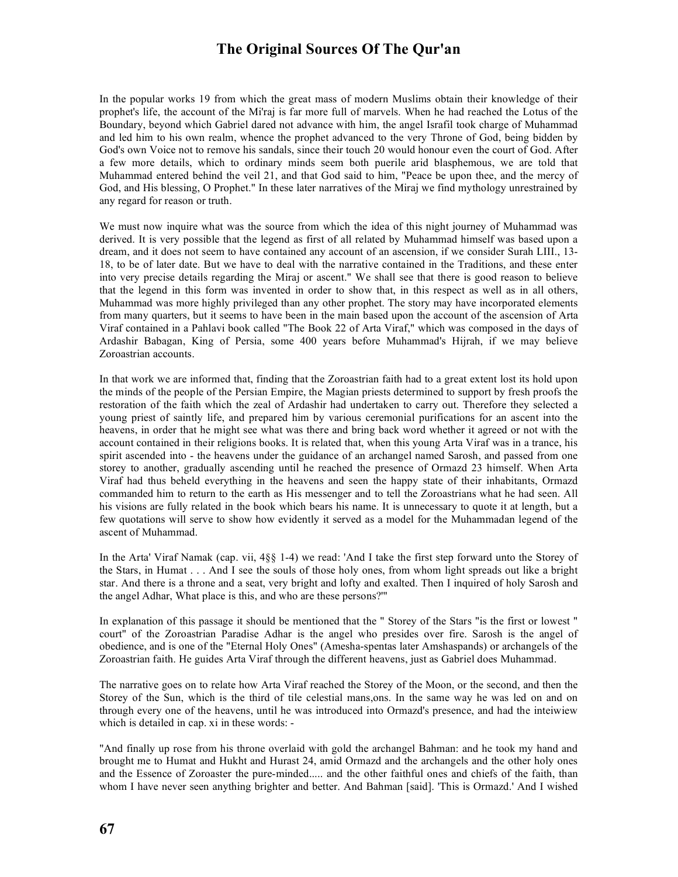In the popular works 19 from which the great mass of modern Muslims obtain their knowledge of their prophet's life, the account of the Mi'raj is far more full of marvels. When he had reached the Lotus of the Boundary, beyond which Gabriel dared not advance with him, the angel Israfil took charge of Muhammad and led him to his own realm, whence the prophet advanced to the very Throne of God, being bidden by God's own Voice not to remove his sandals, since their touch 20 would honour even the court of God. After a few more details, which to ordinary minds seem both puerile arid blasphemous, we are told that Muhammad entered behind the veil 21, and that God said to him, "Peace be upon thee, and the mercy of God, and His blessing, O Prophet." In these later narratives of the Miraj we find mythology unrestrained by any regard for reason or truth.

We must now inquire what was the source from which the idea of this night journey of Muhammad was derived. It is very possible that the legend as first of all related by Muhammad himself was based upon a dream, and it does not seem to have contained any account of an ascension, if we consider Surah LIII., 13- 18, to be of later date. But we have to deal with the narrative contained in the Traditions, and these enter into very precise details regarding the Miraj or ascent." We shall see that there is good reason to believe that the legend in this form was invented in order to show that, in this respect as well as in all others, Muhammad was more highly privileged than any other prophet. The story may have incorporated elements from many quarters, but it seems to have been in the main based upon the account of the ascension of Arta Viraf contained in a Pahlavi book called "The Book 22 of Arta Viraf," which was composed in the days of Ardashir Babagan, King of Persia, some 400 years before Muhammad's Hijrah, if we may believe Zoroastrian accounts.

In that work we are informed that, finding that the Zoroastrian faith had to a great extent lost its hold upon the minds of the people of the Persian Empire, the Magian priests determined to support by fresh proofs the restoration of the faith which the zeal of Ardashir had undertaken to carry out. Therefore they selected a young priest of saintly life, and prepared him by various ceremonial purifications for an ascent into the heavens, in order that he might see what was there and bring back word whether it agreed or not with the account contained in their religions books. It is related that, when this young Arta Viraf was in a trance, his spirit ascended into - the heavens under the guidance of an archangel named Sarosh, and passed from one storey to another, gradually ascending until he reached the presence of Ormazd 23 himself. When Arta Viraf had thus beheld everything in the heavens and seen the happy state of their inhabitants, Ormazd commanded him to return to the earth as His messenger and to tell the Zoroastrians what he had seen. All his visions are fully related in the book which bears his name. It is unnecessary to quote it at length, but a few quotations will serve to show how evidently it served as a model for the Muhammadan legend of the ascent of Muhammad.

In the Arta' Viraf Namak (cap. vii, 4§§ 1-4) we read: 'And I take the first step forward unto the Storey of the Stars, in Humat . . . And I see the souls of those holy ones, from whom light spreads out like a bright star. And there is a throne and a seat, very bright and lofty and exalted. Then I inquired of holy Sarosh and the angel Adhar, What place is this, and who are these persons?'"

In explanation of this passage it should be mentioned that the " Storey of the Stars "is the first or lowest " court" of the Zoroastrian Paradise Adhar is the angel who presides over fire. Sarosh is the angel of obedience, and is one of the "Eternal Holy Ones" (Amesha-spentas later Amshaspands) or archangels of the Zoroastrian faith. He guides Arta Viraf through the different heavens, just as Gabriel does Muhammad.

The narrative goes on to relate how Arta Viraf reached the Storey of the Moon, or the second, and then the Storey of the Sun, which is the third of tile celestial mans,ons. In the same way he was led on and on through every one of the heavens, until he was introduced into Ormazd's presence, and had the inteiwiew which is detailed in cap. xi in these words: -

"And finally up rose from his throne overlaid with gold the archangel Bahman: and he took my hand and brought me to Humat and Hukht and Hurast 24, amid Ormazd and the archangels and the other holy ones and the Essence of Zoroaster the pure-minded..... and the other faithful ones and chiefs of the faith, than whom I have never seen anything brighter and better. And Bahman [said]. 'This is Ormazd.' And I wished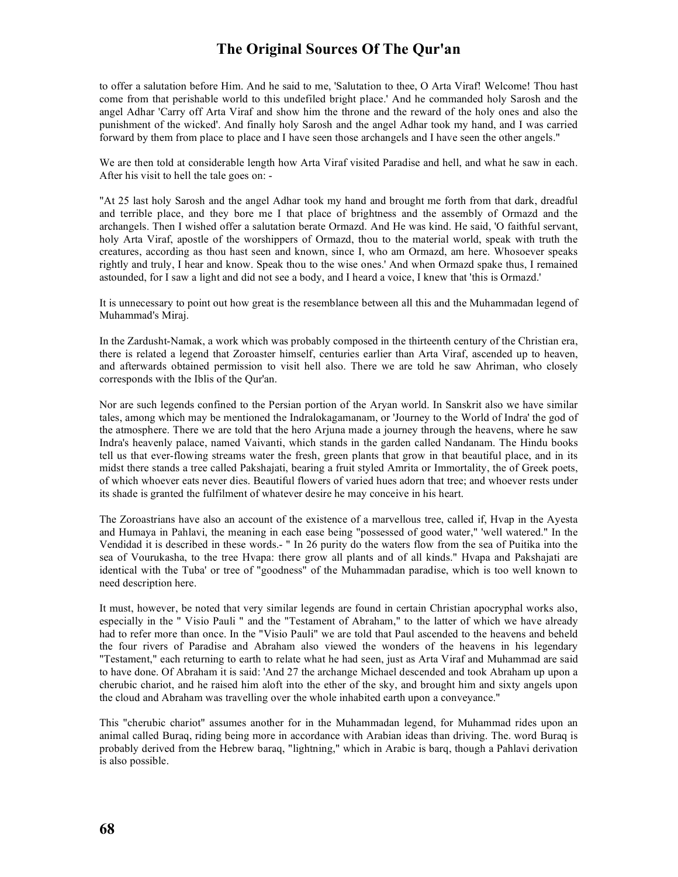to offer a salutation before Him. And he said to me, 'Salutation to thee, O Arta Viraf! Welcome! Thou hast come from that perishable world to this undefiled bright place.' And he commanded holy Sarosh and the angel Adhar 'Carry off Arta Viraf and show him the throne and the reward of the holy ones and also the punishment of the wicked'. And finally holy Sarosh and the angel Adhar took my hand, and I was carried forward by them from place to place and I have seen those archangels and I have seen the other angels."

We are then told at considerable length how Arta Viraf visited Paradise and hell, and what he saw in each. After his visit to hell the tale goes on: -

"At 25 last holy Sarosh and the angel Adhar took my hand and brought me forth from that dark, dreadful and terrible place, and they bore me I that place of brightness and the assembly of Ormazd and the archangels. Then I wished offer a salutation berate Ormazd. And He was kind. He said, 'O faithful servant, holy Arta Viraf, apostle of the worshippers of Ormazd, thou to the material world, speak with truth the creatures, according as thou hast seen and known, since I, who am Ormazd, am here. Whosoever speaks rightly and truly, I hear and know. Speak thou to the wise ones.' And when Ormazd spake thus, I remained astounded, for I saw a light and did not see a body, and I heard a voice, I knew that 'this is Ormazd.'

It is unnecessary to point out how great is the resemblance between all this and the Muhammadan legend of Muhammad's Miraj.

In the Zardusht-Namak, a work which was probably composed in the thirteenth century of the Christian era, there is related a legend that Zoroaster himself, centuries earlier than Arta Viraf, ascended up to heaven, and afterwards obtained permission to visit hell also. There we are told he saw Ahriman, who closely corresponds with the Iblis of the Qur'an.

Nor are such legends confined to the Persian portion of the Aryan world. In Sanskrit also we have similar tales, among which may be mentioned the Indralokagamanam, or 'Journey to the World of Indra' the god of the atmosphere. There we are told that the hero Arjuna made a journey through the heavens, where he saw Indra's heavenly palace, named Vaivanti, which stands in the garden called Nandanam. The Hindu books tell us that ever-flowing streams water the fresh, green plants that grow in that beautiful place, and in its midst there stands a tree called Pakshajati, bearing a fruit styled Amrita or Immortality, the of Greek poets, of which whoever eats never dies. Beautiful flowers of varied hues adorn that tree; and whoever rests under its shade is granted the fulfilment of whatever desire he may conceive in his heart.

The Zoroastrians have also an account of the existence of a marvellous tree, called if, Hvap in the Ayesta and Humaya in Pahlavi, the meaning in each ease being "possessed of good water," 'well watered." In the Vendidad it is described in these words.- " In 26 purity do the waters flow from the sea of Puitika into the sea of Vourukasha, to the tree Hvapa: there grow all plants and of all kinds." Hvapa and Pakshajati are identical with the Tuba' or tree of "goodness" of the Muhammadan paradise, which is too well known to need description here.

It must, however, be noted that very similar legends are found in certain Christian apocryphal works also, especially in the " Visio Pauli " and the "Testament of Abraham," to the latter of which we have already had to refer more than once. In the "Visio Pauli" we are told that Paul ascended to the heavens and beheld the four rivers of Paradise and Abraham also viewed the wonders of the heavens in his legendary "Testament," each returning to earth to relate what he had seen, just as Arta Viraf and Muhammad are said to have done. Of Abraham it is said: 'And 27 the archange Michael descended and took Abraham up upon a cherubic chariot, and he raised him aloft into the ether of the sky, and brought him and sixty angels upon the cloud and Abraham was travelling over the whole inhabited earth upon a conveyance."

This "cherubic chariot" assumes another for in the Muhammadan legend, for Muhammad rides upon an animal called Buraq, riding being more in accordance with Arabian ideas than driving. The. word Buraq is probably derived from the Hebrew baraq, "lightning," which in Arabic is barq, though a Pahlavi derivation is also possible.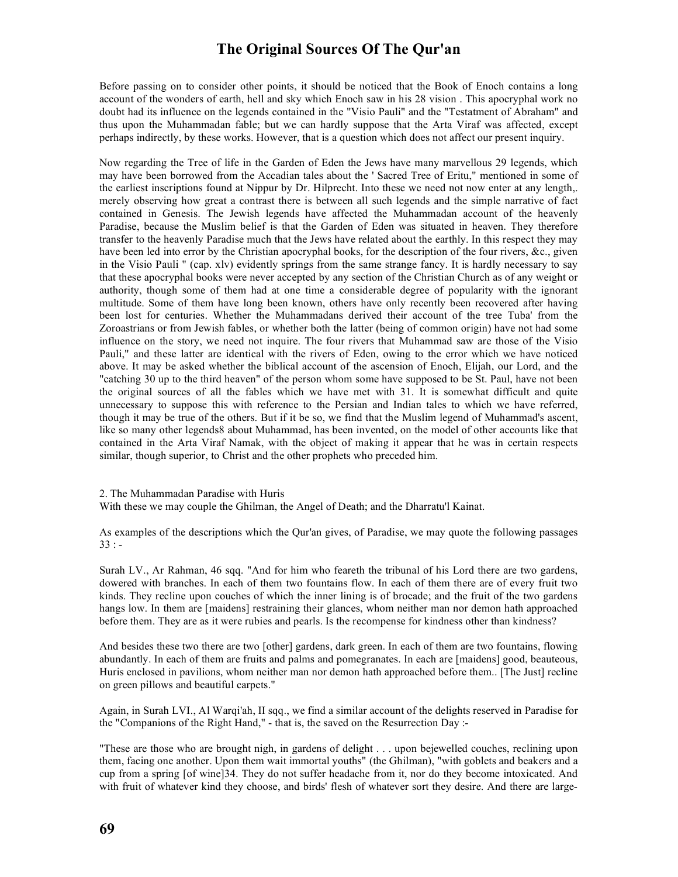Before passing on to consider other points, it should be noticed that the Book of Enoch contains a long account of the wonders of earth, hell and sky which Enoch saw in his 28 vision . This apocryphal work no doubt had its influence on the legends contained in the "Visio Pauli" and the "Testatment of Abraham" and thus upon the Muhammadan fable; but we can hardly suppose that the Arta Viraf was affected, except perhaps indirectly, by these works. However, that is a question which does not affect our present inquiry.

Now regarding the Tree of life in the Garden of Eden the Jews have many marvellous 29 legends, which may have been borrowed from the Accadian tales about the ' Sacred Tree of Eritu," mentioned in some of the earliest inscriptions found at Nippur by Dr. Hilprecht. Into these we need not now enter at any length,. merely observing how great a contrast there is between all such legends and the simple narrative of fact contained in Genesis. The Jewish legends have affected the Muhammadan account of the heavenly Paradise, because the Muslim belief is that the Garden of Eden was situated in heaven. They therefore transfer to the heavenly Paradise much that the Jews have related about the earthly. In this respect they may have been led into error by the Christian apocryphal books, for the description of the four rivers, &c., given in the Visio Pauli " (cap. xlv) evidently springs from the same strange fancy. It is hardly necessary to say that these apocryphal books were never accepted by any section of the Christian Church as of any weight or authority, though some of them had at one time a considerable degree of popularity with the ignorant multitude. Some of them have long been known, others have only recently been recovered after having been lost for centuries. Whether the Muhammadans derived their account of the tree Tuba' from the Zoroastrians or from Jewish fables, or whether both the latter (being of common origin) have not had some influence on the story, we need not inquire. The four rivers that Muhammad saw are those of the Visio Pauli," and these latter are identical with the rivers of Eden, owing to the error which we have noticed above. It may be asked whether the biblical account of the ascension of Enoch, Elijah, our Lord, and the "catching 30 up to the third heaven" of the person whom some have supposed to be St. Paul, have not been the original sources of all the fables which we have met with 31. It is somewhat difficult and quite unnecessary to suppose this with reference to the Persian and Indian tales to which we have referred, though it may be true of the others. But if it be so, we find that the Muslim legend of Muhammad's ascent, like so many other legends8 about Muhammad, has been invented, on the model of other accounts like that contained in the Arta Viraf Namak, with the object of making it appear that he was in certain respects similar, though superior, to Christ and the other prophets who preceded him.

2. The Muhammadan Paradise with Huris

With these we may couple the Ghilman, the Angel of Death; and the Dharratu'l Kainat.

As examples of the descriptions which the Qur'an gives, of Paradise, we may quote the following passages  $33 : -$ 

Surah LV., Ar Rahman, 46 sqq. "And for him who feareth the tribunal of his Lord there are two gardens, dowered with branches. In each of them two fountains flow. In each of them there are of every fruit two kinds. They recline upon couches of which the inner lining is of brocade; and the fruit of the two gardens hangs low. In them are [maidens] restraining their glances, whom neither man nor demon hath approached before them. They are as it were rubies and pearls. Is the recompense for kindness other than kindness?

And besides these two there are two [other] gardens, dark green. In each of them are two fountains, flowing abundantly. In each of them are fruits and palms and pomegranates. In each are [maidens] good, beauteous, Huris enclosed in pavilions, whom neither man nor demon hath approached before them.. [The Just] recline on green pillows and beautiful carpets."

Again, in Surah LVI., Al Warqi'ah, II sqq., we find a similar account of the delights reserved in Paradise for the "Companions of the Right Hand," - that is, the saved on the Resurrection Day :-

"These are those who are brought nigh, in gardens of delight . . . upon bejewelled couches, reclining upon them, facing one another. Upon them wait immortal youths" (the Ghilman), "with goblets and beakers and a cup from a spring [of wine]34. They do not suffer headache from it, nor do they become intoxicated. And with fruit of whatever kind they choose, and birds' flesh of whatever sort they desire. And there are large-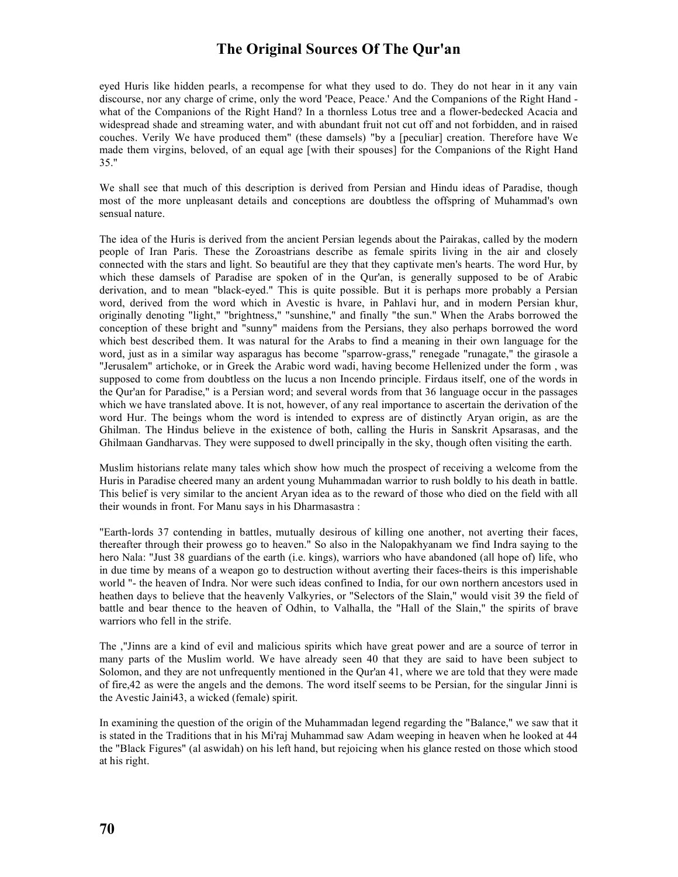eyed Huris like hidden pearls, a recompense for what they used to do. They do not hear in it any vain discourse, nor any charge of crime, only the word 'Peace, Peace.' And the Companions of the Right Hand what of the Companions of the Right Hand? In a thornless Lotus tree and a flower-bedecked Acacia and widespread shade and streaming water, and with abundant fruit not cut off and not forbidden, and in raised couches. Verily We have produced them" (these damsels) "by a [peculiar] creation. Therefore have We made them virgins, beloved, of an equal age [with their spouses] for the Companions of the Right Hand 35."

We shall see that much of this description is derived from Persian and Hindu ideas of Paradise, though most of the more unpleasant details and conceptions are doubtless the offspring of Muhammad's own sensual nature.

The idea of the Huris is derived from the ancient Persian legends about the Pairakas, called by the modern people of Iran Paris. These the Zoroastrians describe as female spirits living in the air and closely connected with the stars and light. So beautiful are they that they captivate men's hearts. The word Hur, by which these damsels of Paradise are spoken of in the Qur'an, is generally supposed to be of Arabic derivation, and to mean "black-eyed." This is quite possible. But it is perhaps more probably a Persian word, derived from the word which in Avestic is hvare, in Pahlavi hur, and in modern Persian khur, originally denoting "light," "brightness," "sunshine," and finally "the sun." When the Arabs borrowed the conception of these bright and "sunny" maidens from the Persians, they also perhaps borrowed the word which best described them. It was natural for the Arabs to find a meaning in their own language for the word, just as in a similar way asparagus has become "sparrow-grass," renegade "runagate," the girasole a "Jerusalem" artichoke, or in Greek the Arabic word wadi, having become Hellenized under the form , was supposed to come from doubtless on the lucus a non Incendo principle. Firdaus itself, one of the words in the Qur'an for Paradise," is a Persian word; and several words from that 36 language occur in the passages which we have translated above. It is not, however, of any real importance to ascertain the derivation of the word Hur. The beings whom the word is intended to express are of distinctly Aryan origin, as are the Ghilman. The Hindus believe in the existence of both, calling the Huris in Sanskrit Apsarasas, and the Ghilmaan Gandharvas. They were supposed to dwell principally in the sky, though often visiting the earth.

Muslim historians relate many tales which show how much the prospect of receiving a welcome from the Huris in Paradise cheered many an ardent young Muhammadan warrior to rush boldly to his death in battle. This belief is very similar to the ancient Aryan idea as to the reward of those who died on the field with all their wounds in front. For Manu says in his Dharmasastra :

"Earth-lords 37 contending in battles, mutually desirous of killing one another, not averting their faces, thereafter through their prowess go to heaven." So also in the Nalopakhyanam we find Indra saying to the hero Nala: "Just 38 guardians of the earth (i.e. kings), warriors who have abandoned (all hope of) life, who in due time by means of a weapon go to destruction without averting their faces-theirs is this imperishable world "- the heaven of Indra. Nor were such ideas confined to India, for our own northern ancestors used in heathen days to believe that the heavenly Valkyries, or "Selectors of the Slain," would visit 39 the field of battle and bear thence to the heaven of Odhin, to Valhalla, the "Hall of the Slain," the spirits of brave warriors who fell in the strife.

The ,"Jinns are a kind of evil and malicious spirits which have great power and are a source of terror in many parts of the Muslim world. We have already seen 40 that they are said to have been subject to Solomon, and they are not unfrequently mentioned in the Qur'an 41, where we are told that they were made of fire,42 as were the angels and the demons. The word itself seems to be Persian, for the singular Jinni is the Avestic Jaini43, a wicked (female) spirit.

In examining the question of the origin of the Muhammadan legend regarding the "Balance," we saw that it is stated in the Traditions that in his Mi'raj Muhammad saw Adam weeping in heaven when he looked at 44 the "Black Figures" (al aswidah) on his left hand, but rejoicing when his glance rested on those which stood at his right.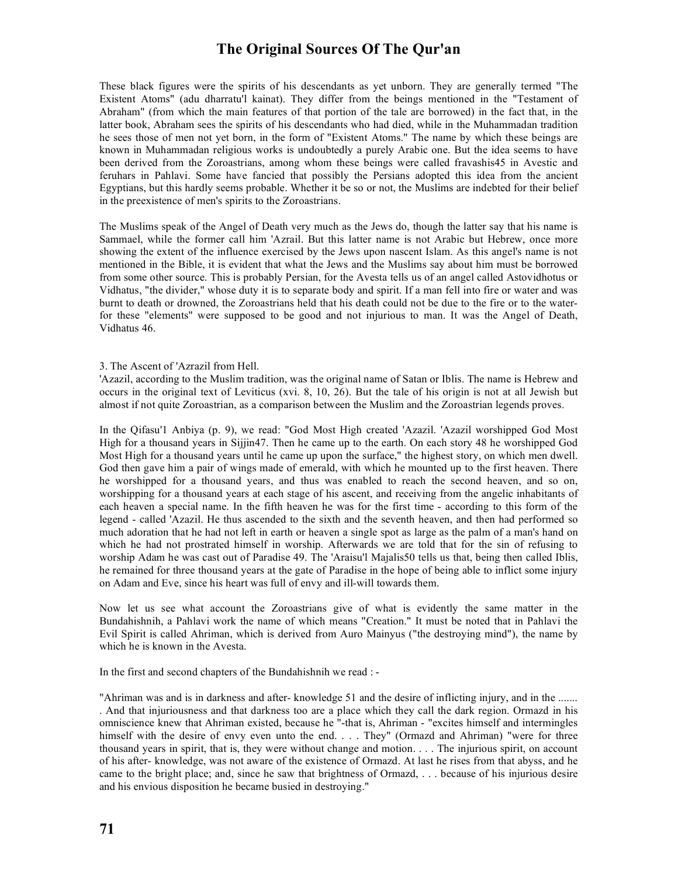These black figures were the spirits of his descendants as yet unborn. They are generally termed "The Existent Atoms" (adu dharratu'l kainat). They differ from the beings mentioned in the "Testament of Abraham" (from which the main features of that portion of the tale are borrowed) in the fact that, in the latter book, Abraham sees the spirits of his descendants who had died, while in the Muhammadan tradition he sees those of men not yet born, in the form of "Existent Atoms." The name by which these beings are known in Muhammadan religious works is undoubtedly a purely Arabic one. But the idea seems to have been derived from the Zoroastrians, among whom these beings were called fravashis45 in Avestic and feruhars in Pahlavi. Some have fancied that possibly the Persians adopted this idea from the ancient Egyptians, but this hardly seems probable. Whether it be so or not, the Muslims are indebted for their belief in the preexistence of men's spirits to the Zoroastrians.

The Muslims speak of the Angel of Death very much as the Jews do, though the latter say that his name is Sammael, while the former call him 'Azrail. But this latter name is not Arabic but Hebrew, once more showing the extent of the influence exercised by the Jews upon nascent Islam. As this angel's name is not mentioned in the Bible, it is evident that what the Jews and the Muslims say about him must be borrowed from some other source. This is probably Persian, for the Avesta tells us of an angel called Astovidhotus or Vidhatus, "the divider," whose duty it is to separate body and spirit. If a man fell into fire or water and was burnt to death or drowned, the Zoroastrians held that his death could not be due to the fire or to the waterfor these "elements" were supposed to be good and not injurious to man. It was the Angel of Death, Vidhatus 46.

#### 3. The Ascent of 'Azrazil from Hell.

'Azazil, according to the Muslim tradition, was the original name of Satan or Iblis. The name is Hebrew and occurs in the original text of Leviticus (xvi. 8, 10, 26). But the tale of his origin is not at all Jewish but almost if not quite Zoroastrian, as a comparison between the Muslim and the Zoroastrian legends proves.

In the Qifasu'1 Anbiya (p. 9), we read: "God Most High created 'Azazil. 'Azazil worshipped God Most High for a thousand years in Sijjin47. Then he came up to the earth. On each story 48 he worshipped God Most High for a thousand years until he came up upon the surface," the highest story, on which men dwell. God then gave him a pair of wings made of emerald, with which he mounted up to the first heaven. There he worshipped for a thousand years, and thus was enabled to reach the second heaven, and so on, worshipping for a thousand years at each stage of his ascent, and receiving from the angelic inhabitants of each heaven a special name. In the fifth heaven he was for the first time - according to this form of the legend - called 'Azazil. He thus ascended to the sixth and the seventh heaven, and then had performed so much adoration that he had not left in earth or heaven a single spot as large as the palm of a man's hand on which he had not prostrated himself in worship. Afterwards we are told that for the sin of refusing to worship Adam he was cast out of Paradise 49. The 'Araisu'l Majalis50 tells us that, being then called Iblis, he remained for three thousand years at the gate of Paradise in the hope of being able to inflict some injury on Adam and Eve, since his heart was full of envy and ill-will towards them.

Now let us see what account the Zoroastrians give of what is evidently the same matter in the Bundahishnih, a Pahlavi work the name of which means "Creation." It must be noted that in Pahlavi the Evil Spirit is called Ahriman, which is derived from Auro Mainyus ("the destroying mind"), the name by which he is known in the Avesta.

In the first and second chapters of the Bundahishnih we read : -

"Ahriman was and is in darkness and after- knowledge 51 and the desire of inflicting injury, and in the ....... . And that injuriousness and that darkness too are a place which they call the dark region. Ormazd in his omniscience knew that Ahriman existed, because he "-that is, Ahriman - "excites himself and intermingles himself with the desire of envy even unto the end. . . . They" (Ormazd and Ahriman) "were for three thousand years in spirit, that is, they were without change and motion. . . . The injurious spirit, on account of his after- knowledge, was not aware of the existence of Ormazd. At last he rises from that abyss, and he came to the bright place; and, since he saw that brightness of Ormazd, . . . because of his injurious desire and his envious disposition he became busied in destroying."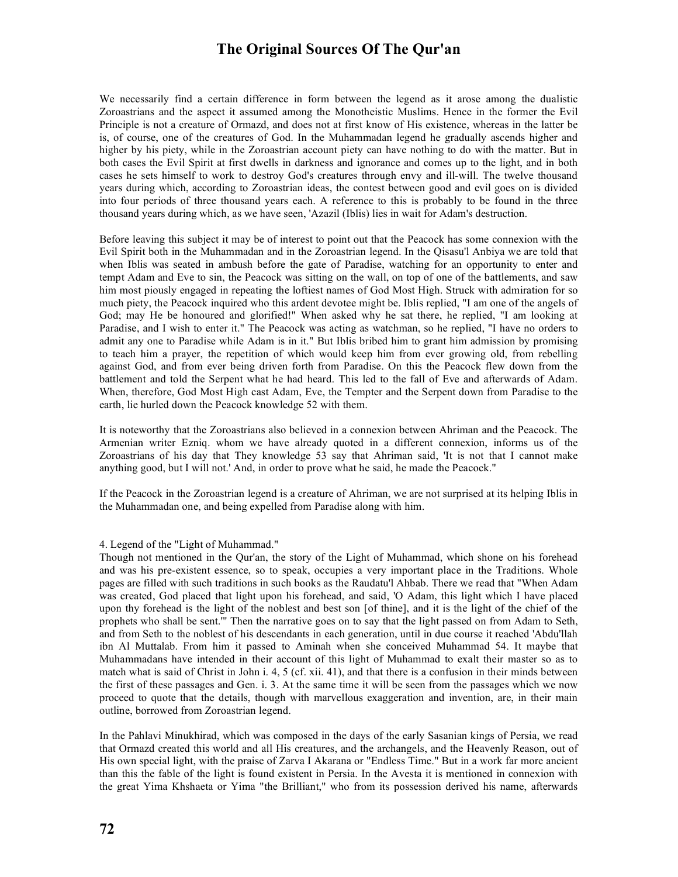We necessarily find a certain difference in form between the legend as it arose among the dualistic Zoroastrians and the aspect it assumed among the Monotheistic Muslims. Hence in the former the Evil Principle is not a creature of Ormazd, and does not at first know of His existence, whereas in the latter be is, of course, one of the creatures of God. In the Muhammadan legend he gradually ascends higher and higher by his piety, while in the Zoroastrian account piety can have nothing to do with the matter. But in both cases the Evil Spirit at first dwells in darkness and ignorance and comes up to the light, and in both cases he sets himself to work to destroy God's creatures through envy and ill-will. The twelve thousand years during which, according to Zoroastrian ideas, the contest between good and evil goes on is divided into four periods of three thousand years each. A reference to this is probably to be found in the three thousand years during which, as we have seen, 'Azazil (Iblis) lies in wait for Adam's destruction.

Before leaving this subject it may be of interest to point out that the Peacock has some connexion with the Evil Spirit both in the Muhammadan and in the Zoroastrian legend. In the Qisasu'l Anbiya we are told that when Iblis was seated in ambush before the gate of Paradise, watching for an opportunity to enter and tempt Adam and Eve to sin, the Peacock was sitting on the wall, on top of one of the battlements, and saw him most piously engaged in repeating the loftiest names of God Most High. Struck with admiration for so much piety, the Peacock inquired who this ardent devotee might be. Iblis replied, "I am one of the angels of God; may He be honoured and glorified!" When asked why he sat there, he replied, "I am looking at Paradise, and I wish to enter it." The Peacock was acting as watchman, so he replied, "I have no orders to admit any one to Paradise while Adam is in it." But Iblis bribed him to grant him admission by promising to teach him a prayer, the repetition of which would keep him from ever growing old, from rebelling against God, and from ever being driven forth from Paradise. On this the Peacock flew down from the battlement and told the Serpent what he had heard. This led to the fall of Eve and afterwards of Adam. When, therefore, God Most High cast Adam, Eve, the Tempter and the Serpent down from Paradise to the earth, lie hurled down the Peacock knowledge 52 with them.

It is noteworthy that the Zoroastrians also believed in a connexion between Ahriman and the Peacock. The Armenian writer Ezniq. whom we have already quoted in a different connexion, informs us of the Zoroastrians of his day that They knowledge 53 say that Ahriman said, 'It is not that I cannot make anything good, but I will not.' And, in order to prove what he said, he made the Peacock."

If the Peacock in the Zoroastrian legend is a creature of Ahriman, we are not surprised at its helping Iblis in the Muhammadan one, and being expelled from Paradise along with him.

4. Legend of the "Light of Muhammad."

Though not mentioned in the Qur'an, the story of the Light of Muhammad, which shone on his forehead and was his pre-existent essence, so to speak, occupies a very important place in the Traditions. Whole pages are filled with such traditions in such books as the Raudatu'l Ahbab. There we read that "When Adam was created, God placed that light upon his forehead, and said, 'O Adam, this light which I have placed upon thy forehead is the light of the noblest and best son [of thine], and it is the light of the chief of the prophets who shall be sent.'" Then the narrative goes on to say that the light passed on from Adam to Seth, and from Seth to the noblest of his descendants in each generation, until in due course it reached 'Abdu'llah ibn Al Muttalab. From him it passed to Aminah when she conceived Muhammad 54. It maybe that Muhammadans have intended in their account of this light of Muhammad to exalt their master so as to match what is said of Christ in John i. 4, 5 (cf. xii. 41), and that there is a confusion in their minds between the first of these passages and Gen. i. 3. At the same time it will be seen from the passages which we now proceed to quote that the details, though with marvellous exaggeration and invention, are, in their main outline, borrowed from Zoroastrian legend.

In the Pahlavi Minukhirad, which was composed in the days of the early Sasanian kings of Persia, we read that Ormazd created this world and all His creatures, and the archangels, and the Heavenly Reason, out of His own special light, with the praise of Zarva I Akarana or "Endless Time." But in a work far more ancient than this the fable of the light is found existent in Persia. In the Avesta it is mentioned in connexion with the great Yima Khshaeta or Yima "the Brilliant," who from its possession derived his name, afterwards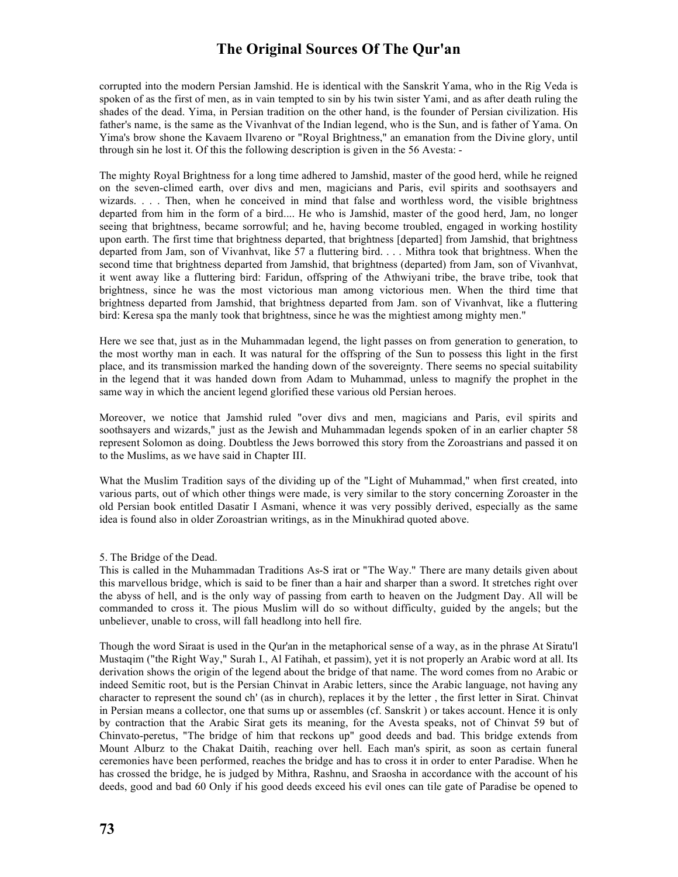corrupted into the modern Persian Jamshid. He is identical with the Sanskrit Yama, who in the Rig Veda is spoken of as the first of men, as in vain tempted to sin by his twin sister Yami, and as after death ruling the shades of the dead. Yima, in Persian tradition on the other hand, is the founder of Persian civilization. His father's name, is the same as the Vivanhvat of the Indian legend, who is the Sun, and is father of Yama. On Yima's brow shone the Kavaem Ilvareno or "Royal Brightness," an emanation from the Divine glory, until through sin he lost it. Of this the following description is given in the 56 Avesta: -

The mighty Royal Brightness for a long time adhered to Jamshid, master of the good herd, while he reigned on the seven-climed earth, over divs and men, magicians and Paris, evil spirits and soothsayers and wizards. . . . Then, when he conceived in mind that false and worthless word, the visible brightness departed from him in the form of a bird.... He who is Jamshid, master of the good herd, Jam, no longer seeing that brightness, became sorrowful; and he, having become troubled, engaged in working hostility upon earth. The first time that brightness departed, that brightness [departed] from Jamshid, that brightness departed from Jam, son of Vivanhvat, like 57 a fluttering bird. . . . Mithra took that brightness. When the second time that brightness departed from Jamshid, that brightness (departed) from Jam, son of Vivanhvat, it went away like a fluttering bird: Faridun, offspring of the Athwiyani tribe, the brave tribe, took that brightness, since he was the most victorious man among victorious men. When the third time that brightness departed from Jamshid, that brightness departed from Jam. son of Vivanhvat, like a fluttering bird: Keresa spa the manly took that brightness, since he was the mightiest among mighty men."

Here we see that, just as in the Muhammadan legend, the light passes on from generation to generation, to the most worthy man in each. It was natural for the offspring of the Sun to possess this light in the first place, and its transmission marked the handing down of the sovereignty. There seems no special suitability in the legend that it was handed down from Adam to Muhammad, unless to magnify the prophet in the same way in which the ancient legend glorified these various old Persian heroes.

Moreover, we notice that Jamshid ruled "over divs and men, magicians and Paris, evil spirits and soothsayers and wizards," just as the Jewish and Muhammadan legends spoken of in an earlier chapter 58 represent Solomon as doing. Doubtless the Jews borrowed this story from the Zoroastrians and passed it on to the Muslims, as we have said in Chapter III.

What the Muslim Tradition says of the dividing up of the "Light of Muhammad," when first created, into various parts, out of which other things were made, is very similar to the story concerning Zoroaster in the old Persian book entitled Dasatir I Asmani, whence it was very possibly derived, especially as the same idea is found also in older Zoroastrian writings, as in the Minukhirad quoted above.

#### 5. The Bridge of the Dead.

This is called in the Muhammadan Traditions As-S irat or "The Way." There are many details given about this marvellous bridge, which is said to be finer than a hair and sharper than a sword. It stretches right over the abyss of hell, and is the only way of passing from earth to heaven on the Judgment Day. All will be commanded to cross it. The pious Muslim will do so without difficulty, guided by the angels; but the unbeliever, unable to cross, will fall headlong into hell fire.

Though the word Siraat is used in the Qur'an in the metaphorical sense of a way, as in the phrase At Siratu'l Mustaqim ("the Right Way," Surah I., Al Fatihah, et passim), yet it is not properly an Arabic word at all. Its derivation shows the origin of the legend about the bridge of that name. The word comes from no Arabic or indeed Semitic root, but is the Persian Chinvat in Arabic letters, since the Arabic language, not having any character to represent the sound ch' (as in church), replaces it by the letter , the first letter in Sirat. Chinvat in Persian means a collector, one that sums up or assembles (cf. Sanskrit ) or takes account. Hence it is only by contraction that the Arabic Sirat gets its meaning, for the Avesta speaks, not of Chinvat 59 but of Chinvato-peretus, "The bridge of him that reckons up" good deeds and bad. This bridge extends from Mount Alburz to the Chakat Daitih, reaching over hell. Each man's spirit, as soon as certain funeral ceremonies have been performed, reaches the bridge and has to cross it in order to enter Paradise. When he has crossed the bridge, he is judged by Mithra, Rashnu, and Sraosha in accordance with the account of his deeds, good and bad 60 Only if his good deeds exceed his evil ones can tile gate of Paradise be opened to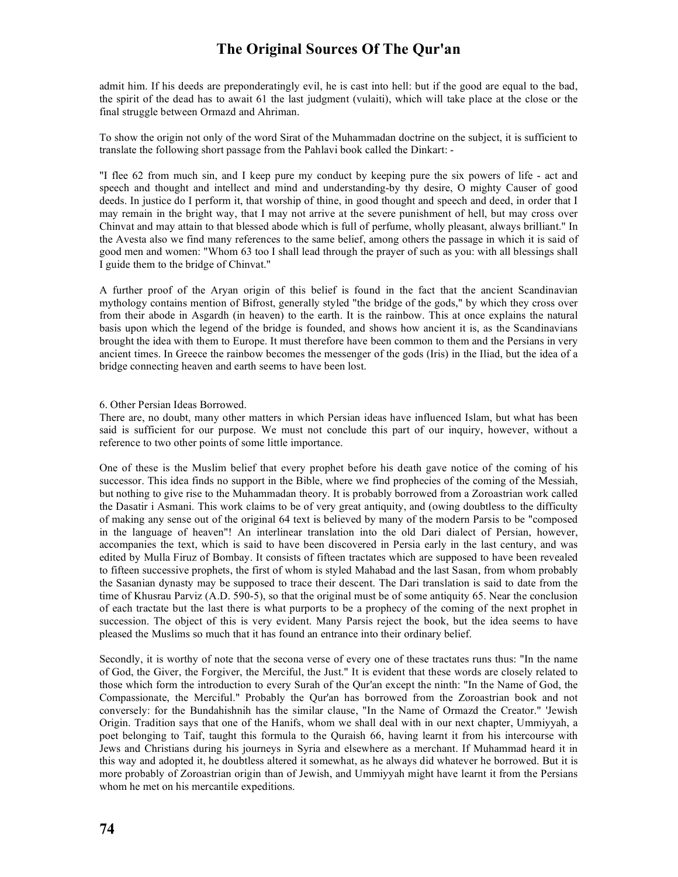admit him. If his deeds are preponderatingly evil, he is cast into hell: but if the good are equal to the bad, the spirit of the dead has to await 61 the last judgment (vulaiti), which will take place at the close or the final struggle between Ormazd and Ahriman.

To show the origin not only of the word Sirat of the Muhammadan doctrine on the subject, it is sufficient to translate the following short passage from the Pahlavi book called the Dinkart: -

"I flee 62 from much sin, and I keep pure my conduct by keeping pure the six powers of life - act and speech and thought and intellect and mind and understanding-by thy desire, O mighty Causer of good deeds. In justice do I perform it, that worship of thine, in good thought and speech and deed, in order that I may remain in the bright way, that I may not arrive at the severe punishment of hell, but may cross over Chinvat and may attain to that blessed abode which is full of perfume, wholly pleasant, always brilliant." In the Avesta also we find many references to the same belief, among others the passage in which it is said of good men and women: "Whom 63 too I shall lead through the prayer of such as you: with all blessings shall I guide them to the bridge of Chinvat."

A further proof of the Aryan origin of this belief is found in the fact that the ancient Scandinavian mythology contains mention of Bifrost, generally styled "the bridge of the gods," by which they cross over from their abode in Asgardh (in heaven) to the earth. It is the rainbow. This at once explains the natural basis upon which the legend of the bridge is founded, and shows how ancient it is, as the Scandinavians brought the idea with them to Europe. It must therefore have been common to them and the Persians in very ancient times. In Greece the rainbow becomes the messenger of the gods (Iris) in the Iliad, but the idea of a bridge connecting heaven and earth seems to have been lost.

#### 6. Other Persian Ideas Borrowed.

There are, no doubt, many other matters in which Persian ideas have influenced Islam, but what has been said is sufficient for our purpose. We must not conclude this part of our inquiry, however, without a reference to two other points of some little importance.

One of these is the Muslim belief that every prophet before his death gave notice of the coming of his successor. This idea finds no support in the Bible, where we find prophecies of the coming of the Messiah, but nothing to give rise to the Muhammadan theory. It is probably borrowed from a Zoroastrian work called the Dasatir i Asmani. This work claims to be of very great antiquity, and (owing doubtless to the difficulty of making any sense out of the original 64 text is believed by many of the modern Parsis to be "composed in the language of heaven"! An interlinear translation into the old Dari dialect of Persian, however, accompanies the text, which is said to have been discovered in Persia early in the last century, and was edited by Mulla Firuz of Bombay. It consists of fifteen tractates which are supposed to have been revealed to fifteen successive prophets, the first of whom is styled Mahabad and the last Sasan, from whom probably the Sasanian dynasty may be supposed to trace their descent. The Dari translation is said to date from the time of Khusrau Parviz (A.D. 590-5), so that the original must be of some antiquity 65. Near the conclusion of each tractate but the last there is what purports to be a prophecy of the coming of the next prophet in succession. The object of this is very evident. Many Parsis reject the book, but the idea seems to have pleased the Muslims so much that it has found an entrance into their ordinary belief.

Secondly, it is worthy of note that the secona verse of every one of these tractates runs thus: "In the name of God, the Giver, the Forgiver, the Merciful, the Just." It is evident that these words are closely related to those which form the introduction to every Surah of the Qur'an except the ninth: "In the Name of God, the Compassionate, the Merciful." Probably the Qur'an has borrowed from the Zoroastrian book and not conversely: for the Bundahishnih has the similar clause, "In the Name of Ormazd the Creator." 'Jewish Origin. Tradition says that one of the Hanifs, whom we shall deal with in our next chapter, Ummiyyah, a poet belonging to Taif, taught this formula to the Quraish 66, having learnt it from his intercourse with Jews and Christians during his journeys in Syria and elsewhere as a merchant. If Muhammad heard it in this way and adopted it, he doubtless altered it somewhat, as he always did whatever he borrowed. But it is more probably of Zoroastrian origin than of Jewish, and Ummiyyah might have learnt it from the Persians whom he met on his mercantile expeditions.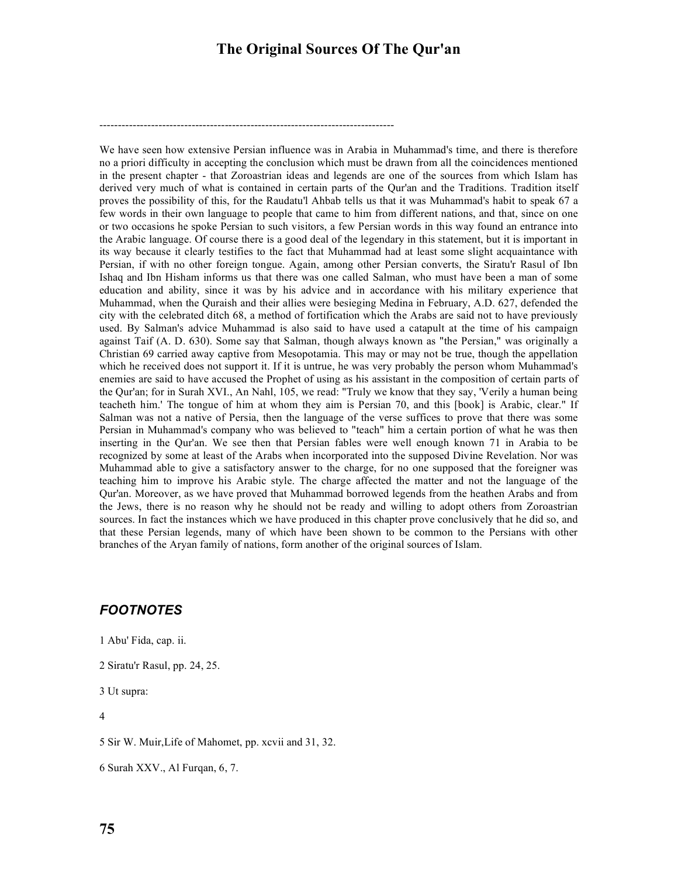--------------------------------------------------------------------------------

We have seen how extensive Persian influence was in Arabia in Muhammad's time, and there is therefore no a priori difficulty in accepting the conclusion which must be drawn from all the coincidences mentioned in the present chapter - that Zoroastrian ideas and legends are one of the sources from which Islam has derived very much of what is contained in certain parts of the Qur'an and the Traditions. Tradition itself proves the possibility of this, for the Raudatu'l Ahbab tells us that it was Muhammad's habit to speak 67 a few words in their own language to people that came to him from different nations, and that, since on one or two occasions he spoke Persian to such visitors, a few Persian words in this way found an entrance into the Arabic language. Of course there is a good deal of the legendary in this statement, but it is important in its way because it clearly testifies to the fact that Muhammad had at least some slight acquaintance with Persian, if with no other foreign tongue. Again, among other Persian converts, the Siratu'r Rasul of Ibn Ishaq and Ibn Hisham informs us that there was one called Salman, who must have been a man of some education and ability, since it was by his advice and in accordance with his military experience that Muhammad, when the Quraish and their allies were besieging Medina in February, A.D. 627, defended the city with the celebrated ditch 68, a method of fortification which the Arabs are said not to have previously used. By Salman's advice Muhammad is also said to have used a catapult at the time of his campaign against Taif (A. D. 630). Some say that Salman, though always known as "the Persian," was originally a Christian 69 carried away captive from Mesopotamia. This may or may not be true, though the appellation which he received does not support it. If it is untrue, he was very probably the person whom Muhammad's enemies are said to have accused the Prophet of using as his assistant in the composition of certain parts of the Qur'an; for in Surah XVI., An Nahl, 105, we read: "Truly we know that they say, 'Verily a human being teacheth him.' The tongue of him at whom they aim is Persian 70, and this [book] is Arabic, clear." If Salman was not a native of Persia, then the language of the verse suffices to prove that there was some Persian in Muhammad's company who was believed to "teach" him a certain portion of what he was then inserting in the Qur'an. We see then that Persian fables were well enough known 71 in Arabia to be recognized by some at least of the Arabs when incorporated into the supposed Divine Revelation. Nor was Muhammad able to give a satisfactory answer to the charge, for no one supposed that the foreigner was teaching him to improve his Arabic style. The charge affected the matter and not the language of the Qur'an. Moreover, as we have proved that Muhammad borrowed legends from the heathen Arabs and from the Jews, there is no reason why he should not be ready and willing to adopt others from Zoroastrian sources. In fact the instances which we have produced in this chapter prove conclusively that he did so, and that these Persian legends, many of which have been shown to be common to the Persians with other branches of the Aryan family of nations, form another of the original sources of Islam.

#### *FOOTNOTES*

1 Abu' Fida, cap. ii.

2 Siratu'r Rasul, pp. 24, 25.

3 Ut supra:

4

5 Sir W. Muir,Life of Mahomet, pp. xcvii and 31, 32.

6 Surah XXV., Al Furqan, 6, 7.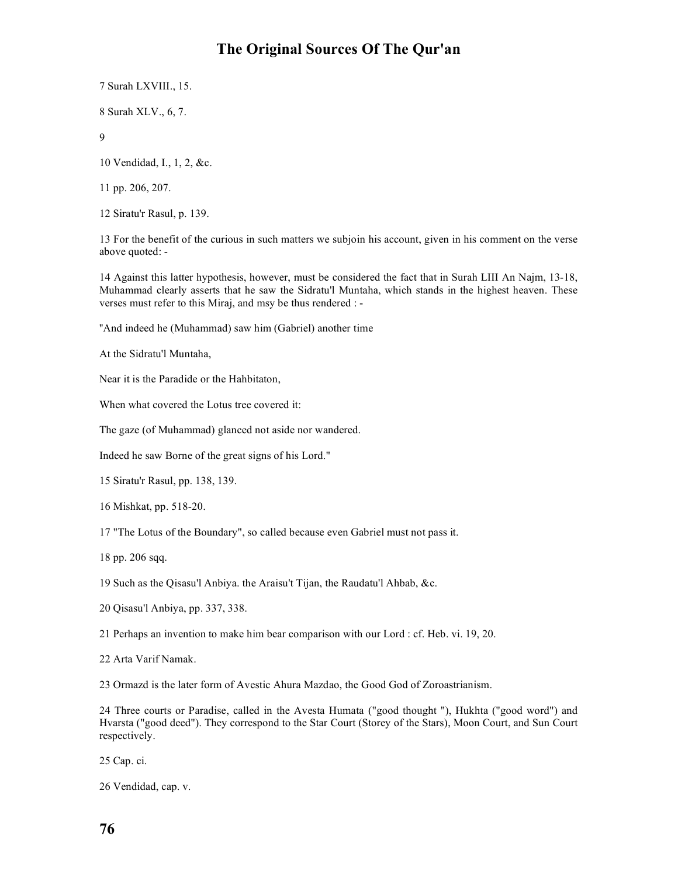7 Surah LXVIII., 15.

8 Surah XLV., 6, 7.

9

10 Vendidad, I., 1, 2, &c.

11 pp. 206, 207.

12 Siratu'r Rasul, p. 139.

13 For the benefit of the curious in such matters we subjoin his account, given in his comment on the verse above quoted: -

14 Against this latter hypothesis, however, must be considered the fact that in Surah LIII An Najm, 13-18, Muhammad clearly asserts that he saw the Sidratu'l Muntaha, which stands in the highest heaven. These verses must refer to this Miraj, and msy be thus rendered : -

''And indeed he (Muhammad) saw him (Gabriel) another time

At the Sidratu'l Muntaha,

Near it is the Paradide or the Hahbitaton,

When what covered the Lotus tree covered it:

The gaze (of Muhammad) glanced not aside nor wandered.

Indeed he saw Borne of the great signs of his Lord."

15 Siratu'r Rasul, pp. 138, 139.

16 Mishkat, pp. 518-20.

17 "The Lotus of the Boundary", so called because even Gabriel must not pass it.

18 pp. 206 sqq.

19 Such as the Qisasu'l Anbiya. the Araisu't Tijan, the Raudatu'l Ahbab, &c.

20 Qisasu'l Anbiya, pp. 337, 338.

21 Perhaps an invention to make him bear comparison with our Lord : cf. Heb. vi. 19, 20.

22 Arta Varif Namak.

23 Ormazd is the later form of Avestic Ahura Mazdao, the Good God of Zoroastrianism.

24 Three courts or Paradise, called in the Avesta Humata ("good thought "), Hukhta ("good word") and Hvarsta ("good deed"). They correspond to the Star Court (Storey of the Stars), Moon Court, and Sun Court respectively.

25 Cap. ci.

26 Vendidad, cap. v.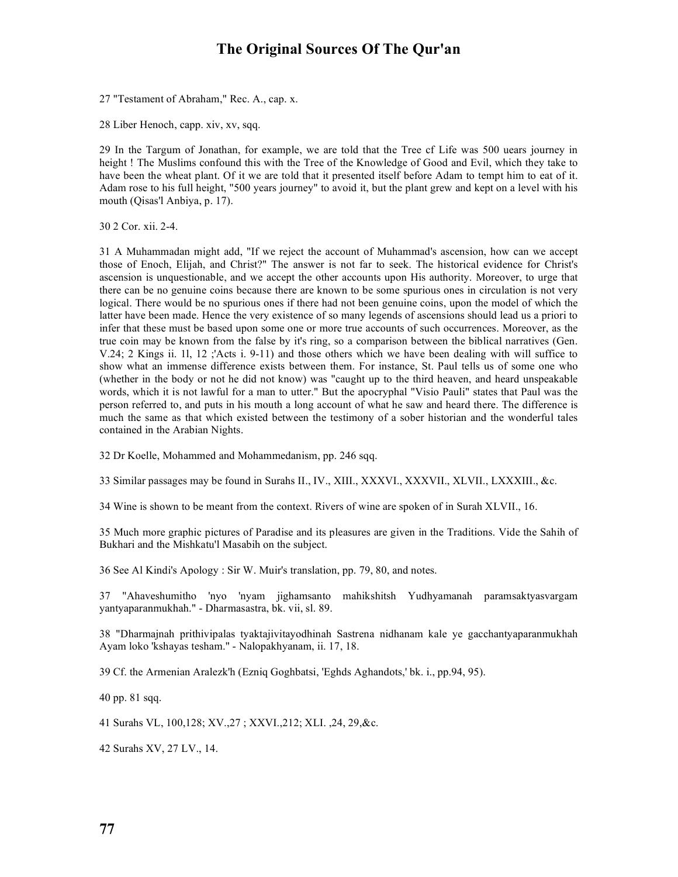27 "Testament of Abraham," Rec. A., cap. x.

28 Liber Henoch, capp. xiv, xv, sqq.

29 In the Targum of Jonathan, for example, we are told that the Tree cf Life was 500 uears journey in height ! The Muslims confound this with the Tree of the Knowledge of Good and Evil, which they take to have been the wheat plant. Of it we are told that it presented itself before Adam to tempt him to eat of it. Adam rose to his full height, "500 years journey" to avoid it, but the plant grew and kept on a level with his mouth (Qisas'l Anbiya, p. 17).

30 2 Cor. xii. 2-4.

31 A Muhammadan might add, "If we reject the account of Muhammad's ascension, how can we accept those of Enoch, Elijah, and Christ?" The answer is not far to seek. The historical evidence for Christ's ascension is unquestionable, and we accept the other accounts upon His authority. Moreover, to urge that there can be no genuine coins because there are known to be some spurious ones in circulation is not very logical. There would be no spurious ones if there had not been genuine coins, upon the model of which the latter have been made. Hence the very existence of so many legends of ascensions should lead us a priori to infer that these must be based upon some one or more true accounts of such occurrences. Moreover, as the true coin may be known from the false by it's ring, so a comparison between the biblical narratives (Gen. V.24; 2 Kings ii. 1l, 12 ;'Acts i. 9-11) and those others which we have been dealing with will suffice to show what an immense difference exists between them. For instance, St. Paul tells us of some one who (whether in the body or not he did not know) was "caught up to the third heaven, and heard unspeakable words, which it is not lawful for a man to utter." But the apocryphal "Visio Pauli" states that Paul was the person referred to, and puts in his mouth a long account of what he saw and heard there. The difference is much the same as that which existed between the testimony of a sober historian and the wonderful tales contained in the Arabian Nights.

32 Dr Koelle, Mohammed and Mohammedanism, pp. 246 sqq.

33 Similar passages may be found in Surahs II., IV., XIII., XXXVI., XXXVII., XLVII., LXXXIII., &c.

34 Wine is shown to be meant from the context. Rivers of wine are spoken of in Surah XLVII., 16.

35 Much more graphic pictures of Paradise and its pleasures are given in the Traditions. Vide the Sahih of Bukhari and the Mishkatu'l Masabih on the subject.

36 See Al Kindi's Apology : Sir W. Muir's translation, pp. 79, 80, and notes.

37 "Ahaveshumitho 'nyo 'nyam jighamsanto mahikshitsh Yudhyamanah paramsaktyasvargam yantyaparanmukhah." - Dharmasastra, bk. vii, sl. 89.

38 "Dharmajnah prithivipalas tyaktajivitayodhinah Sastrena nidhanam kale ye gacchantyaparanmukhah Ayam loko 'kshayas tesham." - Nalopakhyanam, ii. 17, 18.

39 Cf. the Armenian Aralezk'h (Ezniq Goghbatsi, 'Eghds Aghandots,' bk. i., pp.94, 95).

40 pp. 81 sqq.

41 Surahs VL, 100,128; XV.,27 ; XXVI.,212; XLI. ,24, 29,&c.

42 Surahs XV, 27 LV., 14.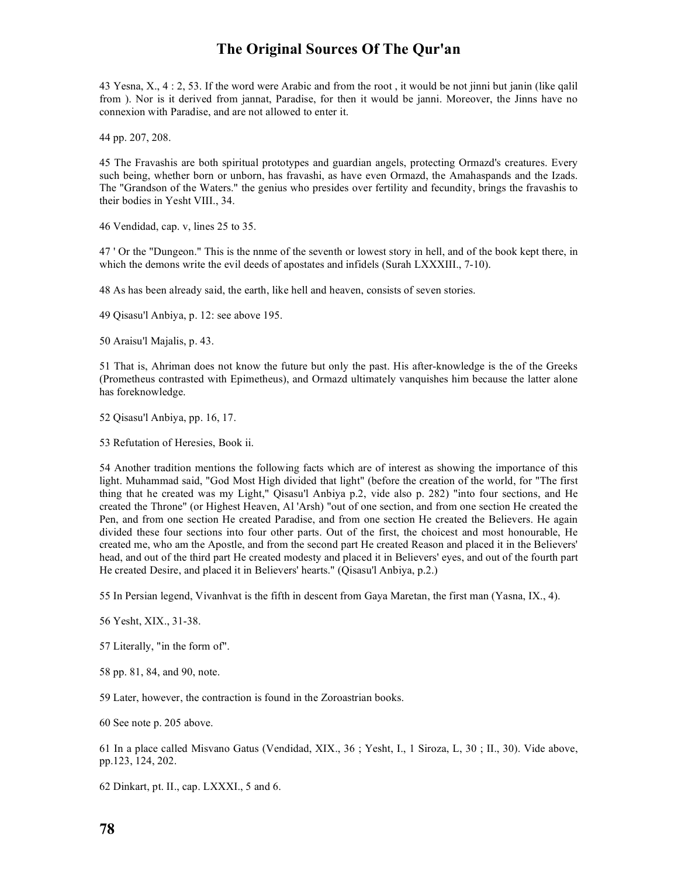43 Yesna, X., 4 : 2, 53. If the word were Arabic and from the root , it would be not jinni but janin (like qalil from ). Nor is it derived from jannat, Paradise, for then it would be janni. Moreover, the Jinns have no connexion with Paradise, and are not allowed to enter it.

44 pp. 207, 208.

45 The Fravashis are both spiritual prototypes and guardian angels, protecting Ormazd's creatures. Every such being, whether born or unborn, has fravashi, as have even Ormazd, the Amahaspands and the Izads. The "Grandson of the Waters." the genius who presides over fertility and fecundity, brings the fravashis to their bodies in Yesht VIII., 34.

46 Vendidad, cap. v, lines 25 to 35.

47 ' Or the "Dungeon." This is the nnme of the seventh or lowest story in hell, and of the book kept there, in which the demons write the evil deeds of apostates and infidels (Surah LXXXIII., 7-10).

48 As has been already said, the earth, like hell and heaven, consists of seven stories.

49 Qisasu'l Anbiya, p. 12: see above 195.

50 Araisu'l Majalis, p. 43.

51 That is, Ahriman does not know the future but only the past. His after-knowledge is the of the Greeks (Prometheus contrasted with Epimetheus), and Ormazd ultimately vanquishes him because the latter alone has foreknowledge.

52 Qisasu'l Anbiya, pp. 16, 17.

53 Refutation of Heresies, Book ii.

54 Another tradition mentions the following facts which are of interest as showing the importance of this light. Muhammad said, "God Most High divided that light" (before the creation of the world, for "The first thing that he created was my Light," Qisasu'l Anbiya p.2, vide also p. 282) "into four sections, and He created the Throne" (or Highest Heaven, Al 'Arsh) "out of one section, and from one section He created the Pen, and from one section He created Paradise, and from one section He created the Believers. He again divided these four sections into four other parts. Out of the first, the choicest and most honourable, He created me, who am the Apostle, and from the second part He created Reason and placed it in the Believers' head, and out of the third part He created modesty and placed it in Believers' eyes, and out of the fourth part He created Desire, and placed it in Believers' hearts." (Qisasu'l Anbiya, p.2.)

55 In Persian legend, Vivanhvat is the fifth in descent from Gaya Maretan, the first man (Yasna, IX., 4).

56 Yesht, XIX., 31-38.

57 Literally, "in the form of".

58 pp. 81, 84, and 90, note.

59 Later, however, the contraction is found in the Zoroastrian books.

60 See note p. 205 above.

61 In a place called Misvano Gatus (Vendidad, XIX., 36 ; Yesht, I., 1 Siroza, L, 30 ; II., 30). Vide above, pp.123, 124, 202.

62 Dinkart, pt. II., cap. LXXXI., 5 and 6.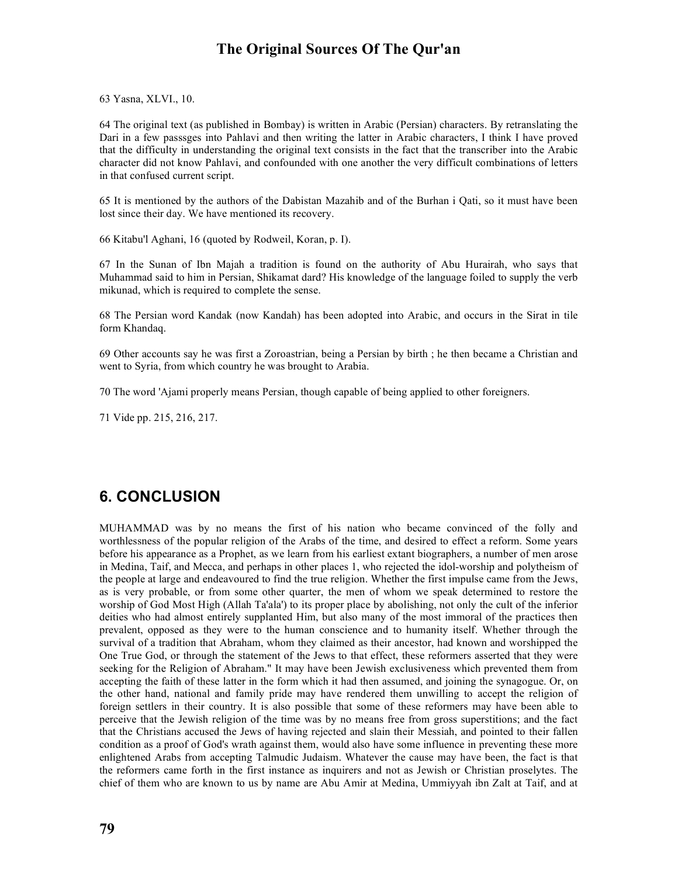63 Yasna, XLVI., 10.

64 The original text (as published in Bombay) is written in Arabic (Persian) characters. By retranslating the Dari in a few passsges into Pahlavi and then writing the latter in Arabic characters, I think I have proved that the difficulty in understanding the original text consists in the fact that the transcriber into the Arabic character did not know Pahlavi, and confounded with one another the very difficult combinations of letters in that confused current script.

65 It is mentioned by the authors of the Dabistan Mazahib and of the Burhan i Qati, so it must have been lost since their day. We have mentioned its recovery.

66 Kitabu'l Aghani, 16 (quoted by Rodweil, Koran, p. I).

67 In the Sunan of Ibn Majah a tradition is found on the authority of Abu Hurairah, who says that Muhammad said to him in Persian, Shikamat dard? His knowledge of the language foiled to supply the verb mikunad, which is required to complete the sense.

68 The Persian word Kandak (now Kandah) has been adopted into Arabic, and occurs in the Sirat in tile form Khandaq.

69 Other accounts say he was first a Zoroastrian, being a Persian by birth ; he then became a Christian and went to Syria, from which country he was brought to Arabia.

70 The word 'Ajami properly means Persian, though capable of being applied to other foreigners.

71 Vide pp. 215, 216, 217.

# **6. CONCLUSION**

MUHAMMAD was by no means the first of his nation who became convinced of the folly and worthlessness of the popular religion of the Arabs of the time, and desired to effect a reform. Some years before his appearance as a Prophet, as we learn from his earliest extant biographers, a number of men arose in Medina, Taif, and Mecca, and perhaps in other places 1, who rejected the idol-worship and polytheism of the people at large and endeavoured to find the true religion. Whether the first impulse came from the Jews, as is very probable, or from some other quarter, the men of whom we speak determined to restore the worship of God Most High (Allah Ta'ala') to its proper place by abolishing, not only the cult of the inferior deities who had almost entirely supplanted Him, but also many of the most immoral of the practices then prevalent, opposed as they were to the human conscience and to humanity itself. Whether through the survival of a tradition that Abraham, whom they claimed as their ancestor, had known and worshipped the One True God, or through the statement of the Jews to that effect, these reformers asserted that they were seeking for the Religion of Abraham." It may have been Jewish exclusiveness which prevented them from accepting the faith of these latter in the form which it had then assumed, and joining the synagogue. Or, on the other hand, national and family pride may have rendered them unwilling to accept the religion of foreign settlers in their country. It is also possible that some of these reformers may have been able to perceive that the Jewish religion of the time was by no means free from gross superstitions; and the fact that the Christians accused the Jews of having rejected and slain their Messiah, and pointed to their fallen condition as a proof of God's wrath against them, would also have some influence in preventing these more enlightened Arabs from accepting Talmudic Judaism. Whatever the cause may have been, the fact is that the reformers came forth in the first instance as inquirers and not as Jewish or Christian proselytes. The chief of them who are known to us by name are Abu Amir at Medina, Ummiyyah ibn Zalt at Taif, and at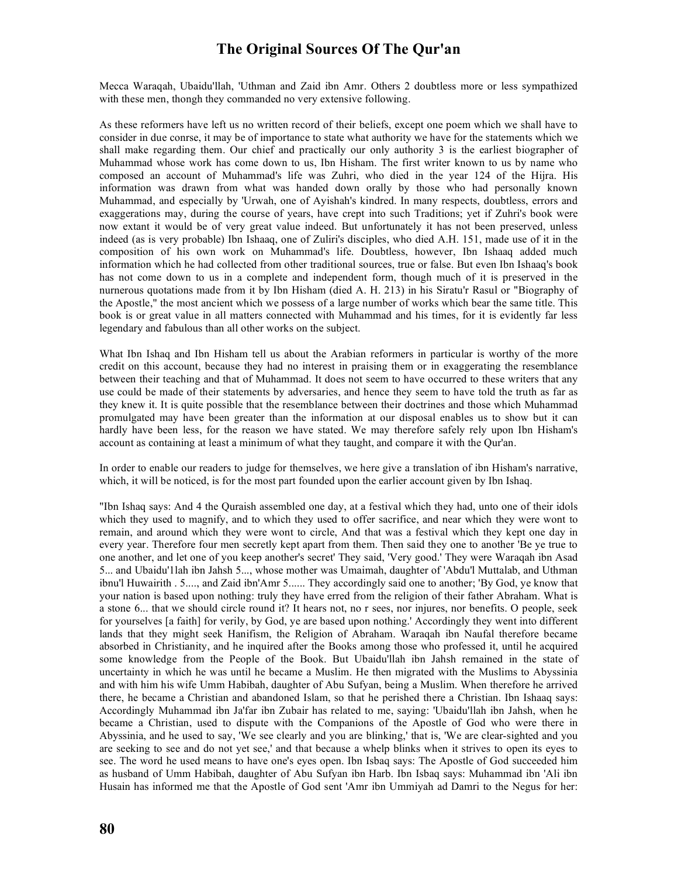Mecca Waraqah, Ubaidu'llah, 'Uthman and Zaid ibn Amr. Others 2 doubtless more or less sympathized with these men, thongh they commanded no very extensive following.

As these reformers have left us no written record of their beliefs, except one poem which we shall have to consider in due conrse, it may be of importance to state what authority we have for the statements which we shall make regarding them. Our chief and practically our only authority 3 is the earliest biographer of Muhammad whose work has come down to us, Ibn Hisham. The first writer known to us by name who composed an account of Muhammad's life was Zuhri, who died in the year 124 of the Hijra. His information was drawn from what was handed down orally by those who had personally known Muhammad, and especially by 'Urwah, one of Ayishah's kindred. In many respects, doubtless, errors and exaggerations may, during the course of years, have crept into such Traditions; yet if Zuhri's book were now extant it would be of very great value indeed. But unfortunately it has not been preserved, unless indeed (as is very probable) Ibn Ishaaq, one of Zuliri's disciples, who died A.H. 151, made use of it in the composition of his own work on Muhammad's life. Doubtless, however, Ibn Ishaaq added much information which he had collected from other traditional sources, true or false. But even Ibn Ishaaq's book has not come down to us in a complete and independent form, though much of it is preserved in the nurnerous quotations made from it by Ibn Hisham (died A. H. 213) in his Siratu'r Rasul or "Biography of the Apostle," the most ancient which we possess of a large number of works which bear the same title. This book is or great value in all matters connected with Muhammad and his times, for it is evidently far less legendary and fabulous than all other works on the subject.

What Ibn Ishaq and Ibn Hisham tell us about the Arabian reformers in particular is worthy of the more credit on this account, because they had no interest in praising them or in exaggerating the resemblance between their teaching and that of Muhammad. It does not seem to have occurred to these writers that any use could be made of their statements by adversaries, and hence they seem to have told the truth as far as they knew it. It is quite possible that the resemblance between their doctrines and those which Muhammad promulgated may have been greater than the information at our disposal enables us to show but it can hardly have been less, for the reason we have stated. We may therefore safely rely upon Ibn Hisham's account as containing at least a minimum of what they taught, and compare it with the Qur'an.

In order to enable our readers to judge for themselves, we here give a translation of ibn Hisham's narrative, which, it will be noticed, is for the most part founded upon the earlier account given by Ibn Ishaq.

"Ibn Ishaq says: And 4 the Quraish assembled one day, at a festival which they had, unto one of their idols which they used to magnify, and to which they used to offer sacrifice, and near which they were wont to remain, and around which they were wont to circle, And that was a festival which they kept one day in every year. Therefore four men secretly kept apart from them. Then said they one to another 'Be ye true to one another, and let one of you keep another's secret' They said, 'Very good.' They were Waraqah ibn Asad 5... and Ubaidu'1lah ibn Jahsh 5..., whose mother was Umaimah, daughter of 'Abdu'l Muttalab, and Uthman ibnu'l Huwairith . 5...., and Zaid ibn'Amr 5...... They accordingly said one to another; 'By God, ye know that your nation is based upon nothing: truly they have erred from the religion of their father Abraham. What is a stone 6... that we should circle round it? It hears not, no r sees, nor injures, nor benefits. O people, seek for yourselves [a faith] for verily, by God, ye are based upon nothing.' Accordingly they went into different lands that they might seek Hanifism, the Religion of Abraham. Waraqah ibn Naufal therefore became absorbed in Christianity, and he inquired after the Books among those who professed it, until he acquired some knowledge from the People of the Book. But Ubaidu'llah ibn Jahsh remained in the state of uncertainty in which he was until he became a Muslim. He then migrated with the Muslims to Abyssinia and with him his wife Umm Habibah, daughter of Abu Sufyan, being a Muslim. When therefore he arrived there, he became a Christian and abandoned Islam, so that he perished there a Christian. Ibn Ishaaq says: Accordingly Muhammad ibn Ja'far ibn Zubair has related to me, saying: 'Ubaidu'llah ibn Jahsh, when he became a Christian, used to dispute with the Companions of the Apostle of God who were there in Abyssinia, and he used to say, 'We see clearly and you are blinking,' that is, 'We are clear-sighted and you are seeking to see and do not yet see,' and that because a whelp blinks when it strives to open its eyes to see. The word he used means to have one's eyes open. Ibn Isbaq says: The Apostle of God succeeded him as husband of Umm Habibah, daughter of Abu Sufyan ibn Harb. Ibn Isbaq says: Muhammad ibn 'Ali ibn Husain has informed me that the Apostle of God sent 'Amr ibn Ummiyah ad Damri to the Negus for her: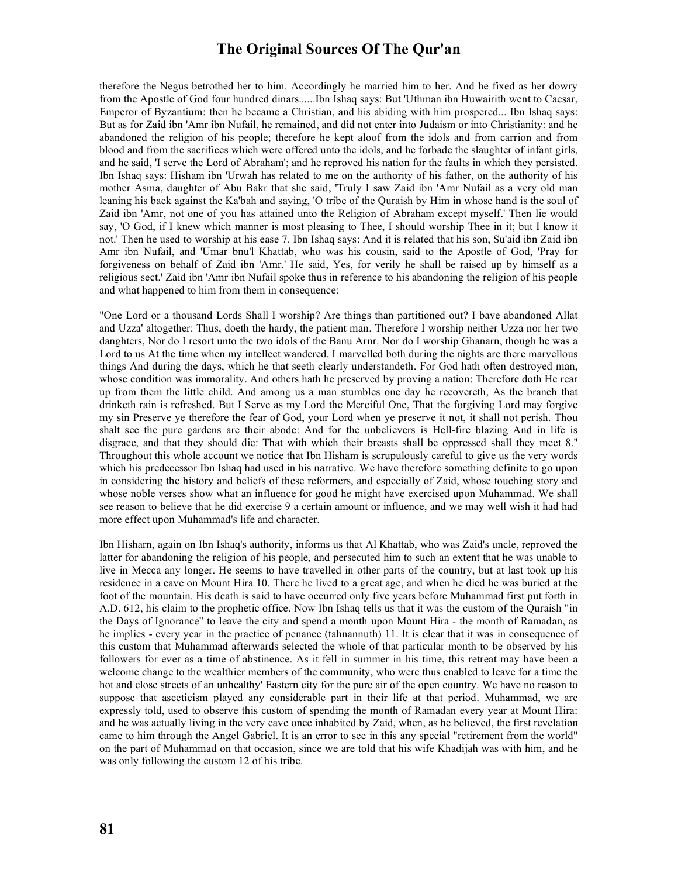therefore the Negus betrothed her to him. Accordingly he married him to her. And he fixed as her dowry from the Apostle of God four hundred dinars......Ibn Ishaq says: But 'Uthman ibn Huwairith went to Caesar, Emperor of Byzantium: then he became a Christian, and his abiding with him prospered... Ibn Ishaq says: But as for Zaid ibn 'Amr ibn Nufail, he remained, and did not enter into Judaism or into Christianity: and he abandoned the religion of his people; therefore he kept aloof from the idols and from carrion and from blood and from the sacrifices which were offered unto the idols, and he forbade the slaughter of infant girls, and he said, 'I serve the Lord of Abraham'; and he reproved his nation for the faults in which they persisted. Ibn Ishaq says: Hisham ibn 'Urwah has related to me on the authority of his father, on the authority of his mother Asma, daughter of Abu Bakr that she said, 'Truly I saw Zaid ibn 'Amr Nufail as a very old man leaning his back against the Ka'bah and saying, 'O tribe of the Quraish by Him in whose hand is the soul of Zaid ibn 'Amr, not one of you has attained unto the Religion of Abraham except myself.' Then lie would say, 'O God, if I knew which manner is most pleasing to Thee, I should worship Thee in it; but I know it not.' Then he used to worship at his ease 7. Ibn Ishaq says: And it is related that his son, Su'aid ibn Zaid ibn Amr ibn Nufail, and 'Umar bnu'l Khattab, who was his cousin, said to the Apostle of God, 'Pray for forgiveness on behalf of Zaid ibn 'Amr.' He said, Yes, for verily he shall be raised up by himself as a religious sect.' Zaid ibn 'Amr ibn Nufail spoke thus in reference to his abandoning the religion of his people and what happened to him from them in consequence:

"One Lord or a thousand Lords Shall I worship? Are things than partitioned out? I bave abandoned Allat and Uzza' altogether: Thus, doeth the hardy, the patient man. Therefore I worship neither Uzza nor her two danghters, Nor do I resort unto the two idols of the Banu Arnr. Nor do I worship Ghanarn, though he was a Lord to us At the time when my intellect wandered. I marvelled both during the nights are there marvellous things And during the days, which he that seeth clearly understandeth. For God hath often destroyed man, whose condition was immorality. And others hath he preserved by proving a nation: Therefore doth He rear up from them the little child. And among us a man stumbles one day he recovereth, As the branch that drinketh rain is refreshed. But I Serve as my Lord the Merciful One, That the forgiving Lord may forgive my sin Preserve ye therefore the fear of God, your Lord when ye preserve it not, it shall not perish. Thou shalt see the pure gardens are their abode: And for the unbelievers is Hell-fire blazing And in life is disgrace, and that they should die: That with which their breasts shall be oppressed shall they meet 8.'' Throughout this whole account we notice that Ibn Hisham is scrupulously careful to give us the very words which his predecessor Ibn Ishaq had used in his narrative. We have therefore something definite to go upon in considering the history and beliefs of these reformers, and especially of Zaid, whose touching story and whose noble verses show what an influence for good he might have exercised upon Muhammad. We shall see reason to believe that he did exercise 9 a certain amount or influence, and we may well wish it had had more effect upon Muhammad's life and character.

Ibn Hisharn, again on Ibn Ishaq's authority, informs us that Al Khattab, who was Zaid's uncle, reproved the latter for abandoning the religion of his people, and persecuted him to such an extent that he was unable to live in Mecca any longer. He seems to have travelled in other parts of the country, but at last took up his residence in a cave on Mount Hira 10. There he lived to a great age, and when he died he was buried at the foot of the mountain. His death is said to have occurred only five years before Muhammad first put forth in A.D. 612, his claim to the prophetic office. Now Ibn Ishaq tells us that it was the custom of the Quraish "in the Days of Ignorance" to leave the city and spend a month upon Mount Hira - the month of Ramadan, as he implies - every year in the practice of penance (tahnannuth) 11. It is clear that it was in consequence of this custom that Muhammad afterwards selected the whole of that particular month to be observed by his followers for ever as a time of abstinence. As it fell in summer in his time, this retreat may have been a welcome change to the wealthier members of the community, who were thus enabled to leave for a time the hot and close streets of an unhealthy' Eastern city for the pure air of the open country. We have no reason to suppose that asceticism played any considerable part in their life at that period. Muhammad, we are expressly told, used to observe this custom of spending the month of Ramadan every year at Mount Hira: and he was actually living in the very cave once inhabited by Zaid, when, as he believed, the first revelation came to him through the Angel Gabriel. It is an error to see in this any special "retirement from the world" on the part of Muhammad on that occasion, since we are told that his wife Khadijah was with him, and he was only following the custom 12 of his tribe.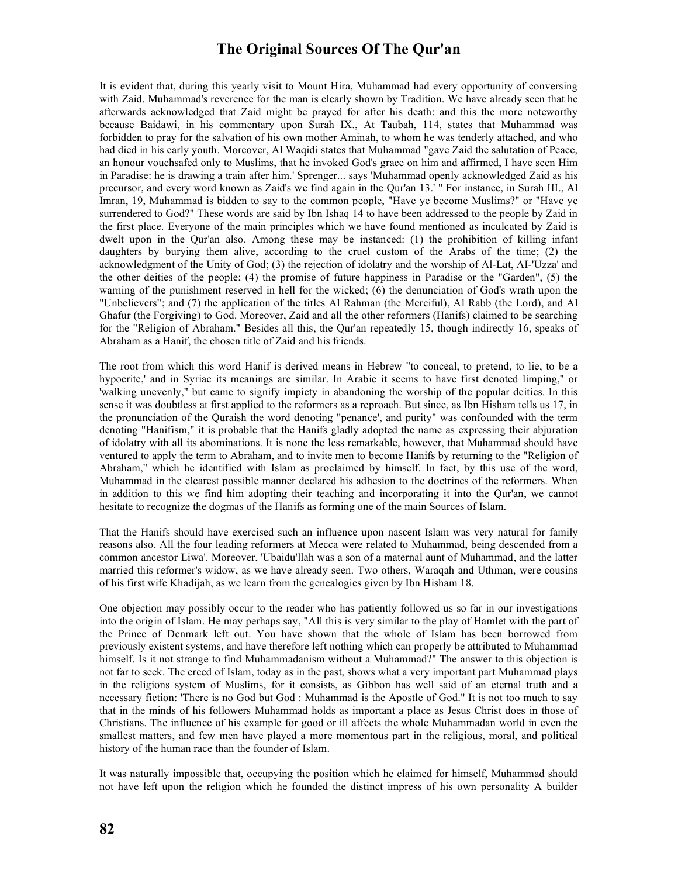It is evident that, during this yearly visit to Mount Hira, Muhammad had every opportunity of conversing with Zaid. Muhammad's reverence for the man is clearly shown by Tradition. We have already seen that he afterwards acknowledged that Zaid might be prayed for after his death: and this the more noteworthy because Baidawi, in his commentary upon Surah IX., At Taubah, 114, states that Muhammad was forbidden to pray for the salvation of his own mother Aminah, to whom he was tenderly attached, and who had died in his early youth. Moreover, Al Waqidi states that Muhammad "gave Zaid the salutation of Peace, an honour vouchsafed only to Muslims, that he invoked God's grace on him and affirmed, I have seen Him in Paradise: he is drawing a train after him.' Sprenger... says 'Muhammad openly acknowledged Zaid as his precursor, and every word known as Zaid's we find again in the Qur'an 13.' " For instance, in Surah III., Al Imran, 19, Muhammad is bidden to say to the common people, "Have ye become Muslims?" or "Have ye surrendered to God?" These words are said by Ibn Ishaq 14 to have been addressed to the people by Zaid in the first place. Everyone of the main principles which we have found mentioned as inculcated by Zaid is dwelt upon in the Qur'an also. Among these may be instanced: (1) the prohibition of killing infant daughters by burying them alive, according to the cruel custom of the Arabs of the time; (2) the acknowledgment of the Unity of God; (3) the rejection of idolatry and the worship of Al-Lat, AI-'Uzza' and the other deities of the people; (4) the promise of future happiness in Paradise or the "Garden", (5) the warning of the punishment reserved in hell for the wicked; (6) the denunciation of God's wrath upon the "Unbelievers"; and (7) the application of the titles Al Rahman (the Merciful), Al Rabb (the Lord), and Al Ghafur (the Forgiving) to God. Moreover, Zaid and all the other reformers (Hanifs) claimed to be searching for the "Religion of Abraham." Besides all this, the Qur'an repeatedly 15, though indirectly 16, speaks of Abraham as a Hanif, the chosen title of Zaid and his friends.

The root from which this word Hanif is derived means in Hebrew "to conceal, to pretend, to lie, to be a hypocrite,' and in Syriac its meanings are similar. In Arabic it seems to have first denoted limping," or 'walking unevenly," but came to signify impiety in abandoning the worship of the popular deities. In this sense it was doubtless at first applied to the reformers as a reproach. But since, as Ibn Hisham tells us 17, in the pronunciation of the Quraish the word denoting "penance', and purity" was confounded with the term denoting "Hanifism," it is probable that the Hanifs gladly adopted the name as expressing their abjuration of idolatry with all its abominations. It is none the less remarkable, however, that Muhammad should have ventured to apply the term to Abraham, and to invite men to become Hanifs by returning to the "Religion of Abraham," which he identified with Islam as proclaimed by himself. In fact, by this use of the word, Muhammad in the clearest possible manner declared his adhesion to the doctrines of the reformers. When in addition to this we find him adopting their teaching and incorporating it into the Qur'an, we cannot hesitate to recognize the dogmas of the Hanifs as forming one of the main Sources of Islam.

That the Hanifs should have exercised such an influence upon nascent Islam was very natural for family reasons also. All the four leading reformers at Mecca were related to Muhammad, being descended from a common ancestor Liwa'. Moreover, 'Ubaidu'llah was a son of a maternal aunt of Muhammad, and the latter married this reformer's widow, as we have already seen. Two others, Waraqah and Uthman, were cousins of his first wife Khadijah, as we learn from the genealogies given by Ibn Hisham 18.

One objection may possibly occur to the reader who has patiently followed us so far in our investigations into the origin of Islam. He may perhaps say, "All this is very similar to the play of Hamlet with the part of the Prince of Denmark left out. You have shown that the whole of Islam has been borrowed from previously existent systems, and have therefore left nothing which can properly be attributed to Muhammad himself. Is it not strange to find Muhammadanism without a Muhammad?" The answer to this objection is not far to seek. The creed of Islam, today as in the past, shows what a very important part Muhammad plays in the religions system of Muslims, for it consists, as Gibbon has well said of an eternal truth and a necessary fiction: 'There is no God but God : Muhammad is the Apostle of God." It is not too much to say that in the minds of his followers Muhammad holds as important a place as Jesus Christ does in those of Christians. The influence of his example for good or ill affects the whole Muhammadan world in even the smallest matters, and few men have played a more momentous part in the religious, moral, and political history of the human race than the founder of Islam.

It was naturally impossible that, occupying the position which he claimed for himself, Muhammad should not have left upon the religion which he founded the distinct impress of his own personality A builder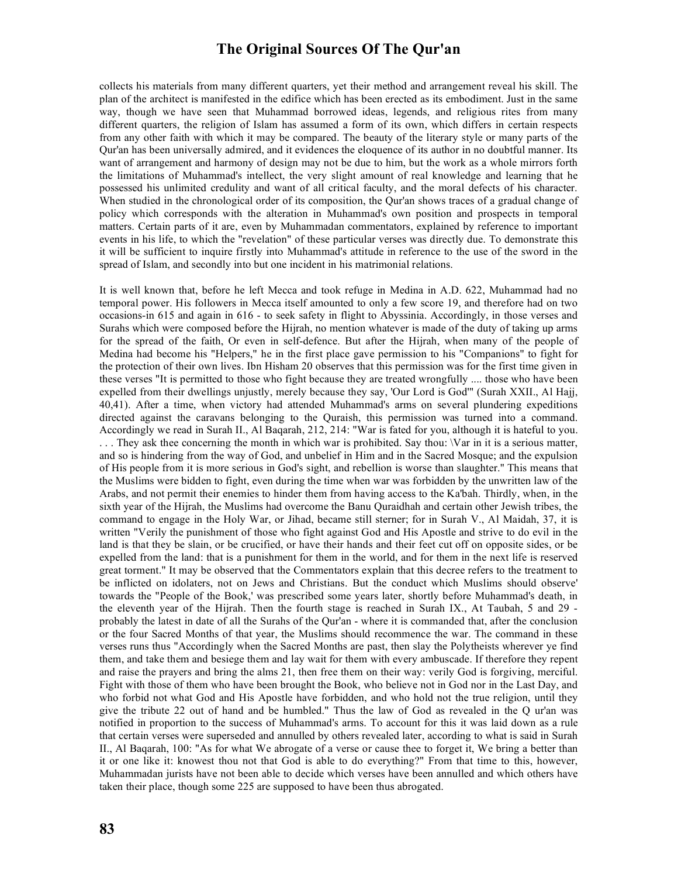collects his materials from many different quarters, yet their method and arrangement reveal his skill. The plan of the architect is manifested in the edifice which has been erected as its embodiment. Just in the same way, though we have seen that Muhammad borrowed ideas, legends, and religious rites from many different quarters, the religion of Islam has assumed a form of its own, which differs in certain respects from any other faith with which it may be compared. The beauty of the literary style or many parts of the Qur'an has been universally admired, and it evidences the eloquence of its author in no doubtful manner. Its want of arrangement and harmony of design may not be due to him, but the work as a whole mirrors forth the limitations of Muhammad's intellect, the very slight amount of real knowledge and learning that he possessed his unlimited credulity and want of all critical faculty, and the moral defects of his character. When studied in the chronological order of its composition, the Qur'an shows traces of a gradual change of policy which corresponds with the alteration in Muhammad's own position and prospects in temporal matters. Certain parts of it are, even by Muhammadan commentators, explained by reference to important events in his life, to which the "revelation" of these particular verses was directly due. To demonstrate this it will be sufficient to inquire firstly into Muhammad's attitude in reference to the use of the sword in the spread of Islam, and secondly into but one incident in his matrimonial relations.

It is well known that, before he left Mecca and took refuge in Medina in A.D. 622, Muhammad had no temporal power. His followers in Mecca itself amounted to only a few score 19, and therefore had on two occasions-in 615 and again in 616 - to seek safety in flight to Abyssinia. Accordingly, in those verses and Surahs which were composed before the Hijrah, no mention whatever is made of the duty of taking up arms for the spread of the faith, Or even in self-defence. But after the Hijrah, when many of the people of Medina had become his "Helpers," he in the first place gave permission to his "Companions" to fight for the protection of their own lives. Ibn Hisham 20 observes that this permission was for the first time given in these verses "It is permitted to those who fight because they are treated wrongfully .... those who have been expelled from their dwellings unjustly, merely because they say, 'Our Lord is God'" (Surah XXII., Al Hajj, 40,41). After a time, when victory had attended Muhammad's arms on several plundering expeditions directed against the caravans belonging to the Quraish, this permission was turned into a command. Accordingly we read in Surah II., Al Baqarah, 212, 214: "War is fated for you, although it is hateful to you. . . . They ask thee concerning the month in which war is prohibited. Say thou: \Var in it is a serious matter, and so is hindering from the way of God, and unbelief in Him and in the Sacred Mosque; and the expulsion of His people from it is more serious in God's sight, and rebellion is worse than slaughter.'' This means that the Muslims were bidden to fight, even during the time when war was forbidden by the unwritten law of the Arabs, and not permit their enemies to hinder them from having access to the Ka'bah. Thirdly, when, in the sixth year of the Hijrah, the Muslims had overcome the Banu Quraidhah and certain other Jewish tribes, the command to engage in the Holy War, or Jihad, became still sterner; for in Surah V., Al Maidah, 37, it is written "Verily the punishment of those who fight against God and His Apostle and strive to do evil in the land is that they be slain, or be crucified, or have their hands and their feet cut off on opposite sides, or be expelled from the land: that is a punishment for them in the world, and for them in the next life is reserved great torment." It may be observed that the Commentators explain that this decree refers to the treatment to be inflicted on idolaters, not on Jews and Christians. But the conduct which Muslims should observe' towards the "People of the Book,' was prescribed some years later, shortly before Muhammad's death, in the eleventh year of the Hijrah. Then the fourth stage is reached in Surah IX., At Taubah, 5 and 29 probably the latest in date of all the Surahs of the Qur'an - where it is commanded that, after the conclusion or the four Sacred Months of that year, the Muslims should recommence the war. The command in these verses runs thus "Accordingly when the Sacred Months are past, then slay the Polytheists wherever ye find them, and take them and besiege them and lay wait for them with every ambuscade. If therefore they repent and raise the prayers and bring the alms 21, then free them on their way: verily God is forgiving, merciful. Fight with those of them who have been brought the Book, who believe not in God nor in the Last Day, and who forbid not what God and His Apostle have forbidden, and who hold not the true religion, until they give the tribute 22 out of hand and be humbled." Thus the law of God as revealed in the Q ur'an was notified in proportion to the success of Muhammad's arms. To account for this it was laid down as a rule that certain verses were superseded and annulled by others revealed later, according to what is said in Surah II., Al Baqarah, 100: "As for what We abrogate of a verse or cause thee to forget it, We bring a better than it or one like it: knowest thou not that God is able to do everything?" From that time to this, however, Muhammadan jurists have not been able to decide which verses have been annulled and which others have taken their place, though some 225 are supposed to have been thus abrogated.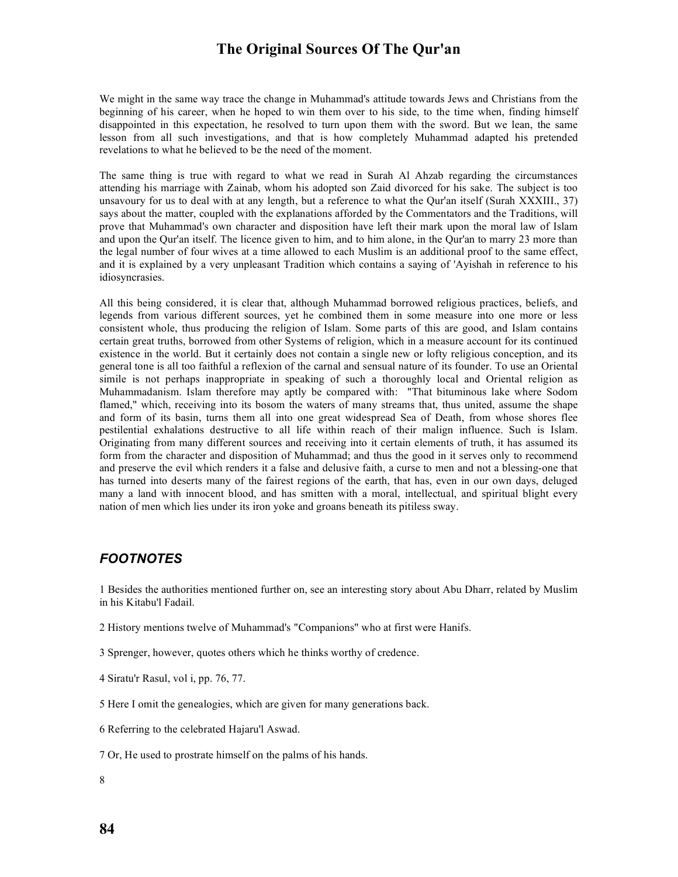We might in the same way trace the change in Muhammad's attitude towards Jews and Christians from the beginning of his career, when he hoped to win them over to his side, to the time when, finding himself disappointed in this expectation, he resolved to turn upon them with the sword. But we lean, the same lesson from all such investigations, and that is how completely Muhammad adapted his pretended revelations to what he believed to be the need of the moment.

The same thing is true with regard to what we read in Surah Al Ahzab regarding the circumstances attending his marriage with Zainab, whom his adopted son Zaid divorced for his sake. The subject is too unsavoury for us to deal with at any length, but a reference to what the Qur'an itself (Surah XXXIII., 37) says about the matter, coupled with the explanations afforded by the Commentators and the Traditions, will prove that Muhammad's own character and disposition have left their mark upon the moral law of Islam and upon the Qur'an itself. The licence given to him, and to him alone, in the Qur'an to marry 23 more than the legal number of four wives at a time allowed to each Muslim is an additional proof to the same effect, and it is explained by a very unpleasant Tradition which contains a saying of 'Ayishah in reference to his idiosyncrasies.

All this being considered, it is clear that, although Muhammad borrowed religious practices, beliefs, and legends from various different sources, yet he combined them in some measure into one more or less consistent whole, thus producing the religion of Islam. Some parts of this are good, and Islam contains certain great truths, borrowed from other Systems of religion, which in a measure account for its continued existence in the world. But it certainly does not contain a single new or lofty religious conception, and its general tone is all too faithful a reflexion of the carnal and sensual nature of its founder. To use an Oriental simile is not perhaps inappropriate in speaking of such a thoroughly local and Oriental religion as Muhammadanism. Islam therefore may aptly be compared with: "That bituminous lake where Sodom flamed," which, receiving into its bosom the waters of many streams that, thus united, assume the shape and form of its basin, turns them all into one great widespread Sea of Death, from whose shores flee pestilential exhalations destructive to all life within reach of their malign influence. Such is Islam. Originating from many different sources and receiving into it certain elements of truth, it has assumed its form from the character and disposition of Muhammad; and thus the good in it serves only to recommend and preserve the evil which renders it a false and delusive faith, a curse to men and not a blessing-one that has turned into deserts many of the fairest regions of the earth, that has, even in our own days, deluged many a land with innocent blood, and has smitten with a moral, intellectual, and spiritual blight every nation of men which lies under its iron yoke and groans beneath its pitiless sway.

#### *FOOTNOTES*

1 Besides the authorities mentioned further on, see an interesting story about Abu Dharr, related by Muslim in his Kitabu'l Fadail.

2 History mentions twelve of Muhammad's "Companions" who at first were Hanifs.

3 Sprenger, however, quotes others which he thinks worthy of credence.

4 Siratu'r Rasul, vol i, pp. 76, 77.

5 Here I omit the genealogies, which are given for many generations back.

6 Referring to the celebrated Hajaru'l Aswad.

7 Or, He used to prostrate himself on the palms of his hands.

8